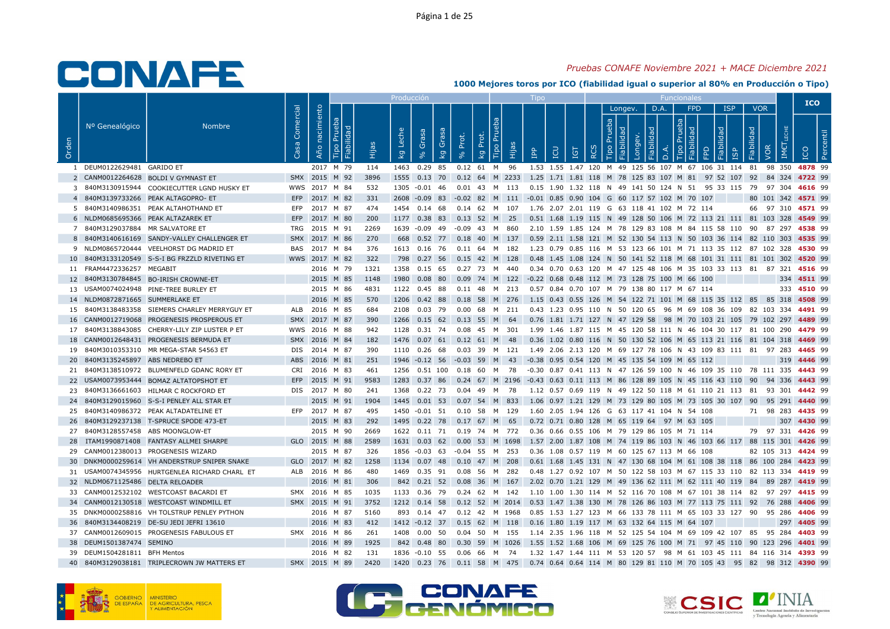## Pruebas CONAFE Noviembre 2021 + MACE Diciembre 2021

|       |                                    |                                                                                      |                   |                |                  |            | Producción                      |                         |                          |                                           |                                                                                                   |                |                                                                                                                            |     |              |         |      |                  |                 |                 |                               |                                 |     | <b>ICO</b>  |  |
|-------|------------------------------------|--------------------------------------------------------------------------------------|-------------------|----------------|------------------|------------|---------------------------------|-------------------------|--------------------------|-------------------------------------------|---------------------------------------------------------------------------------------------------|----------------|----------------------------------------------------------------------------------------------------------------------------|-----|--------------|---------|------|------------------|-----------------|-----------------|-------------------------------|---------------------------------|-----|-------------|--|
| Orden | Nº Genealógico                     | <b>Nombre</b>                                                                        | Comercial<br>Casa | Año nacimiento | Fiabilidad<br> 눈 | Hijas      | Leche<br>$k_{9}$                | Grasa<br>8 <sup>o</sup> | Grasa<br>kg<br><b>So</b> | Prot.<br>Prot.<br>$\overline{\mathsf{g}}$ | Tipo Prue<br>Hijas                                                                                | $\overline{P}$ | LCU                                                                                                                        | IGT | $\circ$<br>2 | Longev. | D.A. | Tipo<br>$\Omega$ | <b>FPD</b><br>う | bep<br>$\Omega$ | <b>ISP</b><br>1 <sub>Sp</sub> | <b>VOR</b><br>Fiabilidad<br>VOR | IME | <b>DOI</b>  |  |
|       | 1 DEUM0122629481 GARIDO ET         |                                                                                      |                   |                | 2017 M 79        | 114        |                                 |                         |                          |                                           | 1463  0.29  85  0.12  61  M  96                                                                   |                | 1.53 1.55 1.47 120 M 49 125 56 107 M 67 106 31 114 81 98 350 4878 99                                                       |     |              |         |      |                  |                 |                 |                               |                                 |     |             |  |
|       |                                    | 2 CANM0012264628 BOLDI V GYMNAST ET                                                  | SMX 2015 M 92     |                |                  | 3896       |                                 |                         |                          |                                           | 1555 0.13 70 0.12 64 M 2233 1.25 1.71 1.81 118 M 78 125 83 107 M 81 97 52 107 92 84 324 4722 99   |                |                                                                                                                            |     |              |         |      |                  |                 |                 |                               |                                 |     |             |  |
|       |                                    | 3 840M3130915944 COOKIECUTTER LGND HUSKY ET                                          | WWS 2017 M 84     |                |                  | 532        | 1305 -0.01 46                   |                         |                          |                                           | $0.01$ 43 M 113                                                                                   |                | 0.15 1.90 1.32 118 N 49 141 50 124 N 51 95 33 115 79 97 304 4616 99                                                        |     |              |         |      |                  |                 |                 |                               |                                 |     |             |  |
|       |                                    | 4 840M3139733266 PEAK ALTAGOPRO- ET                                                  | EFP 2017 M 82     |                |                  | 331        |                                 |                         |                          |                                           | 2608 -0.09 83 -0.02 82 M 111 -0.01 0.85 0.90 104 G 60 117 57 102 M 70 107                         |                |                                                                                                                            |     |              |         |      |                  |                 |                 |                               | 80 101 342 4571 99              |     |             |  |
|       |                                    | 5 840M3140986351 PEAK ALTAHOTHAND ET                                                 | EFP               |                | 2017 M 87        | 474        | 1454 0.14 68                    |                         |                          |                                           | 0.14 62 M 107                                                                                     |                | 1.76 2.07 2.01 119 G 63 118 41 102 M 72 114                                                                                |     |              |         |      |                  |                 |                 |                               | 66 97 310 4571 99               |     |             |  |
|       | 6 NLDM0685695366 PEAK ALTAZAREK ET |                                                                                      | EFP 2017 M 80     |                |                  | 200        |                                 |                         |                          |                                           | 1177 0.38 83 0.13 52 M 25                                                                         |                | 0.51 1.68 1.19 115 N 49 128 50 106 M 72 113 21 111 81 103 328 4549 99                                                      |     |              |         |      |                  |                 |                 |                               |                                 |     |             |  |
|       | 7 840M3129037884 MR SALVATORE ET   |                                                                                      | TRG 2015 M 91     |                |                  | 2269       | 1639 -0.09 49                   |                         |                          |                                           |                                                                                                   |                | 2.10 1.59 1.85 124 M 78 129 83 108 M 84 115 58 110 90 87 297 4538 99                                                       |     |              |         |      |                  |                 |                 |                               |                                 |     |             |  |
|       |                                    | 8 840M3140616169 SANDY-VALLEY CHALLENGER ET                                          | SMX 2017 M 86     |                |                  | 270        |                                 |                         |                          |                                           | 668 0.52 77 0.18 40 M 137                                                                         |                | 0.59 2.11 1.58 121 M 52 130 54 113 N 50 103 36 114 82 110 303 4535 99                                                      |     |              |         |      |                  |                 |                 |                               |                                 |     |             |  |
|       |                                    | 9 NLDM0865720444 VEELHORST DG MADRID ET                                              | BAS 2017 M 84     |                |                  | 376        |                                 |                         |                          |                                           | 1613  0.16  76  0.11  64  M  182                                                                  |                | 1.23 0.79 0.85 116 M 53 123 66 101 M 71 113 35 112 87 102 328 <b>4530</b> 99                                               |     |              |         |      |                  |                 |                 |                               |                                 |     |             |  |
|       |                                    | 10 840M3133120549 S-S-I BG FRZZLD RIVETING ET                                        | WWS 2017 M 82     |                |                  | 322        | 798                             | $0.27$ 56               |                          |                                           | $0.15$ 42 M 128                                                                                   |                | 0.48 1.45 1.08 124 N 50 141 52 118 M 68 101 31 111 81 101 302 4520 99                                                      |     |              |         |      |                  |                 |                 |                               |                                 |     |             |  |
|       | 11 FRAM4472336257 MEGABIT          |                                                                                      |                   |                | 2016 M 79        | 1321       | 1358 0.15 65                    |                         |                          |                                           | 0.27 73 M 440                                                                                     |                | 0.34 0.70 0.63 120 M 47 125 48 106 M 35 103 33 113 81 87 321 <b>4516</b> 99                                                |     |              |         |      |                  |                 |                 |                               |                                 |     |             |  |
|       |                                    | 12 840M3130784845 BO-IRISH CROWNE-ET                                                 |                   |                | 2015 M 85        | 1148       | 1980                            | $0.08\quad80$           |                          |                                           | 0.09 74 M 122 -0.22 0.68 0.48 112 M 73 128 75 100 M 66 100                                        |                |                                                                                                                            |     |              |         |      |                  |                 |                 |                               |                                 |     | 334 4511 99 |  |
|       |                                    | 13 USAM0074024948 PINE-TREE BURLEY ET                                                |                   |                | 2015 M 86        | 4831       | 1122 0.45 88                    |                         |                          |                                           | $0.11$ 48 M 213                                                                                   |                | 0.57 0.84 0.70 107 M 79 138 80 117 M 67 114                                                                                |     |              |         |      |                  |                 |                 |                               |                                 |     | 333 4510 99 |  |
|       | 14 NLDM0872871665 SUMMERLAKE ET    |                                                                                      |                   |                | 2016 M 85        | 570        |                                 |                         |                          |                                           | 1206 0.42 88 0.18 58 M 276                                                                        |                | 1.15 0.43 0.55 126 M 54 122 71 101 M 68 115 35 112 85 85 318 4508 99                                                       |     |              |         |      |                  |                 |                 |                               |                                 |     |             |  |
|       |                                    | 15 840M3138483358 SIEMERS CHARLEY MERRYGUY ET                                        | ALB 2016 M 85     |                |                  | 684        | 2108 0.03 79                    |                         |                          | $0.00$ 68                                 | M 211                                                                                             |                | 0.43 1.23 0.95 110 N 50 120 65 96 M 69 108 36 109 82 103 334 4491 99                                                       |     |              |         |      |                  |                 |                 |                               |                                 |     |             |  |
|       |                                    | 16 CANM0012719068 PROGENESIS PROSPEROUS ET                                           | SMX 2017 M 87     |                |                  | 390        |                                 |                         |                          |                                           | 1266  0.15  62  0.13  55  M  64                                                                   |                | 0.76 1.81 1.71 127 N 47 129 58 98 M 70 103 21 105 79 102 297 4489 99                                                       |     |              |         |      |                  |                 |                 |                               |                                 |     |             |  |
|       |                                    | 17 840M3138843085 CHERRY-LILY ZIP LUSTER P ET                                        | WWS 2016 M 88     |                |                  | 942        |                                 |                         |                          |                                           | 1128  0.31  74  0.08  45  M  301                                                                  |                | 1.99  1.46  1.87  115  M  45  120  58  111  N  46  104  30  117  81  100  290  4479  99                                    |     |              |         |      |                  |                 |                 |                               |                                 |     |             |  |
|       |                                    | 18 CANM0012648431 PROGENESIS BERMUDA ET                                              | SMX 2016 M 84     |                |                  | 182        | 1476                            | $0.07$ 61               |                          | $0.12$ 61 M                               | - 48                                                                                              |                | 0.36 1.02 0.80 116 N 50 130 52 106 M 65 113 21 116 81 104 318 4469 99                                                      |     |              |         |      |                  |                 |                 |                               |                                 |     |             |  |
|       |                                    | 19 840M3010353310 MR MEGA-STAR 54563 ET                                              | DIS 2014 M 87     |                |                  | 390        | 1110 0.26 68                    |                         |                          |                                           | 0.03 39 M 121                                                                                     |                | 1.49 2.06 2.13 120 M 69 127 78 106 N 43 109 83 111 81 97 283 <b>4465</b> 99                                                |     |              |         |      |                  |                 |                 |                               |                                 |     |             |  |
|       | 20 840M3135245897 ABS NEDREBO ET   |                                                                                      | ABS               |                | 2016 M 81        | 251        |                                 |                         |                          |                                           | 1946 -0.12 56 -0.03 59 M 43                                                                       |                | -0.38 0.95 0.54 120 M 45 135 54 109 M 65 112                                                                               |     |              |         |      |                  |                 |                 |                               |                                 |     | 319 4446 99 |  |
|       |                                    | 21 840M3138510972 BLUMENFELD GDANC RORY ET                                           | CRI               |                | 2016 M 83        | 461        | 1256  0.51  100                 |                         |                          | $0.18\quad 60$                            | M 78                                                                                              |                | -0.30 0.87 0.41 113 N 47 126 59 100 N 46 109 35 110 78 111 335 4443 99                                                     |     |              |         |      |                  |                 |                 |                               |                                 |     |             |  |
|       |                                    | 22 USAM0073953444 BOMAZ ALTATOPSHOT ET                                               | EFP 2015 M 91     |                |                  | 9583       |                                 |                         |                          |                                           | 1283 0.37 86 0.24 67 M 2196 -0.43 0.63 0.11 113 M 86 128 89 105 N 45 116 43 110 90 94 336 4443 99 |                |                                                                                                                            |     |              |         |      |                  |                 |                 |                               |                                 |     |             |  |
|       |                                    | 23 840M3136661603 HILMAR C ROCKFORD ET                                               | DIS               |                | 2017 M 80        | 241        | 1368                            | 0.22 73                 |                          | $0.04$ 49                                 | M<br>- 78                                                                                         |                | 1.12 0.57 0.69 119 N 49 122 50 118 M 61 110 21 113 81 93 301 4442 99                                                       |     |              |         |      |                  |                 |                 |                               |                                 |     |             |  |
|       |                                    | 24 840M3129015960 S-S-I PENLEY ALL STAR ET                                           |                   |                | 2015 M 91        | 1904       |                                 |                         |                          |                                           | 1445 0.01 53 0.07 54 M 833                                                                        |                | 1.06 0.97 1.21 129 M 73 129 80 105 M 73 105 30 107 90 95 291 4440 99                                                       |     |              |         |      |                  |                 |                 |                               |                                 |     |             |  |
|       |                                    | 25 840M3140986372 PEAK ALTADATELINE ET                                               | EFP 2017 M 87     |                |                  | 495        |                                 |                         |                          |                                           | 1450 -0.01 51 0.10 58 M 129                                                                       |                | 1.60 2.05 1.94 126 G 63 117 41 104 N 54 108                                                                                |     |              |         |      |                  |                 |                 |                               | 71 98 283 4435 99               |     |             |  |
|       |                                    | 26 840M3129237138 T-SPRUCE SPODE 473-ET                                              |                   |                | 2015 M 83        | 292        |                                 |                         |                          |                                           | 1495 0.22 78 0.17 67 M 65                                                                         |                | 0.72 0.71 0.80 128 M 65 119 64 97 M 63 105                                                                                 |     |              |         |      |                  |                 |                 |                               |                                 |     | 307 4430 99 |  |
|       | 27 840M3128557458 ABS MOONGLOW-ET  |                                                                                      |                   |                | 2015 M 90        | 2669       |                                 |                         |                          |                                           | 1622  0.11  71  0.19  74  M  772                                                                  |                | 0.36  0.66  0.55  106  M  79  129  86  105  M  71  114                                                                     |     |              |         |      |                  |                 |                 |                               | 79 97 331 4426 99               |     |             |  |
|       |                                    | 28 ITAM1990871408 FANTASY ALLMEI SHARPE                                              | GLO 2015 M 88     |                |                  | 2589       | 1631 0.03 62                    |                         |                          |                                           | 0.00 53 M 1698                                                                                    |                | 1.57 2.00 1.87 108 M 74 119 86 103 N 46 103 66 117 88 115 301 4426 99                                                      |     |              |         |      |                  |                 |                 |                               |                                 |     |             |  |
|       |                                    | 29 CANM0012380013 PROGENESIS WIZARD                                                  |                   |                | 2015 M 87        | 326        |                                 |                         |                          |                                           | 1856 -0.03 63 -0.04 55 M 253                                                                      |                | 0.36 1.08 0.57 119 M 60 125 67 113 M 66 108                                                                                |     |              |         |      |                  |                 |                 |                               | 82 105 313 4424 99              |     |             |  |
|       |                                    | 30 DNKM0000259614 VH ANDERSTRUP SNIPER SNAKE                                         | GLO 2017 M 82     |                |                  | 1258       | 1134 0.07 48                    |                         |                          |                                           | $0.10$ 47 M 208                                                                                   |                | 0.61 1.68 1.45 131 N 47 130 68 104 M 61 108 38 118 86 100 284 4423 99                                                      |     |              |         |      |                  |                 |                 |                               |                                 |     |             |  |
|       |                                    | 31 USAM0074345956 HURTGENLEA RICHARD CHARL ET                                        | ALB 2016 M 86     |                |                  | 480        | 1469  0.35  91                  |                         |                          |                                           | 0.08 56 M 282                                                                                     |                | 0.48 1.27 0.92 107 M 50 122 58 103 M 67 115 33 110 82 113 334 4419 99                                                      |     |              |         |      |                  |                 |                 |                               |                                 |     |             |  |
|       | 32 NLDM0671125486 DELTA RELOADER   |                                                                                      |                   |                | 2016 M 81        | 306        |                                 | 842 0.21 52             |                          |                                           | 0.08 36 M 167                                                                                     |                | 2.02 0.70 1.21 129 M 49 136 62 111 M 62 111 40 119 84 89 287 4419 99                                                       |     |              |         |      |                  |                 |                 |                               |                                 |     |             |  |
|       |                                    | 33 CANM0012532102 WESTCOAST BACARDI ET                                               | SMX 2016 M 85     |                |                  | 1035       | 1133 0.36 79                    |                         |                          |                                           | 0.24 62 M 142                                                                                     |                | 1.10 1.00 1.30 114 M 52 116 70 108 M 67 101 38 114 82 97 297 4415 99                                                       |     |              |         |      |                  |                 |                 |                               |                                 |     |             |  |
|       |                                    | 34 CANM0012130518 WESTCOAST WINDMILL ET                                              | SMX 2015 M 91     |                |                  | 3752       |                                 |                         |                          |                                           | 1212 0.14 58 0.12 52 M 2014 0.53 1.47 1.38 130 M 78 126 86 103 M 77 113 75 111 92 76 288 4406 99  |                |                                                                                                                            |     |              |         |      |                  |                 |                 |                               |                                 |     |             |  |
|       |                                    | 35 DNKM0000258816 VH TOLSTRUP PENLEY PYTHON                                          |                   |                | 2016 M 87        | 5160       |                                 |                         |                          |                                           | 893 0.14 47 0.12 42 M 1968                                                                        |                | 0.85 1.53 1.27 123 M 66 133 78 111 M 65 103 33 127 90 95 286 4406 99                                                       |     |              |         |      |                  |                 |                 |                               |                                 |     |             |  |
|       |                                    | 36 840M3134408219 DE-SU JEDI JEFRI 13610<br>37 CANM0012609015 PROGENESIS FABULOUS ET |                   |                | 2016 M 83        | 412<br>261 | 1412 -0.12 37<br>1408  0.00  50 |                         |                          |                                           | $0.15$ 62 M 118<br>0.04 50 M 155                                                                  |                | 0.16 1.80 1.19 117 M 63 132 64 115 M 64 107<br>1.14 2.35 1.96 118 M 52 125 54 104 M 69 109 42 107 85 95 284 <b>4403</b> 99 |     |              |         |      |                  |                 |                 |                               |                                 |     | 297 4405 99 |  |
|       | 38 DEUM1501387474 SEMINO           |                                                                                      | SMX 2016 M 86     |                | 2016 M 89        | 1925       |                                 | 842 0.48 80             |                          |                                           | 0.30 59 M 1026                                                                                    |                | 1.55 1.52 1.68 106 M 69 125 76 100 M 71 97 45 110 90 123 296 4401 99                                                       |     |              |         |      |                  |                 |                 |                               |                                 |     |             |  |
|       | 39 DEUM1504281811 BFH Mentos       |                                                                                      |                   |                | 2016 M 82        | 131        | 1836 -0.10 55                   |                         |                          |                                           | 0.06 66 M 74                                                                                      |                | 1.32 1.47 1.44 111 M 53 120 57 98 M 61 103 45 111 84 116 314 4393 99                                                       |     |              |         |      |                  |                 |                 |                               |                                 |     |             |  |
|       |                                    | 40 840M3129038181 TRIPLECROWN JW MATTERS ET                                          | SMX 2015 M 89     |                |                  | 2420       |                                 |                         |                          |                                           | 1420 0.23 76 0.11 58 M 475                                                                        |                | 0.74  0.64  0.64  114  M  80  129  81  110  M  70  105  43  95  82  98  312 <b>4390</b> 99                                 |     |              |         |      |                  |                 |                 |                               |                                 |     |             |  |
|       |                                    |                                                                                      |                   |                |                  |            |                                 |                         |                          |                                           |                                                                                                   |                |                                                                                                                            |     |              |         |      |                  |                 |                 |                               |                                 |     |             |  |







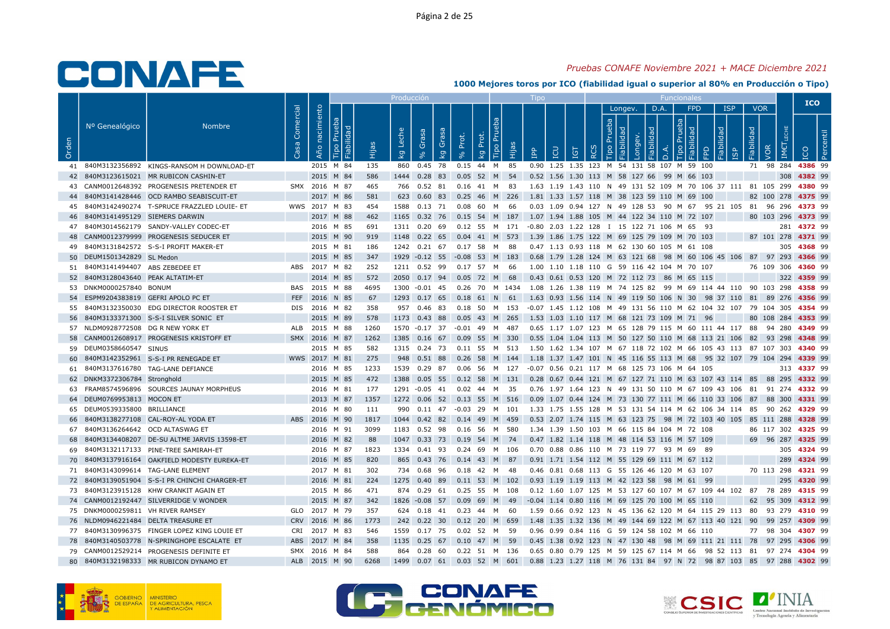## Pruebas CONAFE Noviembre 2021 + MACE Diciembre 2021

|       |                                     |                                               |                   |                |                                            |      | Producción                         |                |                      |                         |                                                                                           |                                                       |                 |          |                       |                |                 |                  |                         |                                                   |     | <b>ICO</b>                                                                                       |  |
|-------|-------------------------------------|-----------------------------------------------|-------------------|----------------|--------------------------------------------|------|------------------------------------|----------------|----------------------|-------------------------|-------------------------------------------------------------------------------------------|-------------------------------------------------------|-----------------|----------|-----------------------|----------------|-----------------|------------------|-------------------------|---------------------------------------------------|-----|--------------------------------------------------------------------------------------------------|--|
| Orden | Nº Genealógico                      | <b>Nombre</b>                                 | Comercial<br>Casa | Año nacimiento | ം<br>Fiabilidad<br>$\mathbb{E}$<br>$\circ$ |      | Leche<br>$\overline{\mathsf{k}}$ g | Grasa          | Grasa<br>Prot.<br>kg | Prot.<br>$\overline{5}$ | Tipo Pru<br>Hijas                                                                         | $\overline{P}$                                        | <b>CO</b><br>5T | $\alpha$ | Longev.<br>$\ddot{e}$ | D.A.<br>$\Box$ | <b>FPD</b><br>호 | bep<br>$\bigcap$ | <b>ISP</b><br><b>GP</b> | <b>VOR</b><br><b>Fiabilidad</b><br>$\overline{S}$ | IME |                                                                                                  |  |
|       |                                     | 41 840M3132356892 KINGS-RANSOM H DOWNLOAD-ET  |                   |                | 2015 M 84                                  | 135  |                                    | 860 0.45 78    |                      |                         | 0.15 44 M 85                                                                              | 0.90 1.25 1.35 123 M 54 131 58 107 M 59 100           |                 |          |                       |                |                 |                  |                         |                                                   |     | 71 98 284 4386 99                                                                                |  |
|       |                                     | 42 840M3123615021 MR RUBICON CASHIN-ET        |                   |                | 2015 M 84                                  | 586  |                                    | 1444 0.28 83   |                      |                         | 0.05 52 M 54                                                                              | 0.52 1.56 1.30 113 M 58 127 66 99 M 66 103            |                 |          |                       |                |                 |                  |                         |                                                   |     | 308 4382 99                                                                                      |  |
|       |                                     | 43 CANM0012648392 PROGENESIS PRETENDER ET     |                   |                | SMX 2016 M 87                              | 465  |                                    |                |                      |                         | 766  0.52  81  0.16  41  M  83                                                            |                                                       |                 |          |                       |                |                 |                  |                         |                                                   |     | 1.63 1.19 1.43 110 N 49 131 52 109 M 70 106 37 111 81 105 299 4380 99                            |  |
|       |                                     | 44 840M3141428446 OCD RAMBO SEABISCUIT-ET     |                   |                | 2017 M 86                                  | 581  |                                    |                |                      |                         | 623 0.60 83 0.25 46 M 226                                                                 | 1.81 1.33 1.57 118 M 38 123 59 110 M 69 100           |                 |          |                       |                |                 |                  |                         |                                                   |     | 82 100 278 4375 99                                                                               |  |
|       |                                     | 45 840M3142490274 T-SPRUCE FRAZZLED LOUIE- ET |                   |                | WWS 2017 M 83                              | 454  |                                    |                |                      |                         | 1588  0.13  71  0.08  60  M  66                                                           |                                                       |                 |          |                       |                |                 |                  |                         |                                                   |     | 0.03 1.09 0.94 127 N 49 128 53 90 M 67 95 21 105 81 96 296 4373 99                               |  |
|       | 46 840M3141495129 SIEMERS DARWIN    |                                               |                   |                | 2017 M 88                                  | 462  |                                    |                |                      |                         | 1165 0.32 76 0.15 54 M 187                                                                | 1.07 1.94 1.88 105 M 44 122 34 110 M 72 107           |                 |          |                       |                |                 |                  |                         |                                                   |     | 80 103 296 4373 99                                                                               |  |
|       |                                     | 47 840M3014562179 SANDY-VALLEY CODEC-ET       |                   |                | 2016 M 85                                  | 691  |                                    |                |                      |                         | 1311 0.20 69 0.12 55 M 171 -0.80 2.03 1.22 128 I 15 122 71 106 M 65 93                    |                                                       |                 |          |                       |                |                 |                  |                         |                                                   |     | 281 4372 99                                                                                      |  |
|       |                                     | 48 CANM0012379999 PROGENESIS SEDUCER ET       |                   |                | 2015 M 90                                  | 919  |                                    | 1148 0.22 65   |                      |                         | $0.04$ 41 M 573                                                                           | 1.39 1.86 1.75 122 M 69 125 79 109 M 70 103           |                 |          |                       |                |                 |                  |                         |                                                   |     | 87 101 278 4371 99                                                                               |  |
|       |                                     | 49 840M3131842572 S-S-I PROFIT MAKER-ET       |                   |                | 2015 M 81                                  | 186  |                                    |                |                      |                         | 1242  0.21  67  0.17  58  M  88                                                           | 0.47 1.13 0.93 118 M 62 130 60 105 M 61 108           |                 |          |                       |                |                 |                  |                         |                                                   |     | 305 4368 99                                                                                      |  |
|       | 50 DEUM1501342829 SL Medon          |                                               |                   |                | 2015 M 85                                  | 347  |                                    |                |                      |                         | 1929 -0.12 55 -0.08 53 M 183                                                              |                                                       |                 |          |                       |                |                 |                  |                         |                                                   |     | 0.68 1.79 1.28 124 M 63 121 68 98 M 60 106 45 106 87 97 293 4366 99                              |  |
|       | 51 840M3141494407 ABS ZEBEDEE ET    |                                               |                   |                | ABS 2017 M 82                              | 252  |                                    |                |                      |                         | 1211  0.52  99  0.17  57  M  66                                                           | 1.00 1.10 1.18 110 G 59 116 42 104 M 70 107           |                 |          |                       |                |                 |                  |                         |                                                   |     | 76 109 306 4360 99                                                                               |  |
|       | 52 840M3128043640 PEAK ALTATIM-ET   |                                               |                   |                | 2014 M 85                                  | 572  |                                    |                |                      |                         | 2050 0.17 94 0.05 72 M 68                                                                 | 0.43 0.61 0.53 120 M 72 112 73 86 M 65 115            |                 |          |                       |                |                 |                  |                         |                                                   |     | 322 4359 99                                                                                      |  |
|       | 53 DNKM0000257840 BONUM             |                                               |                   |                | BAS 2015 M 88                              | 4695 |                                    | 1300 -0.01 45  |                      |                         | 0.26 70 M 1434                                                                            |                                                       |                 |          |                       |                |                 |                  |                         |                                                   |     | 1.08 1.26 1.38 119 M 74 125 82 99 M 69 114 44 110 90 103 298 <b>4358</b> 99                      |  |
|       | 54 ESPM9204383819 GEFRI APOLO PC ET |                                               |                   |                | FEF 2016 N 85                              | 67   |                                    |                |                      |                         |                                                                                           |                                                       |                 |          |                       |                |                 |                  |                         |                                                   |     | 1293 0.17 65 0.18 61 N 61 1.63 0.93 1.56 114 N 49 119 50 106 N 30 98 37 110 81 89 276 4356 99    |  |
|       |                                     | 55 840M3132350030 EDG DIRECTOR ROOSTER ET     |                   |                | DIS 2016 M 82                              | 358  |                                    | 957 0.46 83    |                      |                         | 0.18 50 M 153                                                                             |                                                       |                 |          |                       |                |                 |                  |                         |                                                   |     | -0.07 1.45 1.12 108 M 49 131 56 110 M 62 104 32 107 79 104 305 <b>4354</b> 99                    |  |
|       |                                     | 56 840M3133371300 S-S-I SILVER SONIC ET       |                   |                | 2015 M 89                                  | 578  |                                    |                |                      |                         | 1173 0.43 88 0.05 43 M 265                                                                | 1.53 1.03 1.10 117 M 68 121 73 109 M 71 96            |                 |          |                       |                |                 |                  |                         |                                                   |     | 80 108 284 4353 99                                                                               |  |
|       | 57 NLDM0928772508 DG R NEW YORK ET  |                                               |                   |                | ALB 2015 M 88                              | 1260 |                                    |                |                      |                         | 1570 -0.17 37 -0.01 49 M 487                                                              |                                                       |                 |          |                       |                |                 |                  |                         |                                                   |     | 0.65 1.17 1.07 123 M 65 128 79 115 M 60 111 44 117 88 94 280 4349 99                             |  |
|       |                                     | 58 CANM0012608917 PROGENESIS KRISTOFF ET      |                   |                | SMX 2016 M 87                              | 1262 |                                    | 1385 0.16 67   |                      |                         | 0.09 55 M 330                                                                             |                                                       |                 |          |                       |                |                 |                  |                         |                                                   |     | 0.55 1.04 1.04 113 M 50 127 50 110 M 68 113 21 106 82 93 298 4348 99                             |  |
|       | 59 DEUM0358660547 SINUS             |                                               |                   |                | 2015 M 85                                  | 582  |                                    |                |                      |                         |                                                                                           |                                                       |                 |          |                       |                |                 |                  |                         |                                                   |     | 1315 0.24 73 0.11 55 M 513 1.50 1.62 1.34 107 M 67 118 72 102 M 66 105 43 113 87 107 303 4340 99 |  |
|       |                                     | 60 840M3142352961 S-S-I PR RENEGADE ET        |                   |                | WWS 2017 M 81                              | 275  | 948                                | 0.51 88        | 0.26                 |                         | 58 M 144                                                                                  |                                                       |                 |          |                       |                |                 |                  |                         |                                                   |     | 1.18 1.37 1.47 101 N 45 116 55 113 M 68 95 32 107 79 104 294 4339 99                             |  |
|       |                                     | 61 840M3137616780 TAG-LANE DEFIANCE           |                   |                | 2016 M 85                                  | 1233 |                                    |                |                      |                         | 1539  0.29  87  0.06  56  M  127  -0.07  0.56  0.21  117  M  68  125  73  106  M  64  105 |                                                       |                 |          |                       |                |                 |                  |                         |                                                   |     | 313 4337 99                                                                                      |  |
|       | 62 DNKM3372306784 Stronghold        |                                               |                   |                | 2015 M 85                                  | 472  |                                    |                |                      |                         |                                                                                           |                                                       |                 |          |                       |                |                 |                  |                         |                                                   |     | 1388 0.05 55 0.12 58 M 131 0.28 0.67 0.44 121 M 67 127 71 110 M 63 107 43 114 85 88 295 4332 99  |  |
|       |                                     | 63 FRAM8574596896 SOURCES JAUNAY MORPHEUS     |                   |                | 2016 M 81                                  | 177  |                                    | 1291 -0.05 41  |                      |                         | 0.02  44  M  35                                                                           |                                                       |                 |          |                       |                |                 |                  |                         |                                                   |     | 0.76 1.97 1.64 123 N 49 131 50 110 M 67 109 43 106 81 91 274 4332 99                             |  |
|       | 64 DEUM0769953813 MOCON ET          |                                               |                   |                | 2013 M 87                                  | 1357 |                                    |                |                      |                         |                                                                                           |                                                       |                 |          |                       |                |                 |                  |                         |                                                   |     | 1272 0.06 52 0.13 55 M 516 0.09 1.07 0.44 124 M 73 130 77 111 M 66 110 33 106 87 88 300 4331 99  |  |
|       | 65 DEUM0539335800 BRILLIANCE        |                                               |                   |                | 2016 M 80                                  | -111 |                                    |                |                      |                         | 990  0.11  47  -0.03  29  M  101                                                          |                                                       |                 |          |                       |                |                 |                  |                         |                                                   |     | 1.33 1.75 1.55 128 M 53 131 54 114 M 62 106 34 114 85 90 262 <b>4329</b> 99                      |  |
|       |                                     | 66 840M3138277108 CAL-ROY-AL YODA ET          |                   |                | ABS 2016 M 90                              | 1817 |                                    |                |                      |                         |                                                                                           |                                                       |                 |          |                       |                |                 |                  |                         |                                                   |     | 1044 0.42 82 0.14 49 M 459 0.53 2.07 1.74 115 M 63 123 75 98 M 72 103 40 105 85 111 288 4328 99  |  |
|       | 67 840M3136264642 OCD ALTASWAG ET   |                                               |                   |                | 2016 M 91                                  | 3099 |                                    |                |                      |                         | 1183  0.52  98  0.16  56  M  580                                                          | 1.34 1.39 1.50 103 M 66 115 84 104 M 72 108           |                 |          |                       |                |                 |                  |                         |                                                   |     | 86 117 302 4325 99                                                                               |  |
|       |                                     | 68 840M3134408207 DE-SU ALTME JARVIS 13598-ET |                   |                | 2016 M 82                                  | 88   | 1047                               | $0.33$ 73      |                      |                         | 0.19 54 M 74                                                                              | 0.47 1.82 1.14 118 M 48 114 53 116 M 57 109           |                 |          |                       |                |                 |                  |                         |                                                   |     | 69 96 287 4325 99                                                                                |  |
|       |                                     | 69 840M3132117133 PINE-TREE SAMIRAH-ET        |                   |                | 2016 M 87                                  | 1823 |                                    |                |                      |                         | 1334  0.41  93  0.24  69  M  106                                                          | 0.70 0.88 0.86 110 M 73 119 77 93 M 69 89             |                 |          |                       |                |                 |                  |                         |                                                   |     | 305 4324 99                                                                                      |  |
|       |                                     | 70 840M3137916164 OAKFIELD MODESTY EUREKA-ET  |                   |                | 2016 M 85                                  | 820  |                                    | 865 0.43 76    |                      |                         | $0.14$ 43 M 87                                                                            | 0.91 1.71 1.54 112 M 55 129 69 111 M 67 112           |                 |          |                       |                |                 |                  |                         |                                                   |     | 289 4324 99                                                                                      |  |
|       | 71 840M3143099614 TAG-LANE ELEMENT  |                                               |                   |                | 2017 M 81                                  | 302  |                                    | 734  0.68  96  |                      | 0.18 42 M               | - 48                                                                                      | 0.46 0.81 0.68 113 G 55 126 46 120 M 63 107           |                 |          |                       |                |                 |                  |                         |                                                   |     | 70 113 298 4321 99                                                                               |  |
|       |                                     | 72 840M3139051904 S-S-I PR CHINCHI CHARGER-ET |                   |                | 2016 M 81                                  | 224  |                                    | 1275  0.40  89 |                      |                         | 0.11 53 M 102 0.93 1.19 1.19 113 M 42 123 58 98 M 61 99                                   |                                                       |                 |          |                       |                |                 |                  |                         |                                                   |     | 295 4320 99                                                                                      |  |
|       |                                     | 73 840M3123915128 KHW CRANKIT AGAIN ET        |                   |                | 2015 M 86                                  | 471  |                                    |                |                      |                         | 874 0.29 61 0.25 55 M 108                                                                 |                                                       |                 |          |                       |                |                 |                  |                         |                                                   |     | 0.12 1.60 1.07 125 M 53 127 60 107 M 67 109 44 102 87 78 289 4315 99                             |  |
|       |                                     | 74 CANM0012192447 SILVERRIDGE V WONDER        |                   |                | 2015 M 87                                  | 342  |                                    | 1826 -0.08 57  |                      |                         | $0.09$ 69 M 49                                                                            | -0.04 1.14 0.80 116 M 69 125 70 100 M 65 110          |                 |          |                       |                |                 |                  |                         |                                                   |     | 62 95 309 4312 99                                                                                |  |
|       | 75 DNKM0000259811 VH RIVER RAMSEY   |                                               |                   |                | GLO 2017 M 79                              | 357  |                                    | 624 0.18 41    |                      |                         | 0.23 44 M 60                                                                              |                                                       |                 |          |                       |                |                 |                  |                         |                                                   |     | 1.59 0.66 0.92 123 N 45 136 62 120 M 64 115 29 113 80 93 279 4310 99                             |  |
|       |                                     | 76 NLDM0946221484 DELTA TREASURE ET           |                   |                | CRV 2016 M 86                              | 1773 |                                    | 242 0.22 30    |                      |                         | 0.12 20 M 659                                                                             | 1.48 1.35 1.32 136 M 49 144 69 122 M 67 113 40 121 90 |                 |          |                       |                |                 |                  |                         |                                                   |     | 99 257 4309 99                                                                                   |  |
|       |                                     | 77 840M3130996375 FINGER LOPEZ KING LOUIE ET  |                   |                | CRI 2017 M 83                              | 546  |                                    |                |                      |                         | 1559  0.17  75  0.02  52  M  59                                                           | 0.96 0.99 0.84 116 G 59 124 58 102 M 66 110           |                 |          |                       |                |                 |                  |                         |                                                   |     | 77 98 304 4307 99                                                                                |  |
|       |                                     | 78 840M3140503778 N-SPRINGHOPE ESCALATE ET    | <b>ABS</b>        |                | 2017 M 84                                  | 358  |                                    | 1135 0.25 67   |                      |                         | 0.10 47 M 59                                                                              |                                                       |                 |          |                       |                |                 |                  |                         |                                                   |     | 0.45 1.38 0.92 123 N 47 130 48 98 M 69 111 21 111 78 97 295 4306 99                              |  |
|       |                                     | 79 CANM0012529214 PROGENESIS DEFINITE ET      |                   |                | SMX 2016 M 84                              | 588  |                                    | 864 0.28 60    |                      |                         | 0.22 51 M 136                                                                             |                                                       |                 |          |                       |                |                 |                  |                         |                                                   |     | 0.65 0.80 0.79 125 M 59 125 67 114 M 66 98 52 113 81 97 274 4304 99                              |  |
|       |                                     | 80 840M3132198333 MR RUBICON DYNAMO ET        |                   |                | ALB 2015 M 90                              | 6268 |                                    |                |                      |                         |                                                                                           |                                                       |                 |          |                       |                |                 |                  |                         |                                                   |     | 1499 0.07 61 0.03 52 M 601 0.88 1.23 1.27 118 M 76 131 84 97 N 72 98 87 103 85 97 288 4302 99    |  |





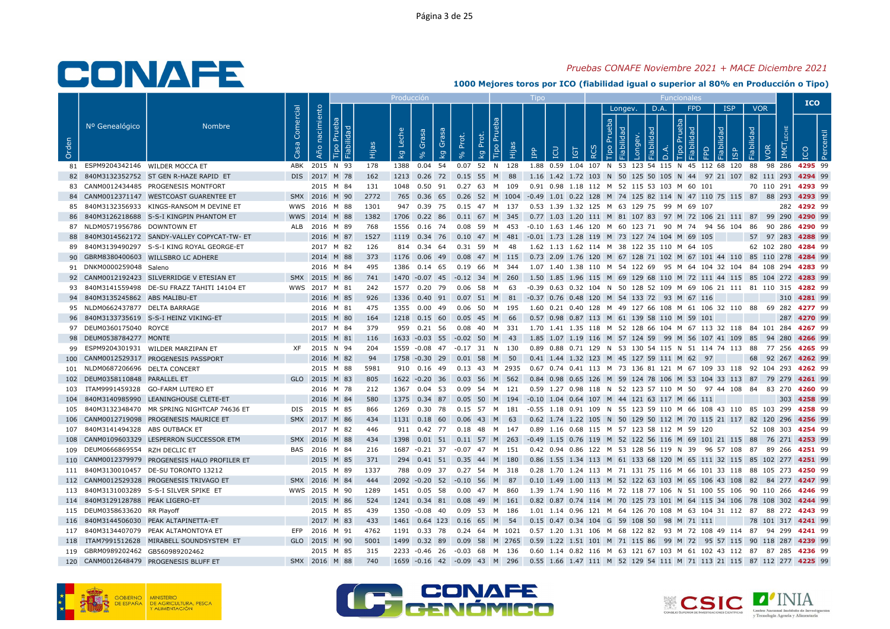## Pruebas CONAFE Noviembre 2021 + MACE Diciembre 2021

|       |                                   |                                                |                   |                   |                                                |      | Producci <u>ón</u> |           |                                  |             |                               | $\mathsf{I}$ ipo                                                                          |       |                             |         |      | <b>Funcionale</b> |                             |                                                                                                  |                               |     | <b>ICO</b>         |  |
|-------|-----------------------------------|------------------------------------------------|-------------------|-------------------|------------------------------------------------|------|--------------------|-----------|----------------------------------|-------------|-------------------------------|-------------------------------------------------------------------------------------------|-------|-----------------------------|---------|------|-------------------|-----------------------------|--------------------------------------------------------------------------------------------------|-------------------------------|-----|--------------------|--|
| Orden | Nº Genealógico                    | <b>Nombre</b>                                  | Comercial<br>Casa | nacimiento<br>Año | ്ക്<br>Fiabilidad<br>P <sub>U</sub><br>$\circ$ |      | Leche<br>kg        | Grasa     | Grasa<br>Prot.<br>kg             | Prot.<br>kā | $\mathbf{E}$<br>Hijas<br>Tipo | <b>POI</b><br><b>PP</b>                                                                   | $\Xi$ | $\overline{a}$<br><b>RC</b> | Longev. | D.A. |                   | <b>FPD</b><br>ᅙ<br>$\Omega$ | <b>ISP</b><br>호<br>isp                                                                           | <b>VOR</b><br>bep!<br>Fiabili | IME | ீ                  |  |
|       | 81 ESPM9204342146 WILDER MOCCA ET |                                                |                   | ABK 2015 N 93     |                                                | 178  | 1388  0.04  54     |           |                                  |             | 0.07 52 N 128                 |                                                                                           |       |                             |         |      |                   |                             | 1.88 0.59 1.04 107 N 53 123 54 115 N 45 112 68 120 88 98 286 4295 99                             |                               |     |                    |  |
|       |                                   | 82 840M3132352752 ST GEN R-HAZE RAPID ET       |                   | DIS 2017 M 78     |                                                | 162  |                    |           | 1213 0.26 72 0.15 55 M 88        |             |                               |                                                                                           |       |                             |         |      |                   |                             | 1.16 1.42 1.72 103 N 50 125 50 105 N 44 97 21 107 82 111 293 4294 99                             |                               |     |                    |  |
|       |                                   | 83 CANM0012434485 PROGENESIS MONTFORT          |                   | 2015 M 84         |                                                | 131  |                    |           | 1048  0.50  91  0.27  63  M  109 |             |                               | 0.91 0.98 1.18 112 M 52 115 53 103 M 60 101                                               |       |                             |         |      |                   |                             |                                                                                                  |                               |     | 70 110 291 4293 99 |  |
|       |                                   | 84 CANM0012371147 WESTCOAST GUARENTEE ET       |                   | SMX 2016 M 90     |                                                | 2772 |                    |           |                                  |             |                               |                                                                                           |       |                             |         |      |                   |                             | 765 0.36 65 0.26 52 M 1004 -0.49 1.01 0.22 128 M 74 125 82 114 N 47 110 75 115 87 88 293 4293 99 |                               |     |                    |  |
| 85    |                                   | 840M3132356933 KINGS-RANSOM M DEVINE ET        |                   | WWS 2016 M 88     |                                                | 1301 | 947 0.39 75        |           |                                  |             | 0.15 47 M 137                 | 0.53 1.39 1.32 125 M 63 129 75 99 M 69 107                                                |       |                             |         |      |                   |                             |                                                                                                  |                               |     | 282 4292 99        |  |
|       |                                   | 86 840M3126218688 S-S-I KINGPIN PHANTOM ET     |                   | WWS 2014 M 88     |                                                | 1382 |                    |           |                                  |             |                               |                                                                                           |       |                             |         |      |                   |                             | 1706 0.22 86 0.11 67 M 345 0.77 1.03 1.20 111 M 81 107 83 97 M 72 106 21 111 87 99 290 4290 99   |                               |     |                    |  |
|       | 87 NLDM0571956786 DOWNTOWN ET     |                                                |                   | ALB 2016 M 89     |                                                | 768  | 1556  0.16  74     |           |                                  |             | 0.08 59 M 453                 |                                                                                           |       |                             |         |      |                   |                             | -0.10 1.63 1.46 120 M 60 123 71  90 M 74  94 56 104  86  90 286 <b>4290</b> 99                   |                               |     |                    |  |
|       |                                   | 88 840M3014562172 SANDY-VALLEY COPYCAT-TW-ET   |                   | 2016 M 87         |                                                | 1527 | 1119 0.34 76       |           |                                  |             | 0.10 47 M 481                 | -0.01 1.73 1.28 119 M 73 127 74 104 M 69 105                                              |       |                             |         |      |                   |                             |                                                                                                  |                               |     | 57 97 283 4288 99  |  |
|       |                                   | 89 840M3139490297 S-S-I KING ROYAL GEORGE-ET   |                   | 2017 M 82         |                                                | 126  | 814 0.34 64        |           |                                  |             | 0.31 59 M 48                  | 1.62 1.13 1.62 114 M 38 122 35 110 M 64 105                                               |       |                             |         |      |                   |                             |                                                                                                  |                               |     | 62 102 280 4284 99 |  |
|       |                                   | 90 GBRM8380400603 WILLSBRO LC ADHERE           |                   | 2014 M 88         |                                                | 373  | 1176               | $0.06$ 49 |                                  |             | $0.08$ 47 M 115               |                                                                                           |       |                             |         |      |                   |                             | 0.73 2.09 1.76 120 M 67 128 71 102 M 67 101 44 110 85 110 278 4284 99                            |                               |     |                    |  |
|       | 91 DNKM0000259048 Saleno          |                                                |                   | 2016 M 84         |                                                | 495  |                    |           |                                  |             |                               |                                                                                           |       |                             |         |      |                   |                             | 1386 0.14 65 0.19 66 M 344 1.07 1.40 1.38 110 M 54 122 69 95 M 64 104 32 104 84 108 294 4283 99  |                               |     |                    |  |
|       |                                   | 92 CANM0012192423 SILVERRIDGE V ETESIAN ET     |                   | SMX 2015 M 86     |                                                | 741  |                    |           | 1470 -0.07 45 -0.12 34 M 260     |             |                               |                                                                                           |       |                             |         |      |                   |                             | 1.50 1.85 1.96 115 M 69 129 68 110 M 72 111 44 115 85 104 272 <b>4283</b> 99                     |                               |     |                    |  |
|       |                                   | 93 840M3141559498 DE-SU FRAZZ TAHITI 14104 ET  |                   | WWS 2017 M 81     |                                                | 242  | 1577  0.20  79     |           |                                  |             | 0.06 58 M 63                  |                                                                                           |       |                             |         |      |                   |                             | -0.39 0.63 0.32 104 N 50 128 52 109 M 69 106 21 111 81 110 315 4282 99                           |                               |     |                    |  |
|       | 94 840M3135245862 ABS MALIBU-ET   |                                                |                   | 2016 M 85         |                                                | 926  |                    |           |                                  |             |                               | 1336  0.40  91  0.07  51  M  81  -0.37  0.76  0.48  120  M  54  133  72  93  M  67  116   |       |                             |         |      |                   |                             |                                                                                                  |                               |     | 310 4281 99        |  |
|       | 95 NLDM0662437877 DELTA BARRAGE   |                                                |                   | 2016 M 81         |                                                | 475  | 1355  0.00  49     |           |                                  |             | 0.06 50 M 195                 |                                                                                           |       |                             |         |      |                   |                             | 1.60 0.21 0.40 128 M 49 127 66 108 M 61 106 32 110 88 69 282 4277 99                             |                               |     |                    |  |
|       |                                   | 96 840M3133735619 S-S-I HEINZ VIKING-ET        |                   | 2015 M 80         |                                                | 164  | 1218  0.15  60     |           |                                  |             | 0.05 45 M 66                  | 0.57 0.98 0.87 113 M 61 139 58 110 M 59 101                                               |       |                             |         |      |                   |                             |                                                                                                  |                               |     | 287 4270 99        |  |
|       | 97 DEUM0360175040 ROYCE           |                                                |                   | 2017 M 84         |                                                | 379  | 959 0.21 56        |           |                                  |             | 0.08 40 M 331                 |                                                                                           |       |                             |         |      |                   |                             | 1.70 1.41 1.35 118 M 52 128 66 104 M 67 113 32 118 84 101 284 <b>4267</b> 99                     |                               |     |                    |  |
|       | 98 DEUM0538784277 MONTE           |                                                |                   | 2015 M 81         |                                                | 116  | 1633 -0.03 55      |           |                                  |             | $-0.02$ 50 M 43               |                                                                                           |       |                             |         |      |                   |                             | 1.85 1.07 1.19 116 M 57 124 59 99 M 56 107 41 109 85 94 280 4266 99                              |                               |     |                    |  |
|       |                                   | 99 ESPM9204301931 WILDER MARZIPAN ET           |                   | XF 2015 N 94      |                                                | 204  |                    |           | 1559 -0.08 47 -0.17 31 N 130     |             |                               |                                                                                           |       |                             |         |      |                   |                             | 0.89 0.88 0.71 129 N 53 130 54 115 N 51 114 74 113 88 77 256 4265 99                             |                               |     |                    |  |
|       |                                   | 100 CANM0012529317 PROGENESIS PASSPORT         |                   | 2016 M 82         |                                                | 94   |                    |           | 1758 -0.30 29 0.01 58 M 50       |             |                               | 0.41 1.44 1.32 123 M 45 127 59 111 M 62 97                                                |       |                             |         |      |                   |                             |                                                                                                  |                               |     | 68 92 267 4262 99  |  |
|       | 101 NLDM0687206696 DELTA CONCERT  |                                                |                   | 2015 M 88         |                                                | 5981 | 910 0.16 49        |           |                                  |             |                               |                                                                                           |       |                             |         |      |                   |                             | 0.13 43 M 2935 0.67 0.74 0.41 113 M 73 136 81 121 M 67 109 33 118 92 104 293 <b>4262</b> 99      |                               |     |                    |  |
|       | 102 DEUM0358110848 PARALLEL ET    |                                                |                   | GLO 2015 M 83     |                                                | 805  |                    |           | 1622 -0.20 36 0.03 56 M 562      |             |                               |                                                                                           |       |                             |         |      |                   |                             | 0.84 0.98 0.65 126 M 59 124 78 106 M 53 104 33 113 87 79 279 4261 99                             |                               |     |                    |  |
|       |                                   | 103 ITAM9991459328 GO-FARM LUTERO ET           |                   | 2016 M 78         |                                                | 212  | 1367 0.04 53       |           |                                  |             | 0.09 54 M 121                 |                                                                                           |       |                             |         |      |                   |                             | 0.59 1.27 0.98 118 N 52 123 57 110 M 50 97 44 108 84 83 270 4260 99                              |                               |     |                    |  |
|       |                                   | 104 840M3140985990 LEANINGHOUSE CLETE-ET       |                   | 2016 M 84         |                                                | 580  |                    |           |                                  |             |                               | 1375  0.34  87  0.05  50  M  194  -0.10  1.04  0.64  107  M  44  121  63  117  M  66  111 |       |                             |         |      |                   |                             |                                                                                                  |                               |     | 303 4258 99        |  |
|       |                                   | 105 840M3132348470 MR SPRING NIGHTCAP 74636 ET |                   | DIS 2015 M 85     |                                                | 866  | 1269 0.30 78       |           |                                  | 0.15 57 M   | 181                           |                                                                                           |       |                             |         |      |                   |                             | -0.55 1.18 0.91 109 N 55 123 59 110 M 66 108 43 110 85 103 299 <b>4258</b> 99                    |                               |     |                    |  |
|       |                                   | 106 CANM0012719098 PROGENESIS MAURICE ET       |                   | SMX 2017 M 86     |                                                | 434  | 1131  0.18  60     |           |                                  |             | $0.06$ 43 M 63                |                                                                                           |       |                             |         |      |                   |                             | 0.62 1.74 1.22 105 N 50 129 50 112 M 70 115 21 117 82 120 296 4256 99                            |                               |     |                    |  |
|       | 107 840M3141494328 ABS OUTBACK ET |                                                |                   | 2017 M 82         |                                                | 446  |                    |           |                                  |             |                               | 911 0.42 77 0.18 48 M 147 0.89 1.16 0.68 115 M 57 123 58 112 M 59 120                     |       |                             |         |      |                   |                             |                                                                                                  |                               |     | 52 108 303 4254 99 |  |
|       |                                   | 108 CANM0109603329 LESPERRON SUCCESSOR ETM     |                   | SMX 2016 M 88     |                                                | 434  | 1398  0.01  51     |           |                                  |             |                               |                                                                                           |       |                             |         |      |                   |                             | 0.11 57 M 263 -0.49 1.15 0.76 119 M 52 122 56 116 M 69 101 21 115 88 76 271 4253 99              |                               |     |                    |  |
|       | 109 DEUM0666869554 RZH DECLIC ET  |                                                |                   | BAS 2016 M 84     |                                                | 216  |                    |           | 1687 -0.21 37 -0.07 47 M 151     |             |                               |                                                                                           |       |                             |         |      |                   |                             | 0.42 0.94 0.86 122 M 53 128 56 119 N 39 96 57 108 87 89 266 4251 99                              |                               |     |                    |  |
|       |                                   | 110 CANM0012379979 PROGENESIS HALO PROFILER ET |                   | 2015 M 85         |                                                | 371  |                    |           | 294 0.41 51 0.35 44 M 180        |             |                               |                                                                                           |       |                             |         |      |                   |                             | 0.86 1.55 1.34 113 M 61 133 68 120 M 65 111 32 115 85 102 277 4251 99                            |                               |     |                    |  |
|       |                                   | 111 840M3130010457 DE-SU TORONTO 13212         |                   | 2015 M 89         |                                                | 1337 | 788 0.09 37        |           |                                  |             | 0.27 54 M 318                 |                                                                                           |       |                             |         |      |                   |                             | 0.28 1.70 1.24 113 M 71 131 75 116 M 66 101 33 118 88 105 273 4250 99                            |                               |     |                    |  |
|       |                                   | 112 CANM0012529328 PROGENESIS TRIVAGO ET       |                   | SMX 2016 M 84     |                                                | 444  |                    |           | 2092 -0.20 52 -0.10 56 M 87      |             |                               |                                                                                           |       |                             |         |      |                   |                             | 0.10 1.49 1.00 113 M 52 122 63 103 M 65 106 43 108 82 84 277 4247 99                             |                               |     |                    |  |
|       |                                   | 113 840M3131003289 S-S-I SILVER SPIKE ET       |                   | WWS 2015 M 90     |                                                | 1289 | 1451 0.05 58       |           |                                  |             | 0.00 47 M 860                 |                                                                                           |       |                             |         |      |                   |                             | 1.39 1.74 1.90 116 M 72 118 77 106 N 51 100 55 106 90 110 266 4246 99                            |                               |     |                    |  |
|       | 114 840M3129128788 PEAK LIGERO-ET |                                                |                   | 2015 M 86         |                                                | 524  |                    |           | 1241 0.34 81 0.08 49 M 161       |             |                               |                                                                                           |       |                             |         |      |                   |                             | 0.82 0.87 0.74 114 M 70 125 73 101 M 64 115 34 106 78 108 302 4244 99                            |                               |     |                    |  |
|       | 115 DEUM0358633620 RR Playoff     |                                                |                   | 2015 M 85         |                                                | 439  | 1350 -0.08 40      |           |                                  |             | 0.09 53 M 186                 |                                                                                           |       |                             |         |      |                   |                             | 1.01 1.14 0.96 121 M 64 126 70 108 M 63 104 31 112 87 88 272 4243 99                             |                               |     |                    |  |
|       |                                   | 116 840M3144506030 PEAK ALTAPINETTA-ET         |                   | 2017 M 83         |                                                | 433  | 1461 0.64 123      |           |                                  |             | 0.16 65 M 54                  | 0.15 0.47 0.34 104 G 59 108 50 98 M 71 111                                                |       |                             |         |      |                   |                             |                                                                                                  |                               |     | 78 101 317 4241 99 |  |
|       |                                   | 117 840M3134407079 PEAK ALTAMONTOYA ET         |                   | EFP 2016 M 91     |                                                | 4762 |                    |           |                                  |             |                               |                                                                                           |       |                             |         |      |                   |                             | 1191 0.33 78 0.24 64 M 1021 0.57 1.20 1.31 106 M 68 122 82 93 M 72 108 49 114 87 94 299 4241 99  |                               |     |                    |  |
|       |                                   | 118 ITAM7991512628 MIRABELL SOUNDSYSTEM ET     |                   | GLO 2015 M 90     |                                                | 5001 | 1499 0.32 89       |           |                                  |             |                               |                                                                                           |       |                             |         |      |                   |                             | 0.09 58 M 2765 0.59 1.22 1.51 101 M 71 115 86 99 M 72 95 57 115 90 118 287 4239 99               |                               |     |                    |  |
|       | 119 GBRM0989202462 GB560989202462 |                                                |                   | 2015 M 85         |                                                | 315  |                    |           | 2233 -0.46 26 -0.03 68 M 136     |             |                               |                                                                                           |       |                             |         |      |                   |                             | 0.60 1.14 0.82 116 M 63 121 67 103 M 61 102 43 112 87 87 285 4236 99                             |                               |     |                    |  |
|       |                                   | 120 CANM0012648479 PROGENESIS BLUFF ET         |                   | SMX 2016 M 88     |                                                | 740  |                    |           | 1659 -0.16 42 -0.09 43 M 296     |             |                               |                                                                                           |       |                             |         |      |                   |                             | 0.55 1.66 1.47 111 M 52 129 54 111 M 71 113 21 115 87 112 277 4225 99                            |                               |     |                    |  |





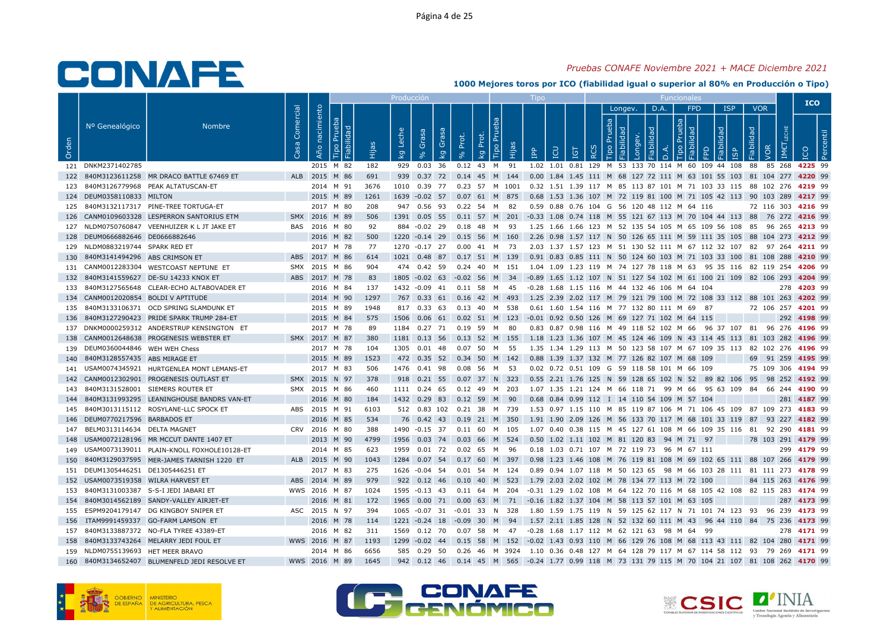## Pruebas CONAFE Noviembre 2021 + MACE Diciembre 2021

|       |                                      |                                                |                        |                     |                                         |      | <b>Producción</b>                |                                   |       |                   |                                 | Tipo                                                                                               |    |   |         |      | Funcionale      |   |                         |                            |     | <b>ICO</b>         |  |
|-------|--------------------------------------|------------------------------------------------|------------------------|---------------------|-----------------------------------------|------|----------------------------------|-----------------------------------|-------|-------------------|---------------------------------|----------------------------------------------------------------------------------------------------|----|---|---------|------|-----------------|---|-------------------------|----------------------------|-----|--------------------|--|
| Orden | Nº Genealógico                       | <b>Nombre</b>                                  | Comercial<br><b>GS</b> | nacimiento<br>Año i | leba<br>idad<br>$\mathbf{E}$<br>Fiabili |      | Leche<br>$\overline{\mathsf{g}}$ | Grasa<br>Grasa<br>kg<br>$\approx$ | Prot. | Prot.<br><b>D</b> | P <sub>U</sub><br>Hijas<br>Tipo | <b>POI</b><br><b>Adi</b>                                                                           | 5T | ⊻ | Longev. | D.A. | <b>FPD</b><br>ਹ | 요 | <b>ISP</b><br><b>GP</b> | <b>VOR</b><br>$\mathbb{S}$ | IME |                    |  |
|       | 121 DNKM2371402785                   |                                                |                        |                     | 2015 M 82                               | 182  |                                  |                                   |       |                   |                                 | 929 0.03 36 0.12 43 M 91 1.02 1.01 0.81 129 M 53 133 70 114 M 60 109 44 108 88 85 268 4225 99      |    |   |         |      |                 |   |                         |                            |     |                    |  |
|       |                                      | 122 840M3123611258 MR DRACO BATTLE 67469 ET    |                        |                     | ALB 2015 M 86                           | 691  |                                  |                                   |       |                   |                                 | 939 0.37 72 0.14 45 M 144 0.00 1.84 1.45 111 M 68 127 72 111 M 63 101 55 103 81 104 277 4220 99    |    |   |         |      |                 |   |                         |                            |     |                    |  |
|       |                                      | 840M3126779968 PEAK ALTATUSCAN-ET              |                        | 2014 M 91           |                                         | 3676 |                                  | 1010  0.39  77                    |       |                   |                                 | 0.23 57 M 1001 0.32 1.51 1.39 117 M 85 113 87 101 M 71 103 33 115 88 102 276 <b>4219</b> 99        |    |   |         |      |                 |   |                         |                            |     |                    |  |
|       | 124 DEUM0358110833 MILTON            |                                                |                        |                     | 2015 M 89                               | 1261 |                                  |                                   |       |                   |                                 | 1639 -0.02 57 0.07 61 M 875 0.68 1.53 1.36 107 M 72 119 81 100 M 71 105 42 113 90 103 289 4217 99  |    |   |         |      |                 |   |                         |                            |     |                    |  |
|       |                                      | 125 840M3132117317 PINE-TREE TORTUGA-ET        |                        |                     | 2017 M 80                               | 208  |                                  | 947 0.56 93                       |       | 0.22 54 M 82      |                                 | 0.59 0.88 0.76 104 G 56 120 48 112 M 64 116                                                        |    |   |         |      |                 |   |                         |                            |     | 72 116 303 4216 99 |  |
|       |                                      | 126 CANM0109603328 LESPERRON SANTORIUS ETM     |                        |                     | SMX 2016 M 89                           | 506  |                                  |                                   |       |                   |                                 | 1391 0.05 55 0.11 57 M 201 -0.33 1.08 0.74 118 M 55 121 67 113 M 70 104 44 113 88 76 272 4216 99   |    |   |         |      |                 |   |                         |                            |     |                    |  |
|       |                                      | 127 NLDM0750760847 VEENHUIZER K L JT JAKE ET   |                        |                     | BAS 2016 M 80                           | 92   |                                  | 884 -0.02 29                      |       | 0.18 48 M 93      |                                 | 1.25 1.66 1.66 123 M 52 135 54 105 M 65 109 56 108 85 96 265 4213 99                               |    |   |         |      |                 |   |                         |                            |     |                    |  |
|       | 128 DEUM0666882646 DE0666882646      |                                                |                        |                     | 2016 M 82                               | 500  |                                  | 1220 -0.14 29                     |       |                   | 0.15 56 M 160                   | 2.26 0.98 1.57 117 N 50 126 65 111 M 59 111 35 105 88 104 273 4212 99                              |    |   |         |      |                 |   |                         |                            |     |                    |  |
|       | 129 NLDM0883219744 SPARK RED ET      |                                                |                        |                     | 2017 M 78                               | 77   |                                  | 1270 -0.17 27 0.00 41 M 73        |       |                   |                                 | 2.03 1.37 1.57 123 M 51 130 52 111 M 67 112 32 107 82 97 264 <b>4211</b> 99                        |    |   |         |      |                 |   |                         |                            |     |                    |  |
|       | 130 840M3141494296 ABS CRIMSON ET    |                                                |                        |                     | ABS 2017 M 86                           | 614  |                                  | 1021 0.48 87                      |       |                   |                                 | 0.17 51 M 139 0.91 0.83 0.85 111 N 50 124 60 103 M 71 103 33 100 81 108 288 4210 99                |    |   |         |      |                 |   |                         |                            |     |                    |  |
|       |                                      | 131 CANM0012283304 WESTCOAST NEPTUNE ET        |                        |                     | SMX 2015 M 86                           | 904  |                                  | 474  0.42  59                     |       |                   |                                 | 0.24 40 M 151 1.04 1.09 1.23 119 M 74 127 78 118 M 63 95 35 116 82 119 254 4206 99                 |    |   |         |      |                 |   |                         |                            |     |                    |  |
|       |                                      | 132 840M3141559627 DE-SU 14233 KNOX ET         |                        |                     | ABS 2017 M 78                           | 83   |                                  | 1805 -0.02 63 -0.02 56 M 34       |       |                   |                                 | -0.89 1.65 1.12 107 N 51 127 54 102 M 61 100 21 109 82 106 293 4204 99                             |    |   |         |      |                 |   |                         |                            |     |                    |  |
|       |                                      | 133 840M3127565648 CLEAR-ECHO ALTABOVADER ET   |                        |                     | 2016 M 84                               | 137  |                                  | 1432 -0.09 41                     |       | 0.11 58 M 45      |                                 | -0.28 1.68 1.15 116 M 44 132 46 106 M 64 104                                                       |    |   |         |      |                 |   |                         |                            |     | 278 4203 99        |  |
|       | 134 CANM0012020854 BOLDI V APTITUDE  |                                                |                        |                     | 2014 M 90                               | 1297 |                                  | 767 0.33 61 0.16 42 M 493         |       |                   |                                 | 1.25 2.39 2.02 117 M 79 121 79 100 M 72 108 33 112 88 101 263 4202 99                              |    |   |         |      |                 |   |                         |                            |     |                    |  |
|       |                                      | 135 840M3133106371 OCD SPRING SLAMDUNK ET      |                        |                     | 2015 M 89                               | 1948 |                                  | 817 0.33 63 0.13 40 M 538         |       |                   |                                 | 0.61 1.60 1.54 116 M 77 132 80 111 M 69 87                                                         |    |   |         |      |                 |   |                         |                            |     | 72 106 257 4201 99 |  |
|       |                                      | 136 840M3127290423 PRIDE SPARK TRUMP 284-ET    |                        | 2015 M 84           |                                         | 575  |                                  |                                   |       |                   |                                 | 1506 0.06 61 0.02 51 M 123 -0.01 0.92 0.50 126 M 69 127 71 102 M 64 115                            |    |   |         |      |                 |   |                         |                            |     | 292 4198 99        |  |
|       |                                      | 137 DNKM0000259312 ANDERSTRUP KENSINGTON ET    |                        |                     | 2017 M 78                               | 89   |                                  | 1184  0.27  71  0.19  59  M  80   |       |                   |                                 | 0.83 0.87 0.98 116 M 49 118 52 102 M 66 96 37 107 81 96 276 4196 99                                |    |   |         |      |                 |   |                         |                            |     |                    |  |
| 138   |                                      | CANM0012648638 PROGENESIS WEBSTER ET           |                        | SMX 2017 M 87       |                                         | 380  | 1181                             | 0.13, 56                          |       |                   | $0.13$ 52 M 155                 | 1.18 1.23 1.36 107 M 45 124 46 109 N 43 114 45 113 81 103 282 4196 99                              |    |   |         |      |                 |   |                         |                            |     |                    |  |
|       | 139 DEUM0360044846 WEH WEH Chess     |                                                |                        |                     | 2017 M 78                               | 104  |                                  | 1305  0.01  48  0.07  50  M  55   |       |                   |                                 | 1.35 1.34 1.29 113 M 50 123 58 107 M 67 109 35 113 82 102 276 4196 99                              |    |   |         |      |                 |   |                         |                            |     |                    |  |
|       | 140 840M3128557435 ABS MIRAGE ET     |                                                |                        |                     | 2015 M 89                               | 1523 |                                  | 472  0.35  52  0.34  50  M  142   |       |                   |                                 | 0.88 1.39 1.37 132 M 77 126 82 107 M 68 109                                                        |    |   |         |      |                 |   |                         |                            |     | 69 91 259 4195 99  |  |
|       |                                      | 141 USAM0074345921 HURTGENLEA MONT LEMANS-ET   |                        |                     | 2017 M 83                               | 506  |                                  | 1476 0.41 98                      |       | 0.08 56 M 53      |                                 | 0.02 0.72 0.51 109 G 59 118 58 101 M 66 109                                                        |    |   |         |      |                 |   |                         |                            |     | 75 109 306 4194 99 |  |
|       |                                      | 142 CANM0012302901 PROGENESIS OUTLAST ET       |                        |                     | SMX 2015 N 97                           | 378  |                                  | 918  0.21  55  0.07  37  N  323   |       |                   |                                 | 0.55 2.21 1.76 125 N 59 128 65 102 N 52 89 82 106 95 98 252 4192 99                                |    |   |         |      |                 |   |                         |                            |     |                    |  |
|       | 143 840M3131528001 SIEMERS ROUTER ET |                                                |                        |                     | SMX 2015 M 86                           | 460  |                                  | 1111 0.24 65                      |       |                   | 0.12 49 M 203                   | 1.07 1.35 1.21 124 M 66 118 71 99 M 66 95 63 109 84 66 244 <b>4190</b> 99                          |    |   |         |      |                 |   |                         |                            |     |                    |  |
|       |                                      | 144 840M3131993295 LEANINGHOUSE BANDRS VAN-ET  |                        |                     | 2016 M 80                               | 184  |                                  | 1432 0.29 83 0.12 59 M 90         |       |                   |                                 | 0.68 0.84 0.99 112 I 14 110 54 109 M 57 104                                                        |    |   |         |      |                 |   |                         |                            |     | 281 4187 99        |  |
|       |                                      | 145 840M3013115112 ROSYLANE-LLC SPOCK ET       |                        | ABS 2015 M 91       |                                         | 6103 |                                  | 512 0.83 102                      |       |                   | 0.21 38 M 739                   | 1.53 0.97 1.15 110 M 85 119 87 106 M 71 106 45 109 87 109 273 <b>4183</b> 99                       |    |   |         |      |                 |   |                         |                            |     |                    |  |
|       | 146 DEUM0770217596 BARBADOS ET       |                                                |                        |                     | 2016 M 85                               | 534  |                                  | 76 0.42 43 0.19 21 M 350          |       |                   |                                 | 1.91 1.90 2.09 126 M 56 133 70 117 M 68 101 33 119 87 93 227 4182 99                               |    |   |         |      |                 |   |                         |                            |     |                    |  |
|       | 147 BELM0313114634 DELTA MAGNET      |                                                |                        |                     | CRV 2016 M 80                           | 388  |                                  | 1490 -0.15 37 0.11 60 M 105       |       |                   |                                 | 1.07 0.40 0.38 115 M 45 127 61 108 M 66 109 35 116 81 92 290 4181 99                               |    |   |         |      |                 |   |                         |                            |     |                    |  |
|       |                                      | 148 USAM0072128196 MR MCCUT DANTE 1407 ET      |                        |                     | 2013 M 90                               | 4799 |                                  |                                   |       |                   |                                 | 1956 0.03 74 0.03 66 M 524 0.50 1.02 1.11 102 M 81 120 83 94 M 71 97                               |    |   |         |      |                 |   |                         |                            |     | 78 103 291 4179 99 |  |
|       |                                      | 149 USAM0073139011 PLAIN-KNOLL FOXHOLE10128-ET |                        |                     | 2014 M 85                               | 623  |                                  | 1959  0.01  72  0.02  65  M  96   |       |                   |                                 | 0.18 1.03 0.71 107 M 72 119 73 96 M 67 111                                                         |    |   |         |      |                 |   |                         |                            |     | 299 4179 99        |  |
|       |                                      | 150 840M3129037595 MER-JAMES TARNISH 1220 ET   |                        |                     | ALB 2015 M 90                           | 1043 |                                  |                                   |       |                   |                                 | 1284 0.07 54 0.17 60 M 397 0.98 1.23 1.46 108 M 76 119 81 108 M 69 102 65 111 88 107 266 4179 99   |    |   |         |      |                 |   |                         |                            |     |                    |  |
|       | 151 DEUM1305446251 DE1305446251 ET   |                                                |                        |                     | 2017 M 83                               | 275  |                                  | 1626 -0.04 54                     |       |                   | 0.01 54 M 124                   | 0.89 0.94 1.07 118 M 50 123 65 98 M 66 103 28 111 81 111 273 4178 99                               |    |   |         |      |                 |   |                         |                            |     |                    |  |
|       | 152 USAM0073519358 WILRA HARVEST ET  |                                                |                        | ABS 2014 M 89       |                                         | 979  |                                  | 922 0.12 46 0.10 40 M 523         |       |                   |                                 | 1.79 2.03 2.02 102 M 78 134 77 113 M 72 100                                                        |    |   |         |      |                 |   |                         |                            |     | 84 115 263 4176 99 |  |
|       |                                      | 153 840M3131003387 S-S-I JEDI JABARI ET        |                        |                     | WWS 2016 M 87                           | 1024 |                                  |                                   |       |                   |                                 | 1595 -0.13 43 0.11 64 M 204 -0.31 1.29 1.02 108 M 64 122 70 116 M 68 105 42 108 82 115 283 4174 99 |    |   |         |      |                 |   |                         |                            |     |                    |  |
|       |                                      | 154 840M3014562189 SANDY-VALLEY AIRJET-ET      |                        |                     | 2016 M 81                               | 172  |                                  |                                   |       |                   |                                 | 1965  0.00  71  0.00  63  M  71  -0.16  1.82  1.37  104  M  58  113  57  101  M  63  105           |    |   |         |      |                 |   |                         |                            |     | 287 4173 99        |  |
|       |                                      | 155 ESPM9204179147 DG KINGBOY SNIPER ET        |                        |                     | ASC 2015 N 97                           | 394  |                                  | 1065 -0.07 31 -0.01 33 N 328      |       |                   |                                 | 1.80 1.59 1.75 119 N 59 125 62 117 N 71 101 74 123 93 96 239 <b>4173</b> 99                        |    |   |         |      |                 |   |                         |                            |     |                    |  |
|       |                                      | 156 ITAM9991459337 GO-FARM LAMSON ET           |                        |                     | 2016 M 78                               | 114  |                                  | 1221 -0.24 18 -0.09 30 M 94       |       |                   |                                 | 1.57 2.11 1.85 128 N 52 132 60 111 M 43 96 44 110 84 75 236 4173 99                                |    |   |         |      |                 |   |                         |                            |     |                    |  |
|       |                                      | 157 840M3133887372 NO-FLA TYREE 43389-ET       |                        |                     | 2016 M 82                               | 311  |                                  |                                   |       |                   |                                 | 1569  0.12  70  0.07  58  M  47  -0.28  1.68  1.17  112  M  62  121  63  98  M  64  99             |    |   |         |      |                 |   |                         |                            |     | 278 4171 99        |  |
|       |                                      | 158 840M3133743264 MELARRY JEDI FOUL ET        |                        |                     | WWS 2016 M 87                           | 1193 |                                  |                                   |       |                   |                                 | 1299 -0.02 44 0.15 58 M 152 -0.02 1.43 0.93 110 M 66 129 76 108 M 68 113 43 111 82 104 280 4171 99 |    |   |         |      |                 |   |                         |                            |     |                    |  |
|       | 159 NLDM0755139693 HET MEER BRAVO    |                                                |                        |                     | 2014 M 86                               | 6656 |                                  | 585 0.29 50                       |       |                   |                                 | 0.26 46 M 3924 1.10 0.36 0.48 127 M 64 128 79 117 M 67 114 58 112 93 79 269 <b>4171</b> 99         |    |   |         |      |                 |   |                         |                            |     |                    |  |
|       |                                      | 160 840M3134652407 BLUMENFELD JEDI RESOLVE ET  |                        |                     | WWS 2016 M 89                           | 1645 |                                  |                                   |       |                   |                                 | 942 0.12 46 0.14 45 M 565 -0.24 1.77 0.99 118 M 73 131 79 115 M 70 104 21 107 81 108 262 4170 99   |    |   |         |      |                 |   |                         |                            |     |                    |  |





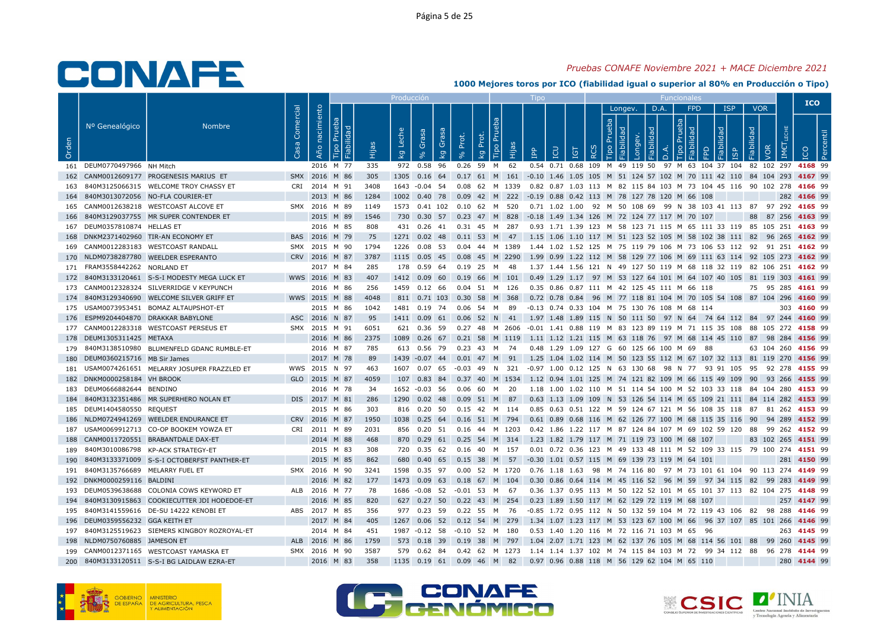## Pruebas CONAFE Noviembre 2021 + MACE Diciembre 2021

|       |                                    |                                                |           |                   |                     |       | Producción              |                                 |       |                                              |           |                                                                                                    |            |                     |         |      |         |            |                                     |                    |                    | <b>ICO</b>  |  |
|-------|------------------------------------|------------------------------------------------|-----------|-------------------|---------------------|-------|-------------------------|---------------------------------|-------|----------------------------------------------|-----------|----------------------------------------------------------------------------------------------------|------------|---------------------|---------|------|---------|------------|-------------------------------------|--------------------|--------------------|-------------|--|
| Orden | Nº Genealógico                     | <b>Nombre</b>                                  | Comercial | nacimiento<br>Año | $\overline{\Omega}$ | Hija. | Leche<br>$\overline{k}$ | Grasa<br>Gras<br>k <sub>g</sub> | Prot. | Tipo Pru<br>Prot.<br>$\overline{\mathsf{g}}$ | 。<br>Hija | LCD<br>$\mathbb{R}^2$                                                                              | <b>IGT</b> | $\circ$<br>$\alpha$ | Longey. | D.A. | $\circ$ | <b>FPD</b> | <b>ISP</b><br>dad<br>$\overline{9}$ | <b>VOR</b><br>bep! | IM€                |             |  |
|       | 161 DEUM0770497966 NH Mitch        |                                                |           | 2016 M 77         |                     | 335   |                         | 972  0.58  96                   |       | 0.26 59 M 62                                 |           | 0.54 0.71 0.68 109 M 49 119 50 97 M 63 104 37 104 82 102 297 4168 99                               |            |                     |         |      |         |            |                                     |                    |                    |             |  |
|       |                                    | 162 CANM0012609177 PROGENESIS MARIUS ET        |           | SMX 2016 M 86     |                     | 305   |                         |                                 |       |                                              |           | 1305 0.16 64 0.17 61 M 161 -0.10 1.46 1.05 105 M 51 124 57 102 M 70 111 42 110 84 104 293 4167 99  |            |                     |         |      |         |            |                                     |                    |                    |             |  |
|       |                                    | 163 840M3125066315 WELCOME TROY CHASSY ET      |           | CRI 2014 M 91     |                     | 3408  |                         |                                 |       |                                              |           | 1643 -0.04 54 0.08 62 M 1339 0.82 0.87 1.03 113 M 82 115 84 103 M 73 104 45 116 90 102 278 4166 99 |            |                     |         |      |         |            |                                     |                    |                    |             |  |
|       |                                    | 164 840M3013072056 NO-FLA COURIER-ET           |           | 2013 M 86         |                     | 1284  |                         |                                 |       |                                              |           | 1002  0.40  78  0.09  42  M  222  -0.19  0.88  0.42  113  M  78  127  78  120  M  66  108          |            |                     |         |      |         |            |                                     |                    |                    | 282 4166 99 |  |
|       |                                    | 165 CANM0012638218 WESTCOAST ALCOVE ET         |           | SMX 2016 M 89     |                     | 1149  |                         |                                 |       | 1573  0.41  102  0.10  62  M  520            |           | 0.71 1.02 1.00 92 M 50 108 69 99 N 38 103 41 113 87 97 292 4165 99                                 |            |                     |         |      |         |            |                                     |                    |                    |             |  |
|       |                                    | 166 840M3129037755 MR SUPER CONTENDER ET       |           | 2015 M 89         |                     | 1546  |                         |                                 |       |                                              |           | 730 0.30 57 0.23 47 M 828 -0.18 1.49 1.34 126 M 72 124 77 117 M 70 107                             |            |                     |         |      |         |            |                                     |                    | 88 87 256 4163 99  |             |  |
|       | 167 DEUM0357810874 HELLAS ET       |                                                |           | 2016 M 85         |                     | 808   |                         |                                 |       | 431 0.26 41 0.31 45 M 287                    |           | 0.93 1.71 1.39 123 M 58 123 71 115 M 65 111 33 119 85 105 251 4163 99                              |            |                     |         |      |         |            |                                     |                    |                    |             |  |
|       |                                    | 168 DNKM2371402960 TIR-AN ECONOMY ET           |           | BAS 2016 M 79     |                     | 75    |                         |                                 |       |                                              |           | 1271 0.02 48 0.11 53 M 47 1.15 1.06 1.10 117 M 51 123 52 105 M 58 102 38 111 82 96 265 4162 99     |            |                     |         |      |         |            |                                     |                    |                    |             |  |
|       |                                    | 169 CANM0012283183 WESTCOAST RANDALL           |           | SMX 2015 M 90     |                     | 1794  |                         |                                 |       |                                              |           | 1226 0.08 53 0.04 44 M 1389 1.44 1.02 1.52 125 M 75 119 79 106 M 73 106 53 112 92 91 251 4162 99   |            |                     |         |      |         |            |                                     |                    |                    |             |  |
|       |                                    | 170 NLDM0738287780 WEELDER ESPERANTO           |           | CRV 2016 M 87     |                     | 3787  |                         |                                 |       |                                              |           | 1115 0.05 45 0.08 45 M 2290 1.99 0.99 1.22 112 M 58 129 77 106 M 69 111 63 114 92 105 273 4162 99  |            |                     |         |      |         |            |                                     |                    |                    |             |  |
|       | 171 FRAM3558442262 NORLAND ET      |                                                |           | 2017 M 84         |                     | 285   |                         |                                 |       | 178  0.59  64  0.19  25  M  48               |           | 1.37 1.44 1.56 121 N 49 127 50 119 M 68 118 32 119 82 106 251 <b>4162</b> 99                       |            |                     |         |      |         |            |                                     |                    |                    |             |  |
|       |                                    | 172 840M3133120461 S-S-I MODESTY MEGA LUCK ET  |           | WWS 2016 M 83     |                     | 407   |                         |                                 |       |                                              |           | 1412 0.09 60 0.19 66 M 101 0.49 1.29 1.17 97 M 53 127 64 101 M 64 107 40 105 81 119 303 4161 99    |            |                     |         |      |         |            |                                     |                    |                    |             |  |
|       |                                    | 173 CANM0012328324 SILVERRIDGE V KEYPUNCH      |           | 2016 M 86         |                     | 256   |                         | 1459  0.12  66                  |       | 0.04 51 M 126                                |           | 0.35 0.86 0.87 111 M 42 125 45 111 M 66 118                                                        |            |                     |         |      |         |            |                                     |                    | 75 95 285 4161 99  |             |  |
|       |                                    | 174 840M3129340690 WELCOME SILVER GRIFF ET     |           | WWS 2015 M 88     |                     | 4048  |                         |                                 |       | 811 0.71 103 0.30 58 M 368                   |           | 0.72 0.78 0.84 96 M 77 118 81 104 M 70 105 54 108 87 104 296 4160 99                               |            |                     |         |      |         |            |                                     |                    |                    |             |  |
|       |                                    | 175 USAM0073953451 BOMAZ ALTAUPSHOT-ET         |           | 2015 M 86         |                     | 1042  |                         |                                 |       | 1481 0.19 74 0.06 54 M 89                    |           | -0.13  0.74  0.33  104  M  75  130  76  108  M  68  114                                            |            |                     |         |      |         |            |                                     |                    |                    | 303 4160 99 |  |
|       |                                    | 176 ESPM9204404870 DRAKKAR BABYLONE            |           | ASC 2016 N 87     |                     | 95    |                         |                                 |       |                                              |           | 1411 0.09 61 0.06 52 N 41 1.97 1.48 1.89 115 N 50 111 50 97 N 64 74 64 112 84 97 244 4160 99       |            |                     |         |      |         |            |                                     |                    |                    |             |  |
|       |                                    | 177 CANM0012283318 WESTCOAST PERSEUS ET        |           | SMX 2015 M 91     |                     | 6051  |                         |                                 |       |                                              |           | 621 0.36 59 0.27 48 M 2606 -0.01 1.41 0.88 119 M 83 123 89 119 M 71 115 35 108 88 105 272 4158 99  |            |                     |         |      |         |            |                                     |                    |                    |             |  |
|       | 178 DEUM1305311425 METAXA          |                                                |           | 2016 M 86         |                     | 2375  |                         |                                 |       |                                              |           | 1089 0.26 67 0.21 58 M 1119 1.11 1.12 1.21 115 M 63 118 76 97 M 68 114 45 110 87 98 284 4156 99    |            |                     |         |      |         |            |                                     |                    |                    |             |  |
|       |                                    | 179 840M3138510980 BLUMENFELD GDANC RUMBLE-ET  |           | 2016 M 87         |                     | 785   |                         |                                 |       |                                              |           | 613 0.56 79 0.23 43 M 74 0.48 1.29 1.09 127 G 60 125 66 100 M 69 88                                |            |                     |         |      |         |            |                                     |                    | 63 104 260 4156 99 |             |  |
|       | 180 DEUM0360215716 MB Sir James    |                                                |           | 2017 M 78         |                     | 89    |                         | 1439 -0.07 44                   |       |                                              |           | 0.01 47 M 91 1.25 1.04 1.02 114 M 50 123 55 112 M 67 107 32 113 81 119 270 4156 99                 |            |                     |         |      |         |            |                                     |                    |                    |             |  |
|       |                                    | 181 USAM0074261651 MELARRY JOSUPER FRAZZLED ET |           | WWS 2015 N 97     |                     | 463   |                         |                                 |       |                                              |           | 1607 0.07 65 -0.03 49 N 321 -0.97 1.00 0.12 125 N 63 130 68 98 N 77 93 91 105 95 92 278 4155 99    |            |                     |         |      |         |            |                                     |                    |                    |             |  |
|       | 182 DNKM0000258184 VH BROOK        |                                                |           | GLO 2015 M 87     |                     | 4059  |                         |                                 |       |                                              |           | 107 0.83 84 0.37 40 M 1534 1.12 0.94 1.01 125 M 74 121 82 109 M 66 115 49 109 90 93 266 4155 99    |            |                     |         |      |         |            |                                     |                    |                    |             |  |
|       | 183 DEUM0666882644 BENDINO         |                                                |           | 2016 M 78         |                     | -34   |                         | 1652 -0.03 56                   |       | 0.06 60 M 20                                 |           | 1.18 1.00 1.02 110 M 51 114 54 100 M 52 103 33 118 84 104 280 4153 99                              |            |                     |         |      |         |            |                                     |                    |                    |             |  |
|       |                                    | 184 840M3132351486 MR SUPERHERO NOLAN ET       |           | DIS 2017 M 81     |                     | 286   |                         |                                 |       | 1290 0.02 48 0.09 51 M 87                    |           | 0.63 1.13 1.09 109 N 53 126 54 114 M 65 109 21 111 84 114 282 4153 99                              |            |                     |         |      |         |            |                                     |                    |                    |             |  |
|       | 185 DEUM1404580550 REQUEST         |                                                |           | 2015 M 86         |                     | 303   |                         |                                 |       | 816  0.20  50  0.15  42  M  114              |           | 0.85 0.63 0.51 122 M 59 124 67 121 M 56 108 35 118 87 81 262 4153 99                               |            |                     |         |      |         |            |                                     |                    |                    |             |  |
|       |                                    | 186 NLDM0724941269 WEELDER ENDURANCE ET        |           | CRV 2016 M 87     |                     | 1950  |                         |                                 |       |                                              |           | 1038 0.25 64 0.16 51 M 794 0.61 0.89 0.68 116 M 62 126 77 100 M 68 115 35 116 90 94 289 4152 99    |            |                     |         |      |         |            |                                     |                    |                    |             |  |
|       |                                    | 187 USAM0069912713 CO-OP BOOKEM YOWZA ET       |           | CRI 2011 M 89     |                     | 2031  |                         |                                 |       |                                              |           | 856 0.20 51 0.16 44 M 1203 0.42 1.86 1.22 117 M 87 124 84 107 M 69 102 59 120 88 99 262 4152 99    |            |                     |         |      |         |            |                                     |                    |                    |             |  |
|       |                                    | 188 CANM0011720551 BRABANTDALE DAX-ET          |           | 2014 M 88         |                     | 468   |                         |                                 |       |                                              |           | 870 0.29 61 0.25 54 M 314 1.23 1.82 1.79 117 M 71 119 73 100 M 68 107                              |            |                     |         |      |         |            |                                     |                    | 83 102 265 4151 99 |             |  |
|       |                                    | 189 840M3010086798 KP-ACK STRATEGY-ET          |           | 2015 M 83         |                     | 308   |                         |                                 |       | 720  0.35  62  0.16  40  M  157              |           | 0.01 0.72 0.36 123 M 49 133 48 111 M 52 109 33 115 79 100 274 4151 99                              |            |                     |         |      |         |            |                                     |                    |                    |             |  |
|       |                                    | 190 840M3133371009 S-S-I OCTOBERFST PANTHER-ET |           | 2015 M 85         |                     | 862   |                         |                                 |       | 680  0.40  65  0.15  38  M  57               |           | -0.30 1.01 0.57 115 M 69 139 73 119 M 64 101                                                       |            |                     |         |      |         |            |                                     |                    |                    | 281 4150 99 |  |
|       | 191 840M3135766689 MELARRY FUEL ET |                                                |           | SMX 2016 M 90     |                     | 3241  |                         | 1598  0.35  97                  |       | 0.00 52 M 1720                               |           | 0.76 1.18 1.63 98 M 74 116 80 97 M 73 101 61 104 90 113 274 4149 99                                |            |                     |         |      |         |            |                                     |                    |                    |             |  |
|       | 192 DNKM0000259116 BALDINI         |                                                |           | 2016 M 82         |                     | 177   |                         |                                 |       | 1473  0.09  63  0.18  67  M  104             |           | 0.30 0.86 0.64 114 M 45 116 52 96 M 59 97 34 115 82 99 283 <b>4149</b> 99                          |            |                     |         |      |         |            |                                     |                    |                    |             |  |
|       |                                    | 193 DEUM0539638688 COLONIA COWS KEYWORD ET     |           | ALB 2016 M 77     |                     | 78    |                         |                                 |       | 1686 -0.08 52 -0.01 53 M 67                  |           | 0.36 1.37 0.95 113 M 50 122 52 101 M 65 101 37 113 82 104 275 4148 99                              |            |                     |         |      |         |            |                                     |                    |                    |             |  |
|       |                                    | 194 840M3130915863 COOKIECUTTER JDI HODEDOE-ET |           | 2016 M 85         |                     | 820   |                         |                                 |       |                                              |           | 627 0.27 50 0.22 43 M 254 0.23 1.89 1.50 117 M 62 129 72 119 M 68 107                              |            |                     |         |      |         |            |                                     |                    |                    | 257 4147 99 |  |
|       |                                    | 195 840M3141559616 DE-SU 14222 KENOBI ET       |           | ABS 2017 M 85     |                     | 356   |                         |                                 |       |                                              |           | 977 0.23 59 0.22 55 M 76 -0.85 1.72 0.95 112 N 50 132 59 104 M 72 119 43 106 82 98 288 4146 99     |            |                     |         |      |         |            |                                     |                    |                    |             |  |
|       | 196 DEUM0359556232 GGA KEITH ET    |                                                |           | 2017 M 84         |                     | 405   |                         |                                 |       | 1267  0.06  52  0.12  54  M  279             |           | 1.34 1.07 1.23 117 M 53 123 67 100 M 66 96 37 107 85 101 266 4146 99                               |            |                     |         |      |         |            |                                     |                    |                    |             |  |
|       |                                    | 197 840M3125519623 SIEMERS KINGBOY ROZROYAL-ET |           | 2014 M 84         |                     | 451   |                         |                                 |       |                                              |           | 1987 -0.12 58 -0.10 52 M 180 0.53 1.40 1.20 116 M 72 116 71 103 M 65 96                            |            |                     |         |      |         |            |                                     |                    |                    | 263 4145 99 |  |
|       | 198 NLDM0750760885 JAMESON ET      |                                                |           | ALB 2016 M 86     |                     | 1759  |                         |                                 |       |                                              |           | 573 0.18 39 0.19 38 M 797 1.04 2.07 1.71 123 M 62 137 76 105 M 68 114 56 101 88 99 260 4145 99     |            |                     |         |      |         |            |                                     |                    |                    |             |  |
|       |                                    | 199 CANM0012371165 WESTCOAST YAMASKA ET        |           | SMX 2016 M 90     |                     | 3587  |                         | 579  0.62  84                   |       |                                              |           | 0.42 62 M 1273 1.14 1.14 1.37 102 M 74 115 84 103 M 72 99 34 112 88 96 278 4144 99                 |            |                     |         |      |         |            |                                     |                    |                    |             |  |
|       |                                    | 200 840M3133120511 S-S-I BG LAIDLAW EZRA-ET    |           | 2016 M 83         |                     | 358   |                         |                                 |       |                                              |           | 1135  0.19  61  0.09  46  M  82  0.97  0.96  0.88  118  M  56  129  62  104  M  65  110            |            |                     |         |      |         |            |                                     |                    |                    | 280 4144 99 |  |





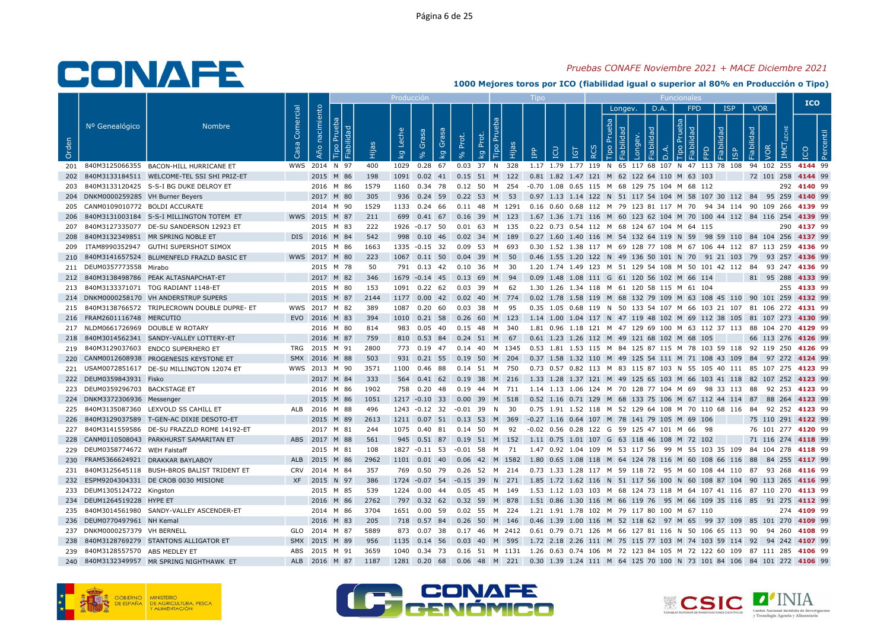## Pruebas CONAFE Noviembre 2021 + MACE Diciembre 2021

|       |                                     |                                                 |            |                   |     |      | Producción                         |                      |           |                                  |       |                                                                                                    |           |              |         |                   |                   |   |                                     |                                        |     | <b>ICO</b>     |  |
|-------|-------------------------------------|-------------------------------------------------|------------|-------------------|-----|------|------------------------------------|----------------------|-----------|----------------------------------|-------|----------------------------------------------------------------------------------------------------|-----------|--------------|---------|-------------------|-------------------|---|-------------------------------------|----------------------------------------|-----|----------------|--|
| Orden | Nº Genealógico                      | <b>Nombre</b>                                   | Comercial  | nacimiento<br>Año | abi | Нijа | Leche<br>$\overline{\mathsf{k}}$ g | Grasa<br>Grasa<br>kg | Prot.     | Tipo Pru<br>Prot.<br>kg          | Hijas | <b>CD</b><br>$\mathbb{R}$                                                                          | <b>GT</b> | $\circ$<br>R | Longev. | D.A.<br>$\bigcap$ | <b>FPD</b><br>ipo | ◠ | <b>ISP</b><br>bep<br>$\overline{9}$ | <b>VOR</b><br>Fiabilidad<br><b>VOR</b> | IM€ |                |  |
|       |                                     | 201 840M3125066355 BACON-HILL HURRICANE ET      |            | WWS 2014 N 97     |     | 400  |                                    | 1029  0.28  67       |           | 0.03 37 N 328                    |       | 1.17 1.79 1.77 119 N 65 117 68 107 N 47 113 78 108 94 102 255 4144 99                              |           |              |         |                   |                   |   |                                     |                                        |     |                |  |
|       |                                     | 202 840M3133184511 WELCOME-TEL SSI SHI PRIZ-ET  |            | 2015 M 86         |     | 198  |                                    |                      |           | 1091  0.02  41  0.15  51  M  122 |       | 0.81 1.82 1.47 121 M 62 122 64 110 M 63 103                                                        |           |              |         |                   |                   |   |                                     | 72 101 258 4144 99                     |     |                |  |
|       |                                     | 203 840M3133120425 S-S-I BG DUKE DELROY ET      |            | 2016 M 86         |     | 1579 |                                    |                      |           |                                  |       | 1160  0.34  78  0.12  50  M  254  -0.70  1.08  0.65  115  M  68  129  75  104  M  68  112          |           |              |         |                   |                   |   |                                     |                                        |     | 292 4140 99    |  |
|       | 204 DNKM0000259285 VH Burner Beyers |                                                 |            | 2017 M 80         |     | 305  |                                    |                      |           | 936 0.24 59 0.22 53 M 53         |       | 0.97 1.13 1.14 122 N 51 117 54 104 M 58 107 30 112 84 95 259 4140 99                               |           |              |         |                   |                   |   |                                     |                                        |     |                |  |
|       | 205 CANM0109010772 BOLDI ACCURATE   |                                                 |            | 2014 M 90         |     | 1529 |                                    | 1133 0.24 66         |           |                                  |       | 0.11 48 M 1291 0.16 0.60 0.68 112 M 79 123 81 117 M 70 94 34 114 90 109 266 4139 99                |           |              |         |                   |                   |   |                                     |                                        |     |                |  |
|       |                                     | 206 840M3131003184 S-S-I MILLINGTON TOTEM ET    |            | WWS 2015 M 87     |     | 211  |                                    |                      |           | 699  0.41  67  0.16  39  M  123  |       | 1.67 1.36 1.71 116 M 60 123 62 104 M 70 100 44 112 84 116 254 4139 99                              |           |              |         |                   |                   |   |                                     |                                        |     |                |  |
|       |                                     | 207 840M3127335077 DE-SU SANDERSON 12923 ET     |            | 2015 M 83         |     | 222  |                                    | 1926 -0.17 50        |           | 0.01 63 M 135                    |       | 0.22 0.73 0.54 112 M 68 124 67 104 M 64 115                                                        |           |              |         |                   |                   |   |                                     |                                        |     | 290 4137 99    |  |
|       |                                     | 208 840M3132349851 MR SPRING NOBLE ET           |            | DIS 2016 M 84     |     | 542  |                                    | 998  0.10  46        |           | 0.02 34 M 189                    |       | 0.27 1.60 1.40 116 M 54 132 64 119 N 59 98 59 110 84 104 256 4137 99                               |           |              |         |                   |                   |   |                                     |                                        |     |                |  |
|       |                                     | 209 ITAM8990352947 GUTHI SUPERSHOT SIMOX        |            | 2015 M 86         |     | 1663 |                                    | 1335 -0.15 32        |           | 0.09 53 M 693                    |       | 0.30 1.52 1.38 117 M 69 128 77 108 M 67 106 44 112 87 113 259 4136 99                              |           |              |         |                   |                   |   |                                     |                                        |     |                |  |
| 210   |                                     | 840M3141657524 BLUMENFELD FRAZLD BASIC ET       |            | WWS 2017 M 80     |     | 223  |                                    | 1067 0.11 50         |           | $0.04$ 39 M 50                   |       | 0.46 1.55 1.20 122 N 49 136 50 101 N 70 91 21 103 79 93 257 4136 99                                |           |              |         |                   |                   |   |                                     |                                        |     |                |  |
|       | 211 DEUM0357773558 Mirabo           |                                                 |            | 2015 M 78         |     | 50   |                                    |                      |           | 791  0.13  42  0.10  36  M  30   |       | 1.20 1.74 1.49 123 M 51 129 54 108 M 50 101 42 112 84 93 247 <b>4136</b> 99                        |           |              |         |                   |                   |   |                                     |                                        |     |                |  |
|       |                                     | 212 840M3138498786 PEAK ALTASNAPCHAT-ET         |            | 2017 M 82         |     | 346  |                                    |                      |           | 1679 -0.14 45 0.13 69 M 94       |       | 0.09 1.48 1.08 111 G 61 120 56 102 M 66 114                                                        |           |              |         |                   |                   |   |                                     | 81 95 288 4133 99                      |     |                |  |
|       |                                     | 213 840M3133371071 TOG RADIANT 1148-ET          |            | 2015 M 80         |     | 153  |                                    | 1091  0.22  62       |           | 0.03 39 M 62                     |       | 1.30 1.26 1.34 118 M 61 120 58 115 M 61 104                                                        |           |              |         |                   |                   |   |                                     |                                        |     | 255 4133 99    |  |
|       |                                     | 214 DNKM0000258170 VH ANDERSTRUP SUPERS         |            | 2015 M 87         |     | 2144 |                                    |                      |           | 1177 0.00 42 0.02 40 M 774       |       | 0.02 1.78 1.58 119 M 68 132 79 109 M 63 108 45 110 90 101 259 4132 99                              |           |              |         |                   |                   |   |                                     |                                        |     |                |  |
|       |                                     | 215 840M3138766572 TRIPLECROWN DOUBLE DUPRE- ET |            | WWS 2017 M 82     |     | 389  | 1087                               | $0.20\quad 60$       | $0.03$ 38 | M                                | 95    | 0.35 1.05 0.68 119 N 50 133 54 107 M 66 103 21 107 81 106 272 4131 99                              |           |              |         |                   |                   |   |                                     |                                        |     |                |  |
|       | 216 FRAM2601116748 MERCUTIO         |                                                 |            | EVO 2016 M 83     |     | 394  |                                    |                      |           |                                  |       | 1010 0.21 58 0.26 60 M 123 1.14 1.00 1.04 117 N 47 119 48 102 M 69 112 38 105 81 107 273 4130 99   |           |              |         |                   |                   |   |                                     |                                        |     |                |  |
|       | 217 NLDM0661726969 DOUBLE W ROTARY  |                                                 |            | 2016 M 80         |     | 814  |                                    |                      |           | 983  0.05  40  0.15  48  M  340  |       | 1.81 0.96 1.18 121 M 47 129 69 100 M 63 112 37 113 88 104 270 <b>4129</b> 99                       |           |              |         |                   |                   |   |                                     |                                        |     |                |  |
|       |                                     | 218 840M3014562341 SANDY-VALLEY LOTTERY-ET      |            | 2016 M 87         |     | 759  |                                    |                      |           | 810 0.53 84 0.24 51 M 67         |       | 0.61 1.23 1.26 112 M 49 121 68 102 M 68 105                                                        |           |              |         |                   |                   |   |                                     | 66 113 276 4126 99                     |     |                |  |
|       |                                     | 219 840M3129037603 ENDCO SUPERHERO ET           |            | TRG 2015 M 91     |     | 2800 |                                    |                      |           |                                  |       | 773 0.19 47 0.14 40 M 1345 0.53 1.81 1.53 115 M 84 125 87 115 M 78 103 59 118 92 119 250 4126 99   |           |              |         |                   |                   |   |                                     |                                        |     |                |  |
|       |                                     | 220 CANM0012608938 PROGENESIS KEYSTONE ET       |            | SMX 2016 M 88     |     | 503  |                                    | 931 0.21 55          |           | 0.19 50 M 204                    |       | 0.37 1.58 1.32 110 M 49 125 54 111 M 71 108 43 109 84 97 272 4124 99                               |           |              |         |                   |                   |   |                                     |                                        |     |                |  |
|       |                                     | 221 USAM0072851617 DE-SU MILLINGTON 12074 ET    |            | WWS 2013 M 90     |     | 3571 |                                    | 1100 0.46 88         |           | 0.14 51 M 750                    |       | 0.73 0.57 0.82 113 M 83 115 87 103 N 55 105 40 111 85 107 275 4123 99                              |           |              |         |                   |                   |   |                                     |                                        |     |                |  |
|       | 222 DEUM0359843931 Fisko            |                                                 |            | 2017 M 84         |     | 333  |                                    |                      |           |                                  |       | 564 0.41 62 0.19 38 M 216 1.33 1.28 1.37 121 M 49 125 65 103 M 66 103 41 118 82 107 252 4123 99    |           |              |         |                   |                   |   |                                     |                                        |     |                |  |
|       | 223 DEUM0359296703 BACKSTAGE ET     |                                                 |            | 2016 M 86         |     | 1902 |                                    | 758 0.20 48          |           | 0.19  44  M  711                 |       | 1.14 1.13 1.06 124 M 70 128 77 104 M 69 98 33 113 88 92 253 <b>4123</b> 99                         |           |              |         |                   |                   |   |                                     |                                        |     |                |  |
|       | 224 DNKM3372306936 Messenger        |                                                 |            | 2015 M 86         |     | 1051 |                                    |                      |           | 1217 -0.10 33 0.00 39 M 518      |       | 0.52 1.16 0.71 129 M 68 133 75 106 M 67 112 44 114 87 88 264 <b>4123</b> 99                        |           |              |         |                   |                   |   |                                     |                                        |     |                |  |
|       |                                     | 225 840M3135087360 LEXVOLD SS CAHILL ET         |            | ALB 2016 M 88     |     | 496  |                                    |                      |           | 1243 -0.12 32 -0.01 39 N 30      |       | 0.75 1.91 1.52 118 M 52 129 64 108 M 70 110 68 116 84 92 252 4123 99                               |           |              |         |                   |                   |   |                                     |                                        |     |                |  |
|       |                                     | 226 840M3129037589 T-GEN-AC DIXIE DESOTO-ET     |            | 2015 M 89         |     | 2613 |                                    |                      |           | 1211 0.07 51 0.13 53 M 369       |       | -0.27 1.16 0.64 107 M 78 141 79 105 M 69 106                                                       |           |              |         |                   |                   |   |                                     | 75 110 291 4122 99                     |     |                |  |
|       |                                     | 227 840M3141559586 DE-SU FRAZZLD ROME 14192-ET  |            | 2017 M 81         |     | 244  |                                    |                      |           | 1075  0.40  81  0.14  50  M  92  |       | -0.02 0.56 0.28 122 G 59 125 47 101 M 66 98                                                        |           |              |         |                   |                   |   |                                     | 76 101 277 4120 99                     |     |                |  |
| 228   |                                     | CANM0110508043 PARKHURST SAMARITAN ET           |            | ABS 2017 M 88     |     | 561  |                                    |                      |           | 945  0.51  87  0.19  51  M  152  |       | 1.11 0.75 1.01 107 G 63 118 46 108 M 72 102                                                        |           |              |         |                   |                   |   |                                     | 71 116 274 4118 99                     |     |                |  |
|       | 229 DEUM0358774672 WEH Falstaff     |                                                 |            | 2015 M 81         |     | 108  |                                    |                      |           |                                  |       | 1827 -0.11 53 -0.01 58 M 71 1.47 0.92 1.04 109 M 53 117 56 99 M 55 103 35 109 84 104 278 4118 99   |           |              |         |                   |                   |   |                                     |                                        |     |                |  |
| 230   |                                     | FRAM5366624921 DRAKKAR BAYLABOY                 |            | ALB 2015 M 86     |     | 2962 |                                    | 1101  0.01  40       |           |                                  |       | 0.06 42 M 1582 1.80 0.65 1.08 118 M 64 124 78 116 M 60 108 66 116 88                               |           |              |         |                   |                   |   |                                     |                                        |     | 84 255 4117 99 |  |
|       |                                     | 231 840M3125645118 BUSH-BROS BALIST TRIDENT ET  |            | CRV 2014 M 84     |     | 357  |                                    | 769 0.50 79          |           |                                  |       | 0.26 52 M 214 0.73 1.33 1.28 117 M 59 118 72 95 M 60 108 44 110 87 93 268 4116 99                  |           |              |         |                   |                   |   |                                     |                                        |     |                |  |
|       |                                     | 232 ESPM9204304331 DE CROB 0030 MISIONE         |            | XF 2015 N 97      |     | 386  |                                    |                      |           |                                  |       | 1724 -0.07 54 -0.15 39 N 271 1.85 1.72 1.62 116 N 51 117 56 100 N 60 108 87 104 90 113 265 4116 99 |           |              |         |                   |                   |   |                                     |                                        |     |                |  |
|       | 233 DEUM1305124722 Kingston         |                                                 |            | 2015 M 85         |     | 539  |                                    | 1224  0.00  44       |           | 0.05 45 M 149                    |       | 1.53 1.12 1.03 103 M 68 124 73 118 M 64 107 41 116 87 110 270 4113 99                              |           |              |         |                   |                   |   |                                     |                                        |     |                |  |
|       | 234 DEUM1264519228 HYPE ET          |                                                 |            | 2016 M 86         |     | 2762 |                                    |                      |           |                                  |       | 797 0.32 62 0.32 59 M 878 1.51 0.86 1.30 116 M 66 119 76 95 M 66 109 35 116 85 91 275 4112 99      |           |              |         |                   |                   |   |                                     |                                        |     |                |  |
|       |                                     | 235 840M3014561980 SANDY-VALLEY ASCENDER-ET     |            | 2014 M 86         |     | 3704 |                                    | 1651 0.00 59         |           | 0.02 55 M 224                    |       | 1.21 1.91 1.78 102 M 79 117 80 100 M 67 110                                                        |           |              |         |                   |                   |   |                                     |                                        |     | 274 4109 99    |  |
|       | 236 DEUM0770497961 NH Kemal         |                                                 |            | 2016 M 83         |     | 205  |                                    |                      |           | 718  0.57  84  0.26  50  M  146  |       | 0.46 1.39 1.00 116 M 52 118 62 97 M 65 99 37 109 85 101 270 4109 99                                |           |              |         |                   |                   |   |                                     |                                        |     |                |  |
|       | 237 DNKM0000257379 VH BERNELL       |                                                 |            | GLO 2014 M 87     |     | 5889 |                                    | 873 0.07 38          |           |                                  |       | 0.17 46 M 2412 0.61 0.79 0.71 126 M 66 127 81 116 N 50 106 65 113 90 94 260 <b>4108</b> 99         |           |              |         |                   |                   |   |                                     |                                        |     |                |  |
|       |                                     | 238 840M3128769279 STANTONS ALLIGATOR ET        | <b>SMX</b> | 2015 M 89         |     | 956  |                                    | 1135 0.14 56         |           | 0.03 40 M 595                    |       | 1.72 2.18 2.26 111 M 75 115 77 103 M 74 103 59 114 92 94 242 4107 99                               |           |              |         |                   |                   |   |                                     |                                        |     |                |  |
|       | 239 840M3128557570 ABS MEDLEY ET    |                                                 |            | ABS 2015 M 91     |     | 3659 |                                    |                      |           |                                  |       | 1040 0.34 73 0.16 51 M 1131 1.26 0.63 0.74 106 M 72 123 84 105 M 72 122 60 109 87 111 285 4106 99  |           |              |         |                   |                   |   |                                     |                                        |     |                |  |
|       |                                     | 240 840M3132349957 MR SPRING NIGHTHAWK ET       |            | ALB 2016 M 87     |     | 1187 |                                    | 1281  0.20  68       |           |                                  |       | 0.06 48 M 221 0.30 1.39 1.24 111 M 64 125 70 100 N 73 101 84 106 84 101 272 <b>4106</b> 99         |           |              |         |                   |                   |   |                                     |                                        |     |                |  |







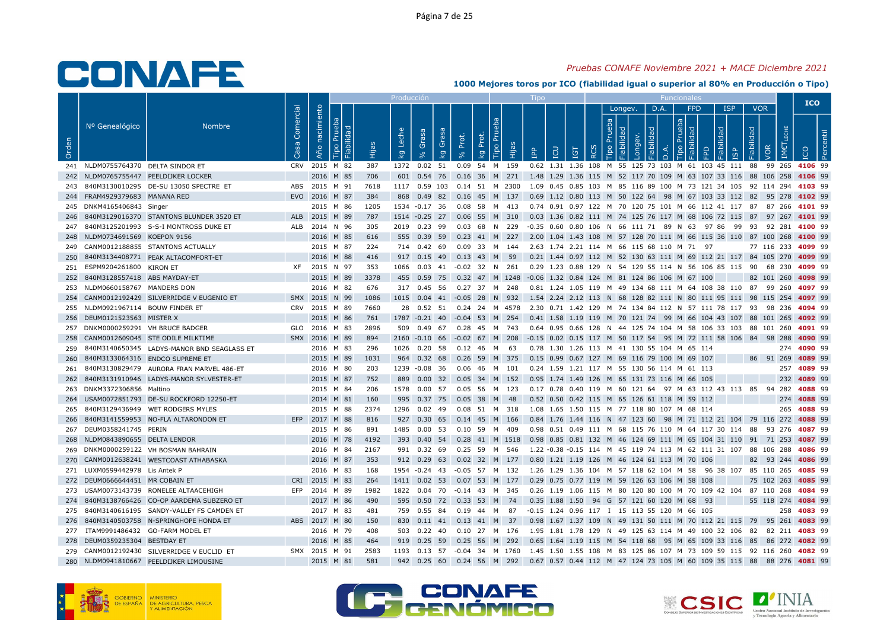## Pruebas CONAFE Noviembre 2021 + MACE Diciembre 2021

|       |                                    |                                                |           |                                     |      | Producciór       |                                 |       |                                                                                                    |                |                  |                             |         |      |                                                                                         |      |                                   |                                        |     | <b>ICO</b>         |  |
|-------|------------------------------------|------------------------------------------------|-----------|-------------------------------------|------|------------------|---------------------------------|-------|----------------------------------------------------------------------------------------------------|----------------|------------------|-----------------------------|---------|------|-----------------------------------------------------------------------------------------|------|-----------------------------------|----------------------------------------|-----|--------------------|--|
| Orden | Nº Genealógico                     | <b>Nombre</b>                                  | Comercial | nacimiento<br>ರ<br>ia<br>Tai<br>Año | Ëщ   | Leche<br>$k_{g}$ | Grasa<br>Gras<br>k <sub>g</sub> | Prot. | Tipo Pru<br>Prot.<br>Hijas<br>kg                                                                   | $\overline{B}$ | <b>CO</b><br>IGT | $\circ$<br>$\tilde{\alpha}$ | Longev. | D.A. | <b>FPD</b><br>$\circ$                                                                   | bepi | <b>ISP</b><br>$\overline{\omega}$ | <b>VOR</b><br>Fiabilidad<br><b>VOR</b> | IME |                    |  |
|       | 241 NLDM0755764370 DELTA SINDOR ET |                                                |           | CRV 2015 M 82                       | 387  |                  | 1372  0.02  51                  |       | 0.09 54 M 159                                                                                      |                |                  |                             |         |      | 0.62 1.31 1.36 108 M 55 125 73 103 M 61 103 45 111 88 99 265 4106 99                    |      |                                   |                                        |     |                    |  |
|       |                                    | 242 NLDM0765755447 PEELDIJKER LOCKER           |           | 2016 M 85                           | 706  |                  |                                 |       | 601 0.54 76 0.16 36 M 271 1.48 1.29 1.36 115 M 52 117 70 109 M 63 107 33 116 88 106 258 4106 99    |                |                  |                             |         |      |                                                                                         |      |                                   |                                        |     |                    |  |
|       |                                    | 243 840M3130010295 DE-SU 13050 SPECTRE ET      |           | ABS 2015 M 91                       | 7618 |                  |                                 |       | 1117 0.59 103 0.14 51 M 2300 1.09 0.45 0.85 103 M 85 116 89 100 M 73 121 34 105 92 114 294 4103 99 |                |                  |                             |         |      |                                                                                         |      |                                   |                                        |     |                    |  |
|       | 244 FRAM4929379683 MANANA RED      |                                                |           | EVO 2016 M 87                       | 384  |                  |                                 |       | 868 0.49 82 0.16 45 M 137                                                                          |                |                  |                             |         |      | 0.69 1.12 0.80 113 M 50 122 64 98 M 67 103 33 112 82 95 278 4102 99                     |      |                                   |                                        |     |                    |  |
|       | 245 DNKM4165406843 Singer          |                                                |           | 2015 M 86                           | 1205 |                  | 1534 -0.17 36                   |       | 0.08 58 M 413                                                                                      |                |                  |                             |         |      | 0.74  0.91  0.97  122  M  70  120  75  101  M  66  112  41  117  87  87  266  4101  99  |      |                                   |                                        |     |                    |  |
|       |                                    | 246 840M3129016370 STANTONS BLUNDER 3520 ET    |           | ALB 2015 M 89                       | 787  |                  |                                 |       | 1514 -0.25 27 0.06 55 M 310 0.03 1.36 0.82 111 M 74 125 76 117 M 68 106 72 115 87 97 267 4101 99   |                |                  |                             |         |      |                                                                                         |      |                                   |                                        |     |                    |  |
|       |                                    | 247 840M3125201993 S-S-I MONTROSS DUKE ET      |           | ALB 2014 N 96                       | 305  |                  | 2019 0.23 99                    |       | 0.03 68 N 229 -0.35 0.60 0.80 106 N 66 111 71 89 N 63 97 86 99 93 92 281 4100 99                   |                |                  |                             |         |      |                                                                                         |      |                                   |                                        |     |                    |  |
|       | 248 NLDM0734691569 KOEPON 9156     |                                                |           | 2016 M 85                           | 616  |                  |                                 |       | 555 0.39 59 0.23 41 M 227                                                                          |                |                  |                             |         |      | 2.00 1.04 1.43 108 M 57 128 70 111 M 66 115 36 110 87 100 268 4100 99                   |      |                                   |                                        |     |                    |  |
|       |                                    | 249 CANM0012188855 STANTONS ACTUALLY           |           | 2015 M 87                           | 224  |                  |                                 |       | 714  0.42  69  0.09  33  M  144  2.63  1.74  2.21  114  M  66  115  68  110  M  71  97             |                |                  |                             |         |      |                                                                                         |      |                                   | 77 116 233 4099 99                     |     |                    |  |
| 250   |                                    | 840M3134408771 PEAK ALTACOMFORT-ET             |           | 2016 M 88                           | 416  |                  | 917 0.15 49                     |       | 0.13 43 M 59                                                                                       |                |                  |                             |         |      | 0.21 1.44 0.97 112 M 52 130 63 111 M 69 112 21 117 84 105 270 4099 99                   |      |                                   |                                        |     |                    |  |
|       | 251 ESPM9204261800 KIRON ET        |                                                |           | XF 2015 N 97                        | 353  |                  |                                 |       | 1066 0.03 41 -0.02 32 N 261 0.29 1.23 0.88 129 N 54 129 55 114 N 56 106 85 115 90 68 230 4099 99   |                |                  |                             |         |      |                                                                                         |      |                                   |                                        |     |                    |  |
|       | 252 840M3128557418 ABS MAYDAY-ET   |                                                |           | 2015 M 89                           | 3378 |                  |                                 |       | 455 0.59 75 0.32 47 M 1248 -0.06 1.32 0.84 124 M 81 124 86 106 M 67 100                            |                |                  |                             |         |      |                                                                                         |      |                                   |                                        |     | 82 101 260 4098 99 |  |
|       | 253 NLDM0660158767 MANDERS DON     |                                                |           | 2016 M 82                           | 676  |                  | 317 0.45 56                     |       | 0.27 37 M 248                                                                                      |                |                  |                             |         |      | 0.81 1.24 1.05 119 M 49 134 68 111 M 64 108 38 110 87 99 260 4097 99                    |      |                                   |                                        |     |                    |  |
|       |                                    | 254 CANM0012192429 SILVERRIDGE V EUGENIO ET    |           | SMX 2015 N 99                       | 1086 |                  |                                 |       | 1015 0.04 41 -0.05 28 N 932 1.54 2.24 2.12 113 N 68 128 82 111 N 80 111 95 111 98 115 254 4097 99  |                |                  |                             |         |      |                                                                                         |      |                                   |                                        |     |                    |  |
|       | 255 NLDM0921967114 BOUW FINDER ET  |                                                |           | CRV 2015 M 89                       | 7660 |                  |                                 |       | 28 0.52 51 0.24 24 M 4578 2.30 0.71 1.42 129 M 74 134 84 112 N 57 111 78 117 93 98 236 4094 99     |                |                  |                             |         |      |                                                                                         |      |                                   |                                        |     |                    |  |
|       | 256 DEUM0121523563 MISTER X        |                                                |           | 2015 M 86                           | 761  |                  |                                 |       | 1787 -0.21 40 -0.04 53 M 254 0.41 1.58 1.19 119 M 70 121 74 99 M 66 104 43 107 88 101 265 4092 99  |                |                  |                             |         |      |                                                                                         |      |                                   |                                        |     |                    |  |
|       | 257 DNKM0000259291 VH BRUCE BADGER |                                                |           | GLO 2016 M 83                       | 2896 |                  |                                 |       | 509  0.49  67  0.28  45  M  743                                                                    |                |                  |                             |         |      | 0.64  0.95  0.66  128  N  44  125  74  104  M  58  106  33  103  88  101  260  4091  99 |      |                                   |                                        |     |                    |  |
|       |                                    | 258 CANM0012609045 STE ODILE MILKTIME          |           | SMX 2016 M 89                       | 894  |                  | 2160 -0.10 66                   |       | $-0.02$ 67 M 208                                                                                   |                |                  |                             |         |      | -0.15 0.02 0.15 117 M 50 117 54 95 M 72 111 58 106 84 98 288 4090 99                    |      |                                   |                                        |     |                    |  |
|       |                                    | 259 840M3140650345 LADYS-MANOR BND SEAGLASS ET |           | 2016 M 83                           | 296  |                  |                                 |       | 1026  0.20  58  0.12  46  M  63                                                                    |                |                  |                             |         |      | 0.78 1.30 1.26 113 M 41 130 55 104 M 65 114                                             |      |                                   |                                        |     | 274 4090 99        |  |
| 260   |                                    | 840M3133064316 ENDCO SUPREME ET                |           | 2015 M 89                           | 1031 | 964              | $0.32$ 68                       |       | 0.26 59 M 375                                                                                      |                |                  |                             |         |      | 0.15 0.99 0.67 127 M 69 116 79 100 M 69 107                                             |      |                                   |                                        |     | 86 91 269 4089 99  |  |
| 261   |                                    | 840M3130829479 AURORA FRAN MARVEL 486-ET       |           | 2016 M 80                           | 203  |                  | 1239 -0.08 36                   |       | 0.06 46 M 101                                                                                      |                |                  |                             |         |      | 0.24 1.59 1.21 117 M 55 130 56 114 M 61 113                                             |      |                                   |                                        |     | 257 4089 99        |  |
|       |                                    | 262 840M3131910946 LADYS-MANOR SYLVESTER-ET    |           | 2015 M 87                           | 752  |                  |                                 |       | 889 0.00 32 0.05 34 M 152                                                                          |                |                  |                             |         |      | 0.95 1.74 1.49 126 M 65 131 73 116 M 66 105                                             |      |                                   |                                        |     | 232 4089 99        |  |
|       | 263 DNKM3372306856 Maltino         |                                                |           | 2015 M 84                           | 206  |                  | 1578  0.00  57                  |       | 0.05 56 M 123                                                                                      |                |                  |                             |         |      | 0.17 0.78 0.40 119 M 60 121 64 97 M 63 112 43 113 85 94 282 4088 99                     |      |                                   |                                        |     |                    |  |
|       |                                    | 264 USAM0072851793 DE-SU ROCKFORD 12250-ET     |           | 2014 M 81                           | 160  |                  |                                 |       | 995 0.37 75 0.05 38 M 48                                                                           |                |                  |                             |         |      | 0.52 0.50 0.42 115 M 65 126 61 118 M 59 112                                             |      |                                   |                                        |     | 274 4088 99        |  |
| 265   |                                    | 840M3129436949 WET RODGERS MYLES               |           | 2015 M 88                           | 2374 |                  |                                 |       | 1296  0.02  49  0.08  51  M  318                                                                   |                |                  |                             |         |      | 1.08 1.65 1.50 115 M 77 118 80 107 M 68 114                                             |      |                                   |                                        |     | 265 4088 99        |  |
|       |                                    | 266 840M3141559953 NO-FLA ALTARONDON ET        |           | EFP 2017 M 88                       | 816  |                  | 927 0.30 65                     |       | 0.14 45 M 166                                                                                      |                |                  |                             |         |      | 0.84 1.76 1.44 116 N 47 123 60 98 M 71 112 21 104 79 116 272 4088 99                    |      |                                   |                                        |     |                    |  |
|       | 267 DEUM0358241745 PERIN           |                                                |           | 2015 M 86                           | 891  |                  |                                 |       | 1485  0.00  53  0.10  59  M  409                                                                   |                |                  |                             |         |      | 0.98 0.51 0.49 111 M 68 115 76 110 M 64 117 30 114 88 93 276 4087 99                    |      |                                   |                                        |     |                    |  |
|       | 268 NLDM0843890655 DELTA LENDOR    |                                                |           | 2016 M 78                           | 4192 |                  |                                 |       | 393 0.40 54 0.28 41 M 1518 0.98 0.85 0.81 132 M 46 124 69 111 M 65 104 31 110 91 71 253 4087 99    |                |                  |                             |         |      |                                                                                         |      |                                   |                                        |     |                    |  |
|       |                                    | 269 DNKM0000259122 VH BOSMAN BAHRAIN           |           | 2016 M 84                           | 2167 |                  |                                 |       | 991 0.32 69 0.25 59 M 546 1.22 -0.38 -0.15 114 M 45 119 74 113 M 62 111 31 107 88 106 288 4086 99  |                |                  |                             |         |      |                                                                                         |      |                                   |                                        |     |                    |  |
|       |                                    | 270 CANM0012638241 WESTCOAST ATHABASKA         |           | 2016 M 87                           | 353  |                  | 912 0.29 63                     |       | 0.02 32 M 177                                                                                      |                |                  |                             |         |      | 0.80 1.21 1.19 126 M 46 124 61 113 M 70 106                                             |      |                                   | 82 93 244 4086 99                      |     |                    |  |
|       | 271 LUXM0599442978 Lis Antek P     |                                                |           | 2016 M 83                           | 168  |                  | 1954 -0.24 43                   |       | -0.05 57 M 132                                                                                     |                |                  |                             |         |      | 1.26 1.29 1.36 104 M 57 118 62 104 M 58 96 38 107 85 110 265 4085 99                    |      |                                   |                                        |     |                    |  |
|       | 272 DEUM0666644451 MR COBAIN ET    |                                                |           | CRI 2015 M 83                       | 264  |                  |                                 |       | 1411 0.02 53 0.07 53 M 177                                                                         |                |                  |                             |         |      | 0.29 0.75 0.77 119 M 59 126 63 106 M 58 108                                             |      |                                   |                                        |     | 75 102 263 4085 99 |  |
|       |                                    | 273 USAM0073143739 RONELEE ALTAACEHIGH         |           | EFP 2014 M 89                       | 1982 |                  |                                 |       | 1822  0.04  70  -0.14  43  M  345                                                                  |                |                  |                             |         |      | 0.26 1.19 1.06 115 M 80 120 80 100 M 70 109 42 104 87 110 268 4084 99                   |      |                                   |                                        |     |                    |  |
|       |                                    | 274 840M3138766426 CO-OP AARDEMA SUBZERO ET    |           | 2017 M 86                           | 490  |                  |                                 |       | 595  0.50  72  0.33  53  M  74                                                                     |                |                  |                             |         |      | 0.35 1.88 1.50 94 G 57 121 60 120 M 68 93                                               |      |                                   |                                        |     | 55 118 274 4084 99 |  |
|       |                                    | 275 840M3140616195 SANDY-VALLEY FS CAMDEN ET   |           | 2017 M 83                           | 481  |                  | 759 0.55 84                     |       | 0.19  44  M  87                                                                                    |                |                  |                             |         |      | -0.15 1.24 0.96 117 I 15 113 55 120 M 66 105                                            |      |                                   |                                        |     | 258 4083 99        |  |
|       |                                    | 276 840M3140503758 N-SPRINGHOPE HONDA ET       |           | ABS 2017 M 80                       | 150  |                  | 830 0.11 41                     |       | $0.13$ 41 M 37                                                                                     |                |                  |                             |         |      | 0.98 1.67 1.37 109 N 49 131 50 111 M 70 112 21 115 79 95 261 4083 99                    |      |                                   |                                        |     |                    |  |
|       |                                    | 277 ITAM9991486432 GO-FARM MODEL ET            |           | 2016 M 79                           | 408  |                  |                                 |       | 503 0.22 40 0.10 27 M 176 1.95 1.81 1.78 129 N 49 125 63 114 M 49 100 32 106 82 82 211 4083 99     |                |                  |                             |         |      |                                                                                         |      |                                   |                                        |     |                    |  |
|       | 278 DEUM0359235304 BESTDAY ET      |                                                |           | 2016 M 85                           | 464  |                  |                                 |       | 919  0.25  59  0.25  56  M  292                                                                    |                |                  |                             |         |      | 0.65 1.64 1.19 115 M 54 118 68 95 M 65 109 33 116 85 86 272 4082 99                     |      |                                   |                                        |     |                    |  |
|       |                                    | 279 CANM0012192430 SILVERRIDGE V EUCLID ET     |           | SMX 2015 M 91                       | 2583 |                  |                                 |       | 1193 0.13 57 -0.04 34 M 1760 1.45 1.50 1.55 108 M 83 125 86 107 M 73 109 59 115 92 116 260 4082 99 |                |                  |                             |         |      |                                                                                         |      |                                   |                                        |     |                    |  |
|       |                                    | 280 NLDM0941810667 PEELDIJKER LIMOUSINE        |           | 2015 M 81                           | 581  |                  |                                 |       | 942 0.25 60 0.24 56 M 292 0.67 0.57 0.44 112 M 47 124 73 105 M 60 109 35 115 88 88 276 4081 99     |                |                  |                             |         |      |                                                                                         |      |                                   |                                        |     |                    |  |







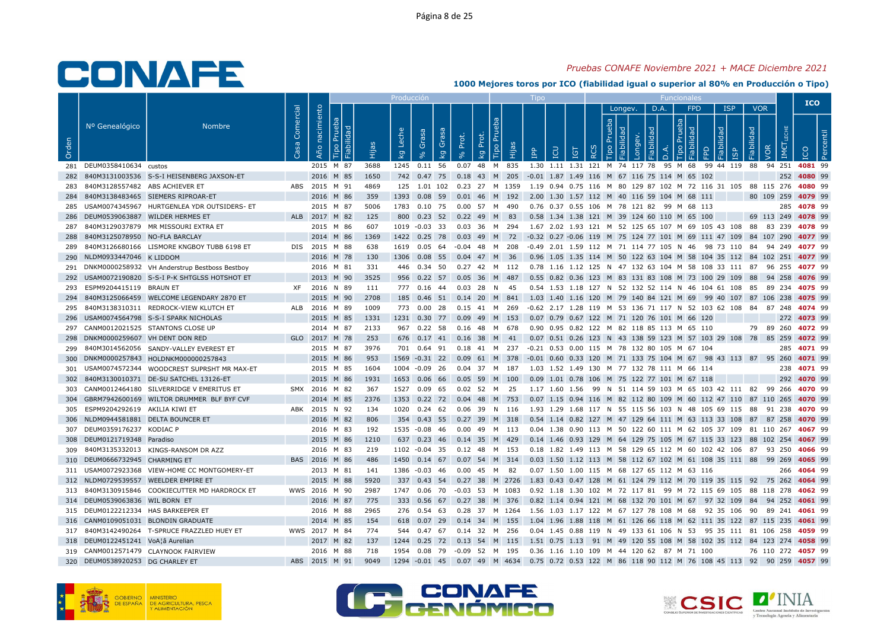## Pruebas CONAFE Noviembre 2021 + MACE Diciembre 2021

|       |                                     |                                                   |           |                                      |       | Producciór       |                                  |           |                                                                                                   |                                                                                        |            |                             |         |      |         |            |                                                                       |                          |                    |             | <b>ICO</b> |  |
|-------|-------------------------------------|---------------------------------------------------|-----------|--------------------------------------|-------|------------------|----------------------------------|-----------|---------------------------------------------------------------------------------------------------|----------------------------------------------------------------------------------------|------------|-----------------------------|---------|------|---------|------------|-----------------------------------------------------------------------|--------------------------|--------------------|-------------|------------|--|
| Orden | Nº Genealógico                      | <b>Nombre</b>                                     | Comercial | nacimiento<br>. ರ<br>Año<br>ia<br>ia | Ëщ    | Leche<br>$k_{g}$ | Grasa<br>Grasa<br>k <sub>g</sub> | Prot.     | Tipo Pru<br>Prot.<br>Hijas<br>kg                                                                  | LCU<br>$\overline{B}$                                                                  | <b>IGT</b> | $\circ$<br>$\tilde{\alpha}$ | Longev. | D.A. | $\circ$ | <b>FPD</b> | <b>ISP</b><br>bepi<br>$\overline{\omega}$                             | <b>VOR</b><br>Fiabilidad | <b>JOR</b><br>IME  |             |            |  |
|       | 281 DEUM0358410634 custos           |                                                   |           | 2015 M 87                            | 3688  |                  | 1245  0.11  56                   |           | 0.07 48 M 835                                                                                     | 1.30 1.11 1.31 121 M 74 117 78 95 M 68 99 44 119 88 94 251 4081 99                     |            |                             |         |      |         |            |                                                                       |                          |                    |             |            |  |
|       |                                     | 282 840M3131003536 S-S-I HEISENBERG JAXSON-ET     |           | 2016 M 85                            | 1650  |                  |                                  |           | 742 0.47 75 0.18 43 M 205 -0.01 1.87 1.49 116 M 67 116 75 114 M 65 102                            |                                                                                        |            |                             |         |      |         |            |                                                                       |                          |                    | 252 4080 99 |            |  |
| 283   | 840M3128557482 ABS ACHIEVER ET      |                                                   |           | ABS 2015 M 91                        | 4869  |                  |                                  |           | 125 1.01 102 0.23 27 M 1359 1.19 0.94 0.75 116 M 80 129 87 102 M 72 116 31 105 88 115 276 4080 99 |                                                                                        |            |                             |         |      |         |            |                                                                       |                          |                    |             |            |  |
|       |                                     | 284 840M3138483465 SIEMERS RIPROAR-ET             |           | 2016 M 86                            | 359   |                  |                                  |           | 1393  0.08  59  0.01  46  M  192  2.00  1.30  1.57  112  M  40  116  59  104  M  68  111          |                                                                                        |            |                             |         |      |         |            |                                                                       |                          | 80 109 259 4079 99 |             |            |  |
|       |                                     | 285 USAM0074345967 HURTGENLEA YDR OUTSIDERS- ET   |           | 2015 M 87                            | 5006  |                  |                                  |           | 1783  0.10  75  0.00  57  M  490                                                                  | 0.76 0.37 0.55 106 M 78 121 82 99 M 68 113                                             |            |                             |         |      |         |            |                                                                       |                          |                    | 285 4078 99 |            |  |
|       | 286 DEUM0539063887 WILDER HERMES ET |                                                   |           | ALB 2017 M 82                        | 125   |                  |                                  |           | 800 0.23 52 0.22 49 M 83                                                                          | 0.58 1.34 1.38 121 M 39 124 60 110 M 65 100                                            |            |                             |         |      |         |            |                                                                       |                          | 69 113 249 4078 99 |             |            |  |
| 287   |                                     | 840M3129037879 MR MISSOURI EXTRA ET               |           | 2015 M 86                            | 607   |                  | 1019 -0.03 33                    |           | 0.03 36 M 294 1.67 2.02 1.93 121 M 52 125 65 107 M 69 105 43 108 88 83 239 4078 99                |                                                                                        |            |                             |         |      |         |            |                                                                       |                          |                    |             |            |  |
|       | 288 840M3125078950 NO-FLA BARCLAY   |                                                   |           | 2014 M 86                            | 1369  |                  | 1422 0.25 78                     |           | 0.03 49 M 72 -0.32 0.27 -0.06 119 M 75 124 77 101 M 69 111 47 109 84 107 290 4077 99              |                                                                                        |            |                             |         |      |         |            |                                                                       |                          |                    |             |            |  |
| 289   |                                     | 840M3126680166 LISMORE KNGBOY TUBB 6198 ET        |           | DIS 2015 M 88                        | 638   |                  |                                  |           | 1619  0.05  64  -0.04  48  M  208                                                                 | -0.49  2.01  1.59  112  M  71  114  77  105  N  46  98  73  110  84  94  249  4077  99 |            |                             |         |      |         |            |                                                                       |                          |                    |             |            |  |
|       | 290 NLDM0933447046 K LIDDOM         |                                                   |           | 2016 M 78                            | 130   |                  | 1306  0.08  55                   |           | 0.04 47 M<br>- 36                                                                                 |                                                                                        |            |                             |         |      |         |            | 0.96 1.05 1.35 114 M 50 122 63 104 M 58 104 35 112 84 102 251 4077 99 |                          |                    |             |            |  |
|       |                                     | 291 DNKM0000258932 VH Anderstrup Bestboss Bestboy |           | 2016 M 81                            | - 331 |                  |                                  |           | 446 0.34 50 0.27 42 M 112 0.78 1.16 1.12 125 N 47 132 63 104 M 58 108 33 111 87 96 255 4077 99    |                                                                                        |            |                             |         |      |         |            |                                                                       |                          |                    |             |            |  |
|       |                                     | 292 USAM0072190820 S-S-I P-K SHTGLSS HOTSHOT ET   |           | 2013 M 90                            | 3525  |                  |                                  |           | 956  0.22  57  0.05  36  M  487                                                                   | 0.55 0.82 0.36 123 M 83 131 83 108 M 73 100 29 109 88 94 258 4076 99                   |            |                             |         |      |         |            |                                                                       |                          |                    |             |            |  |
| 293   | ESPM9204415119 BRAUN ET             |                                                   | XF        | 2016 N 89                            | 111   |                  | 777 0.16 44                      | $0.03$ 28 | N 45                                                                                              |                                                                                        |            |                             |         |      |         |            | 0.54 1.53 1.18 127 N 52 132 52 114 N 46 104 61 108 85 89 234 4075 99  |                          |                    |             |            |  |
| 294   |                                     | 840M3125066459 WELCOME LEGENDARY 2870 ET          |           | 2015 M 90                            | 2708  |                  |                                  |           | 185 0.46 51 0.14 20 M 841 1.03 1.40 1.16 120 M 79 140 84 121 M 69 99 40 107 87 106 238 4075 99    |                                                                                        |            |                             |         |      |         |            |                                                                       |                          |                    |             |            |  |
|       |                                     | 295 840M3138310311 REDROCK-VIEW KLUTCH ET         |           | ALB 2016 M 89                        | 1009  |                  | 773 0.00 28                      |           | 0.15 41 M 269                                                                                     | -0.62 2.17 1.28 119 M 53 136 71 117 N 52 103 62 108 84 87 248 <b>4074</b> 99           |            |                             |         |      |         |            |                                                                       |                          |                    |             |            |  |
|       |                                     | 296 USAM0074564798 S-S-I SPARK NICHOLAS           |           | 2015 M 85                            | 1331  |                  |                                  |           | 1231  0.30  77  0.09  49  M  153  0.07  0.79  0.67  122  M  71  120  76  101  M  66  120          |                                                                                        |            |                             |         |      |         |            |                                                                       |                          |                    | 272 4073 99 |            |  |
|       |                                     | 297 CANM0012021525 STANTONS CLOSE UP              |           | 2014 M 87                            | 2133  |                  | 967 0.22 58                      |           | 0.16 48 M 678                                                                                     | 0.90 0.95 0.82 122 M 82 118 85 113 M 65 110                                            |            |                             |         |      |         |            |                                                                       |                          | 79 89 260 4072 99  |             |            |  |
|       | 298 DNKM0000259607 VH DENT DON RED  |                                                   |           | GLO 2017 M 78                        | 253   |                  |                                  |           | 676  0.17  41  0.16  38  M  41                                                                    | 0.07 0.51 0.26 123 N 43 138 59 123 M 57 103 29 108 78 85 259 4072 99                   |            |                             |         |      |         |            |                                                                       |                          |                    |             |            |  |
|       |                                     | 299 840M3014562056 SANDY-VALLEY EVEREST ET        |           | 2015 M 87                            | 3976  |                  |                                  |           | 701  0.64  91  0.18  41  M  237  -0.21  0.53  0.00  115  M  78  132  80  105  M  67  104          |                                                                                        |            |                             |         |      |         |            |                                                                       |                          |                    | 285 4071 99 |            |  |
|       |                                     | 300 DNKM0000257843 HOLDNKM000000257843            |           | 2015 M 86                            | 953   |                  | 1569 -0.31 22                    |           | 0.09 61 M 378                                                                                     | -0.01 0.60 0.33 120 M 71 133 75 104 M 67 98 43 113 87 95 260 4071 99                   |            |                             |         |      |         |            |                                                                       |                          |                    |             |            |  |
| 301   |                                     | USAM0074572344 WOODCREST SUPRSHT MR MAX-ET        |           | 2015 M 85                            | 1604  |                  | 1004 -0.09 26                    |           | 0.04 37 M 187                                                                                     | 1.03 1.52 1.49 130 M 77 132 78 111 M 66 114                                            |            |                             |         |      |         |            |                                                                       |                          |                    | 238 4071 99 |            |  |
|       |                                     | 302 840M3130010371 DE-SU SATCHEL 13126-ET         |           | 2015 M 86                            | 1931  |                  |                                  |           | 1653  0.06  66  0.05  59  M  100                                                                  | 0.09 1.01 0.78 106 M 75 122 77 101 M 67 118                                            |            |                             |         |      |         |            |                                                                       |                          |                    | 292 4070 99 |            |  |
| 303   |                                     | CANM0012464180 SILVERRIDGE V EMERITUS ET          |           | SMX 2016 M 82                        | 367   |                  | 1527 0.09 65                     |           | 0.02 52 M 25                                                                                      | 1.17 1.60 1.56 99 N 51 114 59 103 M 65 103 42 111 82 99 266 4070 99                    |            |                             |         |      |         |            |                                                                       |                          |                    |             |            |  |
|       |                                     | 304 GBRM7942600169 WILTOR DRUMMER BLF BYF CVF     |           | 2014 M 85                            | 2376  |                  |                                  |           | 1353 0.22 72 0.04 48 M 753 0.07 1.15 0.94 116 M 82 112 80 109 M 60 112 47 110 87 110 265 4070 99  |                                                                                        |            |                             |         |      |         |            |                                                                       |                          |                    |             |            |  |
| 305   | ESPM9204292619 AKILIA KIWI ET       |                                                   |           | ABK 2015 N 92                        | 134   |                  |                                  |           | 1020  0.24  62  0.06  39  N  116                                                                  | 1.93 1.29 1.68 117 N 55 115 56 103 N 48 105 69 115 88 91 238 4070 99                   |            |                             |         |      |         |            |                                                                       |                          |                    |             |            |  |
|       | 306 NLDM0944581881 DELTA BOUNCER ET |                                                   |           | 2016 M 82                            | 806   |                  |                                  |           | 354 0.43 55 0.27 39 M 318                                                                         | 0.54 1.14 0.82 127 M 47 129 64 111 M 63 113 33 108 87 87 258 <b>4070</b> 99            |            |                             |         |      |         |            |                                                                       |                          |                    |             |            |  |
|       | 307 DEUM0359176237 KODIAC P         |                                                   |           | 2016 M 83                            | 192   |                  |                                  |           | 1535 -0.08 46 0.00 49 M 113                                                                       | 0.04 1.38 0.90 113 M 50 122 60 111 M 62 105 37 109 81 110 267 4067 99                  |            |                             |         |      |         |            |                                                                       |                          |                    |             |            |  |
|       | 308 DEUM0121719348 Paradiso         |                                                   |           | 2015 M 86                            | 1210  |                  | 637 0.23 46                      |           | 0.14 35 M 429                                                                                     | 0.14 1.46 0.93 129 M 64 129 75 105 M 67 115 33 123 88 102 254 4067 99                  |            |                             |         |      |         |            |                                                                       |                          |                    |             |            |  |
| 309   |                                     | 840M3135332013 KINGS-RANSOM DR AZZ                |           | 2016 M 83                            | 219   |                  | 1102 -0.04 35                    |           | 0.12 48 M 153                                                                                     | 0.18 1.82 1.49 113 M 58 129 65 112 M 60 102 42 106 87 93 250 4066 99                   |            |                             |         |      |         |            |                                                                       |                          |                    |             |            |  |
|       | 310 DEUM0666732945 CHARMING ET      |                                                   |           | BAS 2016 M 86                        | 486   |                  | 1450 0.14 67                     |           | 0.07 54 M 314                                                                                     | 0.03 1.50 1.12 113 M 58 112 67 102 M 61 108 35 111 88 99 269 4065 99                   |            |                             |         |      |         |            |                                                                       |                          |                    |             |            |  |
|       |                                     | 311 USAM0072923368 VIEW-HOME CC MONTGOMERY-ET     |           | 2013 M 81                            | 141   |                  | 1386 -0.03 46                    |           | 0.00 45 M 82                                                                                      | 0.07 1.50 1.00 115 M 68 127 65 112 M 63 116                                            |            |                             |         |      |         |            |                                                                       |                          |                    | 266 4064 99 |            |  |
|       |                                     | 312 NLDM0729539557 WEELDER EMPIRE ET              |           | 2015 M 88                            | 5920  |                  |                                  |           | 337 0.43 54 0.27 38 M 2726 1.83 0.43 0.47 128 M 61 124 79 112 M 70 119 35 115 92 75 262 4064 99   |                                                                                        |            |                             |         |      |         |            |                                                                       |                          |                    |             |            |  |
|       |                                     | 313 840M3130915846 COOKIECUTTER MD HARDROCK ET    |           | WWS 2016 M 90                        | 2987  |                  |                                  |           | 1747  0.06  70  -0.03  53  M  1083                                                                | 0.92 1.18 1.30 102 M 72 117 81 99 M 72 115 69 105 88 118 278 4062 99                   |            |                             |         |      |         |            |                                                                       |                          |                    |             |            |  |
|       | 314 DEUM0539063836 WIL BORN ET      |                                                   |           | 2016 M 87                            | 775   |                  | 333 0.56 67                      |           | 0.27 38 M 376 0.82 1.14 0.94 121 M 68 132 70 101 M 67 97 32 109 84 94 252 <b>4061</b> 99          |                                                                                        |            |                             |         |      |         |            |                                                                       |                          |                    |             |            |  |
|       | 315 DEUM0122212334 HAS BARKEEPER ET |                                                   |           | 2016 M 88                            | 2965  |                  | 276  0.54  63                    |           | 0.28 37 M 1264 1.56 1.03 1.17 122 M 67 127 78 108 M 68 92 35 106 90 89 241 4061 99                |                                                                                        |            |                             |         |      |         |            |                                                                       |                          |                    |             |            |  |
|       |                                     | 316 CANM0109051031 BLONDIN GRADUATE               |           | 2014 M 85                            | 154   |                  | 618 0.07 29                      |           | 0.14 34 M 155                                                                                     | 1.04 1.96 1.88 118 M 61 126 66 118 M 62 111 35 122 87 115 235 4061 99                  |            |                             |         |      |         |            |                                                                       |                          |                    |             |            |  |
|       |                                     | 317 840M3142490264 T-SPRUCE FRAZZLED HUEY ET      |           | WWS 2017 M 84                        | 774   |                  |                                  |           | 544  0.47  67  0.14  32  M  256                                                                   | 0.04 1.45 0.88 119 N 49 133 61 106 N 53 95 35 111 81 106 258 4059 99                   |            |                             |         |      |         |            |                                                                       |                          |                    |             |            |  |
|       | 318 DEUM0122451241 VoA¦â Aurelian   |                                                   |           | 2017 M 82                            | 137   |                  |                                  |           | 1244 0.25 72 0.13 54 M 115 1.51 0.75 1.13 91 M 49 120 55 108 M 58 102 35 112 84 123 274 4058 99   |                                                                                        |            |                             |         |      |         |            |                                                                       |                          |                    |             |            |  |
|       |                                     | 319 CANM0012571479 CLAYNOOK FAIRVIEW              |           | 2016 M 88                            | 718   |                  | 1954  0.08  79                   |           | -0.09 52 M 195                                                                                    | 0.36 1.16 1.10 109 M 44 120 62 87 M 71 100                                             |            |                             |         |      |         |            |                                                                       |                          | 76 110 272 4057 99 |             |            |  |
|       | 320 DEUM0538920253 DG CHARLEY ET    |                                                   |           | ABS 2015 M 91                        | 9049  |                  |                                  |           | 1294 -0.01 45 0.07 49 M 4634 0.75 0.72 0.53 122 M 86 118 90 112 M 76 108 45 113 92 90 259 4057 99 |                                                                                        |            |                             |         |      |         |            |                                                                       |                          |                    |             |            |  |





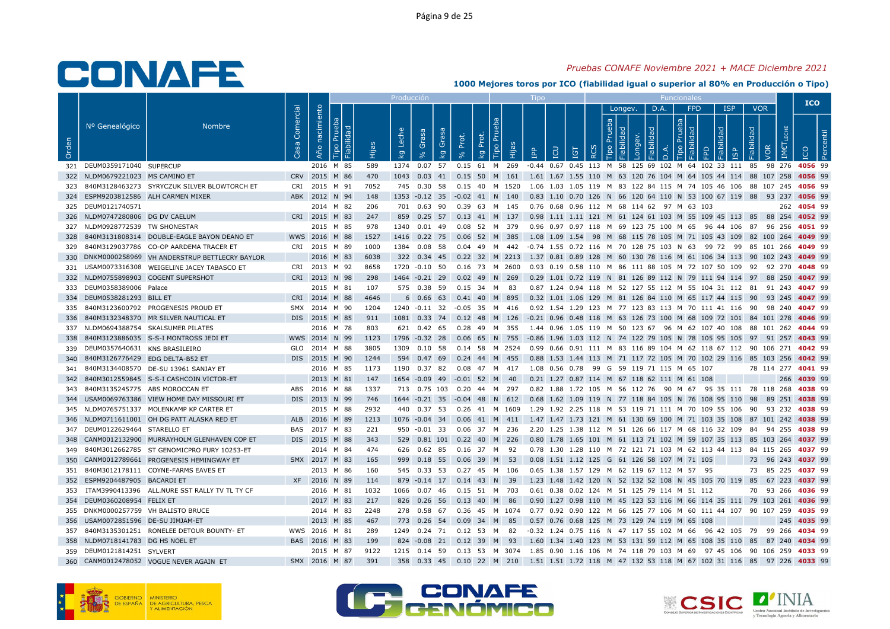## Pruebas CONAFE Noviembre 2021 + MACE Diciembre 2021

|       |                                          |                                                   |                        |                               |      | Producción       |               |                         |       |                                                                                                   | <b>LIDO</b>  |                                                                                            |   |                 |   |      | <b>Funcionales</b>     |       |                 |                          | <b>ICO</b>  |  |
|-------|------------------------------------------|---------------------------------------------------|------------------------|-------------------------------|------|------------------|---------------|-------------------------|-------|---------------------------------------------------------------------------------------------------|--------------|--------------------------------------------------------------------------------------------|---|-----------------|---|------|------------------------|-------|-----------------|--------------------------|-------------|--|
| Orden | Nº Genealógico                           | <b>Nombre</b>                                     | Comercial<br><b>Sa</b> | nacimiento<br>르<br>Año<br>ide |      | Leche<br>$k_{g}$ | Grasa         | Grasa<br>k <sub>g</sub> | Prot. | Tipo Pru<br>Prot.<br>Hijas<br><b>Q</b>                                                            | $\mathbf{P}$ | <b>CD</b><br><b>ig</b>                                                                     | ∝ | Longev.<br>dep. | ヮ | D.A. | <b>FPD</b><br>deb<br>모 | lidad | <b>ISP</b><br>ഇ | <b>VOR</b><br>Fiabilidad |             |  |
|       | 321 DEUM0359171040 SUPERCUP              |                                                   |                        | 2016 M 85                     | 589  |                  |               |                         |       | 1374  0.07  57  0.15  61  M  269                                                                  |              | -0.44 0.67 0.45 113 M 58 125 69 102 M 64 102 33 111 85 98 276 4056 99                      |   |                 |   |      |                        |       |                 |                          |             |  |
|       | 322 NLDM0679221023 MS CAMINO ET          |                                                   |                        | CRV 2015 M 86                 | 470  |                  |               |                         |       | 1043 0.03 41 0.15 50 M 161 1.61 1.67 1.55 110 M 63 120 76 104 M 64 105 44 114 88 107 258 4056 99  |              |                                                                                            |   |                 |   |      |                        |       |                 |                          |             |  |
|       |                                          | 323 840M3128463273 SYRYCZUK SILVER BLOWTORCH ET   |                        | CRI 2015 M 91                 | 7052 |                  | 745 0.30 58   |                         |       | 0.15 40 M 1520  1.06 1.03 1.05 119 M 83 122 84 115 M 74 105 46 106 88 107 245 <b>4056</b> 99      |              |                                                                                            |   |                 |   |      |                        |       |                 |                          |             |  |
|       |                                          | 324 ESPM9203812586 ALH CARMEN MIXER               |                        | ABK 2012 N 94                 | 148  |                  |               |                         |       | 1353 -0.12 35 -0.02 41 N 140                                                                      |              | 0.83 1.10 0.70 126 N 66 120 64 110 N 53 100 67 119 88 93 237 4056 99                       |   |                 |   |      |                        |       |                 |                          |             |  |
|       | 325 DEUM0121740571                       |                                                   |                        | 2014 M 82                     | 206  |                  | 701 0.63 90   |                         |       | 0.39 63 M 145                                                                                     |              | 0.76 0.68 0.96 112 M 68 114 62 97 M 63 103                                                 |   |                 |   |      |                        |       |                 |                          | 262 4054 99 |  |
|       | 326 NLDM0747280806 DG DV CAELUM          |                                                   |                        | CRI 2015 M 83                 | 247  |                  |               |                         |       | 859 0.25 57 0.13 41 M 137 0.98 1.11 1.11 121 M 61 124 61 103 M 55 109 45 113 85 88 254 4052 99    |              |                                                                                            |   |                 |   |      |                        |       |                 |                          |             |  |
|       | 327 NLDM0928772539 TW SHONESTAR          |                                                   |                        | 2015 M 85                     | 978  |                  |               |                         |       | 1340  0.01  49  0.08  52  M  379                                                                  |              | 0.96  0.97  0.97  118  M  69  123  75  100  M  65  96  44  106  87  96  256 <b>4051</b> 99 |   |                 |   |      |                        |       |                 |                          |             |  |
|       |                                          | 328 840M3131808314 DOUBLE-EAGLE BAYON DEANO ET    |                        | WWS 2016 M 88                 | 1527 |                  |               |                         |       | 1416  0.22  75  0.06  52  M  385                                                                  |              | 1.08 1.09 1.54 98 M 68 115 78 105 M 71 105 43 109 82 100 264 4049 99                       |   |                 |   |      |                        |       |                 |                          |             |  |
|       |                                          | 329 840M3129037786 CO-OP AARDEMA TRACER ET        |                        | CRI 2015 M 89                 | 1000 | 1384 0.08 58     |               |                         |       | 0.04 49 M 442 -0.74 1.55 0.72 116 M 70 128 75 103 N 63 99 72 99 85 101 266 4049 99                |              |                                                                                            |   |                 |   |      |                        |       |                 |                          |             |  |
|       |                                          | 330 DNKM0000258969 VH ANDERSTRUP BETTLECRY BAYLOR |                        | 2016 M 83                     | 6038 |                  |               |                         |       | 322 0.34 45 0.22 32 M 2213 1.37 0.81 0.89 128 M 60 130 78 116 M 61 106 34 113 90 102 243 4049 99  |              |                                                                                            |   |                 |   |      |                        |       |                 |                          |             |  |
|       |                                          | 331 USAM0073316308 WEIGELINE JACEY TABASCO ET     |                        | CRI 2013 M 92                 | 8658 |                  |               |                         |       | 1720 -0.10 50 0.16 73 M 2600 0.93 0.19 0.58 110 M 86 111 88 105 M 72 107 50 109 92 92 270 4048 99 |              |                                                                                            |   |                 |   |      |                        |       |                 |                          |             |  |
|       |                                          | 332 NLDM0755898903 COGENT SUPERSHOT               |                        | CRI 2013 N 98                 | 298  |                  |               |                         |       | 1464 -0.21 29 0.02 49 N 269                                                                       |              | 0.29 1.01 0.72 119 N 81 126 89 112 N 79 111 94 114 97 88 250 4047 99                       |   |                 |   |      |                        |       |                 |                          |             |  |
|       | 333 DEUM0358389006 Palace                |                                                   |                        | 2015 M 81                     | 107  |                  | 575 0.38 59   |                         |       | $0.15$ 34 M 83                                                                                    |              | 0.87 1.24 0.94 118 M 52 127 55 112 M 55 104 31 112 81 91 243 4047 99                       |   |                 |   |      |                        |       |                 |                          |             |  |
|       | 334 DEUM0538281293 BILL ET               |                                                   |                        | CRI 2014 M 88                 | 4646 |                  |               |                         |       | 6 0.66 63 0.41 40 M 895                                                                           |              | 0.32 1.01 1.06 129 M 81 126 84 110 M 65 117 44 115 90 93 245 4047 99                       |   |                 |   |      |                        |       |                 |                          |             |  |
|       |                                          | 335 840M3123600792 PROGENESIS PROUD ET            |                        | SMX 2014 M 90                 | 1204 | 1240 -0.11 32    |               |                         |       | -0.05 35 M 416                                                                                    |              | 0.92 1.54 1.29 123 M 77 123 83 113 M 70 111 41 116 90 98 240 4047 99                       |   |                 |   |      |                        |       |                 |                          |             |  |
| 336   |                                          | 840M3132348370 MR SILVER NAUTICAL ET              |                        | DIS 2015 M 85                 | 911  |                  |               |                         |       | 1081 0.33 74 0.12 48 M 126 -0.21 0.96 0.48 118 M 63 126 73 100 M 68 109 72 101 84 101 278 4046 99 |              |                                                                                            |   |                 |   |      |                        |       |                 |                          |             |  |
|       |                                          | 337 NLDM0694388754 SKALSUMER PILATES              |                        | 2016 M 78                     | 803  |                  |               |                         |       | 621 0.42 65 0.28 49 M 355                                                                         |              | 1.44 0.96 1.05 119 M 50 123 67 96 M 62 107 40 108 88 101 262 <b>4044</b> 99                |   |                 |   |      |                        |       |                 |                          |             |  |
| 338   |                                          | 840M3123886035 S-S-I MONTROSS JEDI ET             |                        | WWS 2014 N 99                 | 1123 | 1796 -0.32 28    |               |                         |       | 0.06 65 N 755 -0.86 1.96 1.03 112 N 74 122 79 105 N 78 105 95 105 97 91 257 4043 99               |              |                                                                                            |   |                 |   |      |                        |       |                 |                          |             |  |
|       | 339 DEUM0357640631 KNS BRASILEIRO        |                                                   |                        | GLO 2014 M 88                 | 3805 |                  |               |                         |       | 1309 0.10 58 0.14 58 M 2524 0.99 0.66 0.91 111 M 83 116 89 104 M 62 118 67 112 90 106 271 4042 99 |              |                                                                                            |   |                 |   |      |                        |       |                 |                          |             |  |
| 340   | 840M3126776429 EDG DELTA-B52 ET          |                                                   |                        | DIS 2015 M 90                 | 1244 |                  | 594 0.47 69   |                         |       | 0.24 44 M 455                                                                                     |              | 0.88 1.53 1.44 113 M 71 117 72 105 M 70 102 29 116 85 103 256 4042 99                      |   |                 |   |      |                        |       |                 |                          |             |  |
| 341   |                                          | 840M3134408570 DE-SU 13961 SANJAY ET              |                        | 2016 M 85                     | 1173 | 1190  0.37  82   |               |                         |       | 0.08  47  M  417                                                                                  |              | 1.08  0.56  0.78  99  G  59  119  71  115  M  65  107                                      |   |                 |   |      |                        |       |                 | 78 114 277 4041 99       |             |  |
|       |                                          | 342 840M3012559845 S-S-I CASHCOIN VICTOR-ET       |                        | 2013 M 81                     | 147  |                  |               |                         |       | 1654 -0.09 49 -0.01 52 M 40                                                                       |              | 0.21 1.27 0.87 114 M 67 118 62 111 M 61 108                                                |   |                 |   |      |                        |       |                 |                          | 266 4039 99 |  |
|       | 343 840M3135245775 ABS MOROCCAN ET       |                                                   |                        | ABS 2016 M 88                 | 1337 |                  |               |                         |       | 713  0.75  103  0.20  44  M  297                                                                  |              | 0.82 1.88 1.72 105 M 56 112 76 90 M 67 95 35 111 78 118 268 4038 99                        |   |                 |   |      |                        |       |                 |                          |             |  |
|       |                                          | 344 USAM0069763386 VIEW HOME DAY MISSOURI ET      |                        | DIS 2013 N 99                 | 746  |                  |               |                         |       | 1644 -0.21 35 -0.04 48 N 612 0.68 1.62 1.09 119 N 77 118 84 105 N 76 108 95 110 98 89 251 4038 99 |              |                                                                                            |   |                 |   |      |                        |       |                 |                          |             |  |
|       |                                          | 345 NLDM0765751337 MOLENKAMP KP CARTER ET         |                        | 2015 M 88                     | 2932 |                  | 440 0.37 53   |                         |       | 0.26 41 M 1609                                                                                    |              | 1.29 1.92 2.25 118 M 53 119 71 111 M 70 109 55 106 90 93 232 4038 99                       |   |                 |   |      |                        |       |                 |                          |             |  |
|       |                                          | 346 NLDM0711611001 OH DG PATT ALASKA RED ET       |                        | ALB 2016 M 89                 | 1213 |                  |               |                         |       | 1076 -0.04 34 0.06 41 M 411 1.47 1.47 1.73 121 M 61 130 69 100 M 71 103 35 108 87 101 242 4038 99 |              |                                                                                            |   |                 |   |      |                        |       |                 |                          |             |  |
|       | 347 DEUM0122629464 STARELLO ET           |                                                   |                        | BAS 2017 M 83                 | 221  |                  |               |                         |       | 950 -0.01 33 0.06 37 M 236 2.20 1.25 1.38 112 M 51 126 66 117 M 68 116 32 109 84 94 255 4038 99   |              |                                                                                            |   |                 |   |      |                        |       |                 |                          |             |  |
|       |                                          | 348 CANM0012132900 MURRAYHOLM GLENHAVEN COP ET    |                        | DIS 2015 M 88                 | 343  |                  |               |                         |       | 529  0.81  101  0.22  40  M  226                                                                  |              | 0.80 1.78 1.65 101 M 61 113 71 102 M 59 107 35 113 85 103 264 4037 99                      |   |                 |   |      |                        |       |                 |                          |             |  |
| 349   |                                          | 840M3012662785 ST GENOMICPRO FURY 10253-ET        |                        | 2014 M 84                     | 474  |                  |               |                         |       | 626  0.62  85  0.16  37  M  92                                                                    |              | 0.78 1.30 1.28 110 M 72 121 71 103 M 62 113 44 113 84 115 265 4037 99                      |   |                 |   |      |                        |       |                 |                          |             |  |
|       |                                          | 350 CANM0012789661 PROGENESIS HEMINGWAY ET        |                        | SMX 2017 M 83                 | 165  |                  | 999 0.18 55   |                         |       | 0.06 39 M 53                                                                                      |              | 0.08 1.51 1.12 125 G 61 126 58 107 M 71 105                                                |   |                 |   |      |                        |       |                 | 73 96 243 4037 99        |             |  |
| 351   |                                          | 840M3012178111 COYNE-FARMS EAVES ET               |                        | 2013 M 86                     | 160  |                  | 545 0.33 53   |                         |       | 0.27 45 M 106                                                                                     |              | 0.65 1.38 1.57 129 M 62 119 67 112 M 57 95                                                 |   |                 |   |      |                        |       |                 | 73 85 225 4037 99        |             |  |
|       | 352 ESPM9204487905 BACARDI ET            |                                                   |                        | XF 2016 N 89                  | 114  |                  |               |                         |       | 879 -0.14 17 0.14 43 N 39                                                                         |              | 1.23 1.48 1.42 120 N 52 132 52 108 N 45 105 70 119 85 67 223 4037 99                       |   |                 |   |      |                        |       |                 |                          |             |  |
|       |                                          | 353 ITAM3990413396 ALL.NURE SST RALLY TV TL TY CF |                        | 2016 M 81                     | 1032 | 1066 0.07 46     |               |                         |       | 0.15 51 M 703                                                                                     |              | 0.61 0.38 0.02 124 M 51 125 79 114 M 51 112                                                |   |                 |   |      |                        |       |                 | 70 93 266 4036 99        |             |  |
|       | 354 DEUM0360208954 FELIX ET              |                                                   |                        | 2017 M 83                     | 217  |                  | 826 0.26 56   |                         |       | 0.13 40 M 86                                                                                      |              | 0.90 1.27 0.98 110 M 45 123 53 116 M 66 114 35 111 79 103 261 4036 99                      |   |                 |   |      |                        |       |                 |                          |             |  |
|       | 355 DNKM0000257759 VH BALISTO BRUCE      |                                                   |                        | 2014 M 83                     | 2248 |                  | 278  0.58  67 |                         |       | 0.36 45 M 1074 0.77 0.92 0.90 122 M 66 125 77 106 M 60 111 44 107 90 107 259 <b>4035</b> 99       |              |                                                                                            |   |                 |   |      |                        |       |                 |                          |             |  |
|       | 356    USAM0072851596    DE-SU JIMJAM-ET |                                                   |                        | 2013 M 85                     | 467  |                  | 773 0.26 54   |                         |       | 0.09 34 M 85                                                                                      |              | 0.57 0.76 0.68 125 M 73 129 74 119 M 65 108                                                |   |                 |   |      |                        |       |                 |                          | 245 4035 99 |  |
|       |                                          | 357 840M3135301251 RONELEE DETOUR BOUNTY- ET      |                        | WWS 2016 M 81                 | 289  |                  |               |                         |       | 1249 0.24 71 0.12 53 M 82 -0.32 1.24 0.75 116 N 47 117 55 102 M 66 96 42 105 79 99 266 4034 99    |              |                                                                                            |   |                 |   |      |                        |       |                 |                          |             |  |
|       | 358 NLDM0718141783 DG HS NOEL ET         |                                                   |                        | BAS 2016 M 83                 | 199  |                  |               |                         |       | 824 -0.08 21 0.12 39 M 93                                                                         |              | 1.60 1.34 1.40 123 M 53 131 59 112 M 65 108 35 110 85 87 240 4034 99                       |   |                 |   |      |                        |       |                 |                          |             |  |
|       | 359 DEUM0121814251 SYLVERT               |                                                   |                        | 2015 M 87                     | 9122 |                  |               |                         |       | 1215 0.14 59 0.13 53 M 3074 1.85 0.90 1.16 106 M 74 118 79 103 M 69 97 45 106 90 106 259 4033 99  |              |                                                                                            |   |                 |   |      |                        |       |                 |                          |             |  |
|       |                                          | 360 CANM0012478052 VOGUE NEVER AGAIN ET           |                        | SMX 2016 M 87                 | 391  |                  |               |                         |       | 358 0.33 45 0.10 22 M 210 1.51 1.51 1.72 118 M 47 132 53 118 M 67 102 31 116 85 97 226 4033 99    |              |                                                                                            |   |                 |   |      |                        |       |                 |                          |             |  |





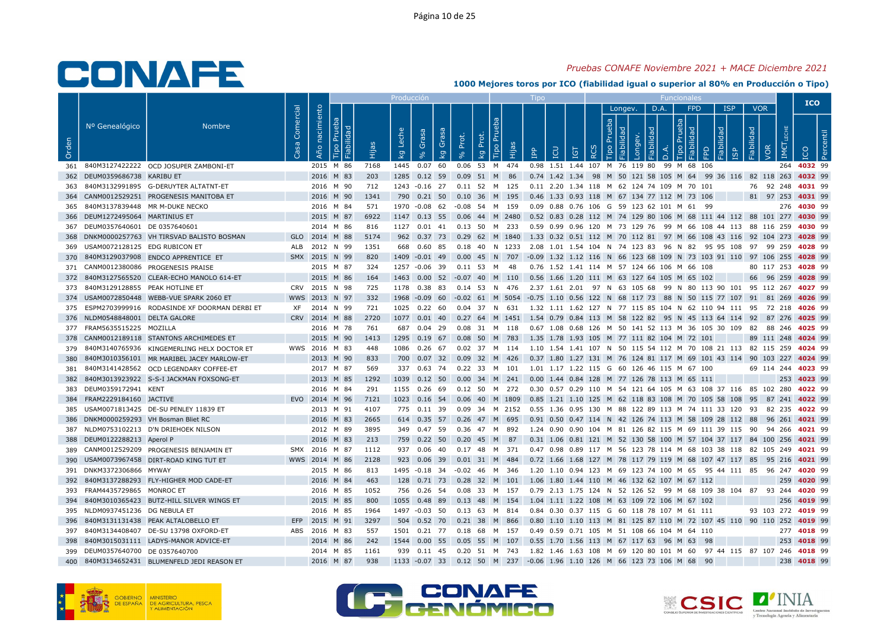## Pruebas CONAFE Noviembre 2021 + MACE Diciembre 2021

|       |                                    |                                                  |                        |                               |      | Producción       |                                  |                                  |                               |       | <b>LIDO</b>                                                                                        |            |                 |         |           | Funcionales |                 |                                  |                                 |            | <b>ICO</b>  |              |  |
|-------|------------------------------------|--------------------------------------------------|------------------------|-------------------------------|------|------------------|----------------------------------|----------------------------------|-------------------------------|-------|----------------------------------------------------------------------------------------------------|------------|-----------------|---------|-----------|-------------|-----------------|----------------------------------|---------------------------------|------------|-------------|--------------|--|
| Orden | Nº Genealógico                     | <b>Nombre</b>                                    | Comercial<br><b>Sa</b> | nacimiento<br>르<br>Año<br>ābi |      | Leche<br>$k_{g}$ | Grasa<br>Grasa<br>$\overline{k}$ | Prot.                            | Tipo Pru<br>Prot.<br><b>Q</b> | Hijas | <b>CD</b><br>$\mathbf{P}$                                                                          | <b>IGT</b> | dep<br>$\alpha$ | Longev. | D.A.<br>몽 | deb         | <b>FPD</b><br>호 | <b>ISP</b><br>lidad<br><u></u> Μ | <b>VOR</b><br>Fiabilidad<br>VOR | <b>IME</b> | <b>CO</b>   | $\mathbf{a}$ |  |
|       |                                    | 361 840M3127422222 OCD JOSUPER ZAMBONI-ET        |                        | 2015 M 86                     | 7168 |                  | 1445  0.07  60                   |                                  | 0.06 53 M 474                 |       | 0.98 1.51 1.44 107 M 76 119 80 99 M 68 106                                                         |            |                 |         |           |             |                 |                                  |                                 |            | 264 4032 99 |              |  |
|       | 362 DEUM0359686738 KARIBU ET       |                                                  |                        | 2016 M 83                     | 203  |                  |                                  | 1285 0.12 59 0.09 51 M 86        |                               |       | 0.74 1.42 1.34 98 M 50 121 58 105 M 64 99 36 116 82 118 263 4032 99                                |            |                 |         |           |             |                 |                                  |                                 |            |             |              |  |
| 363   |                                    | 840M3132991895 G-DERUYTER ALTATNT-ET             |                        | 2016 M 90                     | 712  |                  |                                  | 1243 -0.16 27 0.11 52 M 125      |                               |       | 0.11 2.20 1.34 118 M 62 124 74 109 M 70 101                                                        |            |                 |         |           |             |                 |                                  | 76 92 248 4031 99               |            |             |              |  |
|       |                                    | 364 CANM0012529251 PROGENESIS MANITOBA ET        |                        | 2016 M 90                     | 1341 |                  |                                  | 790  0.21  50  0.10  36  M  195  |                               |       | 0.46 1.33 0.93 118 M 67 134 77 112 M 73 106                                                        |            |                 |         |           |             |                 |                                  | 81 97 253 4031 99               |            |             |              |  |
|       | 365 840M3137839448 MR M-DUKE NECKO |                                                  |                        | 2016 M 84                     | 571  |                  | 1970 -0.08 62                    |                                  | -0.08 54 M 159                |       | 0.09 0.88 0.76 106 G 59 123 62 101 M 61 99                                                         |            |                 |         |           |             |                 |                                  |                                 |            | 276 4030 99 |              |  |
|       | 366 DEUM1272495064 MARTINIUS ET    |                                                  |                        | 2015 M 87                     | 6922 |                  |                                  |                                  |                               |       | 1147 0.13 55 0.06 44 M 2480 0.52 0.83 0.28 112 M 74 129 80 106 M 68 111 44 112 88 101 277 4030 99  |            |                 |         |           |             |                 |                                  |                                 |            |             |              |  |
|       | 367 DEUM0357640601 DE 0357640601   |                                                  |                        | 2014 M 86                     | 816  |                  |                                  | 1127  0.01  41  0.13  50  M  233 |                               |       | 0.59 0.99 0.96 120 M 73 129 76 99 M 66 108 44 113 88 116 259 <b>4030</b> 99                        |            |                 |         |           |             |                 |                                  |                                 |            |             |              |  |
|       |                                    | 368 DNKM0000257763 VH TIRSVAD BALISTO BOSMAN     |                        | GLO 2014 M 88                 | 5174 |                  |                                  |                                  |                               |       | 962 0.37 73 0.29 62 M 1840 1.33 0.32 0.51 112 M 70 112 81 97 M 66 108 43 116 92 104 273 4028 99    |            |                 |         |           |             |                 |                                  |                                 |            |             |              |  |
|       | 369 USAM0072128125 EDG RUBICON ET  |                                                  |                        | ALB 2012 N 99                 | 1351 |                  | 668 0.60 85                      |                                  |                               |       | 0.18 40 N 1233 2.08 1.01 1.54 104 N 74 123 83 96 N 82 95 95 108 97 99 259 4028 99                  |            |                 |         |           |             |                 |                                  |                                 |            |             |              |  |
|       |                                    | 370 840M3129037908 ENDCO APPRENTICE ET           |                        | SMX 2015 N 99                 | 820  |                  | 1409 -0.01 49                    |                                  | 0.00 45 N 707                 |       | -0.09 1.32 1.12 116 N 66 123 68 109 N 73 103 91 110 97 106 255 4028 99                             |            |                 |         |           |             |                 |                                  |                                 |            |             |              |  |
|       |                                    | 371 CANM0012380086 PROGENESIS PRAISE             |                        | 2015 M 87                     | 324  |                  |                                  | 1257 -0.06 39 0.11 53 M 48       |                               |       | 0.76 1.52 1.41 114 M 57 124 66 106 M 66 108                                                        |            |                 |         |           |             |                 |                                  | 80 117 253 4028 99              |            |             |              |  |
|       |                                    | 372 840M3127565520 CLEAR-ECHO MANOLO 614-ET      |                        | 2015 M 86                     | 164  |                  |                                  |                                  |                               |       | 1463  0.00  52  -0.07  40  M  110  0.56  1.66  1.20  111  M  63  127  64  105  M  65  102          |            |                 |         |           |             |                 |                                  | 66 96 259 4028 99               |            |             |              |  |
|       | 373 840M3129128855 PEAK HOTLINE ET |                                                  |                        | CRV 2015 N 98                 | 725  |                  | 1178 0.38 83                     |                                  | 0.14 53 N 476                 |       | 2.37 1.61 2.01 97 N 63 105 68 99 N 80 113 90 101 95 112 267 4027 99                                |            |                 |         |           |             |                 |                                  |                                 |            |             |              |  |
|       |                                    | 374 USAM0072850448 WEBB-VUE SPARK 2060 ET        |                        | WWS 2013 N 97                 | 332  |                  |                                  |                                  |                               |       | 1968 -0.09 60 -0.02 61 M 5054 -0.75 1.10 0.56 122 N 68 117 73 88 N 50 115 77 107 91 81 269 4026 99 |            |                 |         |           |             |                 |                                  |                                 |            |             |              |  |
|       |                                    | 375 ESPM2703999916 RODASINDE XF DOORMAN DERBI ET | XF.                    | 2014 N 99                     | 721  |                  | 1025  0.22  60                   |                                  | 0.04 37 N 631                 |       | 1.32 1.11 1.62 127 N 77 115 85 104 N 62 110 94 111 95 72 218 4026 99                               |            |                 |         |           |             |                 |                                  |                                 |            |             |              |  |
|       | 376 NLDM0548848001 DELTA GALORE    |                                                  |                        | CRV 2014 M 88                 | 2720 |                  |                                  |                                  |                               |       | 1077 0.01 40 0.27 64 M 1451 1.54 0.79 0.84 113 M 58 122 82 95 N 45 113 64 114 92 87 276 4025 99    |            |                 |         |           |             |                 |                                  |                                 |            |             |              |  |
|       | 377 FRAM5635515225 MOZILLA         |                                                  |                        | 2016 M 78                     | 761  |                  | 687 0.04 29                      |                                  | 0.08 31 M 118                 |       | 0.67 1.08 0.68 126 M 50 141 52 113 M 36 105 30 109 82 88 246 4025 99                               |            |                 |         |           |             |                 |                                  |                                 |            |             |              |  |
| 378   |                                    | CANM0012189118 STANTONS ARCHIMEDES ET            |                        | 2015 M 90                     | 1413 |                  | 1295 0.19 67                     |                                  | 0.08 50 M 783                 |       | 1.35 1.78 1.93 105 M 77 111 82 104 M 72 101                                                        |            |                 |         |           |             |                 |                                  | 89 111 248 4024 99              |            |             |              |  |
|       |                                    | 379 840M3140765936 KINGEMERLING HELX DOCTOR ET   |                        | WWS 2016 M 83                 | 448  |                  |                                  |                                  |                               |       | 1086 0.26 67 0.02 37 M 114 1.10 1.54 1.41 107 N 50 115 54 112 M 70 108 21 113 82 115 259 4024 99   |            |                 |         |           |             |                 |                                  |                                 |            |             |              |  |
| 380   |                                    | 840M3010356101 MR MARIBEL JACEY MARLOW-ET        |                        | 2013 M 90                     | 833  |                  | 700 0.07 32                      |                                  | 0.09 32 M 426                 |       | 0.37 1.80 1.27 131 M 76 124 81 117 M 69 101 43 114 90 103 227 4024 99                              |            |                 |         |           |             |                 |                                  |                                 |            |             |              |  |
| 381   |                                    | 840M3141428562 OCD LEGENDARY COFFEE-ET           |                        | 2017 M 87                     | 569  |                  | 337 0.63 74                      |                                  | 0.22 33 M 101                 |       | 1.01 1.17 1.22 115 G 60 126 46 115 M 67 100                                                        |            |                 |         |           |             |                 |                                  | 69 114 244 4023 99              |            |             |              |  |
| 382   |                                    | 840M3013923922 S-S-I JACKMAN FOXSONG-ET          |                        | 2013 M 85                     | 1292 |                  |                                  | 1039  0.12  50  0.00  34  M  241 |                               |       | 0.00 1.44 0.84 128 M 77 126 78 113 M 65 111                                                        |            |                 |         |           |             |                 |                                  |                                 |            | 253 4023 99 |              |  |
|       | 383 DEUM0359172941 KENT            |                                                  |                        | 2016 M 84                     | 291  |                  | 1155 0.26 69                     | $0.12\ 50$                       |                               | M 272 | 0.30 0.57 0.29 110 M 54 121 64 105 M 63 108 37 116 85 102 280 4022 99                              |            |                 |         |           |             |                 |                                  |                                 |            |             |              |  |
|       | 384 FRAM2229184160 JACTIVE         |                                                  |                        | EVO 2014 M 96                 | 7121 |                  |                                  |                                  |                               |       | 1023 0.16 54 0.06 40 M 1809 0.85 1.21 1.10 125 M 62 118 83 108 M 70 105 58 108 95 87 241 4022 99   |            |                 |         |           |             |                 |                                  |                                 |            |             |              |  |
|       |                                    | 385 USAM0071813425 DE-SU PENLEY 11839 ET         |                        | 2013 M 91                     | 4107 |                  | 775 0.11 39                      |                                  |                               |       | 0.09 34 M 2152 0.55 1.36 0.95 130 M 88 122 89 113 M 74 111 33 120 93 82 235 <b>4022</b> 99         |            |                 |         |           |             |                 |                                  |                                 |            |             |              |  |
|       |                                    | 386 DNKM0000259293 VH Bosman Bliet RC            |                        | 2016 M 83                     | 2665 |                  |                                  | 614 0.35 57 0.26 47 M 695        |                               |       | 0.91  0.50  0.47  114  N  42  126  74  113  M  58  109  28  112  88  96  261  4021  99             |            |                 |         |           |             |                 |                                  |                                 |            |             |              |  |
|       |                                    | 387 NLDM0753102213 D'N DRIEHOEK NILSON           |                        | 2012 M 89                     | 3895 |                  | 349 0.47 59                      |                                  | 0.36 47 M 892                 |       | 1.24 0.90 0.90 104 M 81 126 82 115 M 69 111 39 115 90 94 266 4021 99                               |            |                 |         |           |             |                 |                                  |                                 |            |             |              |  |
|       | 388 DEUM0122288213 Aperol P        |                                                  |                        | 2016 M 83                     | 213  |                  | 759 0.22 50                      |                                  | 0.20 45 M 87                  |       | 0.31 1.06 0.81 121 M 52 130 58 100 M 57 104 37 117 84 100 256 4021 99                              |            |                 |         |           |             |                 |                                  |                                 |            |             |              |  |
|       |                                    | 389 CANM0012529209 PROGENESIS BENJAMIN ET        |                        | SMX 2016 M 87                 | 1112 |                  | 937  0.06  40                    |                                  | 0.17 48 M 371                 |       | 0.47 0.98 0.89 117 M 56 123 78 114 M 68 103 38 118 82 105 249 4021 99                              |            |                 |         |           |             |                 |                                  |                                 |            |             |              |  |
|       |                                    | 390 USAM0073967458 DIRT-ROAD KING TUT ET         |                        | WWS 2014 M 86                 | 2128 |                  | 923 0.06 39                      |                                  | 0.01 31 M 484                 |       | 0.72 1.66 1.68 127 M 78 117 79 119 M 68 107 47 117 85 95 216 4021 99                               |            |                 |         |           |             |                 |                                  |                                 |            |             |              |  |
| 391   | DNKM3372306866 MYWAY               |                                                  |                        | 2015 M 86                     | 813  |                  | 1495 -0.18 34                    |                                  | -0.02 46 M 346                |       | 1.20 1.10 0.94 123 M 69 123 74 100 M 65 95 44 111 85 96 247 <b>4020</b> 99                         |            |                 |         |           |             |                 |                                  |                                 |            |             |              |  |
|       |                                    | 392 840M3137288293 FLY-HIGHER MOD CADE-ET        |                        | 2016 M 84                     | 463  |                  |                                  | 128 0.71 73 0.28 32 M 101        |                               |       | 1.06 1.80 1.44 110 M 46 132 62 107 M 67 112                                                        |            |                 |         |           |             |                 |                                  |                                 |            | 259 4020 99 |              |  |
|       | 393 FRAM4435729865 MONROC ET       |                                                  |                        | 2016 M 85                     | 1052 |                  | 756 0.26 54                      |                                  | 0.08 33 M 157                 |       | 0.79 2.13 1.75 124 N 52 126 52 99 M 68 109 38 104 87 93 244 4020 99                                |            |                 |         |           |             |                 |                                  |                                 |            |             |              |  |
|       |                                    | 394 840M3010365423 BUTZ-HILL SILVER WINGS ET     |                        | 2015 M 85                     | 800  |                  | 1055  0.48  89                   |                                  | 0.13 48 M 154                 |       | 1.04 1.11 1.22 108 M 63 109 72 106 M 67 102                                                        |            |                 |         |           |             |                 |                                  |                                 |            | 256 4019 99 |              |  |
|       | 395 NLDM0937451236 DG NEBULA ET    |                                                  |                        | 2016 M 85                     | 1964 |                  | 1497 -0.03 50                    |                                  | 0.13 63 M 814                 |       | 0.84 0.30 0.37 115 G 60 118 78 107 M 61 111                                                        |            |                 |         |           |             |                 |                                  | 93 103 272 4019 99              |            |             |              |  |
| 396   |                                    | 840M3131131438 PEAK ALTALOBELLO ET               | EFP                    | 2015 M 91                     | 3297 |                  | 504 0.52 70                      | $0.21$ 38                        |                               | M 866 | 0.80 1.10 1.10 113 M 81 125 87 110 M 72 107 45 110 90 110 252 4019 99                              |            |                 |         |           |             |                 |                                  |                                 |            |             |              |  |
|       |                                    | 397 840M3134408407 DE-SU 13798 OXFORD-ET         |                        | ABS 2016 M 83                 | 557  |                  |                                  | 1501  0.21  77  0.18  68  M  157 |                               |       | 0.49  0.59  0.71  105  M  51  108  66  104  M  64  110                                             |            |                 |         |           |             |                 |                                  |                                 |            | 277 4018 99 |              |  |
| 398   |                                    | 840M3015031111 LADYS-MANOR ADVICE-ET             |                        | 2014 M 86                     | 242  |                  |                                  | 1544  0.00  55  0.05  55  M  107 |                               |       | 0.55 1.70 1.56 113 M 67 117 63 96 M 63 98                                                          |            |                 |         |           |             |                 |                                  |                                 |            | 253 4018 99 |              |  |
|       | 399 DEUM0357640700 DE 0357640700   |                                                  |                        | 2014 M 85                     | 1161 |                  |                                  | 939  0.11  45  0.20  51  M  743  |                               |       | 1.82 1.46 1.63 108 M 69 120 80 101 M 60 97 44 115 87 107 246 4018 99                               |            |                 |         |           |             |                 |                                  |                                 |            |             |              |  |
| 400   |                                    | 840M3134652431 BLUMENFELD JEDI REASON ET         |                        | 2016 M 87                     | 938  |                  |                                  |                                  |                               |       | 1133 -0.07 33 0.12 50 M 237 -0.06 1.96 1.10 126 M 66 123 73 106 M 68                               |            |                 |         |           |             | -90             |                                  |                                 |            | 238 4018 99 |              |  |





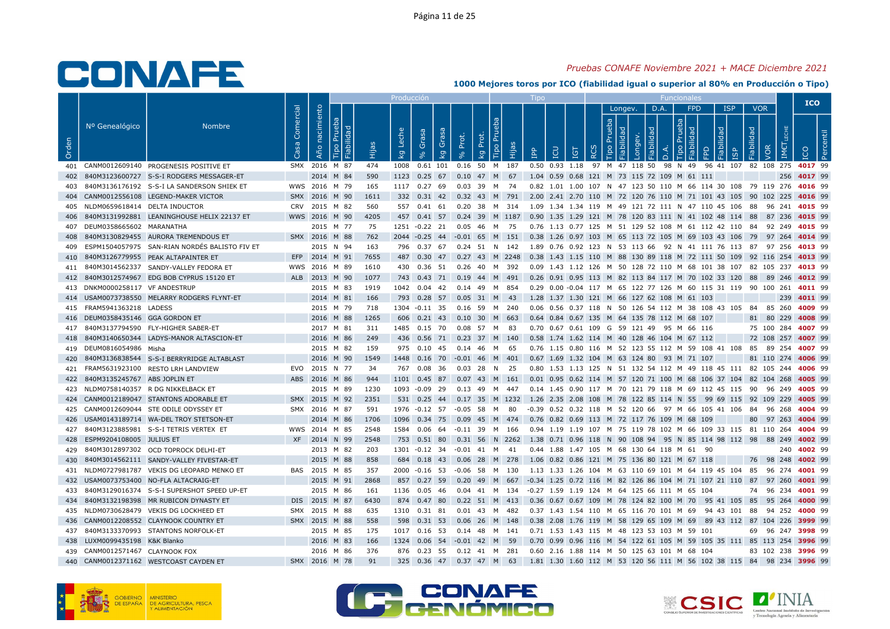## Pruebas CONAFE Noviembre 2021 + MACE Diciembre 2021

|       |                                   |                                                |                             |                   |                               |       | <b>Producción</b> |                    |                        |       |                                             |                                                                                                   | Tipo         |                                                                                             |                  |         |                | Funcionale                     |                                 |                            |                    |             | <b>ICO</b> |
|-------|-----------------------------------|------------------------------------------------|-----------------------------|-------------------|-------------------------------|-------|-------------------|--------------------|------------------------|-------|---------------------------------------------|---------------------------------------------------------------------------------------------------|--------------|---------------------------------------------------------------------------------------------|------------------|---------|----------------|--------------------------------|---------------------------------|----------------------------|--------------------|-------------|------------|
| Orden | Nº Genealógico                    | <b>Nombre</b>                                  | Comercial<br>S <sub>a</sub> | nacimiento<br>Año | bepi<br>$\mathbf{E}$<br>Fiabi | Hijas | Leche<br>kg       | Grasa<br>$\approx$ | Grasa<br>kg            | Prot. | P <sub>U</sub><br>Prot.<br>Tipo<br><b>Q</b> | Hijas                                                                                             | $\mathbf{f}$ | $\overline{a}$<br>-                                                                         | $\breve{\alpha}$ | Longev. | D.A.<br>$\cap$ | <b>FPD</b><br>ᅙ<br><b>Tipo</b> | <b>ISP</b><br>idad<br><b>GP</b> | <b>VOR</b><br>$\mathbb{R}$ | IME                | <b>CO</b>   |            |
|       |                                   | 401 CANM0012609140 PROGENESIS POSITIVE ET      |                             |                   | SMX 2016 M 87                 | 474   |                   |                    |                        |       |                                             | 1008  0.61  101  0.16  50  M  187                                                                 |              | 0.50 0.93 1.18 97 M 47 118 50 98 N 49 96 41 107 82 108 275 4017 99                          |                  |         |                |                                |                                 |                            |                    |             |            |
|       |                                   | 402 840M3123600727 S-S-I RODGERS MESSAGER-ET   |                             |                   | 2014 M 84                     | 590   |                   |                    |                        |       |                                             | 1123 0.25 67 0.10 47 M 67 1.04 0.59 0.68 121 M 73 115 72 109 M 61 111                             |              |                                                                                             |                  |         |                |                                |                                 |                            |                    | 256 4017 99 |            |
| 403   |                                   | 840M3136176192 S-S-I LA SANDERSON SHIEK ET     |                             |                   | WWS 2016 M 79                 | 165   | 1117 0.27 69      |                    |                        |       | 0.03 39 M 74                                |                                                                                                   |              | 0.82 1.01 1.00 107 N 47 123 50 110 M 66 114 30 108 79 119 276 4016 99                       |                  |         |                |                                |                                 |                            |                    |             |            |
|       |                                   | 404 CANM0012556108 LEGEND-MAKER VICTOR         |                             |                   | SMX 2016 M 90                 | 1611  |                   |                    |                        |       |                                             | 332 0.31 42 0.32 43 M 791 2.00 2.41 2.70 110 M 72 120 76 110 M 71 101 43 105 90 102 225 4016 99   |              |                                                                                             |                  |         |                |                                |                                 |                            |                    |             |            |
|       | 405 NLDM0659618414 DELTA INDUCTOR |                                                |                             |                   | CRV 2015 M 82                 | 560   |                   |                    |                        |       |                                             | 557  0.41  61  0.20  38  M  314                                                                   |              | 1.09 1.34 1.34 119 M 49 121 72 111 N 47 110 45 106 88 96 241 4015 99                        |                  |         |                |                                |                                 |                            |                    |             |            |
|       |                                   | 406 840M3131992881 LEANINGHOUSE HELIX 22137 ET |                             |                   | WWS 2016 M 90                 | 4205  |                   |                    |                        |       |                                             | 457 0.41 57 0.24 39 M 1187 0.90 1.35 1.29 121 M 78 120 83 111 N 41 102 48 114 88 87 236 4015 99   |              |                                                                                             |                  |         |                |                                |                                 |                            |                    |             |            |
|       | 407 DEUM0358665602 MARANATHA      |                                                |                             |                   | 2015 M 77                     | 75    |                   |                    |                        |       |                                             | 1251 -0.22 21 0.05 46 M 75 0.76 1.13 0.77 125 M 51 129 52 108 M 61 112 42 110 84 92 249 4015 99   |              |                                                                                             |                  |         |                |                                |                                 |                            |                    |             |            |
| 408   |                                   | 840M3130829455 AURORA TREMENDOUS ET            |                             |                   | SMX 2016 M 88                 | 762   |                   |                    |                        |       |                                             | 2044 -0.25 44 -0.01 65 M 151 0.38 1.26 0.97 103 M 65 113 72 105 M 69 103 43 106 79 97 264 4014 99 |              |                                                                                             |                  |         |                |                                |                                 |                            |                    |             |            |
| 409   |                                   | ESPM1504057975 SAN-RIAN NORDÉS BALISTO FIV ET  |                             |                   | 2015 N 94                     | 163   |                   |                    |                        |       |                                             | 796 0.37 67 0.24 51 N 142 1.89 0.76 0.92 123 N 53 113 66 92 N 41 111 76 113 87 97 256 4013 99     |              |                                                                                             |                  |         |                |                                |                                 |                            |                    |             |            |
|       |                                   | 410 840M3126779955 PEAK ALTAPAINTER ET         |                             |                   | EFP 2014 M 91                 | 7655  | 487               | $0.30$ 47          |                        |       |                                             | 0.27 43 M 2248 0.38 1.43 1.15 110 M 88 130 89 118 M 72 111 50 109 92 116 254 4013 99              |              |                                                                                             |                  |         |                |                                |                                 |                            |                    |             |            |
|       |                                   | 411 840M3014562337 SANDY-VALLEY FEDORA ET      |                             |                   | WWS 2016 M 89                 | 1610  |                   |                    |                        |       |                                             | 430  0.36  51  0.26  40  M  392                                                                   |              | 0.09 1.43 1.12 126 M 50 128 72 110 M 68 101 38 107 82 105 237 4013 99                       |                  |         |                |                                |                                 |                            |                    |             |            |
|       |                                   | 412 840M3012574967 EDG BOB CYPRUS 15120 ET     |                             |                   | ALB 2013 M 90                 | 1077  |                   |                    |                        |       |                                             | 743 0.43 71 0.19 44 M 491 0.26 0.91 0.95 113 M 82 113 84 117 M 70 102 33 120 88 89 246 4012 99    |              |                                                                                             |                  |         |                |                                |                                 |                            |                    |             |            |
|       | 413 DNKM0000258117 VF ANDESTRUP   |                                                |                             |                   | 2015 M 83                     | 1919  | 1042  0.04  42    |                    |                        |       |                                             | 0.14 49 M 854                                                                                     |              | 0.29 0.00 -0.04 117 M 65 122 77 126 M 60 115 31 119 90 100 261 4011 99                      |                  |         |                |                                |                                 |                            |                    |             |            |
|       |                                   | 414 USAM0073738550 MELARRY RODGERS FLYNT-ET    |                             |                   | 2014 M 81                     | 166   |                   |                    |                        |       | 793 0.28 57 0.05 31 M 43                    |                                                                                                   |              | 1.28 1.37 1.30 121 M 66 127 62 108 M 61 103                                                 |                  |         |                |                                |                                 |                            |                    | 239 4011 99 |            |
|       | 415 FRAM5941363218 LADESS         |                                                |                             |                   | 2015 M 79                     | 718   | 1304 -0.11 35     |                    |                        |       |                                             | 0.16 59 M 240                                                                                     |              | 0.06 0.56 0.37 118 N 50 126 54 112 M 38 108 43 105 84 85 260 4009 99                        |                  |         |                |                                |                                 |                            |                    |             |            |
|       | 416 DEUM0358435146 GGA GORDON ET  |                                                |                             |                   | 2016 M 88                     | 1265  |                   |                    |                        |       |                                             | 606 0.21 43 0.10 30 M 663                                                                         |              | 0.64 0.84 0.67 135 M 64 135 78 112 M 68 107                                                 |                  |         |                |                                |                                 |                            | 81 80 229 4008 99  |             |            |
|       |                                   | 417 840M3137794590 FLY-HIGHER SABER-ET         |                             |                   | 2017 M 81                     | 311   | 1485  0.15  70    |                    |                        |       | 0.08 57 M 83                                |                                                                                                   |              | 0.70 0.67 0.61 109 G 59 121 49 95 M 66 116                                                  |                  |         |                |                                |                                 |                            | 75 100 284 4007 99 |             |            |
| 418   |                                   | 840M3140650344 LADYS-MANOR ALTASCION-ET        |                             |                   | 2016 M 86                     | 249   |                   |                    | 436  0.56  71          |       |                                             | 0.23 37 M 140                                                                                     |              | 0.58 1.74 1.62 114 M 40 128 46 104 M 67 112                                                 |                  |         |                |                                |                                 |                            | 72 108 257 4007 99 |             |            |
|       | 419 DEUM0816054986 Misha          |                                                |                             |                   | 2015 M 82                     | 159   |                   |                    |                        |       | 975  0.10  45  0.14  46  M  65              |                                                                                                   |              | 0.76 1.15 0.80 116 M 52 123 55 112 M 59 108 41 108 85 89 254 4007 99                        |                  |         |                |                                |                                 |                            |                    |             |            |
| 420   |                                   | 840M3136838544 S-S-I BERRYRIDGE ALTABLAST      |                             |                   | 2016 M 90                     | 1549  |                   |                    |                        |       |                                             | 1448  0.16  70  -0.01  46  M  401                                                                 |              | 0.67 1.69 1.32 104 M 63 124 80 93 M 71 107                                                  |                  |         |                |                                |                                 |                            | 81 110 274 4006 99 |             |            |
|       |                                   | 421 FRAM5631923100 RESTO LRH LANDVIEW          |                             |                   | EVO 2015 N 77                 | -34   |                   | 767 0.08 36        |                        |       | $0.03$ 28 N 25                              |                                                                                                   |              | 0.80 1.53 1.13 125 N 51 132 54 112 M 49 118 45 111 82 105 244 4006 99                       |                  |         |                |                                |                                 |                            |                    |             |            |
|       | 422 840M3135245767 ABS JOPLIN ET  |                                                |                             |                   | ABS 2016 M 86                 | 944   |                   |                    |                        |       |                                             | 1101  0.45  87  0.07  43  M  161                                                                  |              | 0.01 0.95 0.62 114 M 57 120 71 100 M 68 106 37 104 82 104 268 4005 99                       |                  |         |                |                                |                                 |                            |                    |             |            |
|       |                                   | 423 NLDM0758140357 R DG NIKKELBACK ET          |                             |                   | 2015 M 89                     | 1230  | 1093 -0.09 29     |                    |                        |       |                                             | 0.13 49 M 447                                                                                     |              | 0.14 1.45 0.90 117 M 70 121 79 118 M 69 112 45 115 90 96 249 4005 99                        |                  |         |                |                                |                                 |                            |                    |             |            |
|       |                                   | 424 CANM0012189047 STANTONS ADORABLE ET        |                             |                   | SMX 2015 M 92                 | 2351  |                   |                    |                        |       |                                             | 531 0.25 44 0.17 35 M 1232 1.26 2.35 2.08 108 M 78 122 85 114 N 55 99 69 115 92 109 229 4005 99   |              |                                                                                             |                  |         |                |                                |                                 |                            |                    |             |            |
|       |                                   | 425 CANM0012609044 STE ODILE ODYSSEY ET        |                             |                   | SMX 2016 M 87                 | 591   |                   |                    | 1976 -0.12 57 -0.05 58 |       | <b>M</b>                                    | -80                                                                                               |              | -0.39  0.52  0.32  118  M  52  120  66  97  M  66  105  41  106  84  96  268 <b>4004</b> 99 |                  |         |                |                                |                                 |                            |                    |             |            |
|       |                                   | 426 USAM0143189714 WA-DEL TROY STETSON-ET      |                             |                   | 2014 M 86                     | 1706  |                   |                    |                        |       |                                             | 1096  0.34  75  0.09  45  M  474  0.76  0.82  0.69  113  M  72  117  76  109  M  68  109          |              |                                                                                             |                  |         |                |                                |                                 |                            | 80 97 263 4004 99  |             |            |
|       |                                   | 427 840M3123885981 S-S-I TETRIS VERTEX ET      |                             |                   | WWS 2014 M 85                 | 2548  |                   |                    |                        |       |                                             | 1584  0.06  64  -0.11  39  M  166                                                                 |              | 0.94 1.19 1.19 107 M 75 119 78 102 M 66 109 33 115 81 110 264 <b>4004</b> 99                |                  |         |                |                                |                                 |                            |                    |             |            |
|       | 428 ESPM9204108005 JULIUS ET      |                                                |                             |                   | XF 2014 N 99                  | 2548  |                   |                    |                        |       |                                             | 753 0.51 80 0.31 56 N 2262 1.38 0.71 0.96 118 N 90 108 94 95 N 85 114 98 112 98 88 249 4002 99    |              |                                                                                             |                  |         |                |                                |                                 |                            |                    |             |            |
|       |                                   | 429 840M3012897302 OCD TOPROCK DELHI-ET        |                             |                   | 2013 M 82                     | 203   |                   |                    |                        |       |                                             | 1301 -0.12 34 -0.01 41 M 41                                                                       |              | 0.44 1.88 1.47 105 M 68 130 64 118 M 61 90                                                  |                  |         |                |                                |                                 |                            |                    | 240 4002 99 |            |
|       |                                   | 430 840M3014562111 SANDY-VALLEY FIVESTAR-ET    |                             |                   | 2015 M 88                     | 858   |                   |                    |                        |       |                                             | 684 0.18 43 0.06 28 M 278                                                                         |              | 1.06 0.82 0.86 121 M 75 136 80 121 M 67 118                                                 |                  |         |                |                                |                                 |                            | 76 98 248 4002 99  |             |            |
|       |                                   | 431 NLDM0727981787 VEKIS DG LEOPARD MENKO ET   |                             |                   | BAS 2015 M 85                 | 357   | 2000 -0.16 53     |                    |                        |       |                                             | $-0.06$ 58 M 130                                                                                  |              | 1.13 1.33 1.26 104 M 63 110 69 101 M 64 119 45 104 85 96 274 4001 99                        |                  |         |                |                                |                                 |                            |                    |             |            |
|       |                                   | 432 USAM0073753400 NO-FLA ALTACRAIG-ET         |                             |                   | 2015 M 91                     | 2868  |                   |                    |                        |       |                                             | 857 0.27 59 0.20 49 M 667 -0.34 1.25 0.72 116 M 82 126 86 104 M 71 107 21 110 87 97 260 4001 99   |              |                                                                                             |                  |         |                |                                |                                 |                            |                    |             |            |
|       |                                   | 433 840M3129016374 S-S-I SUPERSHOT SPEED UP-ET |                             |                   | 2015 M 86                     | 161   |                   |                    |                        |       |                                             | 1136  0.05  46  0.04  41  M  134  -0.27  1.59  1.19  124  M  64  125  66  111  M  65  104         |              |                                                                                             |                  |         |                |                                |                                 |                            | 74 96 234 4001 99  |             |            |
|       |                                   | 434 840M3132198398 MR RUBICON DYNASTY ET       |                             |                   | DIS 2015 M 87                 | 6430  |                   | 874 0.47 80        |                        |       |                                             | 0.22 51 M 413 0.36 0.67 0.67 109 M 78 124 82 100 M 70 95 41 105 85 95 264 4000 99                 |              |                                                                                             |                  |         |                |                                |                                 |                            |                    |             |            |
|       |                                   | 435 NLDM0730628479 VEKIS DG LOCKHEED ET        |                             |                   | SMX 2015 M 88                 | 635   |                   |                    |                        |       |                                             | 1310  0.31  81  0.01  43  M  482                                                                  |              | 0.37 1.43 1.54 110 M 65 116 70 101 M 69 94 43 101 88 94 252 <b>4000</b> 99                  |                  |         |                |                                |                                 |                            |                    |             |            |
|       |                                   | 436 CANM0012208552 CLAYNOOK COUNTRY ET         |                             |                   | SMX 2015 M 88                 | 558   |                   | 598 0.31 53        |                        |       |                                             | 0.06 26 M 148 0.38 2.08 1.76 119 M 58 129 65 109 M 69 89 43 112 87 104 226 3999 99                |              |                                                                                             |                  |         |                |                                |                                 |                            |                    |             |            |
|       |                                   | 437 840M3133370993 STANTONS NORFOLK-ET         |                             |                   | 2015 M 85                     | 175   |                   |                    |                        |       |                                             | 1017  0.16  53  0.14  48  M  141  0.71  1.53  1.43  115  M  48  123  53  103  M  59  101          |              |                                                                                             |                  |         |                |                                |                                 |                            | 69 96 247 3998 99  |             |            |
|       | 438 LUXM0099435198 K&K Blanko     |                                                |                             |                   | 2016 M 83                     | 166   |                   |                    |                        |       | 1324 0.06 54 -0.01 42 M 59                  |                                                                                                   |              | 0.70 0.99 0.96 116 M 54 122 61 105 M 59 105 35 111 85 113 254 3996 99                       |                  |         |                |                                |                                 |                            |                    |             |            |
|       | 439 CANM0012571467 CLAYNOOK FOX   |                                                |                             |                   | 2016 M 86                     | 376   |                   |                    |                        |       |                                             | 876  0.23  55  0.12  41  M  281                                                                   |              | 0.60 2.16 1.88 114 M 50 125 63 101 M 68 104                                                 |                  |         |                |                                |                                 |                            | 83 102 238 3996 99 |             |            |
|       |                                   | 440 CANM0012371162 WESTCOAST CAYDEN ET         |                             |                   | SMX 2016 M 78                 | 91    |                   |                    |                        |       |                                             | 325 0.36 47 0.37 47 M 63 1.81 1.30 1.60 112 M 53 120 56 111 M 56 102 38 115 84 98 234 3996 99     |              |                                                                                             |                  |         |                |                                |                                 |                            |                    |             |            |





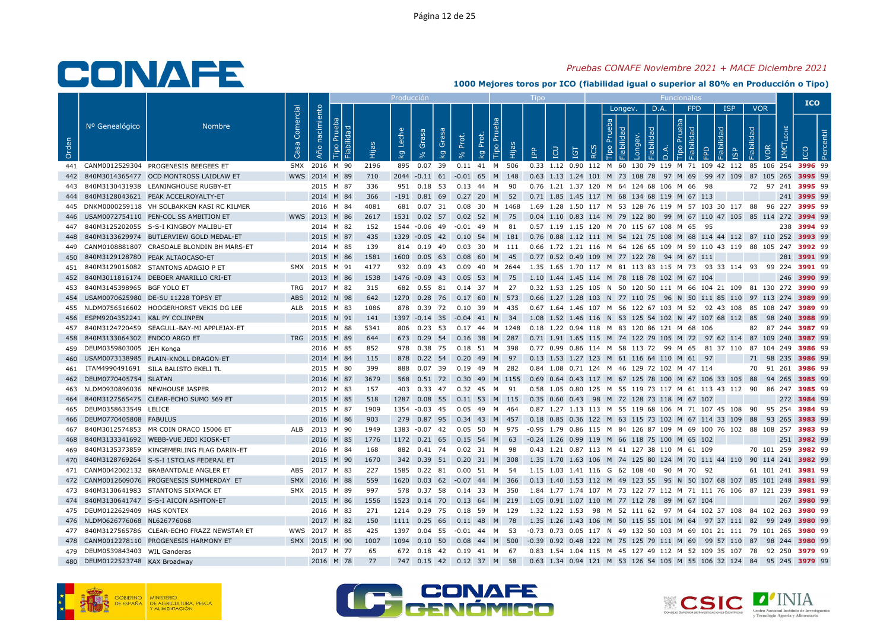## Pruebas CONAFE Noviembre 2021 + MACE Diciembre 2021

|       |                                    |                                                |                   |                                |      | Producción       |             |                                  |             |                                  | <b>LIDO</b>                                                                                       |          |   |                |   |      | <b>Funcionales</b>     |       |                         |                                 |                       | <b>ICO</b>  |  |
|-------|------------------------------------|------------------------------------------------|-------------------|--------------------------------|------|------------------|-------------|----------------------------------|-------------|----------------------------------|---------------------------------------------------------------------------------------------------|----------|---|----------------|---|------|------------------------|-------|-------------------------|---------------------------------|-----------------------|-------------|--|
| Orden | Nº Genealógico                     | <b>Nombre</b>                                  | Comercial<br>Casa | nacimiento<br>ΙΞ<br>Año<br>ābi |      | Leche<br>$k_{g}$ | Grasa       | Grasa<br>Prot.<br>k <sub>g</sub> | Prot.<br>kg | Tipo Pru<br>Hijas                | $\mathbf{P}$                                                                                      | <b>g</b> | ă | Longev.<br>dep | ヮ | D.A. | <b>FPD</b><br>deb<br>ᅙ | lidad | <b>ISP</b><br><b>GP</b> | <b>VOR</b><br>Fiabilidad<br>VOR |                       |             |  |
|       |                                    | 441 CANM0012529304 PROGENESIS BEEGEES ET       |                   | SMX 2016 M 90                  | 2196 |                  | 895 0.07 39 |                                  |             | 0.11 41 M 506                    | 0.33 1.12 0.90 112 M 60 130 79 119 M 71 109 42 112 85 106 254 3996 99                             |          |   |                |   |      |                        |       |                         |                                 |                       |             |  |
|       |                                    | 442 840M3014365477 OCD MONTROSS LAIDLAW ET     |                   | WWS 2014 M 89                  | 710  |                  |             |                                  |             | 2044 -0.11 61 -0.01 65 M 148     | 0.63 1.13 1.24 101 M 73 108 78 97 M 69 99 47 109 87 105 265 3995 99                               |          |   |                |   |      |                        |       |                         |                                 |                       |             |  |
|       |                                    | 840M3130431938 LEANINGHOUSE RUGBY-ET           |                   | 2015 M 87                      | 336  |                  |             | 951 0.18 53 0.13 44 M 90         |             |                                  | 0.76 1.21 1.37 120 M 64 124 68 106 M 66 98                                                        |          |   |                |   |      |                        |       |                         | 72 97 241 3995 99               |                       |             |  |
|       |                                    | 444 840M3128043621 PEAK ACCELROYALTY-ET        |                   | 2014 M 84                      | 366  |                  |             | $-191$ 0.81 69 0.27 20 M 52      |             |                                  | 0.71 1.85 1.45 117 M 68 134 68 119 M 67 113                                                       |          |   |                |   |      |                        |       |                         |                                 |                       | 241 3995 99 |  |
|       |                                    | 445 DNKM0000259118 VH SOLBAKKEN KASI RC KILMER |                   | 2016 M 84                      | 4081 |                  | 681 0.07 31 |                                  |             | 0.08 30 M 1468                   | 1.69 1.28 1.50 117 M 53 128 76 119 M 57 103 30 117 88 96 227 3995 99                              |          |   |                |   |      |                        |       |                         |                                 |                       |             |  |
|       |                                    | 446 USAM0072754110 PEN-COL SS AMBITION ET      |                   | WWS 2013 M 86                  | 2617 |                  |             | 1531 0.02 57 0.02 52 M 75        |             |                                  | 0.04 1.10 0.83 114 M 79 122 80 99 M 67 110 47 105 85 114 272 3994 99                              |          |   |                |   |      |                        |       |                         |                                 |                       |             |  |
| 447   |                                    | 840M3125202055 S-S-I KINGBOY MALIBU-ET         |                   | 2014 M 82                      | 152  |                  |             | 1544 -0.06 49 -0.01 49 M 81      |             |                                  | 0.57 1.19 1.15 120 M 70 115 67 108 M 65 95                                                        |          |   |                |   |      |                        |       |                         |                                 |                       | 238 3994 99 |  |
| 448   |                                    | 840M3133629974 BUTLERVIEW GOLD MEDAL-ET        |                   | 2015 M 87                      | 435  |                  |             |                                  |             | 1329 -0.05 42 0.10 54 M 181      | 0.76 0.88 1.12 111 M 54 121 75 108 M 68 114 44 112 87 110 252 3993 99                             |          |   |                |   |      |                        |       |                         |                                 |                       |             |  |
|       |                                    | 449 CANM0108881807 CRASDALE BLONDIN BH MARS-ET |                   | 2014 M 85                      | 139  |                  |             |                                  |             | 814  0.19  49  0.03  30  M  111  | 0.66 1.72 1.21 116 M 64 126 65 109 M 59 110 43 119 88 105 247 3992 99                             |          |   |                |   |      |                        |       |                         |                                 |                       |             |  |
|       |                                    | 450 840M3129128780 PEAK ALTAOCASO-ET           |                   | 2015 M 86                      | 1581 | 1600 0.05 63     |             |                                  | 0.08 60 M   | - 45                             | 0.77 0.52 0.49 109 M 77 122 78 94 M 67 111                                                        |          |   |                |   |      |                        |       |                         |                                 |                       | 281 3991 99 |  |
|       |                                    | 451 840M3129016082 STANTONS ADAGIO P ET        |                   | SMX 2015 M 91                  | 4177 |                  |             |                                  |             |                                  | 932 0.09 43 0.09 40 M 2644 1.35 1.65 1.70 117 M 81 113 83 115 M 73 93 33 114 93 99 224 3991 99    |          |   |                |   |      |                        |       |                         |                                 |                       |             |  |
| 452   |                                    | 840M3011816174 DEBOER AMARILLO CRI-ET          |                   | 2013 M 86                      | 1538 |                  |             |                                  |             |                                  | 1476 -0.09 43 0.05 53 M 75 1.10 1.44 1.45 114 M 78 118 78 102 M 67 104                            |          |   |                |   |      |                        |       |                         |                                 |                       | 246 3990 99 |  |
| 453   | 840M3145398965 BGF YOLO ET         |                                                | TRG               | 2017 M 82                      | 315  |                  | 682 0.55 81 |                                  |             | $0.14$ 37 M 27                   | 0.32 1.53 1.25 105 N 50 120 50 111 M 66 104 21 109 81 130 272 3990 99                             |          |   |                |   |      |                        |       |                         |                                 |                       |             |  |
|       |                                    | 454 USAM0070625980 DE-SU 11228 TOPSY ET        |                   | ABS 2012 N 98                  | 642  |                  |             |                                  |             | 1270  0.28  76  0.17  60  N  573 | 0.66 1.27 1.28 103 N 77 110 75 96 N 50 111 85 110 97 113 274 3989 99                              |          |   |                |   |      |                        |       |                         |                                 |                       |             |  |
|       |                                    | 455 NLDM0756516602 HOOGERHORST VEKIS DG LEE    | ALB               | 2015 M 83                      | 1086 |                  | 878 0.39 72 |                                  |             | 0.10 39 M 435                    | 0.67 1.64 1.46 107 M 56 122 67 103 M 52 92 43 108 85 108 247 3989 99                              |          |   |                |   |      |                        |       |                         |                                 |                       |             |  |
| 456   | ESPM9204352241 K&L PY COLINPEN     |                                                |                   | 2015 N 91                      | 141  |                  |             |                                  |             |                                  | 1397 -0.14 35 -0.04 41 N 34 1.08 1.52 1.46 116 N 53 125 54 102 N 47 107 68 112 85 98 240 3988 99  |          |   |                |   |      |                        |       |                         |                                 |                       |             |  |
|       |                                    | 457 840M3124720459 SEAGULL-BAY-MJ APPLEJAX-ET  |                   | 2015 M 88                      | 5341 |                  | 806 0.23 53 |                                  |             |                                  | 0.17 44 M 1248 0.18 1.22 0.94 118 M 83 120 86 121 M 68 106                                        |          |   |                |   |      |                        |       |                         |                                 | 82 87 244 3987 99     |             |  |
| 458   | 840M3133064302 ENDCO ARGO ET       |                                                |                   | TRG 2015 M 89                  | 644  |                  |             |                                  |             | 673 0.29 54 0.16 38 M 287        | 0.71 1.91 1.65 115 M 74 122 79 105 M 72 97 62 114 87 109 240 3987 99                              |          |   |                |   |      |                        |       |                         |                                 |                       |             |  |
|       | 459 DEUM0359803005 JEH Konga       |                                                |                   | 2016 M 85                      | 852  |                  |             |                                  |             | 978  0.38  75  0.18  51  M  398  | 0.77 0.99 0.86 114 M 58 113 72 99 M 65 81 37 110 87 104 249 <b>3986</b> 99                        |          |   |                |   |      |                        |       |                         |                                 |                       |             |  |
| 460   |                                    | USAM0073138985 PLAIN-KNOLL DRAGON-ET           |                   | 2014 M 84                      | 115  |                  | 878 0.22 54 |                                  |             | 0.20 49 M 97                     | 0.13 1.53 1.27 123 M 61 116 64 110 M 61 97                                                        |          |   |                |   |      |                        |       |                         | 71 98 235 3986 99               |                       |             |  |
| 461   |                                    | ITAM4990491691 SILA BALISTO EKELI TL           |                   | 2015 M 80                      | 399  |                  | 888 0.07 39 |                                  |             |                                  | 0.84 1.08 0.71 124 M 46 129 72 102 M 47 114                                                       |          |   |                |   |      |                        |       |                         |                                 | 70 91 261 3986 99     |             |  |
|       | 462 DEUM0770405754 SLATAN          |                                                |                   | 2016 M 87                      | 3679 |                  |             |                                  |             | 568  0.51  72  0.30  49  M  1155 | 0.69 0.64 0.43 117 M 67 125 78 100 M 67 106 33 105 88 94 265 3985 99                              |          |   |                |   |      |                        |       |                         |                                 |                       |             |  |
|       | 463 NLDM0930896036 NEWHOUSE JASPER |                                                |                   | 2012 M 83                      | 157  | 403              | 0.33 47     |                                  |             | 0.32 45 M 91                     | 0.58 1.05 0.80 125 M 55 119 73 117 M 61 113 43 112 90                                             |          |   |                |   |      |                        |       |                         |                                 | 86 247 3985 99        |             |  |
| 464   |                                    | 840M3127565475 CLEAR-ECHO SUMO 569 ET          |                   | 2015 M 85                      | 518  |                  |             |                                  |             | 1287 0.08 55 0.11 53 M 115       | 0.35 0.60 0.43 98 M 72 128 73 118 M 67 107                                                        |          |   |                |   |      |                        |       |                         |                                 |                       | 272 3984 99 |  |
|       | 465 DEUM0358633549 LELICE          |                                                |                   | 2015 M 87                      | 1909 | 1354 -0.03 45    |             |                                  | 0.05 49 M   | 464                              | 0.87 1.27 1.13 113 M 55 119 68 106 M 71 107 45 108 90                                             |          |   |                |   |      |                        |       |                         |                                 | 95 254 <b>3984</b> 99 |             |  |
|       | 466 DEUM0770405808 FABULUS         |                                                |                   | 2016 M 86                      | 903  |                  |             |                                  |             | 279 0.87 95 0.34 43 M 457        | 0.18 0.85 0.36 122 M 63 115 73 102 M 67 114 33 109 88 93 265 3983 99                              |          |   |                |   |      |                        |       |                         |                                 |                       |             |  |
| 467   |                                    | 840M3012574853 MR COIN DRACO 15006 ET          |                   | ALB 2013 M 90                  | 1949 |                  |             |                                  |             | 1383 -0.07 42 0.05 50 M 975      | -0.95 1.79 0.86 115 M 84 126 87 109 M 69 100 76 102 88 108 257 3983 99                            |          |   |                |   |      |                        |       |                         |                                 |                       |             |  |
| 468   |                                    | 840M3133341692 WEBB-VUE JEDI KIOSK-ET          |                   | 2016 M 85                      | 1776 |                  |             | 1172 0.21 65 0.15 54 M 63        |             |                                  | -0.24 1.26 0.99 119 M 66 118 75 100 M 65 102                                                      |          |   |                |   |      |                        |       |                         |                                 |                       | 251 3982 99 |  |
| 469   |                                    | 840M3135373859 KINGEMERLING FLAG DARIN-ET      |                   | 2016 M 84                      | 168  |                  |             | 882 0.41 74 0.02 31 M 98         |             |                                  | 0.43 1.21 0.87 113 M 41 127 38 110 M 61 109                                                       |          |   |                |   |      |                        |       |                         |                                 | 70 101 259 3982 99    |             |  |
|       |                                    | 470 840M3128769264 S-S-I 1STCLAS FEDERAL ET    |                   | 2015 M 90                      | 1670 |                  |             |                                  |             | 342 0.39 51 0.20 31 M 308        | 1.35 1.70 1.63 106 M 74 125 80 124 M 70 111 44 110 90 114 241 <b>3982</b> 99                      |          |   |                |   |      |                        |       |                         |                                 |                       |             |  |
| 471   |                                    | CANM0042002132 BRABANTDALE ANGLER ET           |                   | ABS 2017 M 83                  | 227  | 1585 0.22 81     |             |                                  |             | 0.00 51 M 54                     | 1.15 1.03 1.41 116 G 62 108 40 90 M 70 92                                                         |          |   |                |   |      |                        |       |                         |                                 | 61 101 241 3981 99    |             |  |
|       |                                    | 472 CANM0012609076 PROGENESIS SUMMERDAY ET     |                   | SMX 2016 M 88                  | 559  |                  |             |                                  |             | 1620 0.03 62 -0.07 44 M 366      | 0.13 1.40 1.53 112 M 49 123 55 95 N 50 107 68 107 85 101 248 3981 99                              |          |   |                |   |      |                        |       |                         |                                 |                       |             |  |
|       |                                    | 473 840M3130641983 STANTONS SIXPACK ET         |                   | SMX 2015 M 89                  | 997  |                  | 578 0.37 58 |                                  |             | 0.14 33 M 350                    | 1.84 1.77 1.74 107 M 73 122 77 112 M 71 111 76 106 87 121 239 3981 99                             |          |   |                |   |      |                        |       |                         |                                 |                       |             |  |
|       |                                    | 474 840M3130641747 S-S-I AICON ASHTON-ET       |                   | 2015 M 86                      | 1556 |                  |             |                                  |             | 1523 0.14 70 0.13 64 M 219       | 1.05 0.91 1.07 110 M 77 112 78 89 M 67 104                                                        |          |   |                |   |      |                        |       |                         |                                 |                       | 267 3980 99 |  |
|       | 475 DEUM0122629409 HAS KONTEX      |                                                |                   | 2016 M 83                      | 271  |                  |             |                                  |             | 1214  0.29  75  0.18  59  M  129 | 1.32 1.22 1.53 98 M 52 111 62 97 M 64 102 37 108 84 102 263 3980 99                               |          |   |                |   |      |                        |       |                         |                                 |                       |             |  |
|       | 476 NLDM0626776068 NL626776068     |                                                |                   | 2017 M 82                      | 150  | 1111 0.25 66     |             |                                  | $0.11$ 48 M | - 78                             | 1.35 1.26 1.43 106 M 50 115 55 101 M 64 97 37 111 82 99 249 3980 99                               |          |   |                |   |      |                        |       |                         |                                 |                       |             |  |
|       |                                    | 477 840M3127565786 CLEAR-ECHO FRAZZ NEWSTAR ET |                   | WWS 2017 M 85                  | 425  |                  |             |                                  |             |                                  | 1397 0.04 55 -0.01 44 M 53 -0.73 0.73 0.05 117 N 49 132 50 103 M 69 101 21 111 79 101 265 3980 99 |          |   |                |   |      |                        |       |                         |                                 |                       |             |  |
|       |                                    | 478 CANM0012278110 PROGENESIS HARMONY ET       |                   | SMX 2015 M 90                  | 1007 | 1094  0.10  50   |             |                                  |             | 0.08 44 M 500                    | -0.39 0.92 0.48 122 M 75 125 79 111 M 69 99 57 110 87 98 244 3980 99                              |          |   |                |   |      |                        |       |                         |                                 |                       |             |  |
|       | 479 DEUM0539843403 WIL Ganderas    |                                                |                   | 2017 M 77                      | 65   |                  |             | 672  0.18  42  0.19  41  M  67   |             |                                  | 0.83 1.54 1.04 115 M 45 127 49 112 M 52 109 35 107 78 92 250 3979 99                              |          |   |                |   |      |                        |       |                         |                                 |                       |             |  |
|       | 480 DEUM0122523748 KAX Broadway    |                                                |                   | 2016 M 78                      | 77   |                  |             | 747 0.15 42 0.12 37 M 58         |             |                                  | 0.63 1.34 0.94 121 M 53 126 54 105 M 55 106 32 124 84 95 245 3979 99                              |          |   |                |   |      |                        |       |                         |                                 |                       |             |  |





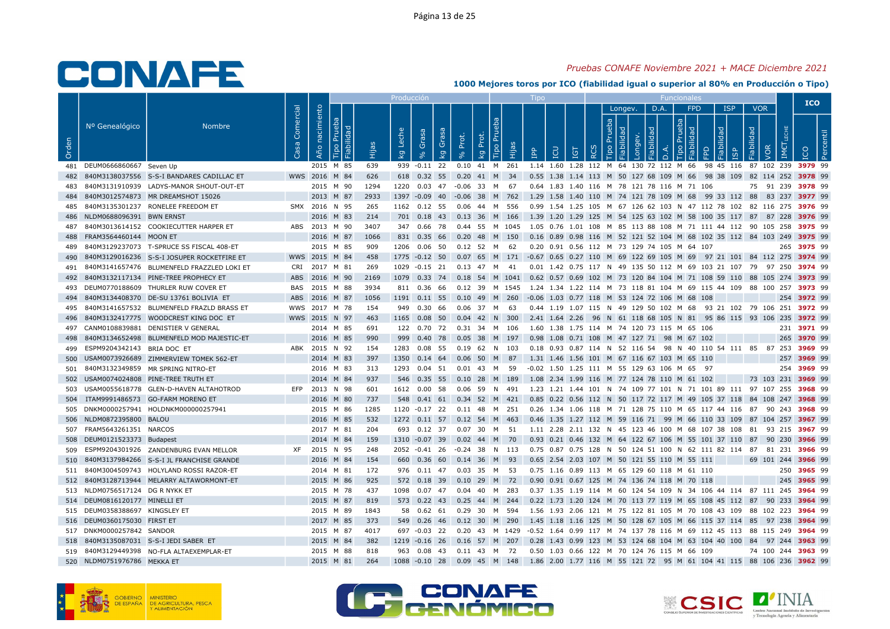## Pruebas CONAFE Noviembre 2021 + MACE Diciembre 2021

|       |                                 |                                                |           |                |      | Producción                                  |                     |                                |    | $\mathsf{I}$ independent                                                                           |          |                |    |                | <b>Funcionales</b>     |                                  |                               |                    | <b>ICO</b>  |  |
|-------|---------------------------------|------------------------------------------------|-----------|----------------|------|---------------------------------------------|---------------------|--------------------------------|----|----------------------------------------------------------------------------------------------------|----------|----------------|----|----------------|------------------------|----------------------------------|-------------------------------|--------------------|-------------|--|
| Orden | Nº Genealógico                  | <b>Nombre</b>                                  | Comercial | Año nacimiento | ்    | Leche<br>Grasa<br>$\overline{\mathsf{k}}$ g | Gras<br>Prot.<br>kg | <b>Tipo Pru</b><br>Prot.<br>kg | ia | <b>POI</b><br>eq<br>IGT                                                                            | $\alpha$ | Longev.<br>deb | БE | D.A.<br>$\Box$ | <b>FPD</b><br>deb<br>ਦ | <b>ISP</b><br>lidad<br><b>GP</b> | <b>VOR</b><br>Fiabilidad<br>ğ | IM€                |             |  |
|       | 481 DEUM0666860667 Seven Up     |                                                |           | 2015 M 85      | 639  |                                             |                     |                                |    | 939 -0.11 22 0.10 41 M 261 1.14 1.60 1.28 112 M 64 130 72 112 M 66 98 45 116 87 102 239 3979 99    |          |                |    |                |                        |                                  |                               |                    |             |  |
|       |                                 | 482 840M3138037556 S-S-I BANDARES CADILLAC ET  |           | WWS 2016 M 84  | 626  | 618  0.32  55  0.20  41  M  34              |                     |                                |    | 0.55 1.38 1.14 113 M 50 127 68 109 M 66 98 38 109 82 114 252 3978 99                               |          |                |    |                |                        |                                  |                               |                    |             |  |
|       |                                 | 840M3131910939 LADYS-MANOR SHOUT-OUT-ET        |           | 2015 M 90      | 1294 | 1220  0.03  47  -0.06  33  M  67            |                     |                                |    | 0.64 1.83 1.40 116 M 78 121 78 116 M 71 106                                                        |          |                |    |                |                        |                                  |                               | 75 91 239 3978 99  |             |  |
|       |                                 | 484 840M3012574873 MR DREAMSHOT 15026          |           | 2013 M 87      | 2933 | 1397 -0.09 40 -0.06 38 M 762                |                     |                                |    | 1.29 1.58 1.40 110 M 74 121 78 109 M 68 99 33 112 88 83 237 3977 99                                |          |                |    |                |                        |                                  |                               |                    |             |  |
|       |                                 | 485 840M3135301237 RONELEE FREEDOM ET          |           | SMX 2016 N 95  | 265  | 1162 0.12 55                                |                     | 0.06  44  M  556               |    | 0.99 1.54 1.25 105 M 67 126 62 103 N 47 112 78 102 82 116 275 <b>3976</b> 99                       |          |                |    |                |                        |                                  |                               |                    |             |  |
|       | 486 NLDM0688096391 BWN ERNST    |                                                |           | 2016 M 83      | 214  |                                             |                     |                                |    | 701 0.18 43 0.13 36 M 166 1.39 1.20 1.29 125 M 54 125 63 102 M 58 100 35 117 87 87 228 3976 99     |          |                |    |                |                        |                                  |                               |                    |             |  |
| 487   |                                 | 840M3013614152 COOKIECUTTER HARPER ET          |           | ABS 2013 M 90  | 3407 |                                             |                     |                                |    | 347 0.66 78 0.44 55 M 1045 1.05 0.76 1.01 108 M 85 113 88 108 M 71 111 44 112 90 105 258 3975 99   |          |                |    |                |                        |                                  |                               |                    |             |  |
|       | 488 FRAM3564460144 MOON ET      |                                                |           | 2016 M 87      | 1066 | 831 0.35 66                                 |                     | 0.20 48 M 150                  |    | 0.16 0.89 0.98 116 M 52 121 52 104 M 68 102 35 112 84 103 249 <b>3975</b> 99                       |          |                |    |                |                        |                                  |                               |                    |             |  |
|       |                                 | 489 840M3129237073 T-SPRUCE SS FISCAL 408-ET   |           | 2015 M 85      | 909  | 1206  0.06  50  0.12  52  M  62             |                     |                                |    | 0.20 0.91 0.56 112 M 73 129 74 105 M 64 107                                                        |          |                |    |                |                        |                                  |                               |                    | 265 3975 99 |  |
| 490   |                                 | 840M3129016236 S-S-I JOSUPER ROCKETFIRE ET     |           | WWS 2015 M 84  | 458  | 1775 -0.12 50                               |                     |                                |    | 0.07 65 M 171 -0.67 0.65 0.27 110 M 69 122 69 105 M 69 97 21 101 84 112 275 3974 99                |          |                |    |                |                        |                                  |                               |                    |             |  |
|       |                                 | 491 840M3141657476 BLUMENFELD FRAZZLED LOKI ET |           | CRI 2017 M 81  | 269  | 1029 -0.15 21 0.13 47 M 41                  |                     |                                |    | 0.01 1.42 0.75 117 N 49 135 50 112 M 69 103 21 107 79 97 250 3974 99                               |          |                |    |                |                        |                                  |                               |                    |             |  |
|       |                                 | 492 840M3132117134 PINE-TREE PROPHECY ET       |           | ABS 2016 M 90  | 2169 |                                             |                     |                                |    | 1079 0.33 74 0.18 54 M 1041 0.62 0.57 0.69 102 M 73 120 84 104 M 71 108 59 110 88 105 274 3973 99  |          |                |    |                |                        |                                  |                               |                    |             |  |
|       |                                 | 493 DEUM0770188609 THURLER RUW COVER ET        | BAS       | 2015 M 88      | 3934 | 811 0.36 66                                 |                     |                                |    | 0.12 39 M 1545 1.24 1.34 1.22 114 M 73 118 81 104 M 69 115 44 109 88 100 257 3973 99               |          |                |    |                |                        |                                  |                               |                    |             |  |
| 494   |                                 | 840M3134408370 DE-SU 13761 BOLIVIA ET          |           | ABS 2016 M 87  | 1056 |                                             |                     |                                |    | 1191 0.11 55 0.10 49 M 260 -0.06 1.03 0.77 118 M 53 124 72 106 M 68 108                            |          |                |    |                |                        |                                  |                               |                    | 254 3972 99 |  |
|       |                                 | 495 840M3141657532 BLUMENFELD FRAZLD BRASS ET  |           | WWS 2017 M 78  | 154  | 949 0.30 66                                 |                     | 0.06 37 M 63                   |    | 0.44 1.19 1.07 115 N 49 129 50 102 M 68 93 21 102 79 106 251 3972 99                               |          |                |    |                |                        |                                  |                               |                    |             |  |
| 496   |                                 | 840M3132417775 WOODCREST KING DOC ET           |           | WWS 2015 N 97  | 463  | 1165  0.08  50  0.04  42  N  300            |                     |                                |    | 2.41 1.64 2.26 96 N 61 118 68 105 N 81 95 86 115 93 106 235 3972 99                                |          |                |    |                |                        |                                  |                               |                    |             |  |
|       |                                 | 497 CANM0108839881 DENISTIER V GENERAL         |           | 2014 M 85      | 691  | 122  0.70  72  0.31  34  M  106             |                     |                                |    | 1.60 1.38 1.75 114 M 74 120 73 115 M 65 106                                                        |          |                |    |                |                        |                                  |                               |                    | 231 3971 99 |  |
| 498   |                                 | 840M3134652498 BLUMENFELD MOD MAJESTIC-ET      |           | 2016 M 85      | 990  | 999  0.40  78  0.05  38  M  197             |                     |                                |    | 0.98 1.08 0.71 108 M 47 127 71 98 M 67 102                                                         |          |                |    |                |                        |                                  |                               |                    | 265 3970 99 |  |
|       | 499 ESPM9204342143 BRIA DOC ET  |                                                |           | ABK 2015 N 92  | 154  | 1283  0.08  55  0.19  62  N  103            |                     |                                |    | 0.18 0.93 0.87 114 N 52 116 54 98 N 40 110 54 111 85 87 253 3969 99                                |          |                |    |                |                        |                                  |                               |                    |             |  |
| 500   |                                 | USAM0073926689 ZIMMERVIEW TOMEK 562-ET         |           | 2014 M 83      | 397  | 1350  0.14  64                              |                     | 0.06 50 M 87                   |    | 1.31 1.46 1.56 101 M 67 116 67 103 M 65 110                                                        |          |                |    |                |                        |                                  |                               |                    | 257 3969 99 |  |
|       |                                 | 501 840M3132349859 MR SPRING NITRO-ET          |           | 2016 M 83      | 313  | 1293  0.04  51                              |                     | 0.01 43 M 59                   |    | -0.02 1.50 1.25 111 M 55 129 63 106 M 65 97                                                        |          |                |    |                |                        |                                  |                               |                    | 254 3969 99 |  |
|       |                                 | 502 USAM0074024808 PINE-TREE TRUTH ET          |           | 2014 M 84      | 937  |                                             |                     |                                |    | 546 0.35 55 0.10 28 M 189 1.08 2.34 1.99 116 M 77 124 78 110 M 61 102                              |          |                |    |                |                        |                                  |                               | 73 103 231 3969 99 |             |  |
|       |                                 | 503 USAM0055618778 GLEN-D-HAVEN ALTAHOTROD     | EFP       | 2013 N 98      | 601  | 1612 0.00 58                                |                     | 0.06 59 N 491                  |    | 1.23 1.21 1.44 101 N 74 109 77 101 N 71 101 89 111 97 107 255 3968 99                              |          |                |    |                |                        |                                  |                               |                    |             |  |
|       |                                 | 504 ITAM9991486573 GO-FARM MORENO ET           |           | 2016 M 80      | 737  |                                             |                     |                                |    | 548 0.41 61 0.34 52 M 421 0.85 0.22 0.56 112 N 50 117 72 117 M 49 105 37 118 84 108 247 3968 99    |          |                |    |                |                        |                                  |                               |                    |             |  |
|       |                                 | 505 DNKM0000257941 HOLDNKM000000257941         |           | 2015 M 86      | 1285 | 1120 -0.17 22 0.11 48 M 251                 |                     |                                |    | 0.26 1.34 1.06 118 M 71 128 75 110 M 65 117 44 116 87 90 243 3968 99                               |          |                |    |                |                        |                                  |                               |                    |             |  |
|       | 506 NLDM0872395800 BALOU        |                                                |           | 2016 M 85      | 532  | 1272  0.11  57  0.12  54  M  463            |                     |                                |    | 0.46 1.35 1.27 112 M 59 116 71 99 M 66 110 33 109 87 104 257 3967 99                               |          |                |    |                |                        |                                  |                               |                    |             |  |
|       | 507 FRAM5643261351 NARCOS       |                                                |           | 2017 M 81      | 204  | 693  0.12  37  0.07  30  M  51              |                     |                                |    | 1.11 2.28 2.11 132 N 45 123 46 100 M 68 107 38 108 81 93 215 3967 99                               |          |                |    |                |                        |                                  |                               |                    |             |  |
|       | 508 DEUM0121523373 Budapest     |                                                |           | 2014 M 84      | 159  | 1310 -0.07 39 0.02 44 M 70                  |                     |                                |    | 0.93 0.21 0.46 132 M 64 122 67 106 M 55 101 37 110 87 90 230 3966 99                               |          |                |    |                |                        |                                  |                               |                    |             |  |
|       |                                 | 509 ESPM9204301926 ZANDENBURG EVAN MELLOR      |           | XF 2015 N 95   | 248  | 2052 -0.41 26 -0.24 38 N 113                |                     |                                |    | 0.75 0.87 0.75 128 N 50 124 51 100 N 62 111 82 114 87 81 231 <b>3966</b> 99                        |          |                |    |                |                        |                                  |                               |                    |             |  |
|       |                                 | 510 840M3137984266 S-S-I JL FRANCHISE GRANDE   |           | 2016 M 84      | 154  | 660  0.36  60  0.14  36  M  93              |                     |                                |    | 0.65 2.54 2.03 107 M 50 121 55 110 M 55 111                                                        |          |                |    |                |                        |                                  |                               | 69 101 244 3966 99 |             |  |
|       |                                 | 511 840M3004509743 HOLYLAND ROSSI RAZOR-ET     |           | 2014 M 81      | 172  | 976 0.11 47                                 |                     | 0.03 35 M 53                   |    | 0.75 1.16 0.89 113 M 65 129 60 118 M 61 110                                                        |          |                |    |                |                        |                                  |                               |                    | 250 3965 99 |  |
|       |                                 | 512 840M3128713944 MELARRY ALTAWORMONT-ET      |           | 2015 M 86      | 925  | 572 0.18 39 0.10 29 M 72                    |                     |                                |    | 0.90 0.91 0.67 125 M 74 136 74 118 M 70 118                                                        |          |                |    |                |                        |                                  |                               |                    | 245 3965 99 |  |
|       | 513 NLDM0756517124 DG R NYKK ET |                                                |           | 2015 M 78      | 437  | 1098  0.07  47  0.04  40  M  283            |                     |                                |    | 0.37 1.35 1.19 114 M 60 124 54 109 N 34 106 44 114 87 111 245 3964 99                              |          |                |    |                |                        |                                  |                               |                    |             |  |
|       | 514 DEUM0816120177 MINELLI ET   |                                                |           | 2015 M 87      | 819  | 573 0.22 43 0.25 44 M 244                   |                     |                                |    | 0.22 1.73 1.20 124 M 70 113 77 119 M 65 108 45 112 87 90 233 3964 99                               |          |                |    |                |                        |                                  |                               |                    |             |  |
|       | 515 DEUM0358388697 KINGSLEY ET  |                                                |           | 2015 M 89      | 1843 | 58  0.62  61                                |                     | 0.29 30 M 594                  |    | 1.56 1.93 2.06 121 M 75 122 81 105 M 70 108 43 109 88 102 223 <b>3964</b> 99                       |          |                |    |                |                        |                                  |                               |                    |             |  |
|       | 516 DEUM0360175030 FIRST ET     |                                                |           | 2017 M 85      | 373  | 549 0.26 46                                 |                     | 0.12 30 M 290                  |    | 1.45 1.18 1.16 125 M 50 128 67 105 M 66 115 37 114 85 97 238 3964 99                               |          |                |    |                |                        |                                  |                               |                    |             |  |
|       | 517 DNKM0000257842 SANDOR       |                                                |           | 2015 M 87      | 4017 |                                             |                     |                                |    | 697 -0.03 22 0.20 43 M 1429 -0.52 1.64 0.99 117 M 74 137 78 116 M 69 112 45 113 88 115 249 3964 99 |          |                |    |                |                        |                                  |                               |                    |             |  |
|       |                                 | 518 840M3135087031 S-S-I JEDI SABER ET         |           | 2015 M 84      | 382  | 1219 -0.16 26 0.16 57 M 207                 |                     |                                |    | 0.28 1.43 0.99 123 M 53 124 68 104 M 63 104 40 100 84 97 244 3963 99                               |          |                |    |                |                        |                                  |                               |                    |             |  |
|       |                                 | 519 840M3129449398 NO-FLA ALTAEXEMPLAR-ET      |           | 2015 M 88      | 818  | 963 0.08 43 0.11 43 M 72                    |                     |                                |    | 0.50 1.03 0.66 122 M 70 124 76 115 M 66 109                                                        |          |                |    |                |                        |                                  |                               | 74 100 244 3963 99 |             |  |
|       | 520 NLDM0751976786 MEKKA ET     |                                                |           | 2015 M 81      | 264  |                                             |                     |                                |    | 1088 -0.10 28 0.09 45 M 148 1.86 2.00 1.77 116 M 55 121 72 95 M 61 104 41 115 88 106 236 3962 99   |          |                |    |                |                        |                                  |                               |                    |             |  |





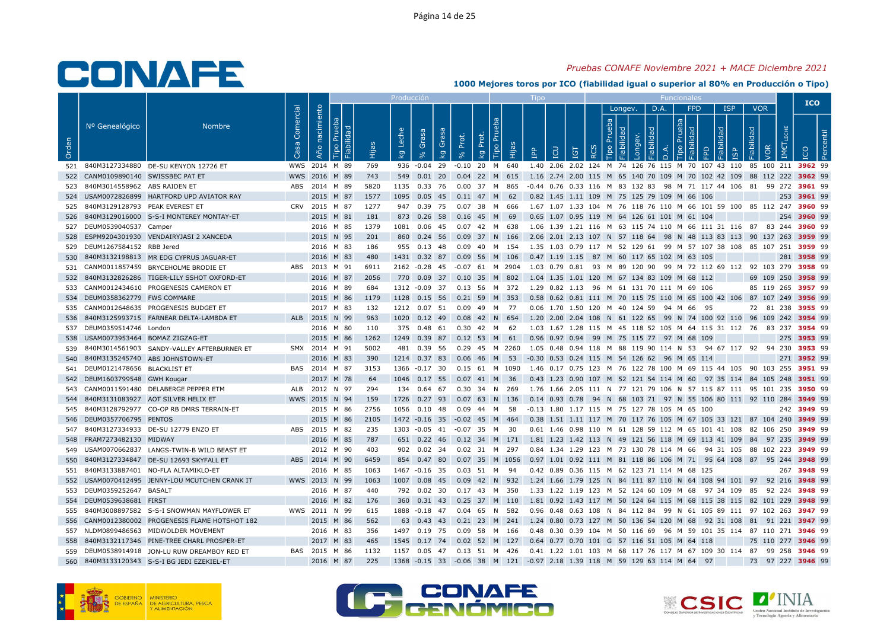## Pruebas CONAFE Noviembre 2021 + MACE Diciembre 2021

|       |                                          |                                                 |                         |                |           |      | Producció      |                      |       |                                  |       |                                                                                                    |            |                               |         |      |     |            |                           |                               | <b>ICO</b>         |  |
|-------|------------------------------------------|-------------------------------------------------|-------------------------|----------------|-----------|------|----------------|----------------------|-------|----------------------------------|-------|----------------------------------------------------------------------------------------------------|------------|-------------------------------|---------|------|-----|------------|---------------------------|-------------------------------|--------------------|--|
| Orden | Nº Genealógico                           | <b>Nombre</b>                                   | Comercial<br><b>S</b> a | Año nacimiento | lida      | Нijа | Leche<br>kg    | Grasa<br>Grasa<br>kg | Prot. | Tipo Pru<br>Prot.<br>kg          | Hijas | <b>CD</b><br><b>Adi</b>                                                                            | <b>IGT</b> | Prueba<br>$\circ$<br>$\alpha$ | Longev. | D.A. | deb | <b>FPD</b> | <b>ISP</b><br><b>pep!</b> | <b>VOR</b><br>Fiabilidad<br>ğ |                    |  |
|       |                                          | 521 840M3127334880 DE-SU KENYON 12726 ET        |                         | WWS 2014 M 89  |           | 769  | 936 -0.04 29   |                      |       | $-0.10$ 20 M 640                 |       | 1.40 2.06 2.02 124 M 74 126 76 115 M 70 107 43 110 85 100 211 3962 99                              |            |                               |         |      |     |            |                           |                               |                    |  |
|       | 522 CANM0109890140 SWISSBEC PAT ET       |                                                 |                         | WWS 2016 M 89  |           | 743  |                |                      |       | 549  0.01  20  0.04  22  M  615  |       | 1.16 2.74 2.00 115 M 65 140 70 109 M 70 102 42 109 88 112 222 3962 99                              |            |                               |         |      |     |            |                           |                               |                    |  |
|       | 523 840M3014558962 ABS RAIDEN ET         |                                                 |                         | ABS 2014 M 89  |           | 5820 |                |                      |       | 1135  0.33  76  0.00  37  M  865 |       | -0.44 0.76 0.33 116 M 83 132 83 98 M 71 117 44 106 81 99 272 <b>3961</b> 99                        |            |                               |         |      |     |            |                           |                               |                    |  |
|       |                                          | 524 USAM0072826899 HARTFORD UPD AVIATOR RAY     |                         |                | 2015 M 87 | 1577 |                |                      |       | 1095  0.05  45  0.11  47  M  62  |       | 0.82 1.45 1.11 109 M 75 125 79 109 M 66 106                                                        |            |                               |         |      |     |            |                           |                               | 253 3961 99        |  |
|       | 525 840M3129128793 PEAK EVEREST ET       |                                                 |                         | CRV 2015 M 87  |           | 1277 | 947 0.39 75    |                      |       | 0.07 38 M 666                    |       | 1.67 1.07 1.33 104 M 76 118 76 110 M 66 101 59 100 85 112 247 3960 99                              |            |                               |         |      |     |            |                           |                               |                    |  |
|       |                                          | 526 840M3129016000 S-S-I MONTEREY MONTAY-ET     |                         |                | 2015 M 81 | 181  | 873 0.26 58    |                      |       | 0.16 45 M 69                     |       | 0.65 1.07 0.95 119 M 64 126 61 101 M 61 104                                                        |            |                               |         |      |     |            |                           |                               | 254 3960 99        |  |
|       | 527 DEUM0539040537 Camper                |                                                 |                         |                | 2016 M 85 | 1379 |                |                      |       | 1081  0.06  45  0.07  42  M  638 |       | 1.06 1.39 1.21 116 M 63 115 74 110 M 66 111 31 116 87 83 244 <b>3960</b> 99                        |            |                               |         |      |     |            |                           |                               |                    |  |
| 528   |                                          | ESPM9204301930 VENDAIRYJASI 2 XANCEDA           |                         |                | 2015 N 95 | 201  |                |                      |       | 860 0.24 56 0.09 37 N 166        |       | 2.06 2.01 2.13 107 N 57 118 64 98 N 48 113 83 113 90 137 263 <b>3959</b> 99                        |            |                               |         |      |     |            |                           |                               |                    |  |
|       | 529 DEUM1267584152 RBB Jered             |                                                 |                         |                | 2016 M 83 | 186  | 955 0.13 48    |                      |       | 0.09    40    M    154           |       | 1.35 1.03 0.79 117 M 52 129 61 99 M 57 107 38 108 85 107 251 <b>3959</b> 99                        |            |                               |         |      |     |            |                           |                               |                    |  |
| 530   |                                          | 840M3132198813 MR EDG CYPRUS JAGUAR-ET          |                         | 2016 M 83      |           | 480  | 1431 0.32 87   |                      |       | 0.09 56 M 106                    |       | 0.47 1.19 1.15 87 M 60 117 65 102 M 63 105                                                         |            |                               |         |      |     |            |                           |                               | 281 3958 99        |  |
|       |                                          | 531 CANM0011857459 BRYCEHOLME BRODIE ET         |                         | ABS 2013 M 91  |           | 6911 |                |                      |       |                                  |       | 2162 -0.28 45 -0.07 61 M 2904 1.03 0.79 0.81 93 M 89 120 90 99 M 72 112 69 112 92 103 279 3958 99  |            |                               |         |      |     |            |                           |                               |                    |  |
|       |                                          | 532 840M3132826286 TIGER-LILY SSHOT OXFORD-ET   |                         |                | 2016 M 87 | 2056 |                |                      |       | 770  0.09  37  0.10  35  M  802  |       | 1.04 1.35 1.01 120 M 67 134 83 109 M 68 112                                                        |            |                               |         |      |     |            |                           |                               | 69 109 250 3958 99 |  |
|       |                                          | 533 CANM0012434610 PROGENESIS CAMERON ET        |                         |                | 2016 M 89 | 684  |                |                      |       | 1312 -0.09 37 0.13 56 M 372      |       | 1.29  0.82  1.13  96  M  61  131  70  111  M  69  106                                              |            |                               |         |      |     |            |                           |                               | 85 119 265 3957 99 |  |
|       | 534 DEUM0358362779 FWS COMMARE           |                                                 |                         |                | 2015 M 86 | 1179 |                |                      |       | 1128  0.15  56  0.21  59  M  353 |       | 0.58 0.62 0.81 111 M 70 115 75 110 M 65 100 42 106 87 107 249 3956 99                              |            |                               |         |      |     |            |                           |                               |                    |  |
|       |                                          | 535 CANM0012648635 PROGENESIS BUDGET ET         |                         |                | 2017 M 83 | 132  | 1212 0.07 51   |                      |       | 0.09 49 M 77                     |       | 0.06 1.70 1.50 120 M 40 124 59 94 M 66 95                                                          |            |                               |         |      |     |            |                           |                               | 72 81 238 3955 99  |  |
|       |                                          | 536 840M3125993715 FARNEAR DELTA-LAMBDA ET      |                         | ALB 2015 N 99  |           | 963  |                |                      |       | 1020 0.12 49 0.08 42 N 654       |       | 1.20 2.00 2.04 108 N 61 122 65 99 N 74 100 92 110 96 109 242 3954 99                               |            |                               |         |      |     |            |                           |                               |                    |  |
|       | 537 DEUM0359514746 London                |                                                 |                         |                | 2016 M 80 | 110  |                |                      |       | 375  0.48  61  0.30  42  M  62   |       | 1.03 1.67 1.28 115 M 45 118 52 105 M 64 115 31 112 76 83 237 <b>3954</b> 99                        |            |                               |         |      |     |            |                           |                               |                    |  |
|       | 538    USAM0073953464    BOMAZ ZIGZAG-ET |                                                 |                         |                | 2015 M 86 | 1262 |                |                      |       | 1249 0.39 87 0.12 53 M 61        |       | 0.96 0.97 0.94 99 M 75 115 77 97 M 68 109                                                          |            |                               |         |      |     |            |                           |                               | 275 3953 99        |  |
|       |                                          | 539 840M3014561903 SANDY-VALLEY AFTERBURNER ET  |                         | SMX 2014 M 91  |           | 5002 | 481 0.39 56    |                      |       |                                  |       | 0.29 45 M 2260 1.05 0.48 0.94 118 M 88 119 90 114 N 53 94 67 117 92 94 230 3953 99                 |            |                               |         |      |     |            |                           |                               |                    |  |
|       |                                          | 540 840M3135245740 ABS JOHNSTOWN-ET             |                         |                | 2016 M 83 | 390  | 1214 0.37 83   |                      |       | 0.06 46 M 53                     |       | -0.30 0.53 0.24 115 M 54 126 62 96 M 65 114                                                        |            |                               |         |      |     |            |                           |                               | 271 3952 99        |  |
|       | 541 DEUM0121478656 BLACKLIST ET          |                                                 |                         | BAS 2014 M 87  |           | 3153 |                |                      |       |                                  |       | 1366 -0.17 30 0.15 61 M 1090 1.46 0.17 0.75 123 M 76 122 78 100 M 69 115 44 105 90 103 255 3951 99 |            |                               |         |      |     |            |                           |                               |                    |  |
|       | 542 DEUM1603799548 GWH Kougar            |                                                 |                         |                | 2017 M 78 | -64  | 1046 0.17 55   |                      |       | 0.07 41 M 36                     |       | 0.43 1.23 0.90 107 M 52 121 54 114 M 60  97 35 114  84 105 248 <b>3951</b> 99                      |            |                               |         |      |     |            |                           |                               |                    |  |
|       |                                          | 543 CANM0011591480 DELABERGE PEPPER ETM         |                         | ALB 2012 N 97  |           | 294  | 134 0.64 67    |                      |       | 0.30 34 N 269                    |       | 1.76 1.66 2.05 111 N 77 121 79 106 N 57 115 87 111 95 101 235 3950 99                              |            |                               |         |      |     |            |                           |                               |                    |  |
| 544   |                                          | 840M3131083927 AOT SILVER HELIX ET              |                         | WWS 2015 N 94  |           | 159  | 1726 0.27 93   |                      |       | $0.07$ 63 N 136                  |       | 0.14 0.93 0.78 94 N 68 103 71 97 N 55 106 80 111 92 110 284 3949 99                                |            |                               |         |      |     |            |                           |                               |                    |  |
|       |                                          | 545 840M3128792977 CO-OP RB DMRS TERRAIN-ET     |                         |                | 2015 M 86 | 2756 | 1056  0.10  48 |                      |       | 0.09 44 M 58                     |       | -0.13 1.80 1.17 115 M 75 127 78 105 M 65 100                                                       |            |                               |         |      |     |            |                           |                               | 242 3949 99        |  |
|       | 546 DEUM0357706795 PENTOS                |                                                 |                         | 2015 M 86      |           | 2105 |                |                      |       | 1472 -0.16 35 -0.02 45 M 464     |       | 0.38 1.51 1.11 117 M 70 117 76 105 M 67 105 33 121 87 104 240 3949 99                              |            |                               |         |      |     |            |                           |                               |                    |  |
|       |                                          | 547 840M3127334933 DE-SU 12779 ENZO ET          |                         | ABS 2015 M 82  |           | 235  |                |                      |       | 1303 -0.05 41 -0.07 35 M 30      |       | 0.61 1.46 0.98 110 M 61 128 59 112 M 65 101 41 108 82 106 250 3949 99                              |            |                               |         |      |     |            |                           |                               |                    |  |
| 548   | FRAM7273482130 MIDWAY                    |                                                 |                         | 2016 M 85      |           | 787  |                |                      |       |                                  |       | 651 0.22 46 0.12 34 M 171 1.81 1.23 1.42 113 N 49 121 56 118 M 69 113 41 109 84 97 235 3949 99     |            |                               |         |      |     |            |                           |                               |                    |  |
|       |                                          | 549 USAM0070662837 LANGS-TWIN-B WILD BEAST ET   |                         |                | 2012 M 90 | 403  |                |                      |       | 902  0.02  34  0.02  31  M  297  |       | 0.84 1.34 1.29 123 M 73 130 78 114 M 66 94 31 105 88 102 223 <b>3949</b> 99                        |            |                               |         |      |     |            |                           |                               |                    |  |
| 550   |                                          | 840M3127334847 DE-SU 12693 SKYFALL ET           |                         | ABS 2014 M 90  |           | 6459 | 854 0.47 80    |                      |       | 0.07 35 M 1056                   |       | 0.97 1.01 0.92 111 M 81 118 86 106 M 71 95 64 108 87 95 244 3948 99                                |            |                               |         |      |     |            |                           |                               |                    |  |
| 551   |                                          | 840M3133887401 NO-FLA ALTAMIKLO-ET              |                         |                | 2016 M 85 | 1063 | 1467 -0.16 35  |                      |       | 0.03 51 M 94                     |       | 0.42 0.89 0.36 115 M 62 123 71 114 M 68 125                                                        |            |                               |         |      |     |            |                           |                               | 267 3948 99        |  |
|       |                                          | 552 USAM0070412495 JENNY-LOU MCUTCHEN CRANK IT  |                         | WWS 2013 N 99  |           | 1063 |                |                      |       | 1007  0.08  45  0.09  42  N  932 |       | 1.24 1.66 1.79 125 N 84 111 87 110 N 64 108 94 101 97 92 216 3948 99                               |            |                               |         |      |     |            |                           |                               |                    |  |
|       | 553 DEUM0359252647 BASALT                |                                                 |                         | 2016 M 87      |           | 440  | 792 0.02 30    |                      |       | 0.17 43 M 350                    |       | 1.33 1.22 1.19 123 M 52 124 60 109 M 68 97 34 109 85 92 224 <b>3948</b> 99                         |            |                               |         |      |     |            |                           |                               |                    |  |
|       | 554 DEUM0539638681 FIRST                 |                                                 |                         |                | 2016 M 82 | 176  |                |                      |       | 360 0.31 43 0.25 37 M 110        |       | 1.81 0.92 1.43 117 M 50 124 64 115 M 68 115 38 115 82 101 229 <b>3948</b> 99                       |            |                               |         |      |     |            |                           |                               |                    |  |
| 555   |                                          | 840M3008897582 S-S-I SNOWMAN MAYFLOWER ET       |                         | WWS 2011 N 99  |           | 615  | 1888 - 0.18 47 |                      |       | 0.04 65 N 582                    |       | 0.96 0.48 0.63 108 N 84 112 84 99 N 61 105 89 111 97 102 263 3947 99                               |            |                               |         |      |     |            |                           |                               |                    |  |
|       |                                          | 556 CANM0012380002 PROGENESIS FLAME HOTSHOT 182 |                         | 2015 M 86      |           | 562  |                | 63 0.43 43           |       | 0.21 23 M 241                    |       | 1.24 0.80 0.73 127 M 50 136 54 120 M 68 92 31 108 81 91 221 3947 99                                |            |                               |         |      |     |            |                           |                               |                    |  |
|       |                                          | 557 NLDM0899486563 MIDWOLDER MOVEMENT           |                         |                | 2016 M 83 | 356  | 1497  0.19  75 |                      |       | 0.09 58 M 166                    |       | 0.48 0.30 0.39 104 M 50 116 69 96 M 59 101 35 114 87 110 271 3946 99                               |            |                               |         |      |     |            |                           |                               |                    |  |
| 558   |                                          | 840M3132117346 PINE-TREE CHARL PROSPER-ET       |                         |                | 2017 M 83 | 465  | 1545 0.17 74   |                      | 0.02  | 52 M 127                         |       | 0.64 0.77 0.70 101 G 57 116 51 105 M 64 118                                                        |            |                               |         |      |     |            |                           |                               | 75 110 277 3946 99 |  |
|       |                                          | 559 DEUM0538914918 JON-LU RUW DREAMBOY RED ET   |                         | BAS 2015 M 86  |           | 1132 |                |                      |       | 1157  0.05  47  0.13  51  M  426 |       | 0.41 1.22 1.01 103 M 68 117 76 117 M 67 109 30 114 87 99 258 <b>3946</b> 99                        |            |                               |         |      |     |            |                           |                               |                    |  |
|       |                                          | 560 840M3133120343 S-S-I BG JEDI EZEKIEL-ET     |                         |                | 2016 M 87 | 225  |                |                      |       |                                  |       | 1368 -0.15 33 -0.06 38 M 121 -0.97 2.18 1.39 118 M 59 129 63 114 M 64 97                           |            |                               |         |      |     |            |                           |                               | 73 97 227 3946 99  |  |
|       |                                          |                                                 |                         |                |           |      |                |                      |       |                                  |       |                                                                                                    |            |                               |         |      |     |            |                           |                               |                    |  |





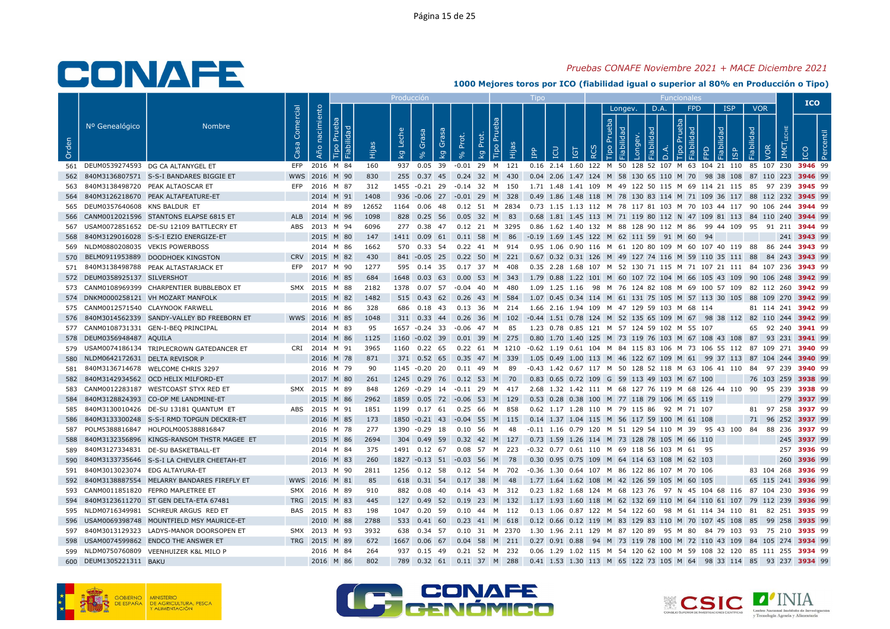## Pruebas CONAFE Noviembre 2021 + MACE Diciembre 2021

|       |                                    |                                                |                   |                   |                     | Producción       |                |                         |       |                                                                                                                         | <b>LIDO</b>  |                                                                              |   |     |         |           | <b>Funcionales</b> |                 |                                  |            |                          |             | <b>ICO</b> |  |
|-------|------------------------------------|------------------------------------------------|-------------------|-------------------|---------------------|------------------|----------------|-------------------------|-------|-------------------------------------------------------------------------------------------------------------------------|--------------|------------------------------------------------------------------------------|---|-----|---------|-----------|--------------------|-----------------|----------------------------------|------------|--------------------------|-------------|------------|--|
| Orden | Nº Genealógico                     | <b>Nombre</b>                                  | Comercial<br>Casa | nacimiento<br>Año | lida<br>ābi<br>Hija | Leche<br>$k_{g}$ | Grasa          | Grasa<br>k <sub>g</sub> | Prot. | Tipo Pru<br>Prot.<br>Hijas<br>kg                                                                                        | $\mathbf{P}$ | <b>CD</b><br>$\overline{5}$                                                  | ∝ | dep | Longev. | D.A.<br>ヮ | deb<br>$\Omega$    | <b>FPD</b><br>모 | <b>ISP</b><br>lidad<br><b>GP</b> | Fiabilidad | <b>VOR</b><br>VOR<br>IM€ |             |            |  |
|       |                                    | 561 DEUM0539274593 DG CA ALTANYGEL ET          |                   | EFP 2016 M 84     | 160                 |                  | 937 0.05 39    |                         |       | -0.01 29 M 121 0.16 2.14 1.60 122 M 50 128 52 107 M 63 104 21 110 85 107 230 3946 99                                    |              |                                                                              |   |     |         |           |                    |                 |                                  |            |                          |             |            |  |
|       |                                    | 562 840M3136807571 S-S-I BANDARES BIGGIE ET    |                   | WWS 2016 M 90     | 830                 |                  |                |                         |       | 255 0.37 45 0.24 32 M 430                                                                                               |              | 0.04 2.06 1.47 124 M 58 130 65 110 M 70 98 38 108 87 110 223 3946 99         |   |     |         |           |                    |                 |                                  |            |                          |             |            |  |
| 563   |                                    | 840M3138498720 PEAK ALTAOSCAR ET               |                   | EFP 2016 M 87     | 312                 |                  |                |                         |       | 1455 -0.21 29 -0.14 32 M 150                                                                                            |              | 1.71 1.48 1.41 109 M 49 122 50 115 M 69 114 21 115 85 97 239 <b>3945</b> 99  |   |     |         |           |                    |                 |                                  |            |                          |             |            |  |
|       |                                    | 564 840M3126218670 PEAK ALTAFEATURE-ET         |                   | 2014 M 91         | 1408                |                  |                |                         |       | 936 -0.06 27 -0.01 29 M 328                                                                                             |              | 0.49 1.86 1.48 118 M 78 130 83 114 M 71 109 36 117 88 112 232 3945 99        |   |     |         |           |                    |                 |                                  |            |                          |             |            |  |
|       | 565 DEUM0357640608 KNS BALDUR ET   |                                                |                   | 2014 M 89         | 12652               |                  | 1164 0.06 48   |                         |       | 0.12 51 M 2834                                                                                                          |              | 0.73 1.15 1.13 112 M 78 117 81 103 M 70 103 44 117 90 106 244 3944 99        |   |     |         |           |                    |                 |                                  |            |                          |             |            |  |
|       |                                    | 566 CANM0012021596 STANTONS ELAPSE 6815 ET     |                   | ALB 2014 M 96     | 1098                |                  |                |                         |       | 828 0.25 56 0.05 32 M 83 0.68 1.81 1.45 113 M 71 119 80 112 N 47 109 81 113 84 110 240 3944 99                          |              |                                                                              |   |     |         |           |                    |                 |                                  |            |                          |             |            |  |
|       |                                    | 567 USAM0072851652 DE-SU 12109 BATTLECRY ET    |                   | ABS 2013 M 94     | 6096                |                  |                |                         |       | 277 0.38 47 0.12 21 M 3295 0.86 1.62 1.40 132 M 88 128 90 112 M 86 99 44 109 95 91 211 3944 99                          |              |                                                                              |   |     |         |           |                    |                 |                                  |            |                          |             |            |  |
|       |                                    | 568 840M3129016028 S-S-I EZIO ENERGIZE-ET      |                   | 2015 M 80         | 147                 |                  |                |                         |       | 1411  0.09  61  0.11  58  M  86                                                                                         |              | $-0.19$ 1.69 1.45 122 M 62 111 59 91 M 60                                    |   |     |         |           |                    | - 94            |                                  |            |                          | 241 3943 99 |            |  |
|       | 569 NLDM0880208035 VEKIS POWERBOSS |                                                |                   | 2014 M 86         | 1662                |                  |                |                         |       | 570  0.33  54  0.22  41  M  914  0.95  1.06  0.90  116  M  61  120  80  109  M  60  107  40  119  88  86  244  3943  99 |              |                                                                              |   |     |         |           |                    |                 |                                  |            |                          |             |            |  |
|       |                                    | 570 BELM0911953889 DOODHOEK KINGSTON           |                   | CRV 2015 M 82     | 430                 |                  |                |                         |       | 841 -0.05 25 0.22 50 M 221 0.67 0.32 0.31 126 M 49 127 74 116 M 59 110 35 111 88                                        |              |                                                                              |   |     |         |           |                    |                 |                                  |            | 84 243 3943 99           |             |            |  |
|       |                                    | 571 840M3138498788 PEAK ALTASTARJACK ET        |                   | EFP 2017 M 90     | 1277                |                  |                |                         |       | 595  0.14  35  0.17  37  M  408                                                                                         |              | 0.35 2.28 1.68 107 M 52 130 71 115 M 71 107 21 111 84 107 236 <b>3943</b> 99 |   |     |         |           |                    |                 |                                  |            |                          |             |            |  |
|       | 572 DEUM0358925137 SILVERSHOT      |                                                |                   | 2016 M 85         | 684                 |                  | 1648 0.03 63   |                         |       | 0.00 53 M 343 1.79 0.88 1.22 101 M 60 107 72 104 M 66 105 43 109 90 106 248 <b>3942</b> 99                              |              |                                                                              |   |     |         |           |                    |                 |                                  |            |                          |             |            |  |
|       |                                    | 573 CANM0108969399 CHARPENTIER BUBBLEBOX ET    |                   | SMX 2015 M 88     | 2182                |                  | 1378  0.07  57 |                         |       | $-0.04$ 40 M<br>480                                                                                                     |              | 1.09 1.25 1.16 98 M 76 124 82 108 M 69 100 57 109 82 112 260 3942 99         |   |     |         |           |                    |                 |                                  |            |                          |             |            |  |
|       |                                    | 574 DNKM0000258121 VH MOZART MANFOLK           |                   | 2015 M 82         | 1482                |                  |                |                         |       | 515 0.43 62 0.26 43 M 584                                                                                               |              | 1.07 0.45 0.34 114 M 61 131 75 105 M 57 113 30 105 88 109 270 3942 99        |   |     |         |           |                    |                 |                                  |            |                          |             |            |  |
|       |                                    | 575 CANM0012571540 CLAYNOOK FARWELL            |                   | 2016 M 86         | 328                 |                  | 686 0.18 43    |                         |       | 0.13 36 M 214 1.66 2.16 1.94 109 M 47 129 59 103 M 68 114                                                               |              |                                                                              |   |     |         |           |                    |                 |                                  |            | 81 114 241 3942 99       |             |            |  |
|       |                                    | 576 840M3014562339 SANDY-VALLEY BD FREEBORN ET |                   | WWS 2016 M 85     | 1048                |                  |                |                         |       | 311 0.33 44 0.26 36 M 102 -0.44 1.51 0.78 124 M 52 135 65 109 M 67 98 38 112 82 110 244 3942 99                         |              |                                                                              |   |     |         |           |                    |                 |                                  |            |                          |             |            |  |
|       |                                    | 577 CANM0108731331 GEN-I-BEQ PRINCIPAL         |                   | 2014 M 83         | 95                  |                  | 1657 -0.24 33  |                         |       | -0.06 47 M 85                                                                                                           |              | 1.23 0.78 0.85 121 M 57 124 59 102 M 55 107                                  |   |     |         |           |                    |                 |                                  |            | 65 92 240 3941 99        |             |            |  |
|       | 578 DEUM0356948487 AQUILA          |                                                |                   | 2014 M 86         | 1125                |                  |                |                         |       | 1160 -0.02 39 0.01 39 M 275                                                                                             |              | 0.80 1.70 1.40 125 M 73 119 76 103 M 67 108 43 108 87 93 231 3941 99         |   |     |         |           |                    |                 |                                  |            |                          |             |            |  |
|       |                                    | 579 USAM0074186134 TRIPLECROWN GATEDANCER ET   |                   | CRI 2014 M 91     | 3965                |                  |                |                         |       | 1160 0.22 65 0.22 61 M 1210 -0.62 1.19 0.61 104 M 84 115 83 106 M 73 106 55 112 87 109 271 3940 99                      |              |                                                                              |   |     |         |           |                    |                 |                                  |            |                          |             |            |  |
|       | 580 NLDM0642172631 DELTA REVISOR P |                                                |                   | 2016 M 78         | 871                 |                  | 371  0.52  65  |                         |       | 0.35 47 M 339                                                                                                           |              | 1.05 0.49 1.00 113 M 46 122 67 109 M 61 99 37 113 87 104 244 3940 99         |   |     |         |           |                    |                 |                                  |            |                          |             |            |  |
| 581   |                                    | 840M3136714678 WELCOME CHRIS 3297              |                   | 2016 M 79         | 90                  |                  | 1145 -0.20 20  |                         |       | 0.11 49 M 89                                                                                                            |              | -0.43 1.42 0.67 117 M 50 128 52 118 M 63 106 41 110 84 97 239 3940 99        |   |     |         |           |                    |                 |                                  |            |                          |             |            |  |
| 582   |                                    | 840M3142934562 OCD HELIX MILFORD-ET            |                   | 2017 M 80         | 261                 |                  |                |                         |       | 1245 0.29 76 0.12 53 M 70                                                                                               |              | 0.83 0.65 0.72 109 G 59 113 49 103 M 67 100                                  |   |     |         |           |                    |                 |                                  |            | 76 103 259 3938 99       |             |            |  |
| 583   |                                    | CANM0012283187 WESTCOAST STYX RED ET           |                   | SMX 2015 M 89     | 848                 |                  | 1269 -0.29 14  |                         |       | -0.11 29 M 417                                                                                                          |              | 2.68 1.32 1.42 111 M 68 127 76 119 M 68 126 44 110 90 95 239 3938 99         |   |     |         |           |                    |                 |                                  |            |                          |             |            |  |
| 584   |                                    | 840M3128824393 CO-OP ME LANDMINE-ET            |                   | 2015 M 86         | 2962                |                  |                |                         |       | 1859 0.05 72 -0.06 53 M 129                                                                                             |              | 0.53 0.28 0.38 100 M 77 118 79 106 M 65 119                                  |   |     |         |           |                    |                 |                                  |            |                          | 279 3937 99 |            |  |
| 585   |                                    | 840M3130010426 DE-SU 13181 QUANTUM ET          |                   | ABS 2015 M 91     | 1851                |                  | 1199  0.17  61 |                         |       | 0.25 66 M 858                                                                                                           |              | 0.62 1.17 1.28 110 M 79 115 86 92 M 71 107                                   |   |     |         |           |                    |                 |                                  |            | 81 97 258 3937 99        |             |            |  |
| 586   |                                    | 840M3133300248 S-S-I RMD TOPGUN DECKER-ET      |                   | 2016 M 85         | 173                 |                  |                |                         |       | 1850 -0.21 43 -0.04 55 M 115 0.14 1.37 1.04 115 M 56 117 59 100 M 61 108                                                |              |                                                                              |   |     |         |           |                    |                 |                                  |            | 71 96 252 3937 99        |             |            |  |
| 587   |                                    | POLM5388816847 HOLPOLM005388816847             |                   | 2016 M 78         | 277                 |                  |                |                         |       | 1390 -0.29 18 0.10 56 M 48                                                                                              |              | -0.11 1.16 0.79 120 M 51 129 54 110 M 39 95 43 100 84 88 236 3937 99         |   |     |         |           |                    |                 |                                  |            |                          |             |            |  |
| 588   |                                    | 840M3132356896 KINGS-RANSOM THSTR MAGEE ET     |                   | 2015 M 86         | 2694                |                  |                |                         |       | 304  0.49  59  0.32  42  M  127                                                                                         |              | 0.73 1.59 1.26 114 M 73 128 78 105 M 66 110                                  |   |     |         |           |                    |                 |                                  |            |                          | 245 3937 99 |            |  |
| 589   |                                    | 840M3127334831 DE-SU BASKETBALL-ET             |                   | 2014 M 84         | 375                 |                  |                |                         |       | 1491  0.12  67  0.08  57  M  223  -0.32  0.77  0.61  110  M  69  118  56  103  M  61  95                                |              |                                                                              |   |     |         |           |                    |                 |                                  |            |                          | 257 3936 99 |            |  |
| 590   |                                    | 840M3133735646 S-S-I LA CHEVLER CHEETAH-ET     |                   | 2016 M 83         | 260                 |                  |                |                         |       | 1827 -0.13 51 -0.03 56 M 78                                                                                             |              | 0.30 0.95 0.75 109 M 64 114 63 108 M 62 103                                  |   |     |         |           |                    |                 |                                  |            |                          | 260 3936 99 |            |  |
| 591   | 840M3013023074 EDG ALTAYURA-ET     |                                                |                   | 2013 M 90         | 2811                |                  | 1256 0.12 58   |                         |       | 0.12 54 M 702                                                                                                           |              | -0.36 1.30 0.64 107 M 86 122 86 107 M 70 106                                 |   |     |         |           |                    |                 |                                  |            | 83 104 268 3936 99       |             |            |  |
|       |                                    | 592 840M3138887554 MELARRY BANDARES FIREFLY ET |                   | WWS 2016 M 81     | 85                  |                  |                |                         |       | 618  0.31  54  0.17  38  M  48                                                                                          |              | 1.77 1.64 1.62 108 M 42 126 59 105 M 60 105                                  |   |     |         |           |                    |                 |                                  |            | 65 115 241 3936 99       |             |            |  |
|       |                                    | 593 CANM0011851820 FEPRO MAPLETREE ET          |                   | SMX 2016 M 89     | 910                 |                  | 882 0.08 40    |                         |       | 0.14 43 M 312 0.23 1.82 1.68 124 M 68 123 76 97 N 45 104 68 116 87 104 230 3936 99                                      |              |                                                                              |   |     |         |           |                    |                 |                                  |            |                          |             |            |  |
|       |                                    | 594 840M3123611270 ST GEN DELTA-ETA 67481      |                   | TRG 2015 M 83     | 445                 |                  |                |                         |       | 127 0.49 52 0.19 23 M 132                                                                                               |              | 1.17 1.93 1.60 118 M 62 132 69 110 M 64 110 61 107 79 112 239 <b>3936</b> 99 |   |     |         |           |                    |                 |                                  |            |                          |             |            |  |
|       |                                    | 595 NLDM0716349981 SCHREUR ARGUS RED ET        |                   | BAS 2015 M 83     | 198                 |                  | 1047  0.20  59 |                         |       | 0.10 44 M 112                                                                                                           |              | 0.13 1.06 0.87 122 M 54 122 60 98 M 61 114 34 110 81 82 251 <b>3935</b> 99   |   |     |         |           |                    |                 |                                  |            |                          |             |            |  |
| 596   |                                    | USAM0069398748 MOUNTFIELD MSY MAURICE-ET       |                   | 2010 M 88         | 2788                |                  | 533 0.41 60    |                         |       | $0.23$ 41 M 618                                                                                                         |              | 0.12 0.66 0.12 119 M 83 129 83 110 M 70 107 45 108 85 99 258 <b>3935</b> 99  |   |     |         |           |                    |                 |                                  |            |                          |             |            |  |
|       |                                    | 597 840M3013129323 LADYS-MANOR DOORSOPEN ET    |                   | SMX 2013 M 93     | 3932                |                  |                |                         |       | 638 0.34 57 0.10 31 M 2370 1.30 1.96 2.11 129 M 87 120 89 95 M 80 84 79 103 93 75 210 3935 99                           |              |                                                                              |   |     |         |           |                    |                 |                                  |            |                          |             |            |  |
| 598   |                                    | USAM0074599862 ENDCO THE ANSWER ET             |                   | TRG 2015 M 89     | 672                 |                  |                |                         |       | 1667 0.06 67 0.04 58 M 211                                                                                              |              | 0.27 0.91 0.88 94 M 73 119 78 100 M 72 110 43 109 84 105 274 3934 99         |   |     |         |           |                    |                 |                                  |            |                          |             |            |  |
|       |                                    | 599 NLDM0750760809 VEENHUIZER K&L MILO P       |                   | 2016 M 84         | 264                 |                  |                |                         |       | 937  0.15  49  0.21  52  M  232                                                                                         |              | 0.06 1.29 1.02 115 M 54 120 62 100 M 59 108 32 120 85 111 255 <b>3934</b> 99 |   |     |         |           |                    |                 |                                  |            |                          |             |            |  |
|       | 600 DEUM1305221311 BAKU            |                                                |                   | 2016 M 86         | 802                 |                  |                |                         |       | 789 0.32 61 0.11 37 M 288                                                                                               |              | 0.41 1.53 1.30 113 M 65 122 73 105 M 64 98 33 114 85 93 237 3934 99          |   |     |         |           |                    |                 |                                  |            |                          |             |            |  |
|       |                                    |                                                |                   |                   |                     |                  |                |                         |       |                                                                                                                         |              |                                                                              |   |     |         |           |                    |                 |                                  |            |                          |             |            |  |





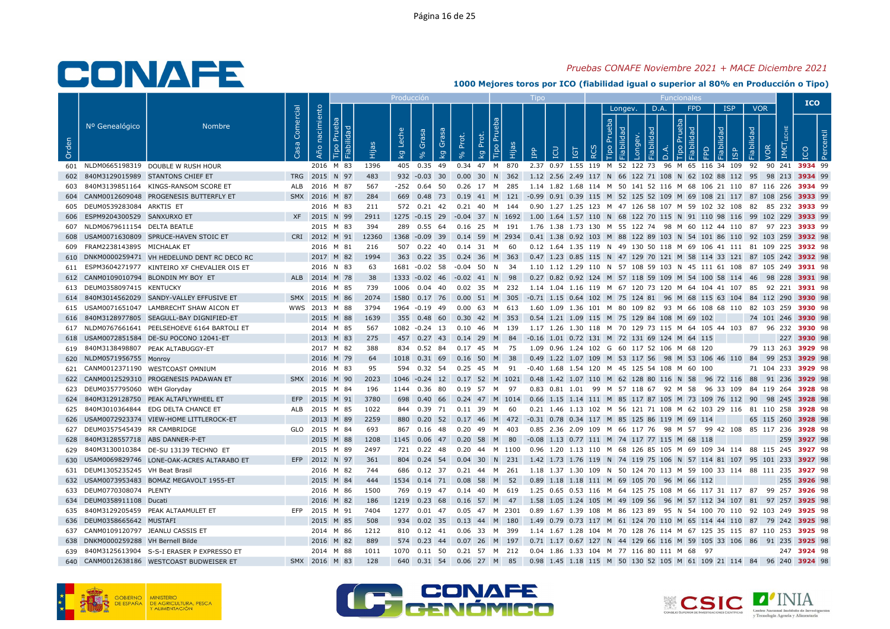## Pruebas CONAFE Noviembre 2021 + MACE Diciembre 2021

|       |                                     |                                                 |                        |                                     |       | Producción       |                                  |       |                         |                              | <b>LIDO</b>                                                                                         |           |          |         |      | <b>Funcionales</b> |                 |                                  |                          |                    |             | <b>ICO</b> |  |
|-------|-------------------------------------|-------------------------------------------------|------------------------|-------------------------------------|-------|------------------|----------------------------------|-------|-------------------------|------------------------------|-----------------------------------------------------------------------------------------------------|-----------|----------|---------|------|--------------------|-----------------|----------------------------------|--------------------------|--------------------|-------------|------------|--|
| Orden | Nº Genealógico                      | <b>Nombre</b>                                   | Comercial<br><b>Sa</b> | nacimiento<br>르<br>Año<br>ia<br>abi |       | Leche<br>$k_{g}$ | Grasa<br>Grasa<br>k <sub>g</sub> | Prot. | Tipo Pru<br>Prot.<br>kg | Hijas                        | <b>CD</b><br>$\mathbf{P}$                                                                           | <b>ig</b> | dep<br>∝ | Longev. | D.A. | deb                | <b>FPD</b><br>ᅙ | <b>ISP</b><br>lidad<br><b>GP</b> | <b>VOR</b><br>Fiabilidad | <b>JOR</b>         |             |            |  |
|       |                                     | 601 NLDM0665198319 DOUBLE W RUSH HOUR           |                        | 2016 M 83                           | 1396  |                  | 405  0.35  49  0.34  47  M  870  |       |                         |                              | 2.37 0.97 1.55 119 M 52 122 73 96 M 65 116 34 109 92 90 241 3934 99                                 |           |          |         |      |                    |                 |                                  |                          |                    |             |            |  |
|       |                                     | 602 840M3129015989 STANTONS CHIEF ET            |                        | TRG 2015 N 97                       | 483   |                  |                                  |       |                         |                              | 932 -0.03 30 0.00 30 N 362 1.12 2.56 2.49 117 N 66 122 71 108 N 62 102 88 112 95 98 213 3934 99     |           |          |         |      |                    |                 |                                  |                          |                    |             |            |  |
|       |                                     | 840M3139851164 KINGS-RANSOM SCORE ET            |                        | ALB 2016 M 87                       | 567   |                  | -252  0.64  50                   |       | 0.26 17 M 285           |                              | 1.14 1.82 1.68 114 M 50 141 52 116 M 68 106 21 110 87 116 226 <b>3934</b> 99                        |           |          |         |      |                    |                 |                                  |                          |                    |             |            |  |
|       |                                     | 604 CANM0012609048 PROGENESIS BUTTERFLY ET      |                        | SMX 2016 M 87                       | 284   |                  |                                  |       |                         |                              | 669 0.48 73 0.19 41 M 121 -0.99 0.91 0.39 115 M 52 125 52 109 M 69 108 21 117 87 108 256 3933 99    |           |          |         |      |                    |                 |                                  |                          |                    |             |            |  |
|       | 605 DEUM0539283084 ARKTIS ET        |                                                 |                        | 2016 M 83                           | 211   |                  | 572  0.21  42                    |       | 0.21 40 M 144           |                              | 0.90 1.27 1.25 123 M 47 126 58 107 M 59 102 32 108 82 85 232 3933 99                                |           |          |         |      |                    |                 |                                  |                          |                    |             |            |  |
|       | 606 ESPM9204300529 SANXURXO ET      |                                                 |                        | XF 2015 N 99                        | 2911  |                  |                                  |       |                         |                              | 1275 -0.15 29 -0.04 37 N 1692 1.00 1.64 1.57 110 N 68 122 70 115 N 91 110 98 116 99 102 229 3933 99 |           |          |         |      |                    |                 |                                  |                          |                    |             |            |  |
|       | 607 NLDM0679611154 DELTA BEATLE     |                                                 |                        | 2015 M 83                           | 394   |                  | 289 0.55 64                      |       |                         |                              | 0.16 25 M 191  1.76 1.38 1.73 130 M 55 122 74  98 M 60 112 44 110  87  97 223 <b>3933</b> 99        |           |          |         |      |                    |                 |                                  |                          |                    |             |            |  |
|       |                                     | 608 USAM0071630809 SPRUCE-HAVEN STOIC ET        |                        | CRI 2012 M 91                       | 12360 |                  | 1368 -0.09 39                    |       |                         |                              | 0.14 59 M 2934  0.41 1.38 0.92 103 M 88 122 89 103 N 54 101 86 110 92 103 259 <b>3932</b> 98        |           |          |         |      |                    |                 |                                  |                          |                    |             |            |  |
|       | 609 FRAM2238143895 MICHALAK ET      |                                                 |                        | 2016 M 81                           | 216   |                  | 507  0.22  40  0.14  31  M  60   |       |                         |                              | 0.12 1.64 1.35 119 N 49 130 50 118 M 69 106 41 111 81 109 225 3932 98                               |           |          |         |      |                    |                 |                                  |                          |                    |             |            |  |
|       |                                     | 610 DNKM0000259471 VH HEDELUND DENT RC DECO RC  |                        | 2017 M 82                           | 1994  |                  | 363 0.22 35                      |       | 0.24 36 M 363           |                              | 0.47 1.23 0.85 115 N 47 129 70 121 M 58 114 33 121 87 105 242 3932 98                               |           |          |         |      |                    |                 |                                  |                          |                    |             |            |  |
|       |                                     | 611 ESPM3604271977 KINTEIRO XF CHEVALIER OIS ET |                        | 2016 N 83                           | 63    |                  | 1681 -0.02 58                    |       | $-0.04$ 50 N 34         |                              | 1.10 1.12 1.29 110 N 57 108 59 103 N 45 111 61 108 87 105 249 <b>3931</b> 98                        |           |          |         |      |                    |                 |                                  |                          |                    |             |            |  |
|       |                                     | 612 CANM0109010794 BLONDIN MY BOY ET            |                        | ALB 2014 M 78                       | 38    |                  | 1333 -0.02 46 -0.02 41 N 98      |       |                         |                              | 0.27 0.82 0.92 124 M 57 118 59 109 M 54 100 58 114 46 98 228 3931 98                                |           |          |         |      |                    |                 |                                  |                          |                    |             |            |  |
|       | 613 DEUM0358097415 KENTUCKY         |                                                 |                        | 2016 M 85                           | 739   |                  | 1006  0.04  40                   |       | 0.02 35 M 232           |                              | 1.14 1.04 1.16 119 M 67 120 73 120 M 64 104 41 107 85 92 221 3931 98                                |           |          |         |      |                    |                 |                                  |                          |                    |             |            |  |
|       |                                     | 614 840M3014562029 SANDY-VALLEY EFFUSIVE ET     |                        | SMX 2015 M 86                       | 2074  |                  |                                  |       |                         |                              | 1580 0.17 76 0.00 51 M 305 -0.71 1.15 0.64 102 M 75 124 81 96 M 68 115 63 104 84 112 290 3930 98    |           |          |         |      |                    |                 |                                  |                          |                    |             |            |  |
|       |                                     | 615 USAM0071651047 LAMBRECHT SHAW AICON ET      |                        | WWS 2013 M 88                       | 3794  |                  | 1964 - 0.19 49                   |       | 0.00 63 M 613           |                              | 1.60 1.09 1.36 101 M 80 109 82 93 M 66 108 68 110 82 103 259 <b>3930</b> 98                         |           |          |         |      |                    |                 |                                  |                          |                    |             |            |  |
|       |                                     | 616 840M3128977805 SEAGULL-BAY DIGNIFIED-ET     |                        | 2015 M 88                           | 1639  |                  | 355  0.48  60                    |       |                         |                              | 0.30 42 M 353 0.54 1.21 1.09 115 M 75 129 84 108 M 69 102                                           |           |          |         |      |                    |                 |                                  |                          | 74 101 246 3930 98 |             |            |  |
|       |                                     | 617 NLDM0767661641 PEELSEHOEVE 6164 BARTOLI ET  |                        | 2014 M 85                           | 567   |                  | 1082 -0.24 13                    |       | 0.10 46 M 139           |                              | 1.17 1.26 1.30 118 M 70 129 73 115 M 64 105 44 103 87 96 232 <b>3930</b> 98                         |           |          |         |      |                    |                 |                                  |                          |                    |             |            |  |
|       |                                     | 618 USAM0072851584 DE-SU POCONO 12041-ET        |                        | 2013 M 83                           | 275   |                  | 457 0.27 43 0.14 29 M 84         |       |                         |                              | -0.16 1.01 0.72 131 M 72 131 69 124 M 64 115                                                        |           |          |         |      |                    |                 |                                  |                          |                    | 227 3930 98 |            |  |
|       |                                     | 619 840M3138498807 PEAK ALTABUGGY-ET            |                        | 2017 M 82                           | 388   |                  | 834 0.52 84 0.17 45 M 75         |       |                         |                              | 1.09  0.96  1.24  102  G  60  117  52  106  M  68  120                                              |           |          |         |      |                    |                 |                                  |                          | 79 113 263 3929 98 |             |            |  |
|       | 620 NLDM0571956755 Monroy           |                                                 |                        | 2016 M 79                           | 64    |                  | 1018  0.31  69                   |       | $0.16$ 50 M             | 38                           | 0.49 1.22 1.07 109 M 53 117 56 98 M 53 106 46 110 84 99 253 3929 98                                 |           |          |         |      |                    |                 |                                  |                          |                    |             |            |  |
|       |                                     | 621 CANM0012371190 WESTCOAST OMNIUM             |                        | 2016 M 83                           | 95    |                  | 594 0.32 54                      |       | 0.25 45 M 91            |                              | -0.40 1.68 1.54 120 M 45 125 54 108 M 60 100                                                        |           |          |         |      |                    |                 |                                  |                          | 71 104 233 3929 98 |             |            |  |
|       |                                     | 622 CANM0012529310 PROGENESIS PADAWAN ET        |                        | SMX 2016 M 90                       | 2023  |                  |                                  |       |                         | 1046 -0.24 12 0.17 52 M 1021 | 0.48 1.42 1.07 110 M 62 128 80 116 N 58 96 72 116 88 91 236 3929 98                                 |           |          |         |      |                    |                 |                                  |                          |                    |             |            |  |
|       | 623 DEUM0357795060 WEH Gloryday     |                                                 |                        | 2015 M 84                           | 196   |                  | 1144 0.36 80                     |       | 0.19 57 M               | 97                           | 0.83 0.81 1.01 99 M 57 118 67 92 M 58 96 33 109 84 119 264 3928 98                                  |           |          |         |      |                    |                 |                                  |                          |                    |             |            |  |
|       |                                     | 624 840M3129128750 PEAK ALTAFLYWHEEL ET         |                        | EFP 2015 M 91                       | 3780  |                  |                                  |       |                         |                              | 698 0.40 66 0.24 47 M 1014 0.66 1.15 1.14 111 M 85 117 87 105 M 73 109 76 112 90 98 245 3928 98     |           |          |         |      |                    |                 |                                  |                          |                    |             |            |  |
| 625   |                                     | 840M3010364844 EDG DELTA CHANCE ET              |                        | ALB 2015 M 85                       | 1022  |                  | 844 0.39 71                      |       | 0.11 39 M               | - 60                         | 0.21 1.46 1.13 102 M 56 121 71 108 M 62 103 29 116 81 110 258 3928 98                               |           |          |         |      |                    |                 |                                  |                          |                    |             |            |  |
|       |                                     | 626 USAM0072923374 VIEW-HOME LITTLEROCK-ET      |                        | 2013 M 89                           | 2259  |                  |                                  |       |                         |                              | 880 0.20 52 0.17 46 M 472 -0.31 0.78 0.34 117 M 85 125 86 119 M 69 114                              |           |          |         |      |                    |                 |                                  |                          | 65 115 260 3928 98 |             |            |  |
|       | 627 DEUM0357545439 RR CAMBRIDGE     |                                                 |                        | GLO 2015 M 84                       | 693   |                  | 867 0.16 48 0.20 49 M 403        |       |                         |                              | 0.85 2.36 2.09 109 M 66 117 76 98 M 57 99 42 108 85 117 236 3928 98                                 |           |          |         |      |                    |                 |                                  |                          |                    |             |            |  |
| 628   | 840M3128557718 ABS DANNER-P-ET      |                                                 |                        | 2015 M 88                           | 1208  |                  |                                  |       |                         |                              | 1145  0.06  47  0.20  58  M  80  -0.08  1.13  0.77  111  M  74  117  77  115  M  68  118            |           |          |         |      |                    |                 |                                  |                          |                    | 259 3927 98 |            |  |
| 629   |                                     | 840M3130010384 DE-SU 13139 TECHNO ET            |                        | 2015 M 89                           | 2497  |                  | 721 0.22 48                      |       |                         |                              | 0.20 44 M 1100 0.96 1.20 1.13 110 M 68 126 85 105 M 69 109 34 114 88 115 245 <b>3927</b> 98         |           |          |         |      |                    |                 |                                  |                          |                    |             |            |  |
|       |                                     | 630 USAM0069829746 LONE-OAK-ACRES ALTARABO ET   |                        | EFP 2012 N 97                       | 361   |                  |                                  |       |                         |                              | 804 0.24 54 0.04 30 N 231 1.42 1.73 1.76 119 N 74 119 75 106 N 57 114 81 107 95 101 233 3927 98     |           |          |         |      |                    |                 |                                  |                          |                    |             |            |  |
| 631   | DEUM1305235245 VH Beat Brasil       |                                                 |                        | 2016 M 82                           | 744   |                  | 686 0.12 37                      |       | 0.21 44 M 261           |                              | 1.18 1.37 1.30 109 N 50 124 70 113 M 59 100 33 114 88 111 235 <b>3927</b> 98                        |           |          |         |      |                    |                 |                                  |                          |                    |             |            |  |
|       |                                     | 632 USAM0073953483 BOMAZ MEGAVOLT 1955-ET       |                        | 2015 M 84                           | 444   |                  | 1534 0.14 71 0.08 58 M 52        |       |                         |                              | 0.89 1.18 1.18 111 M 69 105 70 96 M 66 112                                                          |           |          |         |      |                    |                 |                                  |                          |                    | 255 3926 98 |            |  |
|       | 633 DEUM0770308074 PLENTY           |                                                 |                        | 2016 M 86                           | 1500  |                  | 769  0.19  47  0.14  40  M  619  |       |                         |                              | 1.25 0.65 0.53 116 M 64 125 75 108 M 66 117 31 117 87 99 257 <b>3926</b> 98                         |           |          |         |      |                    |                 |                                  |                          |                    |             |            |  |
|       | 634 DEUM0358911108 Ducati           |                                                 |                        | 2016 M 82                           | 186   |                  | 1219 0.23 68                     |       | 0.16 57 M 47            |                              | 1.58 1.05 1.24 105 M 49 109 56 96 M 57 112 34 107 81 97 257 3925 98                                 |           |          |         |      |                    |                 |                                  |                          |                    |             |            |  |
|       |                                     | 635 840M3129205459 PEAK ALTAAMULET ET           |                        | EFP 2015 M 91                       | 7404  |                  | 1277  0.01  47                   |       | 0.05 47 M 2301          |                              | 0.89 1.67 1.39 108 M 86 123 89 95 N 54 100 70 110 92 103 249 <b>3925</b> 98                         |           |          |         |      |                    |                 |                                  |                          |                    |             |            |  |
|       | 636 DEUM0358665642 MUSTAFI          |                                                 |                        | 2015 M 85                           | 508   |                  | 934 0.02 35                      |       | 0.13 44 M 180           |                              | 1.49 0.79 0.73 117 M 61 124 70 110 M 65 114 44 110 87 79 242 3925 98                                |           |          |         |      |                    |                 |                                  |                          |                    |             |            |  |
|       | 637 CANM0109120797 JEANLU CASSIS ET |                                                 |                        | 2014 M 86                           | 1212  |                  | 810 0.12 41 0.06 33 M 399        |       |                         |                              | 1.14 1.67 1.28 104 M 70 128 76 114 M 67 125 35 115 87 110 253 3925 98                               |           |          |         |      |                    |                 |                                  |                          |                    |             |            |  |
|       | 638 DNKM0000259288 VH Bernell Bilde |                                                 |                        | 2016 M 82                           | 889   |                  | 574 0.23 44                      |       | 0.07 26 M 197           |                              | 0.71 1.17 0.67 127 N 44 129 66 116 M 59 105 33 106 86 91 235 3925 98                                |           |          |         |      |                    |                 |                                  |                          |                    |             |            |  |
| 639   |                                     | 840M3125613904 S-S-I ERASER P EXPRESSO ET       |                        | 2014 M 88                           | 1011  |                  | 1070  0.11  50                   |       | 0.21 57 M 212           |                              | 0.04 1.86 1.33 104 M 77 116 80 111 M 68 97                                                          |           |          |         |      |                    |                 |                                  |                          |                    | 247 3924 98 |            |  |
|       |                                     | 640 CANM0012638186 WESTCOAST BUDWEISER ET       |                        | SMX 2016 M 83                       | 128   |                  | 640 0.31 54 0.06 27 M 85         |       |                         |                              | 0.98 1.45 1.18 115 M 50 130 52 105 M 61 109 21 114 84 96 240 3924 98                                |           |          |         |      |                    |                 |                                  |                          |                    |             |            |  |







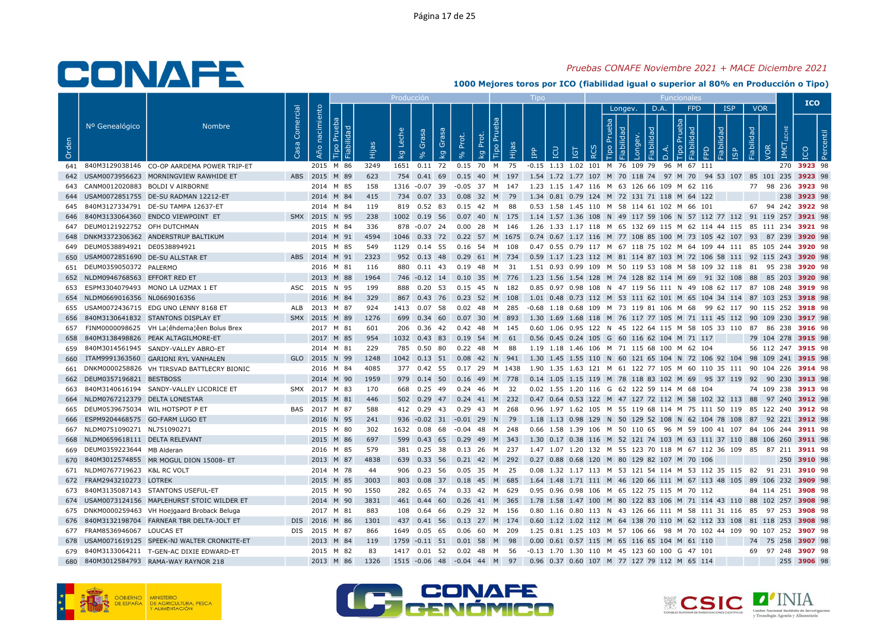## Pruebas CONAFE Noviembre 2021 + MACE Diciembre 2021

|       |                                     |                                                |           |                        |      | Producción              |                |                                   |             |                             | $\mathsf{I}$ independent                                                                                               |     |                                    |         |           | <b>Funcionales</b> |                  |                                  |                                 |            | <b>ICO</b>         |                |
|-------|-------------------------------------|------------------------------------------------|-----------|------------------------|------|-------------------------|----------------|-----------------------------------|-------------|-----------------------------|------------------------------------------------------------------------------------------------------------------------|-----|------------------------------------|---------|-----------|--------------------|------------------|----------------------------------|---------------------------------|------------|--------------------|----------------|
| Orden | Nº Genealógico                      | <b>Nombre</b>                                  | Comercial | nacimiento<br>Año<br>் |      | Leche<br>k <sub>g</sub> | Grasa          | Grasa<br>Prot.<br>kg              | Prot.<br>kg | <b>Tipo Pru</b><br>ia       | EQ<br>$\mathbb{R}$                                                                                                     | IGT | deb<br>$\circ$<br>$\breve{\alpha}$ | Longev. | D.A.<br>응 | deb                | <b>FPD</b><br>ਾਦ | <b>ISP</b><br>lidad<br><b>GP</b> | <b>VOR</b><br>Fiabilidad<br>VOR | <b>IME</b> | <b>DOI</b>         | $\overline{2}$ |
|       |                                     | 641 840M3129038146 CO-OP AARDEMA POWER TRIP-ET |           | 2015 M 86              | 3249 |                         |                |                                   |             |                             | 1651  0.11  72  0.15  70  M  75  -0.15  1.13  1.02  101  M  76  109  79  96  M  67  111                                |     |                                    |         |           |                    |                  |                                  |                                 |            | 270 3923 98        |                |
|       |                                     | 642 USAM0073956623 MORNINGVIEW RAWHIDE ET      |           | ABS 2015 M 89          | 623  |                         |                |                                   |             |                             | 754 0.41 69 0.15 40 M 197 1.54 1.72 1.77 107 M 70 118 74 97 M 70 94 53 107 85 101 235 3923 98                          |     |                                    |         |           |                    |                  |                                  |                                 |            |                    |                |
|       |                                     | 643 CANM0012020883 BOLDI V AIRBORNE            |           | 2014 M 85              | 158  |                         |                |                                   |             |                             | 1316 -0.07 39 -0.05 37 M 147 1.23 1.15 1.47 116 M 63 126 66 109 M 62 116                                               |     |                                    |         |           |                    |                  |                                  | 77 98 236 3923 98               |            |                    |                |
|       |                                     | 644 USAM0072851755 DE-SU RADMAN 12212-ET       |           | 2014 M 84              | 415  |                         |                |                                   |             |                             | 734 0.07 33 0.08 32 M 79 1.34 0.81 0.79 124 M 72 131 71 118 M 64 122                                                   |     |                                    |         |           |                    |                  |                                  |                                 |            | 238 3923 98        |                |
|       |                                     | 645 840M3127334791 DE-SU TAMPA 12637-ET        |           | 2014 M 84              | 119  |                         | 819 0.52 83    |                                   |             |                             | 0.53 1.58 1.45 110 M 58 114 61 102 M 66 101                                                                            |     |                                    |         |           |                    |                  |                                  |                                 |            | 67 94 242 3922 98  |                |
|       |                                     | 646 840M3133064360 ENDCO VIEWPOINT ET          |           | SMX 2015 N 95          | 238  |                         |                |                                   |             |                             | 1002 0.19 56 0.07 40 N 175 1.14 1.57 1.36 108 N 49 117 59 106 N 57 112 77 112 91 119 257 3921 98                       |     |                                    |         |           |                    |                  |                                  |                                 |            |                    |                |
|       | 647 DEUM0121922752 OFH DUTCHMAN     |                                                |           | 2015 M 84              | 336  |                         | 878 -0.07 24   |                                   |             |                             | 0.00 28 M 146 1.26 1.33 1.17 118 M 65 132 69 115 M 62 114 44 115 85 111 234 <b>3921</b> 98                             |     |                                    |         |           |                    |                  |                                  |                                 |            |                    |                |
|       |                                     | 648 DNKM3372306362 ANDERSTRUP BALTIKUM         |           | 2014 M 91              | 4594 |                         |                |                                   |             |                             | 1046 0.33 72 0.22 57 M 1675 0.74 0.67 1.17 116 M 77 108 85 100 M 73 105 42 107 93 87 239 3920 98                       |     |                                    |         |           |                    |                  |                                  |                                 |            |                    |                |
|       | 649 DEUM0538894921 DE0538894921     |                                                |           | 2015 M 85              | 549  |                         |                | 1129  0.14  55  0.16  54  M  108  |             |                             | 0.47 0.55 0.79 117 M 67 118 75 102 M 64 109 44 111 85 105 244 3920 98                                                  |     |                                    |         |           |                    |                  |                                  |                                 |            |                    |                |
|       | 650 USAM0072851690 DE-SU ALLSTAR ET |                                                |           | ABS 2014 M 91          | 2323 |                         |                |                                   |             |                             | 952 0.13 48 0.29 61 M 734 0.59 1.17 1.23 112 M 81 114 87 103 M 72 106 58 111 92 115 243 3920 98                        |     |                                    |         |           |                    |                  |                                  |                                 |            |                    |                |
|       | 651 DEUM0359050372 PALERMO          |                                                |           | 2016 M 81              | 116  |                         |                |                                   |             |                             | 880 0.11 43 0.19 48 M 31 1.51 0.93 0.99 109 M 50 119 53 108 M 58 109 32 118 81 95 238 3920 98                          |     |                                    |         |           |                    |                  |                                  |                                 |            |                    |                |
|       | 652 NLDM0946768563 EFFORT RED ET    |                                                |           | 2013 M 88              | 1964 |                         |                |                                   |             |                             | 746 -0.12 14 0.10 35 M 776 1.23 1.56 1.54 128 M 74 128 82 114 M 69 91 32 108 88 85 203 3920 98                         |     |                                    |         |           |                    |                  |                                  |                                 |            |                    |                |
|       |                                     | 653 ESPM3304079493 MONO LA UZMAX 1 ET          |           | ASC 2015 N 95          | 199  |                         | 888 0.20 53    |                                   |             | 0.15 45 N 182               | 0.85 0.97 0.98 108 N 47 119 56 111 N 49 108 62 117 87 108 248 3919 98                                                  |     |                                    |         |           |                    |                  |                                  |                                 |            |                    |                |
|       | 654 NLDM0669016356 NL0669016356     |                                                |           | 2016 M 84              | 329  |                         |                |                                   |             |                             | 867 0.43 76 0.23 52 M 108 1.01 0.48 0.73 112 M 53 111 62 101 M 65 104 34 114 87 103 253 3918 98                        |     |                                    |         |           |                    |                  |                                  |                                 |            |                    |                |
|       |                                     | 655 USAM0072436715 EDG UNO LENNY 8168 ET       |           | ALB 2013 M 87          | 924  |                         | 1413 0.07 58   |                                   |             | 0.02 48 M 285               | -0.68 1.18 0.68 109 M 73 119 81 106 M 68 99 62 117 90 115 252 <b>3918</b> 98                                           |     |                                    |         |           |                    |                  |                                  |                                 |            |                    |                |
| 656   |                                     | 840M3130641832 STANTONS DISPLAY ET             |           | SMX 2015 M 89          | 1276 |                         |                | 699  0.34  60  0.07  30  M  893   |             |                             | 1.30 1.69 1.68 118 M 76 117 77 105 M 71 111 45 112 90 109 230 3917 98                                                  |     |                                    |         |           |                    |                  |                                  |                                 |            |                    |                |
| 657   |                                     | FINM0000098625 VH La¦êhdema¦êen Bolus Brex     |           | 2017 M 81              | 601  |                         |                | 206  0.36  42  0.42  48  M  145   |             |                             | 0.60 1.06 0.95 122 N 45 122 64 115 M 58 105 33 110 87 86 238 <b>3916</b> 98                                            |     |                                    |         |           |                    |                  |                                  |                                 |            |                    |                |
| 658   |                                     | 840M3138498826 PEAK ALTAGILMORE-ET             |           | 2017 M 85              | 954  |                         |                | 1032 0.43 83 0.19 54 M 61         |             |                             | 0.56 0.45 0.24 105 G 60 116 62 104 M 71 117                                                                            |     |                                    |         |           |                    |                  |                                  | 79 104 278 3915 98              |            |                    |                |
|       |                                     | 659 840M3014561945 SANDY-VALLEY ABRO-ET        |           | 2014 M 81              | 229  |                         |                | 785  0.50  80  0.22  48  M  88    |             |                             | 1.19 1.18 1.46 106 M 71 115 68 100 M 62 104                                                                            |     |                                    |         |           |                    |                  |                                  |                                 |            | 56 112 247 3915 98 |                |
| 660   |                                     | ITAM9991363560 GARIONI RYL VANHALEN            |           | GLO 2015 N 99          | 1248 |                         |                |                                   |             |                             | 1042 0.13 51 0.08 42 N 941 1.30 1.45 1.55 110 N 60 121 65 104 N 72 106 92 104 98 109 241 3915 98                       |     |                                    |         |           |                    |                  |                                  |                                 |            |                    |                |
|       |                                     | 661 DNKM0000258826 VH TIRSVAD BATTLECRY BIONIC |           | 2016 M 84              | 4085 |                         | 377 0.42 55    |                                   |             |                             | 0.17 29 M 1438 1.90 1.35 1.63 121 M 61 122 77 105 M 60 110 35 111 90 104 226 <b>3914</b> 98                            |     |                                    |         |           |                    |                  |                                  |                                 |            |                    |                |
|       | 662 DEUM0357196821 BESTBOSS         |                                                |           | 2014 M 90              | 1959 |                         |                |                                   |             |                             | 979  0.14  50  0.16  49  M  778  0.14  1.05  1.15  119  M  78  118  83  102  M  69  95  37  119  92  90  230  3913  98 |     |                                    |         |           |                    |                  |                                  |                                 |            |                    |                |
| 663   |                                     | 840M3140616194 SANDY-VALLEY LICORICE ET        |           | SMX 2017 M 83          | 170  |                         | 668 0.25 49    |                                   |             | 0.24 46 M 32                | 0.02 1.55 1.20 116 G 62 122 59 114 M 68 104                                                                            |     |                                    |         |           |                    |                  |                                  |                                 |            | 74 109 238 3913 98 |                |
|       | 664 NLDM0767212379 DELTA LONESTAR   |                                                |           | 2015 M 81              | 446  |                         |                |                                   |             |                             | 502 0.29 47 0.24 41 M 232 0.47 0.64 0.53 122 M 47 127 72 112 M 58 102 32 113 88 97 240 3912 98                         |     |                                    |         |           |                    |                  |                                  |                                 |            |                    |                |
|       | 665 DEUM0539675034 WIL HOTSPOT P ET |                                                |           | BAS 2017 M 87          | 588  |                         |                | 412 0.29 43 0.29 43 M 268         |             |                             | 0.96 1.97 1.62 105 M 55 119 68 114 M 75 111 50 119 85 122 240 <b>3912</b> 98                                           |     |                                    |         |           |                    |                  |                                  |                                 |            |                    |                |
|       | 666 ESPM9204468575 GO-FARM LUGO ET  |                                                |           | 2016 N 95              | 241  |                         |                | 936 -0.02 31 -0.01 29 N 79        |             |                             | 1.18 1.13 0.98 129 N 50 129 52 108 N 62 104 78 108 87 92 221 3912 98                                                   |     |                                    |         |           |                    |                  |                                  |                                 |            |                    |                |
|       | 667 NLDM0751090271 NL751090271      |                                                |           | 2015 M 80              | 302  |                         |                | 1632  0.08  68  -0.04  48  M  248 |             |                             | 0.66 1.58 1.39 106 M 50 110 65 96 M 59 100 41 107 84 106 244 3911 98                                                   |     |                                    |         |           |                    |                  |                                  |                                 |            |                    |                |
|       | 668 NLDM0659618111 DELTA RELEVANT   |                                                |           | 2015 M 86              | 697  |                         |                | 599  0.43  65  0.29  49  M  343   |             |                             | 1.30 0.17 0.38 116 M 52 121 74 103 M 63 111 37 110 88 106 260 3911 98                                                  |     |                                    |         |           |                    |                  |                                  |                                 |            |                    |                |
|       | 669 DEUM0359223644 MB Alderan       |                                                |           | 2016 M 85              | 579  |                         |                | 381  0.25  38  0.13  26  M  237   |             |                             | 1.47 1.07 1.20 132 M 55 123 70 118 M 67 112 36 109 85 87 211 <b>3911</b> 98                                            |     |                                    |         |           |                    |                  |                                  |                                 |            |                    |                |
| 670   |                                     | 840M3012574855 MR MOGUL DION 15008-ET          |           | 2013 M 87              | 4838 |                         |                | 639 0.33 56 0.21 42 M 292         |             |                             | 0.27 0.88 0.68 120 M 80 129 82 107 M 70 106                                                                            |     |                                    |         |           |                    |                  |                                  |                                 |            | 250 3910 98        |                |
|       | 671 NLDM0767719623 K&L RC VOLT      |                                                |           | 2014 M 78              | 44   |                         | 906  0.23  56  |                                   |             | 0.05 35 M 25                | 0.08 1.32 1.17 113 M 53 121 54 114 M 53 112 35 115 82 91 231 3910 98                                                   |     |                                    |         |           |                    |                  |                                  |                                 |            |                    |                |
|       | 672 FRAM2943210273 LOTREK           |                                                |           | 2015 M 85              | 3003 |                         |                | 803 0.08 37 0.18 45 M 685         |             |                             | 1.64 1.48 1.71 111 M 46 120 66 111 M 67 113 48 105 89 106 232 3909 98                                                  |     |                                    |         |           |                    |                  |                                  |                                 |            |                    |                |
|       |                                     | 673 840M3135087143 STANTONS USEFUL-ET          |           | 2015 M 90              | 1550 |                         |                | 282 0.65 74 0.33 42 M 629         |             |                             | 0.95 0.96 0.98 106 M 65 122 75 115 M 70 112                                                                            |     |                                    |         |           |                    |                  |                                  |                                 |            | 84 114 251 3908 98 |                |
|       |                                     | 674 USAM0073124156 MAPLEHURST STOIC WILDER ET  |           | 2014 M 90              | 3831 |                         | 461 0.44 60    |                                   |             | 0.26 41 M 365               | 1.78 1.58 1.47 100 M 80 122 83 106 M 71 114 43 110 88 102 257 3908 98                                                  |     |                                    |         |           |                    |                  |                                  |                                 |            |                    |                |
|       |                                     | 675 DNKM0000259463 VH Hoejgaard Broback Beluga |           | 2017 M 81              | 883  |                         | 108  0.64  66  |                                   |             | 0.29 32 M 156               | 0.80 1.16 0.80 113 N 43 126 66 111 M 58 111 31 116 85 97 253 3908 98                                                   |     |                                    |         |           |                    |                  |                                  |                                 |            |                    |                |
|       |                                     | 676 840M3132198704 FARNEAR TBR DELTA-JOLT ET   |           | DIS 2016 M 86          | 1301 |                         | 437 0.41 56    |                                   |             | $0.13$ 27 M 174             | 0.60 1.12 1.02 112 M 64 138 70 110 M 62 112 33 108 81 118 253 3908 98                                                  |     |                                    |         |           |                    |                  |                                  |                                 |            |                    |                |
|       | 677 FRAM8536946067 LOUCAS ET        |                                                |           | DIS 2015 M 87          | 866  |                         |                | 1649  0.05  65  0.06  60  M  209  |             |                             | 1.25 0.81 1.25 103 M 57 106 66  98 M 70 102 44 109  90 107 252 <b>3907</b> 98                                          |     |                                    |         |           |                    |                  |                                  |                                 |            |                    |                |
|       |                                     | 678 USAM0071619125 SPEEK-NJ WALTER CRONKITE-ET |           | 2013 M 84              | 119  |                         |                | 1759 -0.11 51 0.01 58 M 98        |             |                             | 0.00 0.61 0.57 115 M 65 116 65 104 M 61 110                                                                            |     |                                    |         |           |                    |                  |                                  | 74 75 258 3907 98               |            |                    |                |
|       |                                     | 679 840M3133064211 T-GEN-AC DIXIE EDWARD-ET    |           | 2015 M 82              | 83   |                         | 1417  0.01  52 |                                   |             | 0.02 48 M 56                | -0.13 1.70 1.30 110 M 45 123 60 100 G 47 101                                                                           |     |                                    |         |           |                    |                  |                                  |                                 |            | 69 97 248 3907 98  |                |
| 680   |                                     | 840M3012584793 RAMA-WAY RAYNOR 218             |           | 2013 M 86              | 1326 |                         |                |                                   |             | 1515 -0.06 48 -0.04 44 M 97 | 0.96 0.37 0.60 107 M 77 127 79 112 M 65 114                                                                            |     |                                    |         |           |                    |                  |                                  |                                 |            | 255 3906 98        |                |







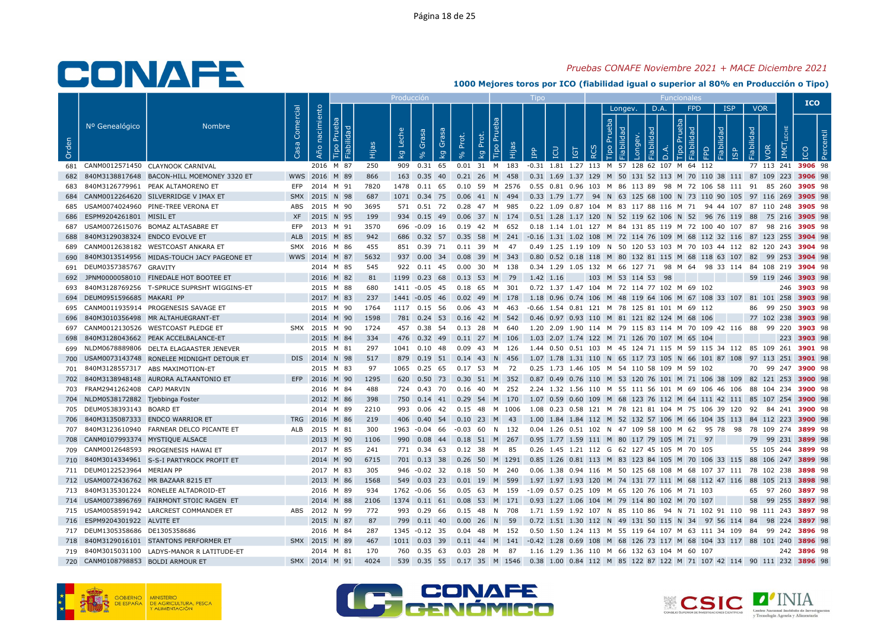## Pruebas CONAFE Noviembre 2021 + MACE Diciembre 2021

|       |                                     |                                                |           |                |         |                                    | Producción     |            |       |                                  |          | $\mathsf{I}$ independent                                                                          |     |                    |         |   |                | <b>Funcionales</b>                 |       |                         |                                 |                    | <b>ICO</b>  |    |
|-------|-------------------------------------|------------------------------------------------|-----------|----------------|---------|------------------------------------|----------------|------------|-------|----------------------------------|----------|---------------------------------------------------------------------------------------------------|-----|--------------------|---------|---|----------------|------------------------------------|-------|-------------------------|---------------------------------|--------------------|-------------|----|
| Orden | Nº Genealógico                      | <b>Nombre</b>                                  | Comercial | Año nacimiento | ்<br>Ëщ | Leche<br>$\overline{\mathsf{k}}$ g | Grasa          | Gras<br>kg | Prot. | <b>Tipo Pru</b><br>Prot.<br>kg   | <b>E</b> | EQ<br>$\mathbb{R}$                                                                                | IGT | deb<br>RC          | Longev. | 응 | D.A.<br>$\Box$ | <b>FPD</b><br>deb<br>Q.<br>$\circ$ | lidad | <b>ISP</b><br><b>GP</b> | <b>VOR</b><br>Fiabilidad<br>VOR | IME                |             | ്ഷ |
|       |                                     | 681 CANM0012571450 CLAYNOOK CARNIVAL           |           | 2016 M 87      | 250     |                                    | 909 0.31 65    |            |       | 0.01 31 M 183                    |          | -0.31 1.81 1.27 113 M 57 128 62 107 M 64 112                                                      |     |                    |         |   |                |                                    |       |                         |                                 | 77 113 241 3906 98 |             |    |
|       |                                     | 682 840M3138817648 BACON-HILL MOEMONEY 3320 ET |           | WWS 2016 M 89  | 866     |                                    |                |            |       | 163 0.35 40 0.21 26 M 458        |          | 0.31 1.69 1.37 129 M 50 131 52 113 M 70 110 38 111 87 109 223 3906 98                             |     |                    |         |   |                |                                    |       |                         |                                 |                    |             |    |
|       |                                     | 840M3126779961 PEAK ALTAMORENO ET              |           | EFP 2014 M 91  | 7820    |                                    | 1478  0.11  65 |            |       | 0.10 59 M 2576                   |          | 0.55 0.81 0.96 103 M 86 113 89 98 M 72 106 58 111 91 85 260 <b>3905</b> 98                        |     |                    |         |   |                |                                    |       |                         |                                 |                    |             |    |
|       |                                     | 684 CANM0012264620 SILVERRIDGE V IMAX ET       |           | SMX 2015 N 98  | 687     |                                    |                |            |       | 1071  0.34  75  0.06  41  N  494 |          | 0.33 1.79 1.77 94 N 63 125 68 100 N 73 110 90 105 97 116 269 3905 98                              |     |                    |         |   |                |                                    |       |                         |                                 |                    |             |    |
|       |                                     | 685 USAM0074024960 PINE-TREE VERONA ET         | ABS       | 2015 M 90      | 3695    |                                    | 571 0.51 72    |            |       | 0.28  47  M  985                 |          | 0.22 1.09 0.87 104 M 83 117 88 116 M 71 94 44 107 87 110 248 3905 98                              |     |                    |         |   |                |                                    |       |                         |                                 |                    |             |    |
| 686   | ESPM9204261801 MISIL ET             |                                                |           | XF 2015 N 95   | 199     |                                    |                |            |       |                                  |          | 934 0.15 49 0.06 37 N 174 0.51 1.28 1.17 120 N 52 119 62 106 N 52 96 76 119 88 75 216 3905 98     |     |                    |         |   |                |                                    |       |                         |                                 |                    |             |    |
|       |                                     | 687 USAM0072615076 BOMAZ ALTASABRE ET          | EFP       | 2013 M 91      | 3570    |                                    |                |            |       | 696 -0.09 16 0.19 42 M 652       |          | 0.18 1.14 1.01 127 M 84 131 85 119 M 72 100 40 107 87 98 216 <b>3905</b> 98                       |     |                    |         |   |                |                                    |       |                         |                                 |                    |             |    |
| 688   | 840M3129038324 ENDCO EVOLVE ET      |                                                | ALB       | 2015 M 85      | 942     |                                    |                |            |       |                                  |          | 686 0.32 57 0.35 58 M 241 -0.16 1.31 1.02 108 M 72 114 76 109 M 68 112 32 116 87 123 255 3904 98  |     |                    |         |   |                |                                    |       |                         |                                 |                    |             |    |
|       |                                     | 689 CANM0012638182 WESTCOAST ANKARA ET         |           | SMX 2016 M 86  | 455     |                                    |                |            |       | 851 0.39 71 0.11 39 M 47         |          | 0.49 1.25 1.19 109 N 50 120 53 103 M 70 103 44 112 82 120 243 3904 98                             |     |                    |         |   |                |                                    |       |                         |                                 |                    |             |    |
| 690   |                                     | 840M3013514956 MIDAS-TOUCH JACY PAGEONE ET     |           | WWS 2014 M 87  | 5632    |                                    | 937 0.00 34    |            | 0.08  | 39 M 343                         |          | 0.80 0.52 0.18 118 M 80 132 81 115 M 68 118 63 107 82 99 253 3904 98                              |     |                    |         |   |                |                                    |       |                         |                                 |                    |             |    |
|       | 691 DEUM0357385767 GRAVITY          |                                                |           | 2014 M 85      | 545     |                                    |                |            |       |                                  |          | 922 0.11 45 0.00 30 M 138 0.34 1.29 1.05 132 M 66 127 71 98 M 64 98 33 114 84 108 219 3904 98     |     |                    |         |   |                |                                    |       |                         |                                 |                    |             |    |
| 692   |                                     | JPNM0000058010 FINEDALE HOT BOOTEE ET          |           | 2016 M 82      | 81      |                                    |                |            |       | 1199 0.23 68 0.13 53 M 79        |          | 1.42 1.16                                                                                         |     | 103 M 53 114 53 98 |         |   |                |                                    |       |                         |                                 | 59 119 246 3903 98 |             |    |
| 693   |                                     | 840M3128769256 T-SPRUCE SUPRSHT WIGGINS-ET     |           | 2015 M 88      | 680     |                                    | 1411 -0.05 45  |            |       | 0.18 65 M 301                    |          | 0.72 1.37 1.47 104 M 72 114 77 102 M 69 102                                                       |     |                    |         |   |                |                                    |       |                         |                                 |                    | 246 3903 98 |    |
|       | 694 DEUM0951596685 MAKARI PP        |                                                |           | 2017 M 83      | 237     |                                    |                |            |       |                                  |          | 1441 -0.05 46 0.02 49 M 178 1.18 0.96 0.74 106 M 48 119 64 106 M 67 108 33 107 81 101 258 3903 98 |     |                    |         |   |                |                                    |       |                         |                                 |                    |             |    |
|       |                                     | 695 CANM0011935914 PROGENESIS SAVAGE ET        |           | 2015 M 90      | 1764    |                                    | 1117 0.15 56   |            |       | 0.06 43 M 463                    |          | -0.66 1.54 0.81 121 M 78 125 81 101 M 69 112                                                      |     |                    |         |   |                |                                    |       |                         |                                 | 86 99 250 3903 98  |             |    |
| 696   |                                     | 840M3010356498 MR ALTAHUEGRANT-ET              |           | 2014 M 90      | 1598    |                                    |                |            |       |                                  |          | 781 0.24 53 0.16 42 M 542 0.46 0.97 0.93 110 M 81 121 82 124 M 68 106                             |     |                    |         |   |                |                                    |       |                         |                                 | 77 102 238 3903 98 |             |    |
|       |                                     | 697 CANM0012130526 WESTCOAST PLEDGE ET         |           | SMX 2015 M 90  | 1724    |                                    | 457 0.38 54    |            |       | 0.13 28 M 640                    |          | 1.20 2.09 1.90 114 M 79 115 83 114 M 70 109 42 116 88 99 220 <b>3903</b> 98                       |     |                    |         |   |                |                                    |       |                         |                                 |                    |             |    |
| 698   |                                     | 840M3128043662 PEAK ACCELBALANCE-ET            |           | 2015 M 84      | 334     |                                    |                |            |       | 476 0.32 49 0.11 27 M 106        |          | 1.03 2.07 1.74 122 M 71 126 70 107 M 65 104                                                       |     |                    |         |   |                |                                    |       |                         |                                 |                    | 223 3903 98 |    |
|       |                                     | 699 NLDM0678889806 DELTA ELAGAASTER JENEVER    |           | 2015 M 81      | 297     |                                    |                |            |       | 1041  0.10  48  0.09  43  M  126 |          | 1.44 0.50 0.51 103 M 45 124 71 115 M 59 115 34 112 85 109 261 3901 98                             |     |                    |         |   |                |                                    |       |                         |                                 |                    |             |    |
|       |                                     | 700 USAM0073143748 RONELEE MIDNIGHT DETOUR ET  |           | DIS 2014 N 98  | 517     |                                    |                |            |       | 879 0.19 51 0.14 43 N 456        |          | 1.07 1.78 1.31 110 N 65 117 73 105 N 66 101 87 108 97 113 251 3901 98                             |     |                    |         |   |                |                                    |       |                         |                                 |                    |             |    |
| 701   |                                     | 840M3128557317 ABS MAXIMOTION-ET               |           | 2015 M 83      | 97      |                                    | 1065  0.25  65 |            |       | 0.17 53 M 72                     |          | 0.25 1.73 1.46 105 M 54 110 58 109 M 59 102                                                       |     |                    |         |   |                |                                    |       |                         |                                 | 70 99 247 3900 98  |             |    |
|       |                                     | 702 840M3138948148 AURORA ALTAANTONIO ET       |           | EFP 2016 M 90  | 1295    |                                    |                |            |       | 620  0.50  73  0.30  51  M  352  |          | 0.87 0.49 0.76 110 M 53 120 76 101 M 71 106 38 109 82 121 253 <b>3900</b> 98                      |     |                    |         |   |                |                                    |       |                         |                                 |                    |             |    |
|       | 703 FRAM2941262408 CAPJ MARVIN      |                                                |           | 2016 M 84      | 488     |                                    | 724 0.43 70    |            |       | 0.16 40 M 252                    |          | 2.24 1.32 1.56 110 M 55 111 56 101 M 69 106 46 106 88 104 234 3900 98                             |     |                    |         |   |                |                                    |       |                         |                                 |                    |             |    |
|       | 704 NLDM0538172882 Tjebbinga Foster |                                                |           | 2012 M 86      | 398     |                                    |                |            |       | 750  0.14  41  0.29  54  M  170  |          | 1.07 0.59 0.60 109 M 68 123 76 112 M 64 111 42 111 85 107 254 3900 98                             |     |                    |         |   |                |                                    |       |                         |                                 |                    |             |    |
|       | 705 DEUM0538393143 BOARD ET         |                                                |           | 2014 M 89      | 2210    |                                    |                |            |       | 993  0.06  42  0.15  48  M  1006 |          | 1.08  0.23  0.58  121  M  78  121  81  104  M  75  106  39  120  92  84  241 <b>3900</b> 98       |     |                    |         |   |                |                                    |       |                         |                                 |                    |             |    |
| 706   |                                     | 840M3135087333 ENDCO WARRIOR ET                |           | TRG 2016 M 86  | 219     |                                    |                |            |       | 406  0.40  54  0.10  23  M  43   |          | 1.00 1.84 1.84 112 M 52 132 57 106 M 66 104 35 113 84 112 223 3900 98                             |     |                    |         |   |                |                                    |       |                         |                                 |                    |             |    |
|       |                                     | 707 840M3123610940 FARNEAR DELCO PICANTE ET    |           | ALB 2015 M 81  | 300     |                                    | 1963 -0.04 66  |            |       | $-0.03$ 60 N 132                 |          | 0.04 1.26 0.51 102 N 47 109 58 100 M 62 95 78 98 78 109 274 3899 98                               |     |                    |         |   |                |                                    |       |                         |                                 |                    |             |    |
|       | 708 CANM0107993374 MYSTIQUE ALSACE  |                                                |           | 2013 M 90      | 1106    |                                    |                |            |       | 990  0.08  44  0.18  51  M  267  |          | 0.95 1.77 1.59 111 M 80 117 79 105 M 71 97                                                        |     |                    |         |   |                |                                    |       |                         |                                 | 79 99 231 3899 98  |             |    |
|       |                                     | 709 CANM0012648593 PROGENESIS HAWAI ET         |           | 2017 M 85      | 241     |                                    |                |            |       | 771  0.34  63  0.12  38  M  85   |          | 0.26 1.45 1.21 112 G 62 127 45 105 M 70 105                                                       |     |                    |         |   |                |                                    |       |                         |                                 | 55 105 244 3899 98 |             |    |
|       |                                     | 710 840M3014334961 S-S-I PARTYROCK PROFIT ET   |           | 2014 M 90      | 6715    |                                    | 701 0.13 38    |            |       | 0.26 50 M 1291                   |          | 0.85 1.26 0.81 113 M 83 123 84 105 M 70 106 33 115 88 106 247 3899 98                             |     |                    |         |   |                |                                    |       |                         |                                 |                    |             |    |
|       | 711 DEUM0122523964 MERIAN PP        |                                                |           | 2017 M 83      | 305     |                                    | 946 -0.02 32   |            |       | 0.18 50 M 240                    |          | 0.06 1.38 0.94 116 M 50 125 68 108 M 68 107 37 111 78 102 238 3898 98                             |     |                    |         |   |                |                                    |       |                         |                                 |                    |             |    |
|       |                                     | 712 USAM0072436762 MR BAZAAR 8215 ET           |           | 2013 M 86      | 1568    |                                    |                |            |       | 549  0.03  23  0.01  19  M  599  |          | 1.97 1.97 1.93 120 M 74 131 77 111 M 68 112 47 116 88 105 213 3898 98                             |     |                    |         |   |                |                                    |       |                         |                                 |                    |             |    |
|       |                                     | 713 840M3135301224 RONELEE ALTADROID-ET        |           | 2016 M 89      | 934     |                                    | 1762 -0.06 56  |            |       |                                  |          | 0.05 63 M 159 -1.09 0.57 0.25 109 M 65 120 76 106 M 71 103                                        |     |                    |         |   |                |                                    |       |                         |                                 | 65 97 260 3897 98  |             |    |
|       |                                     | 714 USAM0073896769 FAIRMONT STOIC RAGEN ET     |           | 2014 M 88      | 2106    |                                    |                |            |       |                                  |          | 1374  0.11  61  0.08  53  M  171  0.93  1.27  1.06  104  M  79  114  80  102  M  70  107          |     |                    |         |   |                |                                    |       |                         |                                 | 58 99 255 3897 98  |             |    |
|       |                                     | 715 USAM0058591942 LARCREST COMMANDER ET       |           | ABS 2012 N 99  | 772     |                                    | 993 0.29 66    |            |       | 0.15 48 N 708                    |          | 1.71 1.59 1.92 107 N 85 110 86 94 N 71 102 91 110 98 111 243 3897 98                              |     |                    |         |   |                |                                    |       |                         |                                 |                    |             |    |
|       | 716 ESPM9204301922 ALVITE ET        |                                                |           | 2015 N 87      | 87      |                                    | 799 0.11 40    |            | 0.00  | 26 N 59                          |          | 0.72 1.51 1.30 112 N 49 131 50 115 N 34 97 56 114 84 98 224 3897 98                               |     |                    |         |   |                |                                    |       |                         |                                 |                    |             |    |
|       | 717 DEUM1305358686 DE1305358686     |                                                |           | 2016 M 84      | 287     |                                    |                |            |       | 1345 -0.12 35 0.04 48 M 152      |          | 0.50 1.50 1.24 113 M 55 119 64 107 M 63 111 34 109 84 99 242 <b>3896</b> 98                       |     |                    |         |   |                |                                    |       |                         |                                 |                    |             |    |
|       |                                     | 718 840M3129016101 STANTONS PERFORMER ET       |           | SMX 2015 M 89  | 467     |                                    |                |            |       |                                  |          | 1011 0.03 39 0.11 44 M 141 -0.42 1.28 0.69 108 M 68 126 73 117 M 68 104 33 117 88 101 240 3896 98 |     |                    |         |   |                |                                    |       |                         |                                 |                    |             |    |
|       |                                     | 719 840M3015031100 LADYS-MANOR R LATITUDE-ET   |           | 2014 M 81      | 170     |                                    | 760 0.35 63    |            |       | 0.03 28 M 87                     |          | 1.16 1.29 1.36 110 M 66 132 63 104 M 60 107                                                       |     |                    |         |   |                |                                    |       |                         |                                 |                    | 242 3896 98 |    |
|       | 720 CANM0108798853 BOLDI ARMOUR ET  |                                                |           | SMX 2014 M 91  | 4024    |                                    |                |            |       |                                  |          | 539 0.35 55 0.17 35 M 1546 0.38 1.00 0.84 112 M 85 122 87 122 M 71 107 42 114 90 111 232 3896 98  |     |                    |         |   |                |                                    |       |                         |                                 |                    |             |    |





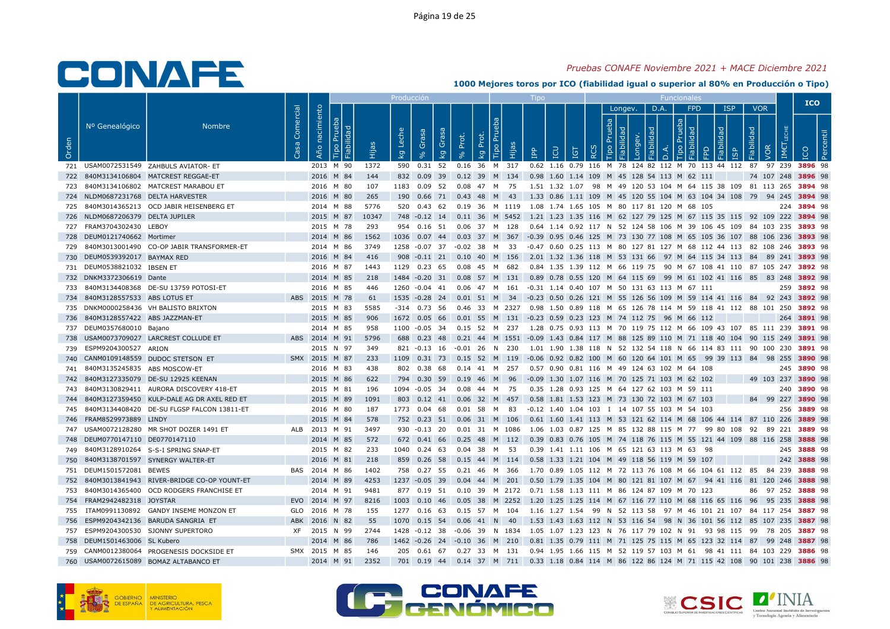## Pruebas CONAFE Noviembre 2021 + MACE Diciembre 2021

|       |                                    |                                                |                                      |                     |                        |       | <b>Producción</b>                |                    |             |       |                                                   |       | Tipo                                                                                                                    |          |   |         |      | Funcionale             |   |                         |                    |                    | <b>ICO</b>  |  |
|-------|------------------------------------|------------------------------------------------|--------------------------------------|---------------------|------------------------|-------|----------------------------------|--------------------|-------------|-------|---------------------------------------------------|-------|-------------------------------------------------------------------------------------------------------------------------|----------|---|---------|------|------------------------|---|-------------------------|--------------------|--------------------|-------------|--|
| Orden | Nº Genealógico                     | <b>Nombre</b>                                  | Comercial<br>$\overline{\mathbf{e}}$ | nacimiento<br>Año i | $\mathbf{E}$<br>Fiabil |       | Leche<br>$\overline{\mathsf{g}}$ | Grasa<br>$\approx$ | Grasa<br>kg | Prot. | P <sub>U</sub><br>Prot.<br>Tipo<br>$\overline{5}$ | Hijas | <b>Adi</b>                                                                                                              | <u>ူ</u> | ⊻ | Longev. | D.A. | <b>FPD</b><br>$\sigma$ | 모 | <b>ISP</b><br><b>GP</b> | <b>VOR</b><br>Pe   |                    |             |  |
|       |                                    | 721 USAM0072531549 ZAHBULS AVIATOR- ET         |                                      |                     | 2013 M 90              | 1372  |                                  |                    |             |       |                                                   |       | 590  0.31  52  0.16  36  M  317  0.62  1.16  0.79  116  M  78  124  82  112  M  70  113  44  112  87  97  239  3896  98 |          |   |         |      |                        |   |                         |                    |                    |             |  |
|       |                                    | 722 840M3134106804 MATCREST REGGAE-ET          |                                      |                     | 2016 M 84              | 144   |                                  |                    |             |       |                                                   |       | 832 0.09 39 0.12 39 M 134 0.98 1.60 1.14 109 M 45 128 54 113 M 62 111                                                   |          |   |         |      |                        |   |                         | 74 107 248 3896 98 |                    |             |  |
|       |                                    | 840M3134106802 MATCREST MARABOU ET             |                                      |                     | 2016 M 80              | 107   |                                  |                    |             |       | 1183  0.09  52  0.08  47  M  75                   |       | 1.51 1.32 1.07 98 M 49 120 53 104 M 64 115 38 109 81 113 265 3894 98                                                    |          |   |         |      |                        |   |                         |                    |                    |             |  |
|       | 724 NLDM0687231768 DELTA HARVESTER |                                                |                                      |                     | 2016 M 80              | 265   |                                  |                    |             |       |                                                   |       | 190  0.66  71  0.43  48  M  43  1.33  0.86  1.11  109  M  45  120  55  104  M  63  104  34  108  79  94  245  3894  98  |          |   |         |      |                        |   |                         |                    |                    |             |  |
|       |                                    | 725 840M3014365213 OCD JABIR HEISENBERG ET     |                                      |                     | 2014 M 88              | 5776  |                                  |                    |             |       |                                                   |       | 520 0.43 62 0.19 36 M 1119 1.08 1.74 1.65 105 M 80 117 81 120 M 68 105                                                  |          |   |         |      |                        |   |                         |                    |                    | 224 3894 98 |  |
|       | 726 NLDM0687206379 DELTA JUPILER   |                                                |                                      |                     | 2015 M 87              | 10347 |                                  |                    |             |       |                                                   |       | 748 -0.12 14 0.11 36 M 5452 1.21 1.23 1.35 116 M 62 127 79 125 M 67 115 35 115 92 109 222 3894 98                       |          |   |         |      |                        |   |                         |                    |                    |             |  |
|       | 727 FRAM3704302430 LEBOY           |                                                |                                      |                     | 2015 M 78              | 293   |                                  |                    |             |       |                                                   |       | 954 0.16 51 0.06 37 M 128 0.64 1.14 0.92 117 N 52 124 58 106 M 39 106 45 109 84 103 235 3893 98                         |          |   |         |      |                        |   |                         |                    |                    |             |  |
|       | 728 DEUM0121740662 Mortimer        |                                                |                                      |                     | 2014 M 86              | 1562  |                                  |                    |             |       |                                                   |       | 1036 0.07 44 0.03 37 M 367 -0.39 0.95 0.46 125 M 73 130 77 108 M 65 105 36 107 88 106 236 3893 98                       |          |   |         |      |                        |   |                         |                    |                    |             |  |
|       |                                    | 729 840M3013001490 CO-OP JABIR TRANSFORMER-ET  |                                      |                     | 2014 M 86              | 3749  |                                  |                    |             |       |                                                   |       | 1258 -0.07 37 -0.02 38 M 33 -0.47 0.60 0.25 113 M 80 127 81 127 M 68 112 44 113 82 108 246 3893 98                      |          |   |         |      |                        |   |                         |                    |                    |             |  |
|       | 730 DEUM0539392017 BAYMAX RED      |                                                |                                      |                     | 2016 M 84              | 416   |                                  |                    |             |       |                                                   |       | 908 -0.11 21 0.10 40 M 156 2.01 1.32 1.36 118 M 53 131 66 97 M 64 115 34 113 84 89 241 3893 98                          |          |   |         |      |                        |   |                         |                    |                    |             |  |
|       | 731 DEUM0538821032 IBSEN ET        |                                                |                                      |                     | 2016 M 87              | 1443  |                                  |                    |             |       |                                                   |       | 1129 0.23 65 0.08 45 M 682 0.84 1.35 1.39 112 M 66 119 75 90 M 67 108 41 110 87 105 247 3892 98                         |          |   |         |      |                        |   |                         |                    |                    |             |  |
|       | 732 DNKM3372306619 Dante           |                                                |                                      |                     | 2014 M 85              | 218   |                                  |                    |             |       |                                                   |       | 1484 -0.20 31 0.08 57 M 131 0.89 0.78 0.55 120 M 64 115 69 99 M 61 102 41 116 85 83 248 3892 98                         |          |   |         |      |                        |   |                         |                    |                    |             |  |
|       |                                    | 733 840M3134408368 DE-SU 13759 POTOSI-ET       |                                      |                     | 2016 M 85              | 446   | 1260 -0.04 41                    |                    |             |       |                                                   |       | 0.06 47 M 161 -0.31 1.14 0.40 107 M 50 131 63 113 M 67 111                                                              |          |   |         |      |                        |   |                         |                    |                    | 259 3892 98 |  |
|       | 734 840M3128557533 ABS LOTUS ET    |                                                |                                      |                     | ABS 2015 M 78          | 61    |                                  |                    |             |       |                                                   |       | 1535 -0.28 24 0.01 51 M 34 -0.23 0.50 0.26 121 M 55 126 56 109 M 59 114 41 116 84 92 243 3892 98                        |          |   |         |      |                        |   |                         |                    |                    |             |  |
|       |                                    | 735 DNKM0000258436 VH BALISTO BRIXTON          |                                      |                     | 2015 M 83              | 5585  |                                  | $-314$ 0.73 56     |             |       |                                                   |       | 0.46 33 M 2327 0.98 1.50 0.89 118 M 65 126 78 114 M 59 118 41 112 88 101 250 3892 98                                    |          |   |         |      |                        |   |                         |                    |                    |             |  |
|       | 736 840M3128557422 ABS JAZZMAN-ET  |                                                |                                      |                     | 2015 M 85              | 906   |                                  |                    |             |       |                                                   |       | 1672  0.05  66  0.01  55  M  131  -0.23  0.59  0.23  123  M  74  112  75  96  M  66  112                                |          |   |         |      |                        |   |                         |                    |                    | 264 3891 98 |  |
|       | 737 DEUM0357680010 Bajano          |                                                |                                      |                     | 2014 M 85              | 958   |                                  |                    |             |       |                                                   |       | 1100 -0.05 34 0.15 52 M 237 1.28 0.75 0.93 113 M 70 119 75 112 M 66 109 43 107 85 111 239 3891 98                       |          |   |         |      |                        |   |                         |                    |                    |             |  |
| 738   |                                    | USAM0073709027 LARCREST COLLUDE ET             |                                      |                     | ABS 2014 M 91          | 5796  |                                  |                    |             |       |                                                   |       | 688 0.23 48 0.21 44 M 1551 -0.09 1.43 0.84 117 M 88 125 89 110 M 71 118 40 104 90 115 249 3891 98                       |          |   |         |      |                        |   |                         |                    |                    |             |  |
|       | 739 ESPM9204300527 ARION           |                                                |                                      |                     | 2015 N 97              | 349   |                                  |                    |             |       |                                                   |       | 821 -0.13 16 -0.01 26 N 230 1.01 1.90 1.38 118 N 52 132 54 118 N 66 114 83 111 90 100 230 3891 98                       |          |   |         |      |                        |   |                         |                    |                    |             |  |
|       |                                    | 740 CANM0109148559 DUDOC STETSON ET            |                                      |                     | SMX 2015 M 87          | 233   |                                  |                    |             |       |                                                   |       | 1109 0.31 73 0.15 52 M 119 -0.06 0.92 0.82 100 M 60 120 64 101 M 65 99 39 113 84 98 255 3890 98                         |          |   |         |      |                        |   |                         |                    |                    |             |  |
| 741   | 840M3135245835 ABS MOSCOW-ET       |                                                |                                      |                     | 2016 M 83              | 438   |                                  | 802 0.38 68        |             |       | 0.14 41 M 257                                     |       | 0.57 0.90 0.81 116 M 49 124 63 102 M 64 108                                                                             |          |   |         |      |                        |   |                         |                    |                    | 245 3890 98 |  |
|       |                                    | 742 840M3127335079 DE-SU 12925 KEENAN          |                                      |                     | 2015 M 86              | 622   |                                  |                    |             |       |                                                   |       | 794 0.30 59 0.19 46 M 96 -0.09 1.30 1.07 116 M 70 125 71 103 M 62 102                                                   |          |   |         |      |                        |   |                         |                    | 49 103 237 3890 98 |             |  |
|       |                                    | 743 840M3130829411 AURORA DISCOVERY 418-ET     |                                      |                     | 2015 M 81              | 196   |                                  | 1094 -0.05 34      |             |       | 0.08  44  M  75                                   |       | 0.35 1.28 0.93 125 M 64 127 62 103 M 59 111                                                                             |          |   |         |      |                        |   |                         |                    |                    | 240 3890 98 |  |
|       |                                    | 744 840M3127359450 KULP-DALE AG DR AXEL RED ET |                                      |                     | 2015 M 89              | 1091  |                                  |                    |             |       |                                                   |       | 803 0.12 41 0.06 32 M 457 0.58 1.81 1.53 123 M 73 130 72 103 M 67 103                                                   |          |   |         |      |                        |   |                         |                    | 84 99 227 3890 98  |             |  |
|       |                                    | 745 840M3134408420 DE-SU FLGSP FALCON 13811-ET |                                      |                     | 2016 M 80              | 187   | 1773 0.04 68                     |                    |             |       | 0.01 58 M 83                                      |       | -0.12 1.40 1.04 103 I 14 107 55 103 M 54 103                                                                            |          |   |         |      |                        |   |                         |                    |                    | 256 3889 98 |  |
|       | 746 FRAM8529973889 LINDY           |                                                |                                      |                     | 2015 M 84              | 578   |                                  |                    |             |       |                                                   |       | 752 0.23 51 0.06 31 M 106 0.61 1.60 1.41 113 M 53 121 62 114 M 68 106 44 114 87 110 226 3889 98                         |          |   |         |      |                        |   |                         |                    |                    |             |  |
|       |                                    | 747 USAM0072128280 MR SHOT DOZER 1491 ET       |                                      |                     | ALB 2013 M 91          | 3497  |                                  |                    |             |       |                                                   |       | 930 -0.13 20 0.01 31 M 1086 1.06 1.03 0.87 125 M 85 132 88 115 M 77 99 80 108 92 89 221 3889 98                         |          |   |         |      |                        |   |                         |                    |                    |             |  |
|       | 748 DEUM0770147110 DE0770147110    |                                                |                                      |                     | 2014 M 85              | 572   |                                  |                    |             |       |                                                   |       | 672 0.41 66 0.25 48 M 112 0.39 0.83 0.76 105 M 74 118 76 115 M 55 121 44 109 88 116 258 3888 98                         |          |   |         |      |                        |   |                         |                    |                    |             |  |
|       |                                    | 749 840M3128910264 S-S-I SPRING SNAP-ET        |                                      |                     | 2015 M 82              | 233   |                                  |                    |             |       | 1040  0.24  63  0.04  38  M  53                   |       | 0.39 1.41 1.11 106 M 65 121 63 113 M 63 98                                                                              |          |   |         |      |                        |   |                         |                    |                    | 245 3888 98 |  |
|       |                                    | 750 840M3138701597 SYNERGY WALTER-ET           |                                      |                     | 2016 M 81              | 218   |                                  |                    |             |       |                                                   |       | 859 0.26 58 0.15 44 M 114 0.58 1.33 1.21 104 M 49 118 56 119 M 59 107                                                   |          |   |         |      |                        |   |                         |                    |                    | 242 3888 98 |  |
|       | 751 DEUM1501572081 BEWES           |                                                |                                      |                     | BAS 2014 M 86          | 1402  |                                  | 758 0.27 55        |             |       | 0.21 46 M 366                                     |       | 1.70 0.89 1.05 112 M 72 113 76 108 M 66 104 61 112 85 84 239 3888 98                                                    |          |   |         |      |                        |   |                         |                    |                    |             |  |
|       |                                    | 752 840M3013841943 RIVER-BRIDGE CO-OP YOUNT-ET |                                      |                     | 2014 M 89              | 4253  |                                  |                    |             |       |                                                   |       | 1237 -0.05 39 0.04 44 M 201 0.50 1.79 1.35 104 M 80 121 81 107 M 67 94 41 116 81 120 246 3888 98                        |          |   |         |      |                        |   |                         |                    |                    |             |  |
|       |                                    | 753 840M3014365400 OCD RODGERS FRANCHISE ET    |                                      |                     | 2014 M 91              | 9481  |                                  |                    |             |       |                                                   |       | 877 0.19 51 0.10 39 M 2172 0.71 1.58 1.13 111 M 86 124 87 109 M 70 123                                                  |          |   |         |      |                        |   |                         |                    | 86 97 252 3888 98  |             |  |
|       | 754 FRAM2942482318 JOYSTAR         |                                                |                                      |                     | EVO 2014 M 97          | 8216  |                                  |                    |             |       |                                                   |       | 1003 0.10 46 0.05 38 M 2252 1.20 1.25 1.25 114 M 67 116 77 110 M 68 116 65 116 96 95 235 3888 98                        |          |   |         |      |                        |   |                         |                    |                    |             |  |
|       |                                    | 755 ITAM0991130892 GANDY INSEME MONZON ET      |                                      |                     | GLO 2016 M 78          | 155   |                                  |                    |             |       |                                                   |       | 1277 0.16 63 0.15 57 M 104 1.16 1.27 1.54 99 N 52 113 58 97 M 46 101 21 107 84 117 254 3887 98                          |          |   |         |      |                        |   |                         |                    |                    |             |  |
|       |                                    | 756 ESPM9204342136 BARUDA SANGRIA ET           |                                      |                     | ABK 2016 N 82          | 55    | 1070  0.15  54                   |                    |             |       | $0.06$ 41 N 40                                    |       | 1.53 1.43 1.63 112 N 53 116 54 98 N 36 101 56 112 85 107 235 3887 98                                                    |          |   |         |      |                        |   |                         |                    |                    |             |  |
|       |                                    | 757 ESPM9204300530 SJONNY SUPERTORO            |                                      |                     | XF 2015 N 99           | 2744  |                                  |                    |             |       |                                                   |       | 1428 -0.12 38 -0.06 39 N 1834 1.05 1.07 1.23 123 N 76 117 79 102 N 91 93 98 115 99 78 205 3887 98                       |          |   |         |      |                        |   |                         |                    |                    |             |  |
|       | 758 DEUM1501463006 SL Kubero       |                                                |                                      |                     | 2014 M 86              | 786   |                                  |                    |             |       |                                                   |       | 1462 -0.26 24 -0.10 36 M 210 0.81 1.35 0.79 111 M 71 125 75 115 M 65 123 32 114 87 99 248 3887 98                       |          |   |         |      |                        |   |                         |                    |                    |             |  |
|       |                                    | 759 CANM0012380064 PROGENESIS DOCKSIDE ET      |                                      |                     | SMX 2015 M 85          | 146   |                                  |                    |             |       |                                                   |       | 205  0.61  67  0.27  33  M  131  0.94  1.95  1.66  115  M  52  119  57  103  M  61  98  41  111  84  103  229  3886  98 |          |   |         |      |                        |   |                         |                    |                    |             |  |
|       |                                    | 760 USAM0072615089 BOMAZ ALTABANCO ET          |                                      |                     | 2014 M 91              | 2352  |                                  |                    |             |       |                                                   |       | 701 0.19 44 0.14 37 M 711 0.33 1.18 0.84 114 M 86 122 86 124 M 71 115 42 108 90 101 238 3886 98                         |          |   |         |      |                        |   |                         |                    |                    |             |  |







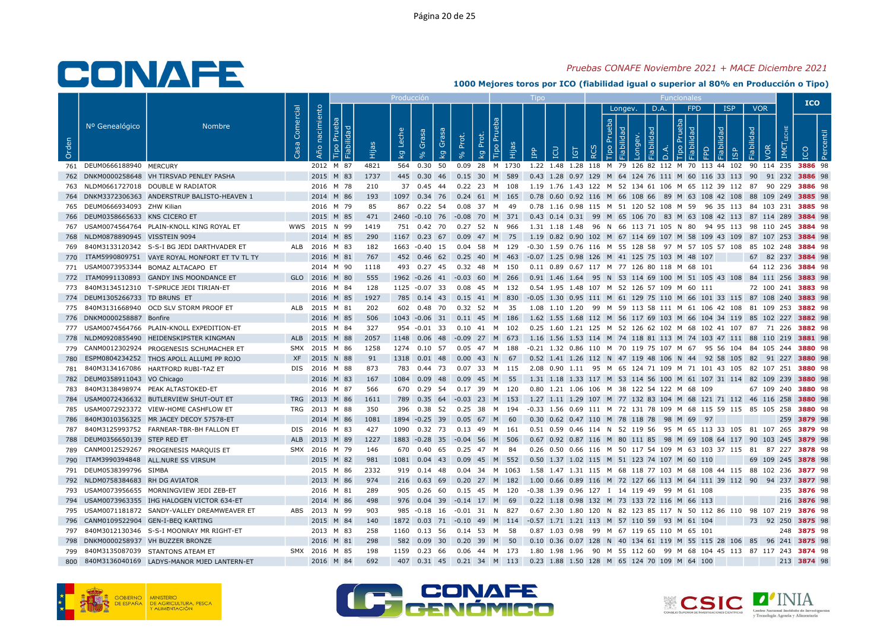## Pruebas CONAFE Noviembre 2021 + MACE Diciembre 2021

|       |                                  |                                                |           |                     |      | Producción  |                      |       |                                            | $\mathsf{I}$ independent |                                                                                                  |    |                           |                     | <b>Funcionales</b>      |                                  |                          |                    |             | <b>ICO</b> |  |
|-------|----------------------------------|------------------------------------------------|-----------|---------------------|------|-------------|----------------------|-------|--------------------------------------------|--------------------------|--------------------------------------------------------------------------------------------------|----|---------------------------|---------------------|-------------------------|----------------------------------|--------------------------|--------------------|-------------|------------|--|
| Orden | Nº Genealógico                   | <b>Nombre</b>                                  | Comercial | Año nacimiento<br>் | Hija | Leche<br>kg | Grasa<br>Grasa<br>kg | Prot. | <b>Tipo Pru</b><br>Prot.<br><b>E</b><br>kg | $\mathbb{R}$             | <b>POI</b><br>IGT                                                                                | RC | Longev.<br>deb<br>$\circ$ | D.A.<br>응<br>$\Box$ | <b>FPD</b><br>deb<br>Q. | <b>ISP</b><br>lidad<br><b>GP</b> | <b>VOR</b><br>Fiabilidad | <b>JOR</b><br>IM€  |             |            |  |
|       | 761 DEUM0666188940 MERCURY       |                                                |           | 2012 M 87           | 4821 |             | 564  0.30  50        |       |                                            |                          | 0.09 28 M 1730 1.22 1.48 1.28 118 M 79 126 82 112 M 70 113 44 102 90 114 235 3886 98             |    |                           |                     |                         |                                  |                          |                    |             |            |  |
|       |                                  | 762 DNKM0000258648 VH TIRSVAD PENLEY PASHA     |           | 2015 M 83           | 1737 |             |                      |       | 445 0.30 46 0.15 30 M 589                  |                          | 0.43 1.28 0.97 129 M 64 124 76 111 M 60 116 33 113 90 91 232 3886 98                             |    |                           |                     |                         |                                  |                          |                    |             |            |  |
|       |                                  | 763 NLDM0661727018 DOUBLE W RADIATOR           |           | 2016 M 78           | 210  |             | 37 0.45 44           |       | 0.22 23 M 108                              |                          | 1.19 1.76 1.43 122 M 52 134 61 106 M 65 112 39 112 87 90 229 <b>3886</b> 98                      |    |                           |                     |                         |                                  |                          |                    |             |            |  |
|       |                                  | 764 DNKM3372306363 ANDERSTRUP BALISTO-HEAVEN 1 |           | 2014 M 86           | 193  |             |                      |       | 1097 0.34 76 0.24 61 M 165                 |                          | 0.78 0.60 0.92 116 M 66 108 66 89 M 63 108 42 108 88 109 249 3885 98                             |    |                           |                     |                         |                                  |                          |                    |             |            |  |
|       | 765 DEUM0666934093 ZHW Kilian    |                                                |           | 2016 M 79           | 85   |             | 867 0.22 54          |       | 0.08 37 M<br>- 49                          |                          | 0.78 1.16 0.98 115 M 51 120 52 108 M 59 96 35 113 84 103 231 3885 98                             |    |                           |                     |                         |                                  |                          |                    |             |            |  |
|       | 766 DEUM0358665633 KNS CICERO ET |                                                |           | 2015 M 85           | 471  |             |                      |       |                                            |                          | 2460 -0.10 76 -0.08 70 M 371 0.43 0.14 0.31 99 M 65 106 70 83 M 63 108 42 113 87 114 289 3884 98 |    |                           |                     |                         |                                  |                          |                    |             |            |  |
|       |                                  | 767 USAM0074564764 PLAIN-KNOLL KING ROYAL ET   |           | WWS 2015 N 99       | 1419 |             |                      |       | 751  0.42  70  0.27  52  N  966            |                          | 1.31 1.18 1.48 96 N 66 113 71 105 N 80 94 95 113 98 110 245 3884 98                              |    |                           |                     |                         |                                  |                          |                    |             |            |  |
|       | 768 NLDM0878890945 VISSTEIN 9094 |                                                |           | 2014 M 85           | 290  |             | 1167 0.23 67         |       | 0.09 47 M 75                               |                          | 1.19 0.82 0.90 102 M 67 114 69 107 M 58 109 43 109 87 107 253 3884 98                            |    |                           |                     |                         |                                  |                          |                    |             |            |  |
|       |                                  | 769 840M3133120342 S-S-I BG JEDI DARTHVADER ET |           | ALB 2016 M 83       | 182  |             | 1663 -0.40 15        |       | 0.04 58 M 129                              |                          | -0.30 1.59 0.76 116 M 55 128 58 97 M 57 105 57 108 85 102 248 3884 98                            |    |                           |                     |                         |                                  |                          |                    |             |            |  |
| 770   |                                  | ITAM5990809751 VAYE ROYAL MONFORT ET TV TL TY  |           | 2016 M 81           | 767  |             | 452 0.46 62          |       | 0.25 40 M 463                              |                          | -0.07 1.25 0.98 126 M 41 125 75 103 M 48 107                                                     |    |                           |                     |                         |                                  |                          | 67 82 237 3884 98  |             |            |  |
|       |                                  | 771 USAM0073953344 BOMAZ ALTACAPO ET           |           | 2014 M 90           | 1118 |             |                      |       | 493 0.27 45 0.32 48 M 150                  |                          | 0.11 0.89 0.67 117 M 77 126 80 118 M 68 101                                                      |    |                           |                     |                         |                                  |                          | 64 112 236 3884 98 |             |            |  |
|       |                                  | 772 ITAM0991130893 GANDY INS MOONDANCE ET      |           | GLO 2016 M 80       | 555  |             |                      |       | 1962 -0.26 41 -0.03 60 M 266               |                          | 0.91 1.46 1.64 95 N 53 114 69 100 M 51 105 43 108 84 111 256 3883 98                             |    |                           |                     |                         |                                  |                          |                    |             |            |  |
|       |                                  | 773 840M3134512310 T-SPRUCE JEDI TIRIAN-ET     |           | 2016 M 84           | 128  |             | 1125 -0.07 33        |       | 0.08 45 M 132                              |                          | 0.54 1.95 1.48 107 M 52 126 57 109 M 60 111                                                      |    |                           |                     |                         |                                  |                          | 72 100 241 3883 98 |             |            |  |
|       | 774 DEUM1305266733 TD BRUNS ET   |                                                |           | 2016 M 85           | 1927 |             |                      |       |                                            |                          | 785 0.14 43 0.15 41 M 830 -0.05 1.30 0.95 111 M 61 129 75 110 M 66 101 33 115 87 108 240 3883 98 |    |                           |                     |                         |                                  |                          |                    |             |            |  |
|       |                                  | 775 840M3131668940 OCD SLV STORM PROOF ET      |           | ALB 2015 M 81       | 202  |             |                      |       | 602  0.48  70  0.32  52  M  35             |                          | 1.08 1.10 1.20 99 M 59 113 58 111 M 61 106 42 108 81 109 253 3882 98                             |    |                           |                     |                         |                                  |                          |                    |             |            |  |
|       | 776 DNKM0000258887 Bonfire       |                                                |           | 2016 M 85           | 506  |             |                      |       | 1043 -0.06 31 0.11 45 M 186                |                          | 1.62 1.55 1.68 112 M 56 117 69 103 M 66 104 34 119 85 102 227 3882 98                            |    |                           |                     |                         |                                  |                          |                    |             |            |  |
|       |                                  | 777 USAM0074564766 PLAIN-KNOLL EXPEDITION-ET   |           | 2015 M 84           | 327  |             | $954 - 0.01$ 33      |       | 0.10 41 M 102                              |                          | 0.25 1.60 1.21 125 M 52 126 62 102 M 68 102 41 107 87 71 226 3882 98                             |    |                           |                     |                         |                                  |                          |                    |             |            |  |
| 778   |                                  | NLDM0920855490 HEIDENSKIPSTER KINGMAN          |           | ALB 2015 M 88       | 2057 |             |                      |       | 1148  0.06  48  -0.09  27  M  673          |                          | 1.16 1.56 1.53 114 M 74 118 81 113 M 74 103 47 111 88 110 219 3881 98                            |    |                           |                     |                         |                                  |                          |                    |             |            |  |
|       |                                  | 779 CANM0012302924 PROGENESIS SCHUMACHER ET    |           | SMX 2015 M 86       | 1258 |             | 1274 0.10 57         |       | 0.05    47    M    188                     |                          | -0.21 1.32 0.86 110 M 70 119 75 107 M 67 95 56 104 84 105 244 <b>3880</b> 98                     |    |                           |                     |                         |                                  |                          |                    |             |            |  |
| 780   |                                  | ESPM0804234252 THOS APOLL ALLUMI PP ROJO       |           | XF 2015 N 88        | 91   |             | 1318  0.01  48       |       | $0.00$ 43 N 67                             |                          | 0.52 1.41 1.26 112 N 47 119 48 106 N 44 92 58 105 82 91 227 3880 98                              |    |                           |                     |                         |                                  |                          |                    |             |            |  |
| 781   |                                  | 840M3134167086 HARTFORD RUBI-TAZ ET            |           | DIS 2016 M 88       | 873  |             | 783 0.44 73          |       | 0.07 33 M 115                              |                          | 2.08  0.90  1.11  95  M  65  124  71  109  M  71  101  43  105  82  107  251 <b>3880</b> 98      |    |                           |                     |                         |                                  |                          |                    |             |            |  |
|       | 782 DEUM0358911043 VO Chicago    |                                                |           | 2016 M 83           | 167  |             |                      |       | 1084  0.09  48  0.09  45  M  55            |                          | 1.31 1.18 1.33 117 M 53 114 56 100 M 61 107 31 114 82 109 239 3880 98                            |    |                           |                     |                         |                                  |                          |                    |             |            |  |
|       |                                  | 783 840M3138498974 PEAK ALTASTOKED-ET          |           | 2016 M 87           | 566  |             | 670 0.29 54          |       | 0.17 39 M 120                              |                          | 0.80 1.21 1.06 106 M 38 122 54 122 M 68 109                                                      |    |                           |                     |                         |                                  |                          | 67 109 240 3880 98 |             |            |  |
|       |                                  | 784 USAM0072436632 BUTLERVIEW SHUT-OUT ET      |           | TRG 2013 M 86       | 1611 |             |                      |       | 789 0.35 64 -0.03 23 M 153                 |                          | 1.27 1.11 1.29 107 M 77 132 83 104 M 68 121 71 112 46 116 258 3880 98                            |    |                           |                     |                         |                                  |                          |                    |             |            |  |
|       |                                  | 785 USAM0072923372 VIEW-HOME CASHFLOW ET       |           | TRG 2013 M 88       | 350  |             | 396 0.38 52          |       | 0.25 38 M<br>194                           |                          | -0.33 1.56 0.69 111 M 72 131 78 109 M 68 115 59 115 85 105 258 3880 98                           |    |                           |                     |                         |                                  |                          |                    |             |            |  |
| 786   |                                  | 840M3010356325 MR JACEY DECOY 57578-ET         |           | 2014 M 86           | 1081 |             |                      |       | 1894 -0.25 39 0.05 67 M 60                 |                          | 0.30 0.62 0.47 110 M 78 118 78 98 M 69 97                                                        |    |                           |                     |                         |                                  |                          |                    | 259 3879 98 |            |  |
|       |                                  | 787 840M3125993752 FARNEAR-TBR-BH FALLON ET    |           | DIS 2016 M 83       | 427  |             |                      |       | 1090  0.32  73  0.13  49  M  161           |                          | 0.51 0.59 0.46 114 N 52 119 56 95 M 65 113 33 105 81 107 265 3879 98                             |    |                           |                     |                         |                                  |                          |                    |             |            |  |
|       | 788 DEUM0356650139 STEP RED ET   |                                                | ALB       | 2013 M 89           | 1227 |             |                      |       | 1883 -0.28 35 -0.04 56 M 506               |                          | 0.67 0.92 0.87 116 M 80 111 85 98 M 69 108 64 117 90 103 245 3879 98                             |    |                           |                     |                         |                                  |                          |                    |             |            |  |
|       |                                  | 789 CANM0012529267 PROGENESIS MARQUIS ET       |           | SMX 2016 M 79       | 146  |             | 670  0.40  65        |       | 0.25  47  M  84                            |                          | 0.26 0.50 0.66 116 M 50 117 54 109 M 63 103 37 115 81 87 227 3878 98                             |    |                           |                     |                         |                                  |                          |                    |             |            |  |
| 790   |                                  | ITAM3990394848 ALL.NURE SS VIRSUM              |           | 2015 M 82           | 981  |             |                      |       | 1081  0.04  43  0.09  45  M  552           |                          | 0.50 1.37 1.02 115 M 51 123 74 107 M 60 110                                                      |    |                           |                     |                         |                                  |                          | 69 109 245 3878 98 |             |            |  |
|       | 791 DEUM0538399796 SIMBA         |                                                |           | 2015 M 86           | 2332 |             | 919 0.14 48          |       | 0.04 34 M 1063                             |                          | 1.58 1.47 1.31 115 M 68 118 77 103 M 68 108 44 115 88 102 236 3877 98                            |    |                           |                     |                         |                                  |                          |                    |             |            |  |
|       | 792 NLDM0758384683 RH DG AVIATOR |                                                |           | 2013 M 86           | 974  |             |                      |       | 216 0.63 69 0.20 27 M 182                  |                          | 1.00 0.66 0.89 116 M 72 127 66 113 M 64 111 39 112 90 94 237 3877 98                             |    |                           |                     |                         |                                  |                          |                    |             |            |  |
|       |                                  | 793 USAM0073956655 MORNINGVIEW JEDI ZEB-ET     |           | 2016 M 81           | 289  |             | 905 0.26 60          |       | 0.15 45 M 120                              |                          | -0.38 1.39 0.96 127 I 14 119 49 99 M 61 108                                                      |    |                           |                     |                         |                                  |                          |                    | 235 3876 98 |            |  |
|       |                                  | 794 USAM0073963355 IHG HALOGEN VICTOR 634-ET   |           | 2014 M 86           | 498  |             |                      |       | 976  0.04  39  -0.14  17  M  69            |                          | 0.22 1.18 0.98 132 M 73 133 72 116 M 66 113                                                      |    |                           |                     |                         |                                  |                          |                    | 216 3876 98 |            |  |
|       |                                  | 795 USAM0071181872 SANDY-VALLEY DREAMWEAVER ET |           | ABS 2013 N 99       | 903  |             |                      |       | 985 -0.18 16 -0.01 31 N 827                |                          | 0.67 2.30 1.80 120 N 82 123 85 117 N 50 112 86 110 98 107 219 3876 98                            |    |                           |                     |                         |                                  |                          |                    |             |            |  |
|       |                                  | 796 CANM0109522904 GEN-I-BEQ KARTING           |           | 2015 M 84           | 140  |             |                      |       |                                            |                          | 1872  0.03  71  -0.10  49  M  114  -0.57  1.71  1.21  113  M  57  110  59  93  M  61  104        |    |                           |                     |                         |                                  |                          | 73 92 250 3875 98  |             |            |  |
|       |                                  | 797 840M3012130346 S-S-I MOONRAY MR RIGHT-ET   |           | 2013 M 83           | 258  |             |                      |       | 1160  0.13  56  0.14  53  M  58            |                          | 0.87 1.03 0.98 99 M 67 119 65 110 M 65 101                                                       |    |                           |                     |                         |                                  |                          |                    | 248 3875 98 |            |  |
|       |                                  | 798 DNKM0000258937 VH BUZZER BRONZE            |           | 2016 M 81           | 298  |             |                      |       | 582 0.09 30 0.20 39 M 50                   |                          | 0.10 0.36 0.07 128 N 40 134 61 119 M 55 115 28 106 85 96 241 3875 98                             |    |                           |                     |                         |                                  |                          |                    |             |            |  |
|       |                                  | 799 840M3135087039 STANTONS ATEAM ET           |           | SMX 2016 M 85       | 198  |             | 1159  0.23  66       |       | 0.06 44 M 173                              |                          | 1.80 1.98 1.96 90 M 55 112 60 99 M 68 104 45 113 87 117 243 3874 98                              |    |                           |                     |                         |                                  |                          |                    |             |            |  |
| 800   |                                  | 840M3136040169 LADYS-MANOR MJED LANTERN-ET     |           | 2016 M 84           | 692  |             |                      |       |                                            |                          | 407 0.31 45 0.21 34 M 113 0.23 1.88 1.50 128 M 65 124 70 109 M 64 100                            |    |                           |                     |                         |                                  |                          |                    | 213 3874 98 |            |  |





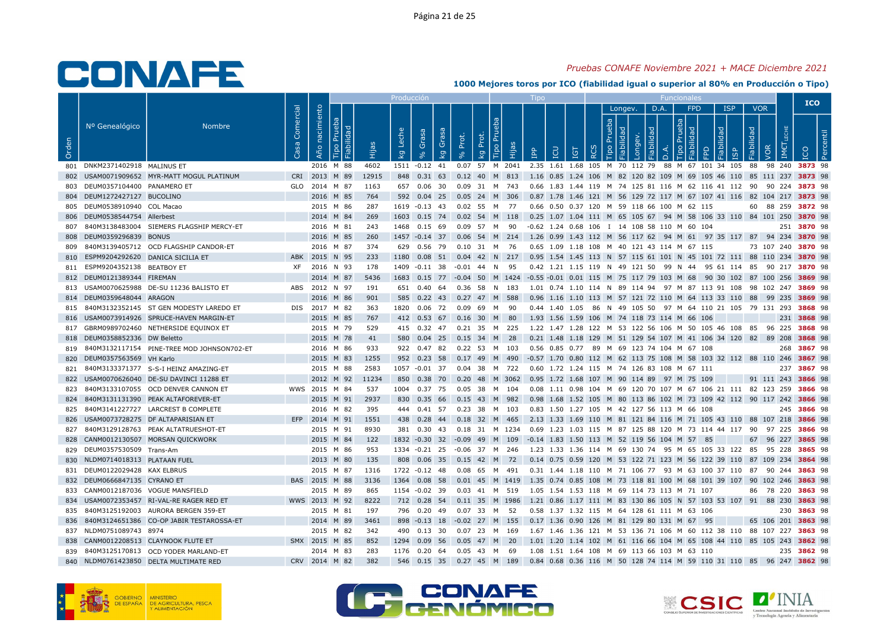## Pruebas CONAFE Noviembre 2021 + MACE Diciembre 2021

|       |                                      |                                                |           |                   |                            |       | Producci <u>ón</u> |           |                          |       |                                 |       | <b>TIDO</b>                                                                                         |                  |         |      | <b>Funcionales</b>          |       |                         |                          | <b>ICO</b>  |  |
|-------|--------------------------------------|------------------------------------------------|-----------|-------------------|----------------------------|-------|--------------------|-----------|--------------------------|-------|---------------------------------|-------|-----------------------------------------------------------------------------------------------------|------------------|---------|------|-----------------------------|-------|-------------------------|--------------------------|-------------|--|
| Orden | Nº Genealógico                       | <b>Nombre</b>                                  | Comercial | nacimiento<br>Año | $\mathbb{R}$<br>ᇫ<br>Fiabi |       | <b>Del</b><br>kg   | Grasa     | Grasa<br>kg              | Prot. | Tipo Pru<br>Prot.<br>Κg         | Hijas | LCN<br>$\mathbf{P}$                                                                                 | $\tilde{\alpha}$ | Longev. | D.A. | <b>FPD</b><br><u>ର</u><br>ਦ | lidad | <b>ISP</b><br><b>GP</b> | <b>VOR</b><br>Fiabilidad |             |  |
|       | 801 DNKM2371402918 MALINUS ET        |                                                |           |                   | 2016 M 88                  | 4602  |                    |           |                          |       |                                 |       | 1511 -0.12 41 0.07 57 M 2041 2.35 1.61 1.68 105 M 70 112 79 88 M 67 101 34 105 88 98 240 3873 98    |                  |         |      |                             |       |                         |                          |             |  |
|       |                                      | 802 USAM0071909652 MYR-MATT MOGUL PLATINUM     |           |                   | CRI 2013 M 89              | 12915 |                    |           |                          |       | 848 0.31 63 0.12 40 M 813       |       | 1.16 0.85 1.24 106 M 82 120 82 109 M 69 105 46 110 85 111 237 3873 98                               |                  |         |      |                             |       |                         |                          |             |  |
|       | 803 DEUM0357104400 PANAMERO ET       |                                                |           |                   | GLO 2014 M 87              | 1163  |                    |           |                          |       | 657  0.06  30  0.09  31  M  743 |       | 0.66 1.83 1.44 119 M 74 125 81 116 M 62 116 41 112 90 90 224 <b>3873</b> 98                         |                  |         |      |                             |       |                         |                          |             |  |
|       | 804 DEUM1272427127 BUCOLINO          |                                                |           |                   | 2016 M 85                  | 764   |                    |           |                          |       |                                 |       | 592 0.04 25 0.05 24 M 306 0.87 1.78 1.46 121 M 56 129 72 117 M 67 107 41 116 82 104 217 3873 98     |                  |         |      |                             |       |                         |                          |             |  |
|       | 805 DEUM0538910940 COL Macao         |                                                |           |                   | 2015 M 86                  | 287   |                    |           |                          |       | 1619 -0.13 43 0.02 55 M 77      |       | 0.66 0.50 0.37 120 M 59 118 66 100 M 62 115                                                         |                  |         |      |                             |       |                         | 60 88 259 3872 98        |             |  |
|       | 806 DEUM0538544754 Allerbest         |                                                |           |                   | 2014 M 84                  | 269   |                    |           |                          |       |                                 |       | 1603 0.15 74 0.02 54 M 118 0.25 1.07 1.04 111 M 65 105 67 94 M 58 106 33 110 84 101 250 3870 98     |                  |         |      |                             |       |                         |                          |             |  |
|       |                                      | 807 840M3138483004 SIEMERS FLAGSHIP MERCY-ET   |           |                   | 2016 M 81                  | 243   | 1468  0.15  69     |           |                          |       | 0.09 57 M 90                    |       | -0.62 1.24 0.68 106 I 14 108 58 110 M 60 104                                                        |                  |         |      |                             |       |                         |                          | 251 3870 98 |  |
|       | 808 DEUM0359296839 BONUS             |                                                |           |                   | 2016 M 85                  | 260   |                    |           |                          |       | 1457 -0.14 37 0.06 54 M 214     |       | 1.26 0.99 1.43 112 M 56 117 62 94 M 61 97 35 117 87 94 234 3870 98                                  |                  |         |      |                             |       |                         |                          |             |  |
|       |                                      | 809 840M3139405712 OCD FLAGSHIP CANDOR-ET      |           |                   | 2016 M 87                  | 374   |                    |           |                          |       | 629  0.56  79  0.10  31  M  76  |       | 0.65 1.09 1.18 108 M 40 121 43 114 M 67 115                                                         |                  |         |      |                             |       |                         | 73 107 240 3870 98       |             |  |
|       | 810 ESPM9204292620 DANICA SICILIA ET |                                                | ABK       |                   | 2015 N 95                  | 233   | 1180               | $0.08$ 51 |                          |       | $0.04$ 42 N 217                 |       | 0.95 1.54 1.45 113 N 57 115 61 101 N 45 101 72 111 88 110 234 3870 98                               |                  |         |      |                             |       |                         |                          |             |  |
|       | 811 ESPM9204352138 BEATBOY ET        |                                                |           |                   | XF 2016 N 93               | 178   | 1409 -0.11 38      |           |                          |       | $-0.01$ 44 N 95                 |       | 0.42 1.21 1.15 119 N 49 121 50 99 N 44 95 61 114 85 90 217 3870 98                                  |                  |         |      |                             |       |                         |                          |             |  |
|       | 812 DEUM0121389344 FIREMAN           |                                                |           |                   | 2014 M 87                  | 5436  |                    |           |                          |       |                                 |       | 1683 0.15 77 -0.04 50 M 1424 -0.55 -0.01 0.01 115 M 75 117 79 103 M 68 90 30 102 87 100 256 3869 98 |                  |         |      |                             |       |                         |                          |             |  |
|       |                                      | 813 USAM0070625988 DE-SU 11236 BALISTO ET      |           |                   | ABS 2012 N 97              | 191   |                    |           |                          |       | 651  0.40  64  0.36  58  N  183 |       | 1.01  0.74  1.10  114  N  89  114  94  97  M  87  113  91  108  98  102  247  3869  98              |                  |         |      |                             |       |                         |                          |             |  |
|       | 814 DEUM0359648044 ARAGON            |                                                |           |                   | 2016 M 86                  | 901   |                    |           |                          |       | 585 0.22 43 0.27 47 M 588       |       | 0.96 1.16 1.10 113 M 57 121 72 110 M 64 113 33 110 88 99 235 3869 98                                |                  |         |      |                             |       |                         |                          |             |  |
|       |                                      | 815 840M3132352145 ST GEN MODESTY LAREDO ET    |           |                   | DIS 2017 M 82              | 363   |                    |           | 1820  0.06  72  0.09  69 |       | M 90                            |       | 0.44 1.40 1.05 86 N 49 105 50 97 M 64 110 21 105 79 131 293 3868 98                                 |                  |         |      |                             |       |                         |                          |             |  |
|       |                                      | 816 USAM0073914926 SPRUCE-HAVEN MARGIN-ET      |           |                   | 2015 M 85                  | 767   |                    |           |                          |       | 412 0.53 67 0.16 30 M 80        |       | 1.93 1.56 1.59 106 M 74 118 73 114 M 66 106                                                         |                  |         |      |                             |       |                         |                          | 231 3868 98 |  |
|       |                                      | 817 GBRM0989702460 NETHERSIDE EQUINOX ET       |           |                   | 2015 M 79                  | 529   |                    |           |                          |       | 415  0.32  47  0.21  35  M  225 |       | 1.22 1.47 1.28 122 M 53 122 56 106 M 50 105 46 108 85 96 225 <b>3868</b> 98                         |                  |         |      |                             |       |                         |                          |             |  |
|       | 818 DEUM0358852336 DW Beletto        |                                                |           |                   | 2015 M 78                  | 41    | 580                | $0.04$ 25 |                          |       | $0.15$ 34 M                     | 28    | 0.21 1.48 1.18 129 M 51 129 54 107 M 41 106 34 120 82 89 208 3868 98                                |                  |         |      |                             |       |                         |                          |             |  |
|       |                                      | 819 840M3132117154 PINE-TREE MOD JOHNSON702-ET |           |                   | 2016 M 86                  | 933   |                    |           |                          |       | 922 0.47 82 0.22 53 M 103       |       | 0.56 0.85 0.77 89 M 69 123 74 104 M 67 108                                                          |                  |         |      |                             |       |                         |                          | 268 3867 98 |  |
|       | 820 DEUM0357563569 VH Karlo          |                                                |           |                   | 2015 M 83                  | 1255  | 952 0.23 58        |           |                          |       | 0.17 49 M 490                   |       | -0.57 1.70 0.80 112 M 62 113 75 108 M 58 103 32 112 88 110 246 3867 98                              |                  |         |      |                             |       |                         |                          |             |  |
|       |                                      | 821 840M3133371377 S-S-I HEINZ AMAZING-ET      |           |                   | 2015 M 88                  | 2583  | 1057 -0.01 37      |           |                          |       | 0.04 38 M 722                   |       | 0.60 1.72 1.24 115 M 74 126 83 108 M 67 111                                                         |                  |         |      |                             |       |                         |                          | 237 3867 98 |  |
|       |                                      | 822 USAM0070626040 DE-SU DAVINCI 11288 ET      |           |                   | 2012 M 92                  | 11234 |                    |           |                          |       |                                 |       | 850 0.38 70 0.20 48 M 3062 0.95 1.72 1.68 107 M 90 114 89 97 M 75 109                               |                  |         |      |                             |       |                         | 91 111 243 3866 98       |             |  |
|       |                                      | 823 840M3133107055 OCD DENVER CANNON ET        |           |                   | WWS 2015 M 84              | 537   | 1004 0.37 75       |           |                          |       | 0.05 38 M 104                   |       | 0.08 1.11 0.98 104 M 69 120 70 107 M 67 106 21 111 82 123 259 3866 98                               |                  |         |      |                             |       |                         |                          |             |  |
|       |                                      | 824 840M3131131390 PEAK ALTAFOREVER-ET         |           |                   | 2015 M 91                  | 2937  |                    |           |                          |       |                                 |       | 830 0.35 66 0.15 43 M 982 0.98 1.68 1.52 105 M 80 113 86 102 M 73 109 42 112 90 117 242 3866 98     |                  |         |      |                             |       |                         |                          |             |  |
|       |                                      | 825 840M3141227727 LARCREST B COMPLETE         |           |                   | 2016 M 82                  | 395   |                    |           |                          |       | 444  0.41  57  0.23  38  M  103 |       | 0.83 1.50 1.27 105 M 42 127 56 113 M 66 108                                                         |                  |         |      |                             |       |                         |                          | 245 3866 98 |  |
|       |                                      | 826 USAM0073728275 DF ALTAPARISIAN ET          |           |                   | EFP 2014 M 91              | 1551  |                    |           |                          |       | 438 0.28 44 0.18 32 M 465       |       | 2.13 1.33 1.69 110 M 81 121 84 116 M 71 105 43 110 88 107 218 3866 98                               |                  |         |      |                             |       |                         |                          |             |  |
|       |                                      | 827 840M3129128763 PEAK ALTATRUESHOT-ET        |           |                   | 2015 M 91                  | 8930  |                    |           |                          |       |                                 |       | 381 0.30 43 0.18 31 M 1234 0.69 1.23 1.03 115 M 87 125 88 120 M 73 114 44 117 90 97 225 3866 98     |                  |         |      |                             |       |                         |                          |             |  |
|       |                                      | 828 CANM0012130507 MORSAN QUICKWORK            |           |                   | 2015 M 84                  | 122   |                    |           |                          |       |                                 |       | 1832 -0.30 32 -0.09 49 M 109 -0.14 1.83 1.50 113 M 52 119 56 104 M 57 85                            |                  |         |      |                             |       |                         | 67 96 227 3865 98        |             |  |
|       | 829 DEUM0357530509 Trans-Am          |                                                |           |                   | 2015 M 86                  | 953   |                    |           |                          |       |                                 |       | 1334 -0.21 25 -0.06 37 M 246 1.23 1.33 1.36 114 M 69 130 74 95 M 65 105 33 122 85 95 228 3865 98    |                  |         |      |                             |       |                         |                          |             |  |
|       | 830 NLDM0714018313 PLATAAN FUEL      |                                                |           |                   | 2013 M 80                  | 135   |                    |           |                          |       |                                 |       | 808 0.06 35 0.15 42 M 72 0.14 0.75 0.59 120 M 53 122 71 123 M 56 122 39 110 87 109 234 3864 98      |                  |         |      |                             |       |                         |                          |             |  |
|       | 831 DEUM0122029428 KAX ELBRUS        |                                                |           |                   | 2015 M 87                  | 1316  | 1722 -0.12 48      |           |                          |       | 0.08 65 M 491                   |       | 0.31 1.44 1.18 110 M 71 106 77 93 M 63 100 37 110 87 90 244 3863 98                                 |                  |         |      |                             |       |                         |                          |             |  |
|       | 832 DEUM0666847135 CYRANO ET         |                                                |           |                   | BAS 2015 M 88              | 3136  |                    |           |                          |       |                                 |       | 1364 0.08 58 0.01 45 M 1419 1.35 0.74 0.85 108 M 73 118 81 100 M 68 101 39 107 90 102 246 3863 98   |                  |         |      |                             |       |                         |                          |             |  |
|       | 833 CANM0012187036 VOGUE MANSFIELD   |                                                |           |                   | 2015 M 89                  | 865   |                    |           |                          |       |                                 |       | 1154 -0.02 39 0.03 41 M 519 1.05 1.54 1.53 118 M 69 114 73 113 M 71 107                             |                  |         |      |                             |       |                         | 86 78 220 3863 98        |             |  |
|       |                                      | 834 USAM0072353457 RI-VAL-RE RAGER RED ET      |           |                   | WWS 2013 M 92              | 8222  |                    |           |                          |       | 712 0.28 54 0.11 35 M 1986      |       | 1.21 0.86 1.17 111 M 83 130 86 105 N 57 103 53 107 91 88 230 3863 98                                |                  |         |      |                             |       |                         |                          |             |  |
|       |                                      | 835 840M3125192003 AURORA BERGEN 359-ET        |           |                   | 2015 M 81                  | 197   |                    |           |                          |       | 796  0.20  49  0.07  33  M  52  |       | 0.58 1.37 1.32 115 M 64 128 61 111 M 63 106                                                         |                  |         |      |                             |       |                         |                          | 230 3863 98 |  |
|       |                                      | 836 840M3124651386 CO-OP JABIR TESTAROSSA-ET   |           |                   | 2014 M 89                  | 3461  |                    |           |                          |       |                                 |       | 898 -0.13 18 -0.02 27 M 155 0.17 1.36 0.90 126 M 81 129 80 131 M 67 95                              |                  |         |      |                             |       |                         | 65 106 201 3863 98       |             |  |
|       | 837 NLDM0751089743 8974              |                                                |           |                   | 2015 M 82                  | -342  |                    |           |                          |       | 490  0.13  30  0.07  23  M  169 |       | 1.67 1.46 1.36 121 M 53 136 71 106 M 60 112 38 110 88 107 227 <b>3863</b> 98                        |                  |         |      |                             |       |                         |                          |             |  |
|       |                                      | 838 CANM0012208513 CLAYNOOK FLUTE ET           |           |                   | SMX 2015 M 85              | 852   | 1294  0.09  56     |           |                          |       | $0.05$ 47 M 20                  |       | 1.01 1.20 1.14 102 M 61 116 66 104 M 65 108 44 110 85 105 243 3862 98                               |                  |         |      |                             |       |                         |                          |             |  |
|       |                                      | 839 840M3125170813 OCD YODER MARLAND-ET        |           |                   | 2014 M 83                  | 283   |                    |           |                          |       | 1176  0.20  64  0.05  43  M  69 |       | 1.08 1.51 1.64 108 M 69 113 66 103 M 63 110                                                         |                  |         |      |                             |       |                         |                          | 235 3862 98 |  |
|       |                                      | 840 NLDM0761423850 DELTA MULTIMATE RED         |           |                   | CRV 2014 M 82              | 382   |                    |           |                          |       | 546  0.15  35  0.27  45  M  189 |       | 0.84 0.68 0.36 116 M 50 128 74 114 M 59 110 31 110 85 96 247 3862 98                                |                  |         |      |                             |       |                         |                          |             |  |







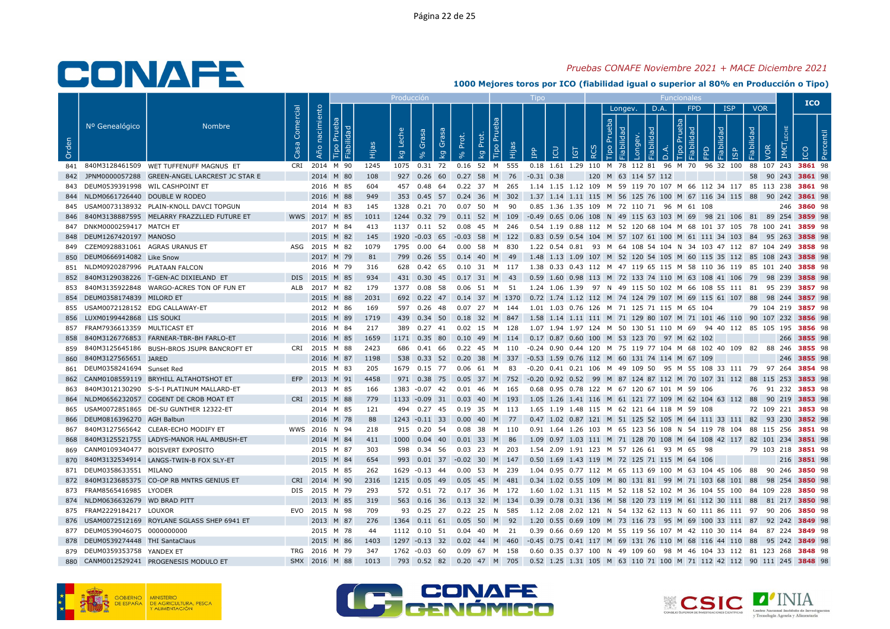## Pruebas CONAFE Noviembre 2021 + MACE Diciembre 2021

|       |                                     |                                                |                             |                              |           |       |                                           |             |       |                                                                                                                          |              |                                                                                        |          |                              |                     |                        |            |                              |            |                         | <b>ICO</b>         |  |
|-------|-------------------------------------|------------------------------------------------|-----------------------------|------------------------------|-----------|-------|-------------------------------------------|-------------|-------|--------------------------------------------------------------------------------------------------------------------------|--------------|----------------------------------------------------------------------------------------|----------|------------------------------|---------------------|------------------------|------------|------------------------------|------------|-------------------------|--------------------|--|
| Orden | Nº Genealógico                      | <b>Nombre</b>                                  | Comercial<br>S <sub>3</sub> | Año nacimiento<br>$\sqrt{a}$ | Fiabilida | Hijas | Leche<br>Grasa<br>$\overline{\mathsf{g}}$ | Grasa<br>kg | Prot. | Tipo Pru<br>Prot.<br>Hijas<br><b>Q</b>                                                                                   | $\mathbf{P}$ | <b>CD</b><br><b>IGT</b>                                                                | $\alpha$ | Longev.<br>Prueb.<br>$\circ$ |                     | D.A.<br>$\overline{a}$ | <b>FPD</b> | <b>ISP</b><br>lidad          | Fiabilidad | <b>VOR</b><br>$\bar{S}$ |                    |  |
|       |                                     | 841 840M3128461509 WET TUFFENUFF MAGNUS ET     | CRI                         | 2014 M 90                    |           | 1245  | 1075  0.31  72                            |             |       | 0.16 52 M 555                                                                                                            |              | 0.18 1.61 1.29 110 M 78 112 81 96 M 70                                                 |          |                              |                     |                        |            | 96 32 100 88 107 243 3861 98 |            |                         |                    |  |
|       |                                     | JPNM0000057288 GREEN-ANGEL LARCREST JC STAR E  |                             | 2014 M 80                    |           | 108   |                                           |             |       | 927 0.26 60 0.27 58 M 76 -0.31 0.38                                                                                      |              |                                                                                        |          |                              | 120 M 63 114 57 112 |                        |            |                              |            |                         | 58 90 243 3861 98  |  |
|       | 843 DEUM0539391998 WIL CASHPOINT ET |                                                |                             | 2016 M 85                    |           | 604   | 457                                       | 0.48 64     |       | 0.22 37 M 265                                                                                                            |              | 1.14 1.15 1.12 109 M 59 119 70 107 M 66 112 34 117 85 113 238 3861 98                  |          |                              |                     |                        |            |                              |            |                         |                    |  |
|       | 844 NLDM0661726440 DOUBLE W RODEO   |                                                |                             | 2016 M 88                    |           | 949   |                                           |             |       | 353 0.45 57 0.24 36 M 302                                                                                                |              | 1.37 1.14 1.11 115 M 56 125 76 100 M 67 116 34 115 88 90 242 3861 98                   |          |                              |                     |                        |            |                              |            |                         |                    |  |
|       |                                     | 845 USAM0073138932 PLAIN-KNOLL DAVCI TOPGUN    |                             | 2014 M 83                    |           | 145   | 1328  0.21  70                            |             |       | 0.07 50 M 90                                                                                                             |              | 0.85 1.36 1.35 109 M 72 110 71 96 M 61 108                                             |          |                              |                     |                        |            |                              |            |                         | 246 3860 98        |  |
| 846   |                                     | 840M3138887595 MELARRY FRAZZLLED FUTURE ET     |                             | WWS 2017 M 85                |           | 1011  |                                           |             |       | 1244 0.32 79 0.11 52 M 109 -0.49 0.65 0.06 108 N 49 115 63 103 M 69 98 21 106 81 89 254 3859 98                          |              |                                                                                        |          |                              |                     |                        |            |                              |            |                         |                    |  |
|       | 847 DNKM0000259417 MATCH ET         |                                                |                             | 2017 M 84                    |           | 413   | 1137  0.11  52                            |             |       |                                                                                                                          |              | 0.54 1.19 0.88 112 M 52 120 68 104 M 68 101 37 105 78 100 241 3859 98                  |          |                              |                     |                        |            |                              |            |                         |                    |  |
|       | 848 DEUM1267420197 MANOSO           |                                                |                             | 2015 M 82                    |           | 145   |                                           |             |       | 1920 -0.03 65 -0.03 58 M 122 0.83 0.59 0.54 104 M 57 107 61 100 M 61 111 34 103 84 95 263 3858 98                        |              |                                                                                        |          |                              |                     |                        |            |                              |            |                         |                    |  |
|       | 849 CZEM0928831061 AGRAS URANUS ET  |                                                |                             | ASG 2015 M 82                |           | 1079  | 1795  0.00  64                            |             |       | 0.00 58 M 830                                                                                                            |              | 1.22 0.54 0.81 93 M 64 108 54 104 N 34 103 47 112 87 104 249 3858 98                   |          |                              |                     |                        |            |                              |            |                         |                    |  |
|       | 850 DEUM0666914082 Like Snow        |                                                |                             | 2017 M 79                    |           | 81    | 799 0.26 55                               |             |       | 0.14 40 M 49                                                                                                             |              | 1.48 1.13 1.09 107 M 52 120 54 105 M 60 115 35 112 85 108 243 3858 98                  |          |                              |                     |                        |            |                              |            |                         |                    |  |
|       | 851 NLDM0920287996 PLATAAN FALCON   |                                                |                             | 2016 M 79                    |           | 316   | 628 0.42 65                               |             |       | 0.10 31 M 117 1.38 0.33 0.43 112 M 47 119 65 115 M 58 110 36 119 85 101 240 <b>3858</b> 98                               |              |                                                                                        |          |                              |                     |                        |            |                              |            |                         |                    |  |
| 852   |                                     | 840M3129038226 T-GEN-AC DIXIELAND ET           |                             | DIS 2015 M 85                |           | 934   |                                           |             |       | 431 0.30 45 0.17 31 M 43                                                                                                 |              | 0.59 1.60 0.98 113 M 72 133 74 110 M 63 108 41 106 79 98 239 3858 98                   |          |                              |                     |                        |            |                              |            |                         |                    |  |
|       |                                     | 840M3135922848 WARGO-ACRES TON OF FUN ET       |                             | ALB 2017 M 82                |           | 179   | 1377 0.08 58                              |             |       | 0.06 51 M 51                                                                                                             |              | 1.24 1.06 1.39 97 N 49 115 50 102 M 66 108 55 111 81 95 239 3857 98                    |          |                              |                     |                        |            |                              |            |                         |                    |  |
|       | 854 DEUM0358174839 MILORD ET        |                                                |                             | 2015 M 88                    |           | 2031  |                                           |             |       | 692 0.22 47 0.14 37 M 1370 0.72 1.74 1.12 112 M 74 124 79 107 M 69 115 61 107 88 98 244 3857 98                          |              |                                                                                        |          |                              |                     |                        |            |                              |            |                         |                    |  |
|       | 855 USAM0072128152 EDG CALLAWAY-ET  |                                                |                             | 2012 M 86                    |           | 169   | 597 0.26 48                               |             |       | 0.07 27 M 144                                                                                                            |              | 1.01 1.03 0.76 126 M 71 125 71 115 M 65 104                                            |          |                              |                     |                        |            |                              |            |                         | 79 104 219 3857 98 |  |
|       | 856 LUXM0199442868 LIS SOUKI        |                                                |                             | 2015 M 89                    |           | 1719  |                                           |             |       | 439 0.34 50 0.18 32 M 847 1.58 1.14 1.11 111 M 71 129 80 107 M 71 101 46 110 90 107 232 3856 98                          |              |                                                                                        |          |                              |                     |                        |            |                              |            |                         |                    |  |
| 857   | FRAM7936613359 MULTICAST ET         |                                                |                             | 2016 M 84                    |           | 217   |                                           |             |       | 389  0.27  41  0.02  15  M  128                                                                                          |              | 1.07 1.94 1.97 124 M 50 130 51 110 M 69 94 40 112 85 105 195 <b>3856</b> 98            |          |                              |                     |                        |            |                              |            |                         |                    |  |
| 858   |                                     | 840M3126776853 FARNEAR-TBR-BH FARLO-ET         |                             | 2016 M 85                    |           | 1659  | 1171 0.35 80                              |             |       | 0.10 49 M 114 0.17 0.87 0.60 100 M 53 123 70 97 M 62 102                                                                 |              |                                                                                        |          |                              |                     |                        |            |                              |            |                         | 266 3855 98        |  |
| 859   |                                     | 840M3125645186 BUSH-BROS JSUPR BANCROFT ET     |                             | CRI 2015 M 88                |           | 2423  |                                           | 686 0.41 66 |       | 0.22 45 M 110 -0.24 0.90 0.44 120 M 75 119 77 104 M 68 102 40 109 82 88 246 <b>3855</b> 98                               |              |                                                                                        |          |                              |                     |                        |            |                              |            |                         |                    |  |
|       | 860 840M3127565651 JARED            |                                                |                             | 2016 M 87                    |           | 1198  | 538 0.33 52                               |             |       | 0.20 38 M 337                                                                                                            |              | -0.53 1.59 0.76 112 M 60 131 74 114 M 67 109                                           |          |                              |                     |                        |            |                              |            |                         | 246 3855 98        |  |
|       | 861 DEUM0358241694 Sunset Red       |                                                |                             | 2015 M 83                    |           | 205   |                                           |             |       | 1679  0.15  77  0.06  61  M  83                                                                                          |              | -0.20 0.41 0.21 106 M 49 109 50 95 M 55 108 33 111 79 97 264 <b>3854</b> 98            |          |                              |                     |                        |            |                              |            |                         |                    |  |
|       |                                     | 862 CANM0108559119 BRYHILL ALTAHOTSHOT ET      |                             | EFP 2013 M 91                |           | 4458  |                                           |             |       | 971 0.38 75 0.05 37 M 752 -0.20 0.92 0.52 99 M 87 124 87 112 M 70 107 31 112 88 115 253 3853 98                          |              |                                                                                        |          |                              |                     |                        |            |                              |            |                         |                    |  |
| 863   |                                     | 840M3012130290 S-S-I PLATINUM MALLARD-ET       |                             | 2013 M 85                    |           | 166   | 1383 -0.07 42                             |             |       | 0.01 46 M 165                                                                                                            |              | 0.68 0.95 0.78 122 M 67 120 67 101 M 59 106                                            |          |                              |                     |                        |            |                              |            |                         | 76 91 232 3853 98  |  |
|       |                                     | 864 NLDM0656232057 COGENT DE CROB MOAT ET      |                             | CRI 2015 M 88                |           | 779   |                                           |             |       | 1133 -0.09 31 0.03 40 M 193                                                                                              |              | 1.05 1.26 1.41 116 M 61 121 77 109 M 62 104 63 112 88 90 219 3853 98                   |          |                              |                     |                        |            |                              |            |                         |                    |  |
|       |                                     | 865 USAM0072851865 DE-SU GUNTHER 12322-ET      |                             | 2014 M 85                    |           | 121   |                                           |             |       | 494  0.27  45  0.19  35  M  113                                                                                          |              | 1.65 1.19 1.48 115 M 62 121 64 118 M 59 108                                            |          |                              |                     |                        |            |                              |            |                         | 72 109 221 3853 98 |  |
|       | 866 DEUM0816396270 AGH Balbun       |                                                |                             | 2016 M 78                    |           | 88    | $1243 - 0.11$ 33                          |             |       | 0.00 40 M 77                                                                                                             |              | 0.47 1.02 0.87 121 M 51 125 52 105 M 64 111 33 111 82 93 230 3852 98                   |          |                              |                     |                        |            |                              |            |                         |                    |  |
| 867   |                                     | 840M3127565642 CLEAR-ECHO MODIFY ET            |                             | WWS 2016 N 94                |           | 218   |                                           |             |       | 915  0.20  54  0.08  38  M  110                                                                                          |              | 0.91 1.64 1.26 103 M 65 123 56 108 N 54 119 78 104 88 115 256 3851 98                  |          |                              |                     |                        |            |                              |            |                         |                    |  |
| 868   |                                     | 840M3125521755 LADYS-MANOR HAL AMBUSH-ET       |                             | 2014 M 84                    |           | 411   | 1000  0.04  40                            |             |       | 0.01 33 M 86                                                                                                             |              | 1.09 0.97 1.03 111 M 71 128 70 108 M 64 108 42 117 82 101 234 3851 98                  |          |                              |                     |                        |            |                              |            |                         |                    |  |
|       |                                     | 869 CANM0109340477 BOISVERT EXPOSITO           |                             | 2015 M 87                    |           | 303   |                                           |             |       | 598 0.34 56 0.03 23 M 203 1.54 2.09 1.91 123 M 57 126 61 93 M 65 98                                                      |              |                                                                                        |          |                              |                     |                        |            |                              |            |                         | 79 103 218 3851 98 |  |
| 870   |                                     | 840M3132534914 LANGS-TWIN-B FOX SLY-ET         |                             | 2015 M 84                    |           | 654   |                                           |             |       | 993 0.01 37 -0.02 30 M 147                                                                                               |              | 0.50 1.69 1.43 119 M 72 125 71 115 M 64 106                                            |          |                              |                     |                        |            |                              |            |                         | 216 3851 98        |  |
| 871   | DEUM0358633551 MILANO               |                                                |                             | 2015 M 85                    |           | 262   | 1629 -0.13 44                             |             |       | 0.00 53 M 239                                                                                                            |              | 1.04  0.95  0.77  112  M  65  113  69  100  M  63  104  45  106  88  90  246  3850  98 |          |                              |                     |                        |            |                              |            |                         |                    |  |
|       |                                     | 872 840M3123685375 CO-OP RB MNTRS GENIUS ET    |                             | CRI 2014 M 90                |           | 2316  |                                           |             |       | 1215 0.05 49 0.05 45 M 481                                                                                               |              | 0.34 1.02 0.55 109 M 80 131 81 99 M 71 103 68 101 88 98 254 3850 98                    |          |                              |                     |                        |            |                              |            |                         |                    |  |
|       | 873 FRAM8565416985 LYODER           |                                                |                             | DIS 2015 M 79                |           | 293   |                                           |             |       | 572  0.51  72  0.17  36  M  172  1.60  1.02  1.31  115  M  52  118  52  102  M  36  104  55  100  84  109  228  3850  98 |              |                                                                                        |          |                              |                     |                        |            |                              |            |                         |                    |  |
|       | 874 NLDM0636632679 WD BRAD PITT     |                                                |                             | 2013 M 85                    |           | 319   |                                           |             |       | 563 0.16 36 0.13 32 M 134 0.39 0.78 0.31 136 M 58 120 73 119 M 61 112 30 111 88 81 217 3850 98                           |              |                                                                                        |          |                              |                     |                        |            |                              |            |                         |                    |  |
|       | 875 FRAM2229184217 LOUXOR           |                                                |                             | EVO 2015 N 98                |           | 709   |                                           | 93 0.25 27  |       | 0.22 25 N 585                                                                                                            |              | 1.12 2.08 2.02 121 N 54 132 62 113 N 60 111 86 111 97 90 206 3850 98                   |          |                              |                     |                        |            |                              |            |                         |                    |  |
|       |                                     | 876 USAM0072512169 ROYLANE SGLASS SHEP 6941 ET |                             | 2013 M 87                    |           | 276   | 1364 0.11 61                              |             |       | $0.05$ 50 M<br>- 92                                                                                                      |              | 1.20 0.55 0.69 109 M 73 116 73 95 M 69 100 33 111 87 92 242 3849 98                    |          |                              |                     |                        |            |                              |            |                         |                    |  |
|       | 877 DEUM0539046075 0000000000       |                                                |                             | 2015 M 78                    |           | 44    |                                           |             |       | 1112  0.10  51  0.04  40  M  21                                                                                          |              | 0.39 0.66 0.69 120 M 55 119 56 107 M 42 110 30 114  84  87 224 <b>3849</b> 98          |          |                              |                     |                        |            |                              |            |                         |                    |  |
|       | 878 DEUM0539274448 THI SantaClaus   |                                                |                             | 2015 M 86                    |           | 1403  | 1297 -0.13 32                             |             |       | 0.02 44 M 460                                                                                                            |              | -0.45 0.75 0.41 117 M 69 131 76 110 M 68 116 44 110 88 95 242 3849 98                  |          |                              |                     |                        |            |                              |            |                         |                    |  |
|       | 879 DEUM0359353758 YANDEX ET        |                                                |                             | TRG 2016 M 79                |           | 347   | 1762 -0.03 60                             |             |       | 0.09 67 M 158                                                                                                            |              | 0.60 0.35 0.37 100 N 49 109 60 98 M 46 104 33 112 81 123 268 3848 98                   |          |                              |                     |                        |            |                              |            |                         |                    |  |
|       |                                     | 880 CANM0012529241 PROGENESIS MODULO ET        |                             | SMX 2016 M 88                |           | 1013  |                                           |             |       | 793 0.52 82 0.20 47 M 705                                                                                                |              | 0.52 1.25 1.31 105 M 63 110 71 100 M 71 112 42 112 90 111 245 3848 98                  |          |                              |                     |                        |            |                              |            |                         |                    |  |
|       |                                     |                                                |                             |                              |           |       |                                           |             |       |                                                                                                                          |              |                                                                                        |          |                              |                     |                        |            |                              |            |                         |                    |  |





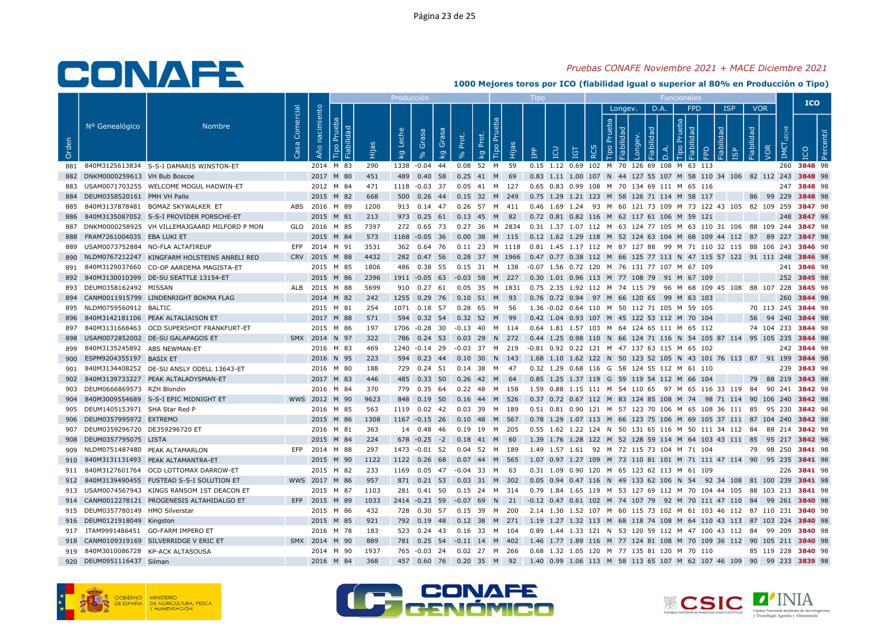## Pruebas CONAFE Noviembre 2021 + MACE Diciembre 2021

|       |                                    |                                               |           |                                      |      | Producciór       |                                  |       |                                                                                                  |                                                                             |            |                             |         |                 |            |                       |                                        |     | <b>ICO</b>         |   |
|-------|------------------------------------|-----------------------------------------------|-----------|--------------------------------------|------|------------------|----------------------------------|-------|--------------------------------------------------------------------------------------------------|-----------------------------------------------------------------------------|------------|-----------------------------|---------|-----------------|------------|-----------------------|----------------------------------------|-----|--------------------|---|
| Orden | Nº Genealógico                     | <b>Nombre</b>                                 | Comercial | nacimiento<br>. ರ<br>Año<br>ia<br>ia | Ëщ   | Leche<br>$k_{g}$ | Grasa<br>Grasa<br>k <sub>g</sub> | Prot. | Tipo Pru<br>Prot.<br>Hijas<br>$\frac{1}{2}$                                                      | LCU<br>$\overline{B}$                                                       | <b>IGT</b> | $\circ$<br>$\tilde{\alpha}$ | Longev. | D.A.<br>$\circ$ | <b>FPD</b> | <b>ISP</b><br>bilidad | <b>VOR</b><br>Fiabilidad<br><b>VOR</b> | IM€ | ICO                | ீ |
| 881   |                                    | 840M3125613834 S-S-I DAMARIS WINSTON-ET       |           | 2014 M 83                            | 290  |                  | 1338 -0.04 44                    |       | 0.08 52 M 59                                                                                     | 0.15 1.12 0.69 102 M 70 126 69 108 M 63 113                                 |            |                             |         |                 |            |                       |                                        |     | 260 3848 98        |   |
|       | 882 DNKM0000259613 VH Bub Boscoe   |                                               |           | 2017 M 80                            | 451  |                  |                                  |       | 489 0.40 58 0.25 41 M 69                                                                         | 0.83 1.11 1.00 107 N 44 127 55 107 M 58 110 34 106 82 112 243 3848 98       |            |                             |         |                 |            |                       |                                        |     |                    |   |
|       |                                    | 883 USAM0071703255 WELCOME MOGUL HADWIN-ET    |           | 2012 M 84                            | 471  |                  |                                  |       | 1118 -0.03 37 0.05 41 M 127                                                                      | 0.65 0.83 0.99 108 M 70 134 69 111 M 65 116                                 |            |                             |         |                 |            |                       |                                        |     | 247 3848 98        |   |
|       | 884 DEUM0358520161 PMH VH Palle    |                                               |           | 2015 M 82                            | 668  |                  |                                  |       | 500 0.26 44 0.15 32 M 249                                                                        | 0.75 1.29 1.21 123 M 58 126 71 114 M 58 117                                 |            |                             |         |                 |            |                       |                                        |     | 86 99 229 3848 98  |   |
| 885   |                                    | 840M3137878481 BOMAZ SKYWALKER ET             |           | ABS 2016 M 89                        | 1200 |                  |                                  |       | 913  0.14  47  0.26  57  M  411                                                                  | 0.46 1.69 1.24 93 M 60 121 73 109 M 73 122 43 105 82 109 259 3847 98        |            |                             |         |                 |            |                       |                                        |     |                    |   |
| 886   |                                    | 840M3135087052 S-S-I PROVIDER PORSCHE-ET      |           | 2015 M 81                            | 213  |                  |                                  |       | 973 0.25 61 0.13 45 M 82 0.72 0.81 0.82 116 M 62 117 61 106 M 59 121                             |                                                                             |            |                             |         |                 |            |                       |                                        |     | 248 3847 98        |   |
| 887   |                                    | DNKM0000258925 VH VILLEMAJGAARD MILFORD P MON |           | GLO 2016 M 85                        | 7397 |                  |                                  |       | 272 0.65 73 0.27 36 M 2834 0.31 1.37 1.07 112 M 63 124 77 105 M 63 110 31 106 88 109 244 3847 98 |                                                                             |            |                             |         |                 |            |                       |                                        |     |                    |   |
| 888   | FRAM7261004035 EBA LUKI ET         |                                               |           | 2015 M 84                            | 573  |                  |                                  |       | 1168 -0.05 36 0.00 38 M 115 0.12 1.62 1.29 118 M 52 124 63 104 M 68 109 44 112 87 89 227 3847 98 |                                                                             |            |                             |         |                 |            |                       |                                        |     |                    |   |
|       |                                    | 889 USAM0073752884 NO-FLA ALTAFIREUP          |           | EFP 2014 M 91                        | 3531 |                  |                                  |       | 362 0.64 76 0.11 23 M 1118 0.81 1.45 1.17 112 M 87 127 88 99 M 71 110 32 115 88 106 243 3846 98  |                                                                             |            |                             |         |                 |            |                       |                                        |     |                    |   |
| 890   |                                    | NLDM0767212247 KINGFARM HOLSTEINS ANRELI RED  |           | CRV 2015 M 88                        | 4432 |                  | 282 0.47 56                      |       | 0.28 37 M 1966                                                                                   | 0.47 0.77 0.38 112 M 66 125 77 113 N 47 115 57 122 91 111 248 3846 98       |            |                             |         |                 |            |                       |                                        |     |                    |   |
| 891   |                                    | 840M3129037660 CO-OP AARDEMA MAGISTA-ET       |           | 2015 M 85                            | 1806 |                  |                                  |       | 486  0.38  55  0.15  31  M  138  -0.07  1.56  0.72  120  M  76  131  77  107  M  67  109         |                                                                             |            |                             |         |                 |            |                       |                                        |     | 241 3846 98        |   |
| 892   |                                    | 840M3130010399 DE-SU SEATTLE 13154-ET         |           | 2015 M 86                            | 2396 |                  |                                  |       | 1911 -0.05 63 -0.03 58 M 227 0.30 1.01 0.96 113 M 77 108 79 91 M 67 109                          |                                                                             |            |                             |         |                 |            |                       |                                        |     | 252 3845 98        |   |
|       | 893 DEUM0358162492 MISSAN          |                                               |           | ALB 2015 M 88                        | 5699 |                  | 910 0.27 61                      |       | 0.05 35 M 1831                                                                                   | 0.75 2.35 1.92 112 M 74 115 79 96 M 68 109 45 108 88 107 228 3845 98        |            |                             |         |                 |            |                       |                                        |     |                    |   |
|       |                                    | 894 CANM0011915799 LINDENRIGHT BOKMA FLAG     |           | 2014 M 82                            | 242  |                  |                                  |       | 1255 0.29 76 0.10 51 M 93                                                                        | 0.76 0.72 0.94 97 M 66 120 65 99 M 63 103                                   |            |                             |         |                 |            |                       |                                        |     | 260 3844 98        |   |
|       | 895 NLDM0759560912 BALTIC          |                                               |           | 2015 M 81                            | 254  |                  | 1071 0.18 57                     |       | 0.28 65 M 56                                                                                     | 1.36 -0.02 0.64 110 M 50 112 71 105 M 59 105                                |            |                             |         |                 |            |                       |                                        |     | 70 113 245 3844 98 |   |
| 896   |                                    | 840M3142181106 PEAK ALTALIAISON ET            |           | 2017 M 88                            | 571  |                  |                                  |       | 594 0.32 54 0.32 52 M 99                                                                         | 0.42 1.04 0.93 107 M 45 122 53 112 M 70 104                                 |            |                             |         |                 |            |                       |                                        |     | 56 94 240 3844 98  |   |
| 897   |                                    | 840M3131668463 OCD SUPERSHOT FRANKFURT-ET     |           | 2015 M 86                            | 197  |                  | 1706 -0.28 30                    |       | -0.13 40 M 114  0.64  1.81  1.57  103  M  64  124  65  111  M  65  112                           |                                                                             |            |                             |         |                 |            |                       |                                        |     | 74 104 233 3844 98 |   |
| 898   |                                    | USAM0072852002 DE-SU GALAPAGOS ET             |           | SMX 2014 N 97                        | 322  |                  | 786 0.24 53                      |       | 0.03 29 N 272                                                                                    | 0.44 1.25 0.98 110 N 66 124 71 116 N 54 105 87 114 95 105 235 3844 98       |            |                             |         |                 |            |                       |                                        |     |                    |   |
|       | 899 840M3135245892 ABS NEWMAN-ET   |                                               |           | 2016 M 83                            | 469  |                  |                                  |       | 1240 -0.14 29 -0.03 37 M 219                                                                     | -0.81  0.92  0.22  121  M  47  137  63  115  M  65  102                     |            |                             |         |                 |            |                       |                                        |     | 242 3844 98        |   |
| 900   | ESPM9204355197 BASIX ET            |                                               |           | 2016 N 95                            | 223  |                  | 594 0.23 44                      |       | $0.10$ 30 N 143                                                                                  | 1.68 1.10 1.62 122 N 50 123 52 105 N 43 101 76 113 87 91 199 3844 98        |            |                             |         |                 |            |                       |                                        |     |                    |   |
| 901   |                                    | 840M3134408252 DE-SU ANSLY ODELL 13643-ET     |           | 2016 M 80                            | 188  |                  |                                  |       | 729  0.24  51  0.14  38  M  47                                                                   | 0.32 1.29 0.68 116 G 58 124 55 112 M 61 110                                 |            |                             |         |                 |            |                       |                                        |     | 239 3843 98        |   |
|       |                                    | 902 840M3139733227 PEAK ALTALADYSMAN-ET       |           | 2017 M 83                            | 446  |                  |                                  |       | 485 0.33 50 0.26 42 M 64                                                                         | 0.85 1.25 1.37 119 G 59 119 54 112 M 66 104                                 |            |                             |         |                 |            |                       |                                        |     | 79 88 219 3843 98  |   |
|       | 903 DEUM0666869573 RZH Blondin     |                                               |           | 2016 M 84                            | 370  |                  | 779 0.35 64                      |       | 0.22 48 M 158                                                                                    | 1.59 0.88 1.15 111 M 54 110 65 97 M 65 116 33 119 84 90 241 <b>3842</b> 98  |            |                             |         |                 |            |                       |                                        |     |                    |   |
|       |                                    | 904 840M3009554689 S-S-I EPIC MIDNIGHT ET     |           | WWS 2012 M 90                        | 9623 |                  |                                  |       | 848 0.19 50 0.16 44 M 526 0.37 0.72 0.67 112 M 83 124 85 108 M 74 98 71 114 90 106 240 3842 98   |                                                                             |            |                             |         |                 |            |                       |                                        |     |                    |   |
|       | 905 DEUM1405153971 SHA Star Red P  |                                               |           | 2016 M 85                            | 563  |                  |                                  |       | 1119  0.02  42  0.03  39  M  189                                                                 | 0.51 0.81 0.90 121 M 57 123 70 106 M 65 108 36 111 85 95 230 3842 98        |            |                             |         |                 |            |                       |                                        |     |                    |   |
|       | 906 DEUM0357995972 EXTREMO         |                                               |           | 2015 M 86                            | 1308 |                  | 1167 -0.15 26                    |       | 0.10 48 M 567                                                                                    | 0.78 1.29 1.07 113 M 66 123 75 106 M 69 105 37 111 87 104 240 3842 98       |            |                             |         |                 |            |                       |                                        |     |                    |   |
|       | 907 DEUM0359296720 DE359296720 ET  |                                               |           | 2016 M 81                            | 363  |                  |                                  |       | 14  0.48  46  0.19  19  M  205                                                                   | 0.55 1.62 1.22 124 N 50 131 65 116 M 50 111 34 112 84 88 214 <b>3842</b> 98 |            |                             |         |                 |            |                       |                                        |     |                    |   |
|       | 908 DEUM0357795075 LISTA           |                                               |           | 2015 M 84                            | 224  |                  |                                  |       | 678 -0.25 -2 0.18 41 M 60                                                                        | 1.39 1.76 1.28 122 M 52 128 59 114 M 64 103 43 111 85 95 217 3842 98        |            |                             |         |                 |            |                       |                                        |     |                    |   |
|       | 909 NLDM0751487480 PEAK ALTAMARLON |                                               |           | EFP 2014 M 88                        | 297  |                  |                                  |       | 1473 -0.01 52 0.04 52 M 189                                                                      | 1.49 1.57 1.61 92 M 72 115 73 104 M 71 104                                  |            |                             |         |                 |            |                       |                                        |     | 79 98 250 3841 98  |   |
|       |                                    | 910 840M3131131493 PEAK ALTAMANTRA-ET         |           | 2015 M 90                            | 1122 |                  | 1122 0.26 68                     |       | 0.07 44 M 565                                                                                    | 1.07 0.97 1.27 109 M 73 110 81 101 M 71 111 47 114 90 95 235 3841 98        |            |                             |         |                 |            |                       |                                        |     |                    |   |
| 911   |                                    | 840M3127601764 OCD LOTTOMAX DARROW-ET         |           | 2015 M 82                            | 233  |                  | 1169  0.05  47                   |       | -0.04 33 M 63                                                                                    | 0.31 1.09 0.90 120 M 65 123 62 113 M 61 109                                 |            |                             |         |                 |            |                       |                                        |     | 226 3841 98        |   |
|       |                                    | 912 840M3139490455 FUSTEAD S-S-I SOLUTION ET  |           | WWS 2017 M 86                        | 957  |                  |                                  |       | 871 0.21 53 0.03 31 M 302                                                                        | 0.05 0.94 0.47 116 N 49 133 62 106 N 54 92 34 108 81 100 239 <b>3841</b> 98 |            |                             |         |                 |            |                       |                                        |     |                    |   |
|       |                                    | 913 USAM0074567943 KINGS RANSOM 1ST DEACON ET |           | 2015 M 87                            | 1103 |                  | 281 0.41 50                      |       | 0.15 24 M 314 0.79 1.84 1.65 119 M 53 127 69 112 M 70 104 44 105 88 103 213 3841 98              |                                                                             |            |                             |         |                 |            |                       |                                        |     |                    |   |
|       |                                    | 914 CANM0012278121 PROGENESIS ALTAHIDALGO ET  |           | EFP 2015 M 89                        | 1033 |                  |                                  |       | 2414 -0.23 59 -0.07 69 N 21 -0.12 0.47 0.61 102 M 74 107 79 92 M 70 111 47 110 84 99 261 3840 98 |                                                                             |            |                             |         |                 |            |                       |                                        |     |                    |   |
|       | 915 DEUM0357780149 HMO Silverstar  |                                               |           | 2015 M 86                            | 432  |                  |                                  |       | 728  0.30  57  0.15  39  M  200                                                                  | 2.14 1.30 1.52 107 M 60 115 73 102 M 61 103 46 112 87 110 231 3840 98       |            |                             |         |                 |            |                       |                                        |     |                    |   |
|       | 916 DEUM0121918049 Kingston        |                                               |           | 2015 M 85                            | 921  |                  |                                  |       | 792 0.19 48 0.12 38 M 271 1.19 1.27 1.32 113 M 68 118 74 108 M 64 110 43 113 87 103 224 3840 98  |                                                                             |            |                             |         |                 |            |                       |                                        |     |                    |   |
|       |                                    | 917 ITAM9991486451 GO-FARM IMPERO ET          |           | 2016 M 78                            | 183  |                  |                                  |       | 523 0.24 43 0.16 33 M 104                                                                        | 0.89 1.44 1.33 121 N 53 120 59 112 M 47 100 43 112 84 99 209 <b>3840</b> 98 |            |                             |         |                 |            |                       |                                        |     |                    |   |
|       |                                    | 918 CANM0109319169 SILVERRIDGE V ERIC ET      |           | SMX 2014 M 90                        | 889  |                  |                                  |       | 781 0.25 54 -0.11 14 M 402                                                                       | 1.46 1.77 1.89 116 M 77 124 81 108 M 70 109 36 112 90 105 211 3840 98       |            |                             |         |                 |            |                       |                                        |     |                    |   |
|       |                                    | 919 840M3010086728 KP-ACK ALTASOUSA           |           | 2014 M 90                            | 1937 |                  |                                  |       | 765 -0.03 24 0.02 27 M 266                                                                       | 0.68 1.32 1.05 120 M 77 135 81 120 M 70 110                                 |            |                             |         |                 |            |                       |                                        |     | 85 119 228 3840 98 |   |
|       | 920 DEUM0951116437 Silman          |                                               |           | 2016 M 84                            | 368  |                  |                                  |       | 457 0.60 76 0.20 35 M 92 1.40 0.99 1.06 113 M 58 113 65 107 M 62 107 46 109 90 99 233 3839 98    |                                                                             |            |                             |         |                 |            |                       |                                        |     |                    |   |





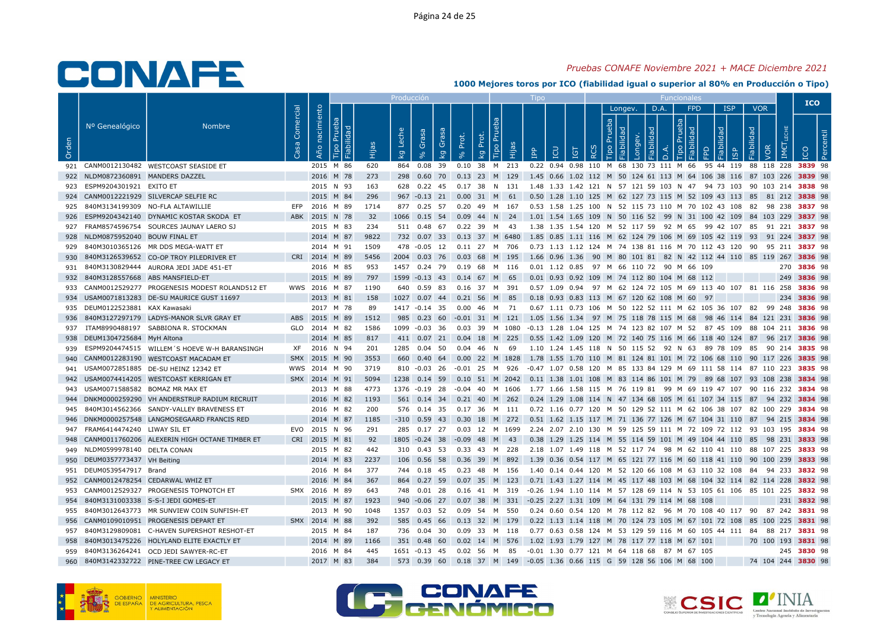## Pruebas CONAFE Noviembre 2021 + MACE Diciembre 2021

|       |                                    |                                                   |           |                |           |                                    | Producci <u>ón</u> |                      |             |                                                                                                  | $\mathsf{I}$ independent                                                      |            |                            |         |           | <b>Funcionales</b> |                  |                                  |                          |                    | <b>ICO</b>  |  |
|-------|------------------------------------|---------------------------------------------------|-----------|----------------|-----------|------------------------------------|--------------------|----------------------|-------------|--------------------------------------------------------------------------------------------------|-------------------------------------------------------------------------------|------------|----------------------------|---------|-----------|--------------------|------------------|----------------------------------|--------------------------|--------------------|-------------|--|
| Orden | Nº Genealógico                     | <b>Nombre</b>                                     | Comercial | Año nacimiento | ்<br>Hija | Leche<br>$\overline{\mathsf{k}}$ g | Grasa              | Grasa<br>Prot.<br>kg | Prot.<br>kg | <b>Tipo Pru</b><br><b>E</b>                                                                      | EQ<br>$\mathbb{R}$                                                            | <b>IGT</b> | deb<br>$\circ$<br>$\alpha$ | Longev. | D.A.<br>응 | deb<br>$\Box$      | <b>FPD</b><br>Q. | <b>ISP</b><br>lidad<br><b>GP</b> | <b>VOR</b><br>Fiabilidad | VOR<br>IM€         |             |  |
|       |                                    | 921 CANM0012130482 WESTCOAST SEASIDE ET           |           | 2015 M 86      | 620       |                                    |                    |                      |             | 864  0.08  39  0.10  38  M  213                                                                  | 0.22 0.94 0.98 110 M 68 130 73 111 M 66 95 44 119 88 118 228 3839 98          |            |                            |         |           |                    |                  |                                  |                          |                    |             |  |
|       | 922 NLDM0872360891 MANDERS DAZZEL  |                                                   |           | 2016 M 78      | 273       |                                    |                    |                      |             | 298 0.60 70 0.13 23 M 129 1.45 0.66 1.02 112 M 50 124 61 113 M 64 106 38 116 87 103 226 3839 98  |                                                                               |            |                            |         |           |                    |                  |                                  |                          |                    |             |  |
|       | 923 ESPM9204301921 EXITO ET        |                                                   |           | 2015 N 93      | 163       |                                    |                    |                      |             | 628  0.22  45  0.17  38  N  131                                                                  | 1.48 1.33 1.42 121 N 57 121 59 103 N 47 94 73 103 90 103 214 <b>3838</b> 98   |            |                            |         |           |                    |                  |                                  |                          |                    |             |  |
|       |                                    | 924 CANM0012221929 SILVERCAP SELFIE RC            |           | 2015 M 84      | 296       |                                    |                    |                      |             | 967 -0.13 21 0.00 31 M 61                                                                        | 0.50 1.28 1.10 125 M 62 127 73 115 M 52 109 43 113 85 81 212 3838 98          |            |                            |         |           |                    |                  |                                  |                          |                    |             |  |
|       |                                    | 925 840M3134199309 NO-FLA ALTAWILLIE              | EFP       | 2016 M 89      | 1714      |                                    | 877 0.25 57        |                      |             | 0.20 49 M 167                                                                                    | 0.53 1.58 1.25 100 N 52 115 73 110 M 70 102 43 108 82 98 238 3837 98          |            |                            |         |           |                    |                  |                                  |                          |                    |             |  |
|       |                                    | 926 ESPM9204342140 DYNAMIC KOSTAR SKODA ET        |           | ABK 2015 N 78  | 32        |                                    |                    |                      |             | 1066  0.15  54  0.09  44  N  24                                                                  | 1.01 1.54 1.65 109 N 50 116 52 99 N 31 100 42 109 84 103 229 <b>3837</b> 98   |            |                            |         |           |                    |                  |                                  |                          |                    |             |  |
|       |                                    | 927 FRAM8574596754 SOURCES JAUNAY LAERO SJ        |           | 2015 M 83      | 234       |                                    |                    |                      |             | 511  0.48  67  0.22  39  M  43                                                                   | 1.38 1.35 1.54 120 M 52 117 59 92 M 65 99 42 107 85 91 221 <b>3837</b> 98     |            |                            |         |           |                    |                  |                                  |                          |                    |             |  |
|       | 928 NLDM0875952040 BOUW FINAL ET   |                                                   |           | 2014 M 87      | 9822      |                                    |                    |                      |             | 732 0.07 33 0.13 37 M 6480 1.85 0.85 1.11 116 M 62 124 79 106 M 69 105 42 119 93 91 224 3837 98  |                                                                               |            |                            |         |           |                    |                  |                                  |                          |                    |             |  |
|       |                                    | 929 840M3010365126 MR DDS MEGA-WATT ET            |           | 2014 M 91      | 1509      |                                    |                    |                      |             | 478 -0.05 12 0.11 27 M 706                                                                       | 0.73 1.13 1.12 124 M 74 138 81 116 M 70 112 43 120 90 95 211 3837 98          |            |                            |         |           |                    |                  |                                  |                          |                    |             |  |
|       |                                    | 930 840M3126539652 CO-OP TROY PILEDRIVER ET       |           | CRI 2014 M 89  | 5456      |                                    | 2004 0.03 76       |                      |             | 0.03 68 M 195                                                                                    | 1.66 0.96 1.36 90 M 80 101 81 82 N 42 112 44 110 85 119 267 3836 98           |            |                            |         |           |                    |                  |                                  |                          |                    |             |  |
|       |                                    | 931 840M3130829444 AURORA JEDI JADE 451-ET        |           | 2016 M 85      | 953       |                                    |                    |                      |             | 1457  0.24  79  0.19  68  M  116  0.01  1.12  0.85  97  M  66  110  72  90  M  66  109           |                                                                               |            |                            |         |           |                    |                  |                                  |                          |                    | 270 3836 98 |  |
|       |                                    | 932 840M3128557668 ABS MANSFIELD-ET               |           | 2015 M 89      | 797       |                                    |                    |                      |             | 1599 -0.13 43 0.14 67 M 65                                                                       | 0.01 0.93 0.92 109 M 74 112 80 104 M 68 112                                   |            |                            |         |           |                    |                  |                                  |                          |                    | 249 3836 98 |  |
|       |                                    | 933 CANM0012529277 PROGENESIS MODEST ROLAND512 ET |           | WWS 2016 M 87  | 1190      |                                    | 640 0.59 83        |                      |             | 0.16 37 M 391                                                                                    | 0.57 1.09 0.94 97 M 62 124 72 105 M 69 113 40 107 81 116 258 3836 98          |            |                            |         |           |                    |                  |                                  |                          |                    |             |  |
|       |                                    | 934 USAM0071813283 DE-SU MAURICE GUST 11697       |           | 2013 M 81      | 158       |                                    |                    |                      |             | 1027 0.07 44 0.21 56 M 85                                                                        | 0.18 0.93 0.83 113 M 67 120 62 108 M 60 97                                    |            |                            |         |           |                    |                  |                                  |                          |                    | 234 3836 98 |  |
|       | 935 DEUM0122523881 KAX Kawasaki    |                                                   |           | 2017 M 78      | 89        |                                    | 1417 -0.14 35      |                      |             | 0.00 46 M 71                                                                                     | 0.67 1.11 0.73 106 M 50 122 52 111 M 62 105 36 107 82 99 248 3836 98          |            |                            |         |           |                    |                  |                                  |                          |                    |             |  |
| 936   |                                    | 840M3127297179 LADYS-MANOR SLVR GRAY ET           |           | ABS 2015 M 89  | 1512      |                                    |                    |                      |             | 985 0.23 60 -0.01 31 M 121 1.05 1.56 1.34 97 M 75 118 78 115 M 68 98 46 114 84 121 231 3836 98   |                                                                               |            |                            |         |           |                    |                  |                                  |                          |                    |             |  |
|       |                                    | 937 ITAM8990488197 SABBIONA R. STOCKMAN           |           | GLO 2014 M 82  | 1586      |                                    | 1099 -0.03 36      |                      |             | 0.03 39 M 1080 -0.13 1.28 1.04 125 M 74 123 82 107 M 52 87 45 109 88 104 211 <b>3836</b> 98      |                                                                               |            |                            |         |           |                    |                  |                                  |                          |                    |             |  |
|       | 938 DEUM1304725684 MyH Altona      |                                                   |           | 2014 M 85      | 817       |                                    |                    |                      |             | 411 0.07 21 0.04 18 M 225                                                                        | 0.55 1.42 1.09 120 M 72 140 75 116 M 66 118 40 124 87 96 217 3836 98          |            |                            |         |           |                    |                  |                                  |                          |                    |             |  |
|       |                                    | 939 ESPM9204474515 WILLEM'S HOEVE W-H BARANSINGH  |           | XF 2016 N 94   | 201       |                                    |                    |                      |             | 1285  0.04  50  0.04  46  N  69                                                                  | 1.10 1.24 1.45 118 N 50 115 52 92 N 63 89 78 109 85 90 214 3835 98            |            |                            |         |           |                    |                  |                                  |                          |                    |             |  |
| 940   |                                    | CANM0012283190 WESTCOAST MACADAM ET               |           | SMX 2015 M 90  | 3553      |                                    | 660 0.40 64        |                      |             | 0.00 22 M 1828 1.78 1.55 1.70 110 M 81 124 81 101 M 72 106 68 110 90 117 226 3835 98             |                                                                               |            |                            |         |           |                    |                  |                                  |                          |                    |             |  |
|       |                                    | 941 USAM0072851885 DE-SU HEINZ 12342 ET           |           | WWS 2014 M 90  | 3719      |                                    | 810 -0.03 26       |                      |             | -0.01 25 M 926                                                                                   | -0.47 1.07 0.58 120 M 85 133 84 129 M 69 111 58 114 87 110 223 <b>3835</b> 98 |            |                            |         |           |                    |                  |                                  |                          |                    |             |  |
|       |                                    | 942 USAM0074414205 WESTCOAST KERRIGAN ET          |           | SMX 2014 M 91  | 5094      |                                    |                    |                      |             | 1238 0.14 59 0.10 51 M 2042 0.11 1.38 1.01 108 M 83 114 86 101 M 79 89 68 107 93 108 238 3834 98 |                                                                               |            |                            |         |           |                    |                  |                                  |                          |                    |             |  |
|       | 943 USAM0071588582 BOMAZ MR MAX ET |                                                   |           | 2013 M 88      | 4773      |                                    | 1376 -0.19 28      |                      |             | -0.04 40 M 1606 1.77 1.66 1.58 115 M 76 119 81 99 M 69 119 47 107 90 116 232 3834 98             |                                                                               |            |                            |         |           |                    |                  |                                  |                          |                    |             |  |
|       |                                    | 944 DNKM0000259290 VH ANDERSTRUP RADIUM RECRUIT   |           | 2016 M 82      | 1193      |                                    |                    |                      |             | 561 0.14 34 0.21 40 M 262 0.24 1.29 1.08 114 N 47 134 68 105 M 61 107 34 115 87 94 232 3834 98   |                                                                               |            |                            |         |           |                    |                  |                                  |                          |                    |             |  |
| 945   |                                    | 840M3014562366 SANDY-VALLEY BRAVENESS ET          |           | 2016 M 82      | 200       |                                    | 576  0.14  35      |                      |             | 0.17 36 M 111                                                                                    | 0.72 1.16 0.77 120 M 50 129 52 111 M 62 106 38 107 82 100 229 3834 98         |            |                            |         |           |                    |                  |                                  |                          |                    |             |  |
|       |                                    | 946 DNKM0000257548 LANGMOSEGAARD FRANCIS RED      |           | 2014 M 87      | 1185      |                                    |                    |                      |             | -310 0.59 43 0.30 18 M 272 0.51 1.62 1.15 117 M 71 136 77 126 M 67 104 31 110 87 94 215 3834 98  |                                                                               |            |                            |         |           |                    |                  |                                  |                          |                    |             |  |
|       | 947 FRAM6414474240 LIWAY SIL ET    |                                                   |           | EVO 2015 N 96  | 291       |                                    |                    |                      |             | 285 0.17 27 0.03 12 M 1699 2.24 2.07 2.10 130 M 59 125 59 111 M 72 109 72 112 93 103 195 3834 98 |                                                                               |            |                            |         |           |                    |                  |                                  |                          |                    |             |  |
| 948   |                                    | CANM0011760206 ALEXERIN HIGH OCTANE TIMBER ET     |           | CRI 2015 M 81  | 92        |                                    |                    |                      |             | 1805 -0.24 38 -0.09 48 M 43                                                                      | 0.38 1.29 1.25 114 M 55 114 59 101 M 49 104 44 110 85 98 231 3833 98          |            |                            |         |           |                    |                  |                                  |                          |                    |             |  |
|       | 949 NLDM0599978140 DELTA CONAN     |                                                   |           | 2015 M 82      | 442       |                                    |                    |                      |             | 310 0.43 53 0.33 43 M 228 2.18 1.07 1.49 118 M 52 117 74 98 M 62 110 41 110 88 107 225 3833 98   |                                                                               |            |                            |         |           |                    |                  |                                  |                          |                    |             |  |
|       | 950 DEUM0357773437 VH Beiting      |                                                   |           | 2014 M 83      | 2237      |                                    |                    |                      |             | 106  0.56  58  0.36  39  M  892                                                                  | 1.39 0.36 0.54 117 M 65 121 77 116 M 60 118 41 110 90 100 239 3833 98         |            |                            |         |           |                    |                  |                                  |                          |                    |             |  |
|       | 951 DEUM0539547917 Brand           |                                                   |           | 2016 M 84      | 377       |                                    | 744 0.18 45        |                      |             | 0.23 48 M 156                                                                                    | 1.40 0.14 0.44 120 M 52 120 66 108 M 63 110 32 108 84 94 233 3832 98          |            |                            |         |           |                    |                  |                                  |                          |                    |             |  |
|       |                                    | 952 CANM0012478254 CEDARWAL WHIZ ET               |           | 2016 M 84      | 367       |                                    |                    |                      |             | 864 0.27 59 0.07 35 M 123 0.71 1.43 1.27 114 M 45 117 48 103 M 68 104 32 114 82 114 228 3832 98  |                                                                               |            |                            |         |           |                    |                  |                                  |                          |                    |             |  |
|       |                                    | 953 CANM0012529327 PROGENESIS TOPNOTCH ET         |           | SMX 2016 M 89  | 643       |                                    | 748  0.01  28      |                      |             | 0.16 41 M 319 -0.26 1.94 1.10 114 M 57 128 69 114 N 53 105 61 106 85 101 225 3832 98             |                                                                               |            |                            |         |           |                    |                  |                                  |                          |                    |             |  |
|       |                                    | 954 840M3131003338 S-S-I JEDI GOMES-ET            |           | 2015 M 87      | 1923      |                                    |                    |                      |             | 940 -0.06 27 0.07 38 M 331 -0.25 2.27 1.31 109 M 64 131 79 114 M 68 108                          |                                                                               |            |                            |         |           |                    |                  |                                  |                          |                    | 231 3832 98 |  |
|       |                                    | 955 840M3012643773 MR SUNVIEW COIN SUNFISH-ET     |           | 2013 M 90      | 1048      |                                    | 1357  0.03  52     |                      |             | 0.09 54 M 550                                                                                    | 0.24 0.60 0.54 120 M 78 112 82 96 M 70 108 40 117 90 87 242 3831 98           |            |                            |         |           |                    |                  |                                  |                          |                    |             |  |
| 956   |                                    | CANM0109010951 PROGENESIS DEPART ET               |           | SMX 2014 M 88  | 392       |                                    | 585 0.45 66        |                      |             | 0.13 32 M 179                                                                                    | 0.22 1.13 1.14 118 M 70 124 73 105 M 67 101 72 108 85 100 225 3831 98         |            |                            |         |           |                    |                  |                                  |                          |                    |             |  |
|       |                                    | 957 840M3129809081 C-HAVEN SUPERSHOT RESHOT-ET    |           | 2015 M 84      | 187       |                                    |                    |                      |             | 736  0.04  30  0.09  33  M  118                                                                  | 0.77 0.63 0.58 124 M 53 129 59 116 M 60 105 44 111 84 88 217 <b>3831</b> 98   |            |                            |         |           |                    |                  |                                  |                          |                    |             |  |
| 958   |                                    | 840M3013475226 HOLYLAND ELITE EXACTLY ET          |           | 2014 M 89      | 1166      |                                    | 351 0.48 60        |                      |             | $0.02$ 14 M 576                                                                                  | 1.02 1.93 1.79 127 M 78 117 77 118 M 67 101                                   |            |                            |         |           |                    |                  |                                  |                          | 70 100 193 3831 98 |             |  |
|       |                                    | 959 840M3136264241 OCD JEDI SAWYER-RC-ET          |           | 2016 M 84      | 445       |                                    | 1651 -0.13 45      |                      |             | 0.02 56 M 85                                                                                     | -0.01 1.30 0.77 121 M 64 118 68 87 M 67 105                                   |            |                            |         |           |                    |                  |                                  |                          |                    | 245 3830 98 |  |
| 960   |                                    | 840M3142332722 PINE-TREE CW LEGACY ET             |           | 2017 M 83      | 384       |                                    |                    |                      |             | 573 0.39 60 0.18 37 M 149 -0.05 1.36 0.66 115 G 59 128 56 106 M 68 100                           |                                                                               |            |                            |         |           |                    |                  |                                  |                          | 74 104 244 3830 98 |             |  |